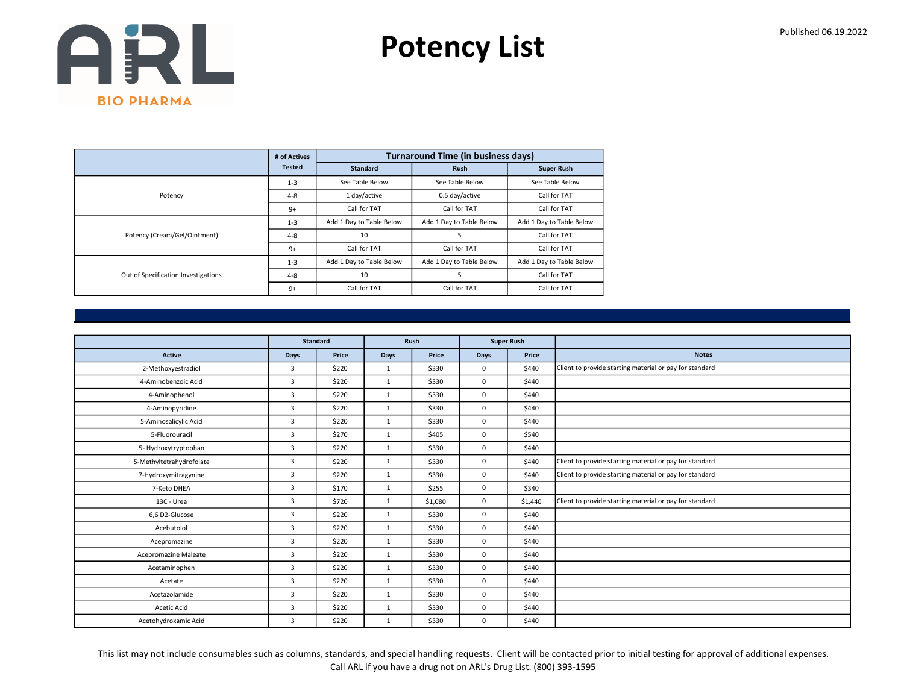Potency List

|                                     | # of Actives  |                          | <b>Turnaround Time (in business days)</b> |                          |
|-------------------------------------|---------------|--------------------------|-------------------------------------------|--------------------------|
|                                     | <b>Tested</b> | <b>Standard</b>          | <b>Rush</b>                               | <b>Super Rush</b>        |
|                                     | $1 - 3$       | See Table Below          | See Table Below                           | See Table Below          |
| Potency                             | $4 - 8$       | 1 day/active             | 0.5 day/active                            | Call for TAT             |
|                                     | $9+$          | Call for TAT             | Call for TAT                              | Call for TAT             |
|                                     | $1 - 3$       | Add 1 Day to Table Below | Add 1 Day to Table Below                  | Add 1 Day to Table Below |
| Potency (Cream/Gel/Ointment)        | $4 - 8$       | 10                       | 5                                         | Call for TAT             |
|                                     | $9+$          | Call for TAT             | Call for TAT                              | Call for TAT             |
|                                     | $1 - 3$       | Add 1 Day to Table Below | Add 1 Day to Table Below                  | Add 1 Day to Table Below |
| Out of Specification Investigations | $4 - 8$       | 10                       | 5                                         | Call for TAT             |
|                                     | $9+$          | Call for TAT             | Call for TAT                              | Call for TAT             |

|                          |                | <b>Standard</b> |              | Rush    |             | <b>Super Rush</b> |                                                         |
|--------------------------|----------------|-----------------|--------------|---------|-------------|-------------------|---------------------------------------------------------|
| <b>Active</b>            | <b>Days</b>    | Price           | <b>Days</b>  | Price   | <b>Days</b> | Price             | <b>Notes</b>                                            |
| 2-Methoxyestradiol       | $\overline{3}$ | \$220           | $\mathbf{1}$ | \$330   | $\mathbf 0$ | \$440             | Client to provide starting material or pay for standard |
| 4-Aminobenzoic Acid      | $\overline{3}$ | \$220           | $\mathbf{1}$ | \$330   | $\mathbf 0$ | \$440             |                                                         |
| 4-Aminophenol            | 3              | \$220           | $\mathbf{1}$ | \$330   | $\mathbf 0$ | \$440             |                                                         |
| 4-Aminopyridine          | $\overline{3}$ | \$220           | 1            | \$330   | $\mathbf 0$ | \$440             |                                                         |
| 5-Aminosalicylic Acid    | 3              | \$220           | $\mathbf{1}$ | \$330   | $\mathbf 0$ | \$440             |                                                         |
| 5-Fluorouracil           | 3              | \$270           | $\mathbf{1}$ | \$405   | $\mathbf 0$ | \$540             |                                                         |
| 5- Hydroxytryptophan     | $\overline{3}$ | \$220           | $\mathbf{1}$ | \$330   | $\mathbf 0$ | \$440             |                                                         |
| 5-Methyltetrahydrofolate | 3              | \$220           | $\mathbf{1}$ | \$330   | $\mathbf 0$ | \$440             | Client to provide starting material or pay for standard |
| 7-Hydroxymitragynine     | 3              | \$220           | $\mathbf{1}$ | \$330   | $\mathbf 0$ | \$440             | Client to provide starting material or pay for standard |
| 7-Keto DHEA              | $\overline{3}$ | \$170           | $\mathbf{1}$ | \$255   | $\mathbf 0$ | \$340             |                                                         |
| 13C - Urea               | $\overline{3}$ | \$720           | $\mathbf{1}$ | \$1,080 | $\mathbf 0$ | \$1,440           | Client to provide starting material or pay for standard |
| 6,6 D2-Glucose           | $\overline{3}$ | \$220           | $\mathbf{1}$ | \$330   | $\mathbf 0$ | \$440             |                                                         |
| Acebutolol               | $\overline{3}$ | \$220           | $\mathbf{1}$ | \$330   | $\mathbf 0$ | \$440             |                                                         |
| Acepromazine             | $\overline{3}$ | \$220           | $\mathbf{1}$ | \$330   | $\mathbf 0$ | \$440             |                                                         |
| Acepromazine Maleate     | $\overline{3}$ | \$220           | $\mathbf{1}$ | \$330   | $\mathbf 0$ | \$440             |                                                         |
| Acetaminophen            | 3              | \$220           | $\mathbf{1}$ | \$330   | $\mathbf 0$ | \$440             |                                                         |
| Acetate                  | 3              | \$220           | $\mathbf{1}$ | \$330   | $\mathbf 0$ | \$440             |                                                         |
| Acetazolamide            | 3              | \$220           | $\mathbf{1}$ | \$330   | $\mathbf 0$ | \$440             |                                                         |
| Acetic Acid              | 3              | \$220           | $\mathbf{1}$ | \$330   | $\mathbf 0$ | \$440             |                                                         |
| Acetohydroxamic Acid     | 3              | \$220           | $\mathbf{1}$ | \$330   | 0           | \$440             |                                                         |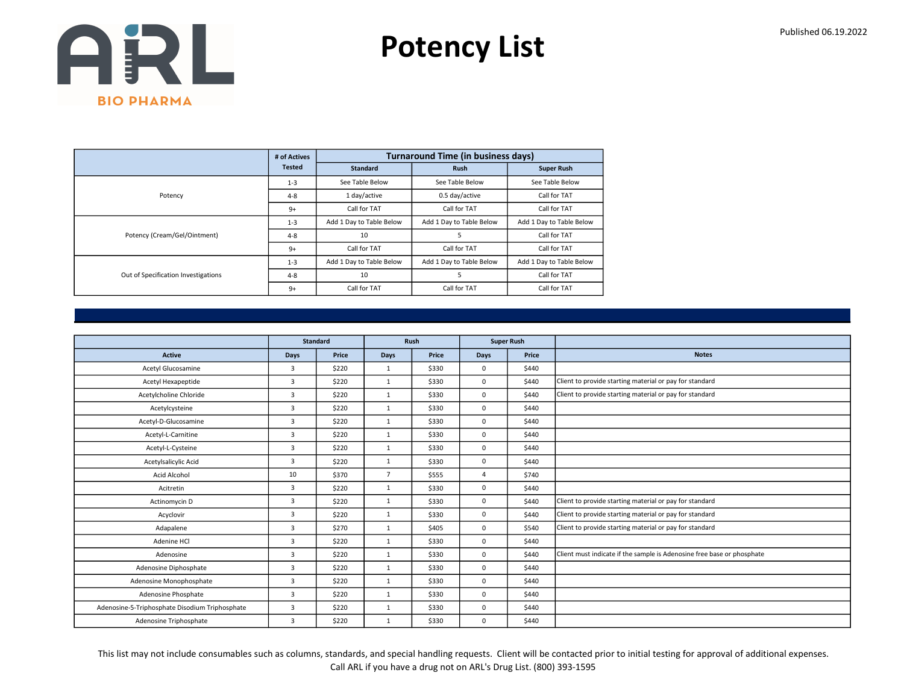Potency List

|                                     | # of Actives  |                          | <b>Turnaround Time (in business days)</b> |                          |
|-------------------------------------|---------------|--------------------------|-------------------------------------------|--------------------------|
|                                     | <b>Tested</b> | <b>Standard</b>          | <b>Rush</b>                               | <b>Super Rush</b>        |
|                                     | $1 - 3$       | See Table Below          | See Table Below                           | See Table Below          |
| Potency                             | $4 - 8$       | 1 day/active             | 0.5 day/active                            | Call for TAT             |
|                                     | $9+$          | Call for TAT             | Call for TAT                              | Call for TAT             |
|                                     | $1 - 3$       | Add 1 Day to Table Below | Add 1 Day to Table Below                  | Add 1 Day to Table Below |
| Potency (Cream/Gel/Ointment)        | $4 - 8$       | 10                       | 5                                         | Call for TAT             |
|                                     | $9+$          | Call for TAT             | Call for TAT                              | Call for TAT             |
|                                     | $1 - 3$       | Add 1 Day to Table Below | Add 1 Day to Table Below                  | Add 1 Day to Table Below |
| Out of Specification Investigations | $4 - 8$       | 10                       | 5                                         | Call for TAT             |
|                                     | $9+$          | Call for TAT             | Call for TAT                              | Call for TAT             |

|                                                | Standard       |       |                | Rush  |             | <b>Super Rush</b> |                                                                        |
|------------------------------------------------|----------------|-------|----------------|-------|-------------|-------------------|------------------------------------------------------------------------|
| Active                                         | Days           | Price | Days           | Price | <b>Days</b> | Price             | <b>Notes</b>                                                           |
| Acetyl Glucosamine                             | 3              | \$220 | $\mathbf{1}$   | \$330 | $\mathbf 0$ | \$440             |                                                                        |
| Acetyl Hexapeptide                             | $\overline{3}$ | \$220 | $\mathbf{1}$   | \$330 | $\mathbf 0$ | \$440             | Client to provide starting material or pay for standard                |
| Acetylcholine Chloride                         | 3              | \$220 | $\mathbf{1}$   | \$330 | $\mathbf 0$ | \$440             | Client to provide starting material or pay for standard                |
| Acetylcysteine                                 | 3              | \$220 | $\mathbf{1}$   | \$330 | $\mathbf 0$ | \$440             |                                                                        |
| Acetyl-D-Glucosamine                           | 3              | \$220 | 1              | \$330 | $\mathbf 0$ | \$440             |                                                                        |
| Acetyl-L-Carnitine                             | 3              | \$220 | $\mathbf{1}$   | \$330 | $\mathbf 0$ | \$440             |                                                                        |
| Acetyl-L-Cysteine                              | $\overline{3}$ | \$220 | $\mathbf{1}$   | \$330 | $\mathbf 0$ | \$440             |                                                                        |
| Acetylsalicylic Acid                           | 3              | \$220 | $\mathbf{1}$   | \$330 | $\mathbf 0$ | \$440             |                                                                        |
| Acid Alcohol                                   | 10             | \$370 | $\overline{7}$ | \$555 | 4           | \$740             |                                                                        |
| Acitretin                                      | $\overline{3}$ | \$220 | $\mathbf{1}$   | \$330 | $\mathbf 0$ | \$440             |                                                                        |
| Actinomycin D                                  | 3              | \$220 | 1              | \$330 | $\mathbf 0$ | \$440             | Client to provide starting material or pay for standard                |
| Acyclovir                                      | 3              | \$220 | 1              | \$330 | $\mathbf 0$ | \$440             | Client to provide starting material or pay for standard                |
| Adapalene                                      | 3              | \$270 | $\mathbf{1}$   | \$405 | $\mathbf 0$ | \$540             | Client to provide starting material or pay for standard                |
| Adenine HCl                                    | $\overline{3}$ | \$220 | $\mathbf{1}$   | \$330 | $\mathbf 0$ | \$440             |                                                                        |
| Adenosine                                      | 3              | \$220 | 1              | \$330 | $\mathbf 0$ | \$440             | Client must indicate if the sample is Adenosine free base or phosphate |
| Adenosine Diphosphate                          | 3              | \$220 | $\mathbf{1}$   | \$330 | $\mathbf 0$ | \$440             |                                                                        |
| Adenosine Monophosphate                        | 3              | \$220 | $\mathbf{1}$   | \$330 | $\mathbf 0$ | \$440             |                                                                        |
| Adenosine Phosphate                            | 3              | \$220 | $\mathbf{1}$   | \$330 | $\mathbf 0$ | \$440             |                                                                        |
| Adenosine-5-Triphosphate Disodium Triphosphate | 3              | \$220 | $\mathbf{1}$   | \$330 | $\mathbf 0$ | \$440             |                                                                        |
| Adenosine Triphosphate                         | 3              | \$220 | $\mathbf{1}$   | \$330 | $\mathbf 0$ | \$440             |                                                                        |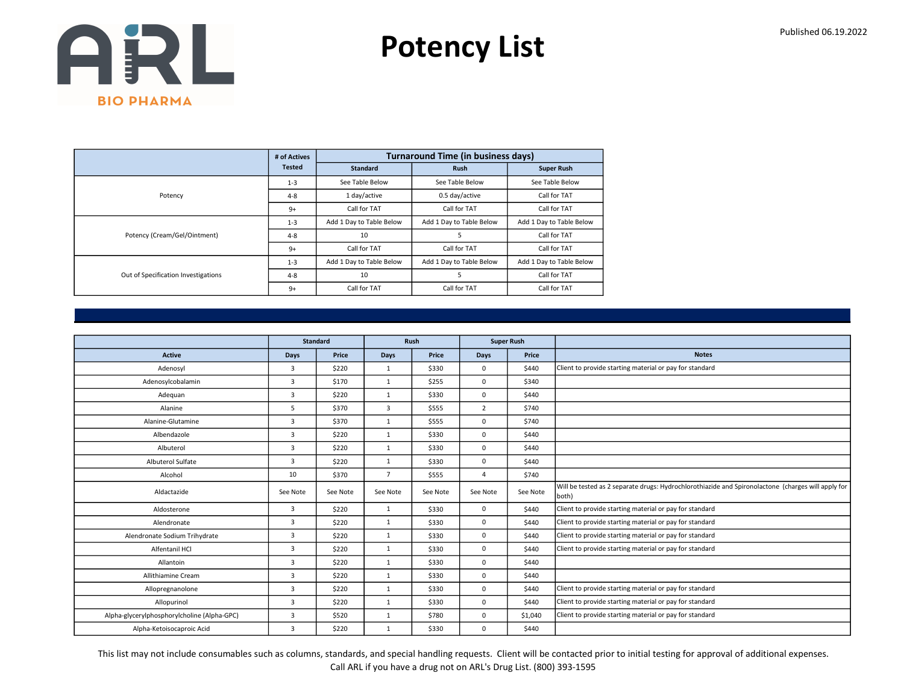Potency List

|                                     | # of Actives  |                          | <b>Turnaround Time (in business days)</b> |                          |
|-------------------------------------|---------------|--------------------------|-------------------------------------------|--------------------------|
|                                     | <b>Tested</b> | <b>Standard</b>          | <b>Rush</b>                               | <b>Super Rush</b>        |
|                                     | $1 - 3$       | See Table Below          | See Table Below                           | See Table Below          |
| Potency                             | $4 - 8$       | 1 day/active             | 0.5 day/active                            | Call for TAT             |
|                                     | $9+$          | Call for TAT             | Call for TAT                              | Call for TAT             |
|                                     | $1 - 3$       | Add 1 Day to Table Below | Add 1 Day to Table Below                  | Add 1 Day to Table Below |
| Potency (Cream/Gel/Ointment)        | $4 - 8$       | 10                       | 5                                         | Call for TAT             |
|                                     | $9+$          | Call for TAT             | Call for TAT                              | Call for TAT             |
|                                     | $1 - 3$       | Add 1 Day to Table Below | Add 1 Day to Table Below                  | Add 1 Day to Table Below |
| Out of Specification Investigations | $4 - 8$       | 10                       | 5                                         | Call for TAT             |
|                                     | $9+$          | Call for TAT             | Call for TAT                              | Call for TAT             |

|                                             |                | <b>Standard</b> |                | <b>Rush</b> |                | <b>Super Rush</b> |                                                                                                             |
|---------------------------------------------|----------------|-----------------|----------------|-------------|----------------|-------------------|-------------------------------------------------------------------------------------------------------------|
| <b>Active</b>                               | Days           | Price           | <b>Days</b>    | Price       | Days           | Price             | <b>Notes</b>                                                                                                |
| Adenosyl                                    | $\overline{3}$ | \$220           | 1              | \$330       | 0              | \$440             | Client to provide starting material or pay for standard                                                     |
| Adenosylcobalamin                           | $\overline{3}$ | \$170           | $\mathbf{1}$   | \$255       | 0              | \$340             |                                                                                                             |
| Adequan                                     | $\overline{3}$ | \$220           | $\mathbf{1}$   | \$330       | 0              | \$440             |                                                                                                             |
| Alanine                                     | 5              | \$370           | 3              | \$555       | $\overline{2}$ | \$740             |                                                                                                             |
| Alanine-Glutamine                           | $\overline{3}$ | \$370           | $\mathbf{1}$   | \$555       | 0              | \$740             |                                                                                                             |
| Albendazole                                 | $\overline{3}$ | \$220           | $\mathbf{1}$   | \$330       | 0              | \$440             |                                                                                                             |
| Albuterol                                   | $\overline{3}$ | \$220           | $\mathbf{1}$   | \$330       | 0              | \$440             |                                                                                                             |
| Albuterol Sulfate                           | $\overline{3}$ | \$220           | $\mathbf{1}$   | \$330       | 0              | \$440             |                                                                                                             |
| Alcohol                                     | 10             | \$370           | $\overline{7}$ | \$555       | $\Delta$       | \$740             |                                                                                                             |
| Aldactazide                                 | See Note       | See Note        | See Note       | See Note    | See Note       | See Note          | Will be tested as 2 separate drugs: Hydrochlorothiazide and Spironolactone (charges will apply for<br>both) |
| Aldosterone                                 | $\overline{3}$ | \$220           | $\mathbf{1}$   | \$330       | 0              | \$440             | Client to provide starting material or pay for standard                                                     |
| Alendronate                                 | 3              | \$220           | $\mathbf{1}$   | \$330       | 0              | \$440             | Client to provide starting material or pay for standard                                                     |
| Alendronate Sodium Trihydrate               | 3              | \$220           | $\mathbf{1}$   | \$330       | 0              | \$440             | Client to provide starting material or pay for standard                                                     |
| Alfentanil HCl                              | 3              | \$220           | $\mathbf{1}$   | \$330       | $\Omega$       | \$440             | Client to provide starting material or pay for standard                                                     |
| Allantoin                                   | 3              | \$220           | $\mathbf{1}$   | \$330       | $\Omega$       | \$440             |                                                                                                             |
| Allithiamine Cream                          | $\overline{3}$ | \$220           | $\mathbf{1}$   | \$330       | 0              | \$440             |                                                                                                             |
| Allopregnanolone                            | 3              | \$220           | $\mathbf{1}$   | \$330       | 0              | \$440             | Client to provide starting material or pay for standard                                                     |
| Allopurinol                                 | 3              | \$220           | $\mathbf{1}$   | \$330       | 0              | \$440             | Client to provide starting material or pay for standard                                                     |
| Alpha-glycerylphosphorylcholine (Alpha-GPC) | $\overline{3}$ | \$520           | $\mathbf{1}$   | \$780       | 0              | \$1,040           | Client to provide starting material or pay for standard                                                     |
| Alpha-Ketoisocaproic Acid                   | 3              | \$220           | $\mathbf{1}$   | \$330       | 0              | \$440             |                                                                                                             |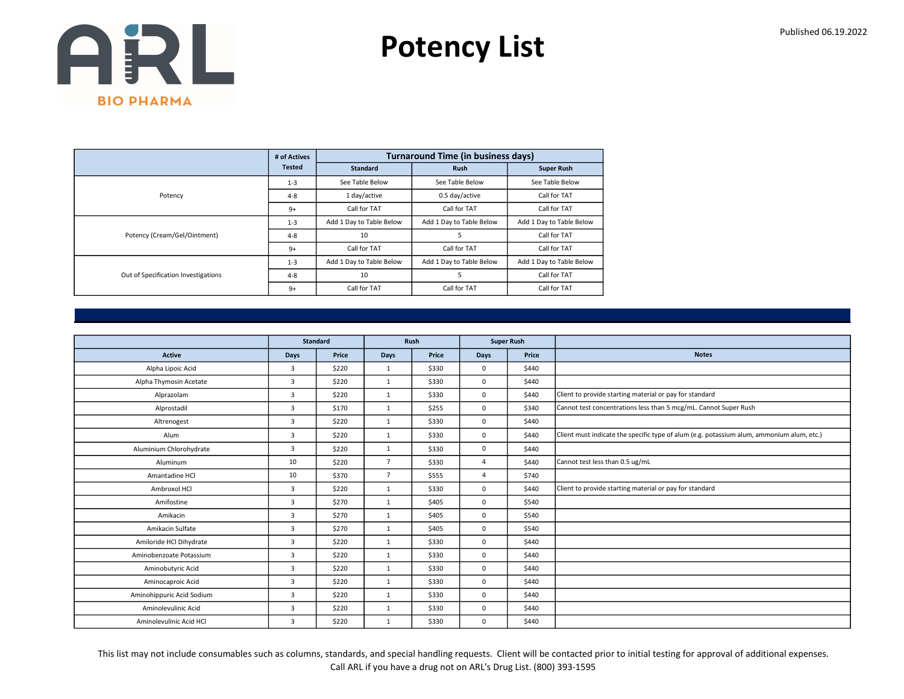Potency List

|                                     | # of Actives  |                          | <b>Turnaround Time (in business days)</b> |                          |
|-------------------------------------|---------------|--------------------------|-------------------------------------------|--------------------------|
|                                     | <b>Tested</b> | <b>Standard</b>          | <b>Rush</b>                               | <b>Super Rush</b>        |
|                                     | $1 - 3$       | See Table Below          | See Table Below                           | See Table Below          |
| Potency                             | $4 - 8$       | 1 day/active             | 0.5 day/active                            | Call for TAT             |
|                                     | $9+$          | Call for TAT             | Call for TAT                              | Call for TAT             |
|                                     | $1 - 3$       | Add 1 Day to Table Below | Add 1 Day to Table Below                  | Add 1 Day to Table Below |
| Potency (Cream/Gel/Ointment)        | $4 - 8$       | 10                       | 5                                         | Call for TAT             |
|                                     | $9+$          | Call for TAT             | Call for TAT                              | Call for TAT             |
|                                     | $1 - 3$       | Add 1 Day to Table Below | Add 1 Day to Table Below                  | Add 1 Day to Table Below |
| Out of Specification Investigations | $4 - 8$       | 10                       | 5                                         | Call for TAT             |
|                                     | $9+$          | Call for TAT             | Call for TAT                              | Call for TAT             |

|                           | <b>Standard</b> |       |                | Rush  | <b>Super Rush</b> |       |                                                                                           |
|---------------------------|-----------------|-------|----------------|-------|-------------------|-------|-------------------------------------------------------------------------------------------|
| Active                    | Days            | Price | Days           | Price | <b>Days</b>       | Price | <b>Notes</b>                                                                              |
| Alpha Lipoic Acid         | $\overline{3}$  | \$220 | $\mathbf{1}$   | \$330 | $\mathbf 0$       | \$440 |                                                                                           |
| Alpha Thymosin Acetate    | $\overline{3}$  | \$220 | $\mathbf{1}$   | \$330 | $\mathbf 0$       | \$440 |                                                                                           |
| Alprazolam                | 3               | \$220 | $\mathbf{1}$   | \$330 | $\mathbf 0$       | \$440 | Client to provide starting material or pay for standard                                   |
| Alprostadil               | $\overline{3}$  | \$170 | $\mathbf{1}$   | \$255 | $\mathbf 0$       | \$340 | Cannot test concentrations less than 5 mcg/mL. Cannot Super Rush                          |
| Altrenogest               | $\overline{3}$  | \$220 | 1              | \$330 | $\mathbf 0$       | \$440 |                                                                                           |
| Alum                      | 3               | \$220 | 1              | \$330 | $\mathbf 0$       | \$440 | Client must indicate the specific type of alum (e.g. potassium alum, ammonium alum, etc.) |
| Aluminium Chlorohydrate   | 3               | \$220 | $\mathbf{1}$   | \$330 | $\mathbf 0$       | \$440 |                                                                                           |
| Aluminum                  | 10              | \$220 | $\overline{7}$ | \$330 | $\overline{4}$    | \$440 | Cannot test less than 0.5 ug/mL                                                           |
| Amantadine HCl            | 10              | \$370 | $\overline{7}$ | \$555 | $\overline{4}$    | \$740 |                                                                                           |
| Ambroxol HCl              | 3               | \$220 | $\mathbf{1}$   | \$330 | $\mathbf 0$       | \$440 | Client to provide starting material or pay for standard                                   |
| Amifostine                | 3               | \$270 | $\mathbf{1}$   | \$405 | $\mathbf 0$       | \$540 |                                                                                           |
| Amikacin                  | $\overline{3}$  | \$270 | 1              | \$405 | $\mathbf 0$       | \$540 |                                                                                           |
| Amikacin Sulfate          | 3               | \$270 | $\mathbf{1}$   | \$405 | $\mathbf 0$       | \$540 |                                                                                           |
| Amiloride HCl Dihydrate   | 3               | \$220 | $\mathbf{1}$   | \$330 | $\mathbf 0$       | \$440 |                                                                                           |
| Aminobenzoate Potassium   | $\overline{3}$  | \$220 | 1              | \$330 | $\mathbf 0$       | \$440 |                                                                                           |
| Aminobutyric Acid         | $\overline{3}$  | \$220 | $\mathbf{1}$   | \$330 | $\mathbf 0$       | \$440 |                                                                                           |
| Aminocaproic Acid         | $\overline{3}$  | \$220 | $\mathbf{1}$   | \$330 | $\mathbf 0$       | \$440 |                                                                                           |
| Aminohippuric Acid Sodium | $\overline{3}$  | \$220 | $\mathbf{1}$   | \$330 | $\mathbf 0$       | \$440 |                                                                                           |
| Aminolevulinic Acid       | $\overline{3}$  | \$220 | $\mathbf{1}$   | \$330 | $\mathbf 0$       | \$440 |                                                                                           |
| Aminolevulinic Acid HCl   | $\overline{3}$  | \$220 | $\mathbf{1}$   | \$330 | $\mathbf 0$       | \$440 |                                                                                           |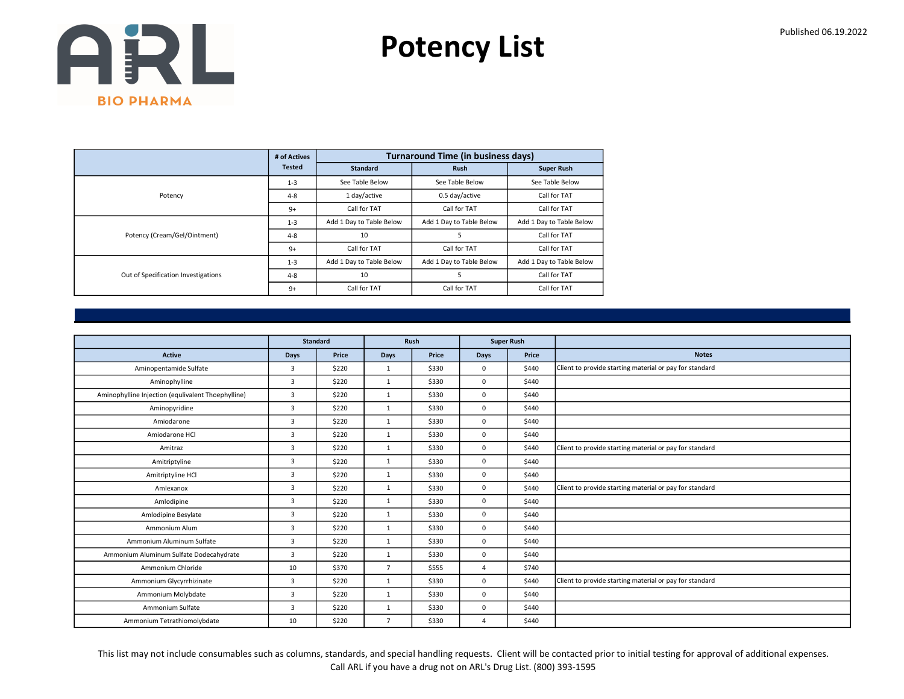Potency List

|                                     | # of Actives  |                          | <b>Turnaround Time (in business days)</b> |                          |
|-------------------------------------|---------------|--------------------------|-------------------------------------------|--------------------------|
|                                     | <b>Tested</b> | <b>Standard</b>          | <b>Rush</b>                               | <b>Super Rush</b>        |
|                                     | $1 - 3$       | See Table Below          | See Table Below                           | See Table Below          |
| Potency                             | $4 - 8$       | 1 day/active             | 0.5 day/active                            | Call for TAT             |
|                                     | $9+$          | Call for TAT             | Call for TAT                              | Call for TAT             |
|                                     | $1 - 3$       | Add 1 Day to Table Below | Add 1 Day to Table Below                  | Add 1 Day to Table Below |
| Potency (Cream/Gel/Ointment)        | $4 - 8$       | 10                       | 5                                         | Call for TAT             |
|                                     | $9+$          | Call for TAT             | Call for TAT                              | Call for TAT             |
|                                     | $1 - 3$       | Add 1 Day to Table Below | Add 1 Day to Table Below                  | Add 1 Day to Table Below |
| Out of Specification Investigations | $4 - 8$       | 10                       | 5                                         | Call for TAT             |
|                                     | $9+$          | Call for TAT             | Call for TAT                              | Call for TAT             |

|                                                    |                | <b>Standard</b> |                | Rush  |          | <b>Super Rush</b> |                                                         |
|----------------------------------------------------|----------------|-----------------|----------------|-------|----------|-------------------|---------------------------------------------------------|
|                                                    |                |                 |                |       |          |                   | <b>Notes</b>                                            |
| <b>Active</b>                                      | Days           | Price           | <b>Days</b>    | Price | Days     | Price             |                                                         |
| Aminopentamide Sulfate                             | $\overline{3}$ | \$220           | $\mathbf{1}$   | \$330 | 0        | \$440             | Client to provide starting material or pay for standard |
| Aminophylline                                      | $\overline{3}$ | \$220           | $\mathbf{1}$   | \$330 | 0        | \$440             |                                                         |
| Aminophylline Injection (equlivalent Thoephylline) | $\overline{3}$ | \$220           | $\mathbf{1}$   | \$330 | 0        | \$440             |                                                         |
| Aminopyridine                                      | $\overline{3}$ | \$220           | $\mathbf{1}$   | \$330 | $\Omega$ | \$440             |                                                         |
| Amiodarone                                         | $\overline{3}$ | \$220           | 1              | \$330 | 0        | \$440             |                                                         |
| Amiodarone HCl                                     | 3              | \$220           | $\mathbf{1}$   | \$330 | 0        | \$440             |                                                         |
| Amitraz                                            | $\overline{3}$ | \$220           | $\mathbf{1}$   | \$330 | 0        | \$440             | Client to provide starting material or pay for standard |
| Amitriptyline                                      | 3              | \$220           | $\mathbf{1}$   | \$330 | 0        | \$440             |                                                         |
| Amitriptyline HCl                                  | $\overline{3}$ | \$220           | $\mathbf{1}$   | \$330 | 0        | \$440             |                                                         |
| Amlexanox                                          | $\overline{3}$ | \$220           | $\mathbf{1}$   | \$330 | 0        | \$440             | Client to provide starting material or pay for standard |
| Amlodipine                                         | $\overline{3}$ | \$220           | $\mathbf{1}$   | \$330 | 0        | \$440             |                                                         |
| Amlodipine Besylate                                | 3              | \$220           | $\mathbf{1}$   | \$330 | 0        | \$440             |                                                         |
| Ammonium Alum                                      | $\overline{3}$ | \$220           | $\mathbf{1}$   | \$330 | 0        | \$440             |                                                         |
| Ammonium Aluminum Sulfate                          | 3              | \$220           | $\mathbf{1}$   | \$330 | 0        | \$440             |                                                         |
| Ammonium Aluminum Sulfate Dodecahydrate            | $\overline{3}$ | \$220           | $\mathbf{1}$   | \$330 | 0        | \$440             |                                                         |
| Ammonium Chloride                                  | 10             | \$370           | $\overline{7}$ | \$555 | $\Delta$ | \$740             |                                                         |
| Ammonium Glycyrrhizinate                           | 3              | \$220           | $\mathbf{1}$   | \$330 | $\Omega$ | \$440             | Client to provide starting material or pay for standard |
| Ammonium Molybdate                                 | 3              | \$220           | 1              | \$330 | 0        | \$440             |                                                         |
| Ammonium Sulfate                                   | $\overline{3}$ | \$220           | $\mathbf{1}$   | \$330 | 0        | \$440             |                                                         |
| Ammonium Tetrathiomolybdate                        | 10             | \$220           | $\overline{7}$ | \$330 | $\Delta$ | \$440             |                                                         |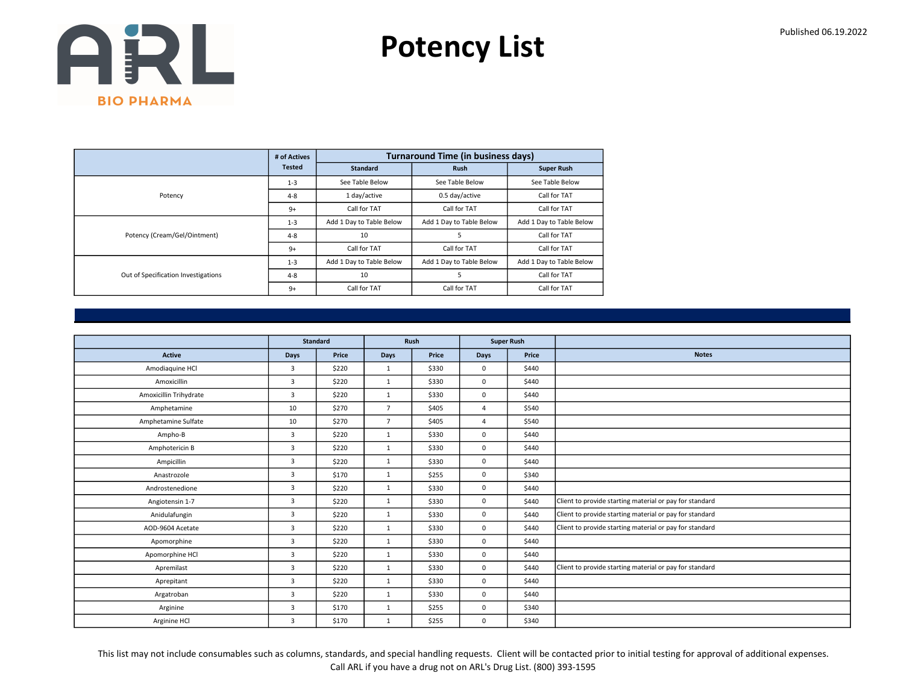Potency List

|                                     | # of Actives  |                          | <b>Turnaround Time (in business days)</b> |                          |
|-------------------------------------|---------------|--------------------------|-------------------------------------------|--------------------------|
|                                     | <b>Tested</b> | <b>Standard</b>          | <b>Rush</b>                               | <b>Super Rush</b>        |
|                                     | $1 - 3$       | See Table Below          | See Table Below                           | See Table Below          |
| Potency                             | $4 - 8$       | 1 day/active             | 0.5 day/active                            | Call for TAT             |
|                                     | $9+$          | Call for TAT             | Call for TAT                              | Call for TAT             |
|                                     | $1 - 3$       | Add 1 Day to Table Below | Add 1 Day to Table Below                  | Add 1 Day to Table Below |
| Potency (Cream/Gel/Ointment)        | $4 - 8$       | 10                       | 5                                         | Call for TAT             |
|                                     | $9+$          | Call for TAT             | Call for TAT                              | Call for TAT             |
|                                     | $1 - 3$       | Add 1 Day to Table Below | Add 1 Day to Table Below                  | Add 1 Day to Table Below |
| Out of Specification Investigations | $4 - 8$       | 10                       | 5                                         | Call for TAT             |
|                                     | $9+$          | Call for TAT             | Call for TAT                              | Call for TAT             |

|                        |                | Standard |                | Rush  | <b>Super Rush</b> |       |                                                         |
|------------------------|----------------|----------|----------------|-------|-------------------|-------|---------------------------------------------------------|
| Active                 | Days           | Price    | Days           | Price | <b>Days</b>       | Price | <b>Notes</b>                                            |
| Amodiaquine HCl        | 3              | \$220    | $\mathbf{1}$   | \$330 | $\mathbf 0$       | \$440 |                                                         |
| Amoxicillin            | $\overline{3}$ | \$220    | $\mathbf{1}$   | \$330 | $\mathbf 0$       | \$440 |                                                         |
| Amoxicillin Trihydrate | 3              | \$220    | $\mathbf{1}$   | \$330 | $\mathbf 0$       | \$440 |                                                         |
| Amphetamine            | 10             | \$270    | $\overline{7}$ | \$405 | $\Delta$          | \$540 |                                                         |
| Amphetamine Sulfate    | 10             | \$270    | $\overline{7}$ | \$405 | $\overline{4}$    | \$540 |                                                         |
| Ampho-B                | 3              | \$220    | $\mathbf{1}$   | \$330 | $\mathbf 0$       | \$440 |                                                         |
| Amphotericin B         | $\overline{3}$ | \$220    | $\mathbf{1}$   | \$330 | $\mathbf 0$       | \$440 |                                                         |
| Ampicillin             | 3              | \$220    | $\mathbf{1}$   | \$330 | $\mathbf 0$       | \$440 |                                                         |
| Anastrozole            | 3              | \$170    | $\mathbf{1}$   | \$255 | $\mathbf 0$       | \$340 |                                                         |
| Androstenedione        | $\overline{3}$ | \$220    | 1              | \$330 | $\mathbf 0$       | \$440 |                                                         |
| Angiotensin 1-7        | 3              | \$220    | $\mathbf{1}$   | \$330 | $\mathbf 0$       | \$440 | Client to provide starting material or pay for standard |
| Anidulafungin          | $\overline{3}$ | \$220    | 1              | \$330 | $\mathbf 0$       | \$440 | Client to provide starting material or pay for standard |
| AOD-9604 Acetate       | 3              | \$220    | $\mathbf{1}$   | \$330 | $\mathbf 0$       | \$440 | Client to provide starting material or pay for standard |
| Apomorphine            | $\overline{3}$ | \$220    | $\mathbf{1}$   | \$330 | $\mathbf 0$       | \$440 |                                                         |
| Apomorphine HCl        | 3              | \$220    | 1              | \$330 | $\mathbf 0$       | \$440 |                                                         |
| Apremilast             | 3              | \$220    | $\mathbf{1}$   | \$330 | $\mathbf 0$       | \$440 | Client to provide starting material or pay for standard |
| Aprepitant             | $\overline{3}$ | \$220    | $\mathbf{1}$   | \$330 | $\mathbf 0$       | \$440 |                                                         |
| Argatroban             | 3              | \$220    | $\mathbf{1}$   | \$330 | $\mathbf 0$       | \$440 |                                                         |
| Arginine               | 3              | \$170    | $\mathbf{1}$   | \$255 | $\mathbf 0$       | \$340 |                                                         |
| Arginine HCl           | 3              | \$170    | $\mathbf{1}$   | \$255 | $\mathbf 0$       | \$340 |                                                         |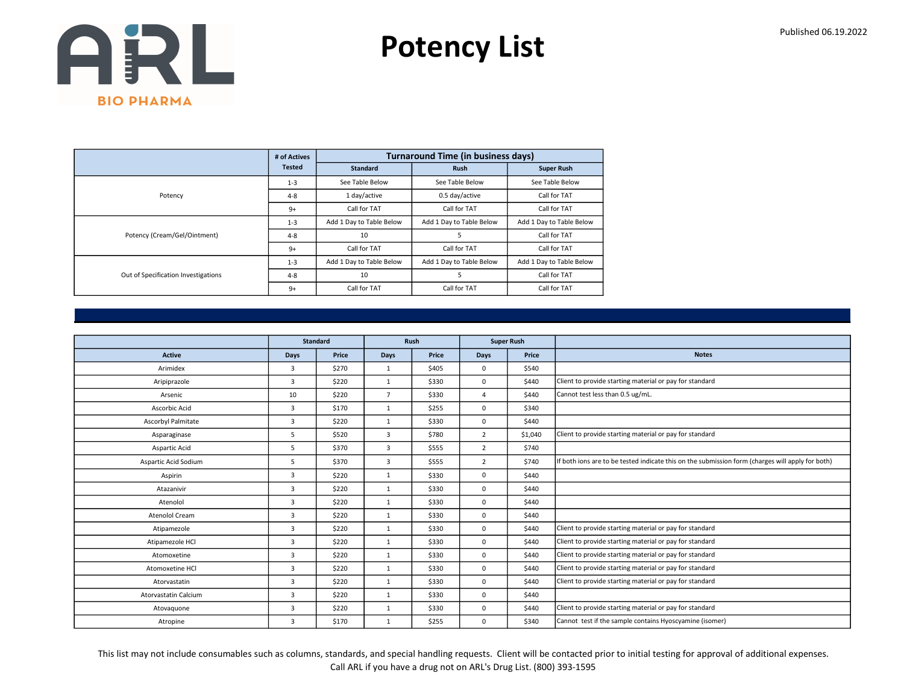Potency List

|                                     | # of Actives  |                          | <b>Turnaround Time (in business days)</b> |                          |
|-------------------------------------|---------------|--------------------------|-------------------------------------------|--------------------------|
|                                     | <b>Tested</b> | <b>Standard</b>          | <b>Rush</b>                               | <b>Super Rush</b>        |
|                                     | $1 - 3$       | See Table Below          | See Table Below                           | See Table Below          |
| Potency                             | $4 - 8$       | 1 day/active             | 0.5 day/active                            | Call for TAT             |
|                                     | $9+$          | Call for TAT             | Call for TAT                              | Call for TAT             |
|                                     | $1 - 3$       | Add 1 Day to Table Below | Add 1 Day to Table Below                  | Add 1 Day to Table Below |
| Potency (Cream/Gel/Ointment)        | $4 - 8$       | 10                       | 5                                         | Call for TAT             |
|                                     | $9+$          | Call for TAT             | Call for TAT                              | Call for TAT             |
|                                     | $1 - 3$       | Add 1 Day to Table Below | Add 1 Day to Table Below                  | Add 1 Day to Table Below |
| Out of Specification Investigations | $4 - 8$       | 10                       | 5                                         | Call for TAT             |
|                                     | $9+$          | Call for TAT             | Call for TAT                              | Call for TAT             |

|                             |                | <b>Standard</b> |                | Rush  |                | <b>Super Rush</b> |                                                                                                  |
|-----------------------------|----------------|-----------------|----------------|-------|----------------|-------------------|--------------------------------------------------------------------------------------------------|
| <b>Active</b>               | <b>Days</b>    | Price           | <b>Days</b>    | Price | Days           | Price             | <b>Notes</b>                                                                                     |
| Arimidex                    | 3              | \$270           | 1              | \$405 | 0              | \$540             |                                                                                                  |
| Aripiprazole                | 3              | \$220           | $\mathbf{1}$   | \$330 | 0              | \$440             | Client to provide starting material or pay for standard                                          |
| Arsenic                     | 10             | \$220           | $\overline{7}$ | \$330 | $\overline{4}$ | \$440             | Cannot test less than 0.5 ug/mL.                                                                 |
| Ascorbic Acid               | 3              | \$170           | $\mathbf{1}$   | \$255 | 0              | \$340             |                                                                                                  |
| Ascorbyl Palmitate          | 3              | \$220           | $\mathbf{1}$   | \$330 | 0              | \$440             |                                                                                                  |
| Asparaginase                | 5              | \$520           | 3              | \$780 | $\overline{2}$ | \$1,040           | Client to provide starting material or pay for standard                                          |
| Aspartic Acid               | 5              | \$370           | 3              | \$555 | $\overline{2}$ | \$740             |                                                                                                  |
| Aspartic Acid Sodium        | 5              | \$370           | 3              | \$555 | $\overline{2}$ | \$740             | If both ions are to be tested indicate this on the submission form (charges will apply for both) |
| Aspirin                     | 3              | \$220           | $\mathbf{1}$   | \$330 | 0              | \$440             |                                                                                                  |
| Atazanivir                  | 3              | \$220           | $\mathbf{1}$   | \$330 | 0              | \$440             |                                                                                                  |
| Atenolol                    | 3              | \$220           | $\mathbf{1}$   | \$330 | 0              | \$440             |                                                                                                  |
| Atenolol Cream              | 3              | \$220           | $\mathbf{1}$   | \$330 | 0              | \$440             |                                                                                                  |
| Atipamezole                 | 3              | \$220           | $\mathbf{1}$   | \$330 | 0              | \$440             | Client to provide starting material or pay for standard                                          |
| Atipamezole HCl             | $\overline{3}$ | \$220           | 1              | \$330 | 0              | \$440             | Client to provide starting material or pay for standard                                          |
| Atomoxetine                 | 3              | \$220           | $\mathbf{1}$   | \$330 | 0              | \$440             | Client to provide starting material or pay for standard                                          |
| Atomoxetine HCl             | $\overline{3}$ | \$220           | $\mathbf{1}$   | \$330 | 0              | \$440             | Client to provide starting material or pay for standard                                          |
| Atorvastatin                | $\overline{3}$ | \$220           | $\mathbf{1}$   | \$330 | 0              | \$440             | Client to provide starting material or pay for standard                                          |
| <b>Atorvastatin Calcium</b> | 3              | \$220           | $\mathbf{1}$   | \$330 | 0              | \$440             |                                                                                                  |
| Atovaguone                  | $\overline{3}$ | \$220           | $\mathbf{1}$   | \$330 | 0              | \$440             | Client to provide starting material or pay for standard                                          |
| Atropine                    | 3              | \$170           | $\mathbf{1}$   | \$255 | 0              | \$340             | Cannot test if the sample contains Hyoscyamine (isomer)                                          |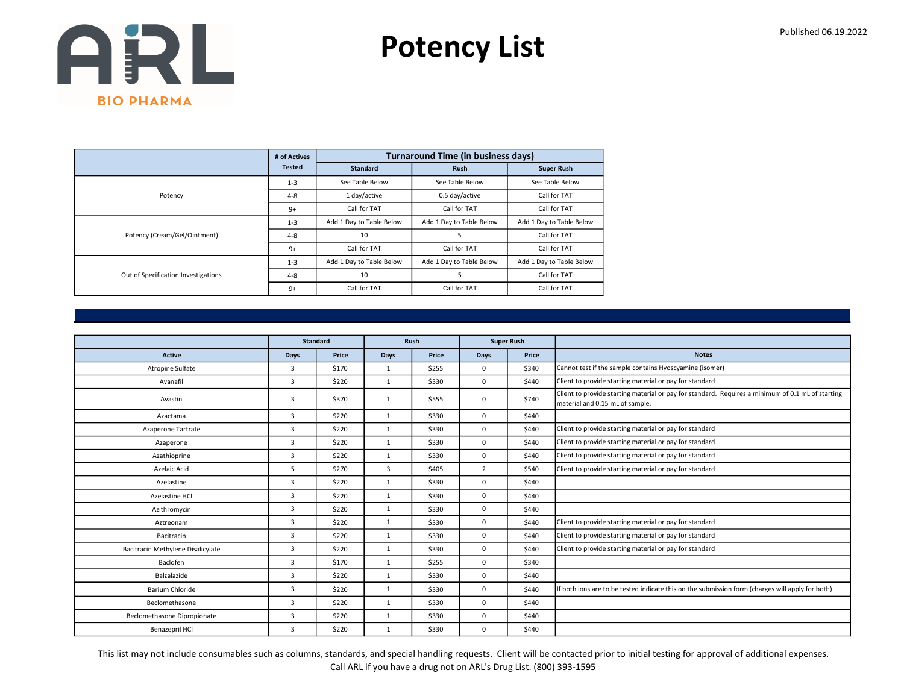Potency List

|                                     | # of Actives  |                          | <b>Turnaround Time (in business days)</b> |                          |
|-------------------------------------|---------------|--------------------------|-------------------------------------------|--------------------------|
|                                     | <b>Tested</b> | <b>Standard</b>          | <b>Rush</b>                               | <b>Super Rush</b>        |
|                                     | $1 - 3$       | See Table Below          | See Table Below                           | See Table Below          |
| Potency                             | $4 - 8$       | 1 day/active             | 0.5 day/active                            | Call for TAT             |
|                                     | $9+$          | Call for TAT             | Call for TAT                              | Call for TAT             |
|                                     | $1 - 3$       | Add 1 Day to Table Below | Add 1 Day to Table Below                  | Add 1 Day to Table Below |
| Potency (Cream/Gel/Ointment)        | $4 - 8$       | 10                       | 5                                         | Call for TAT             |
|                                     | $9+$          | Call for TAT             | Call for TAT                              | Call for TAT             |
|                                     | $1 - 3$       | Add 1 Day to Table Below | Add 1 Day to Table Below                  | Add 1 Day to Table Below |
| Out of Specification Investigations | $4 - 8$       | 10                       | 5                                         | Call for TAT             |
|                                     | $9+$          | Call for TAT             | Call for TAT                              | Call for TAT             |

|                                   |                | <b>Standard</b> |                | <b>Rush</b> |                | <b>Super Rush</b> |                                                                                                                                      |
|-----------------------------------|----------------|-----------------|----------------|-------------|----------------|-------------------|--------------------------------------------------------------------------------------------------------------------------------------|
| <b>Active</b>                     | Days           | Price           | Days           | Price       | Days           | Price             | <b>Notes</b>                                                                                                                         |
| Atropine Sulfate                  | 3              | \$170           | $\mathbf{1}$   | \$255       | $\mathbf 0$    | \$340             | Cannot test if the sample contains Hyoscyamine (isomer)                                                                              |
| Avanafil                          | 3              | \$220           | $\mathbf{1}$   | \$330       | $\mathbf 0$    | \$440             | Client to provide starting material or pay for standard                                                                              |
| Avastin                           | 3              | \$370           | $\mathbf{1}$   | \$555       | $\mathbf 0$    | \$740             | Client to provide starting material or pay for standard. Requires a minimum of 0.1 mL of starting<br>material and 0.15 mL of sample. |
| Azactama                          | 3              | \$220           | 1              | \$330       | $\mathbf 0$    | \$440             |                                                                                                                                      |
| Azaperone Tartrate                | 3              | \$220           | 1              | \$330       | $\mathbf 0$    | \$440             | Client to provide starting material or pay for standard                                                                              |
| Azaperone                         | 3              | \$220           | $\mathbf{1}$   | \$330       | $\mathbf 0$    | \$440             | Client to provide starting material or pay for standard                                                                              |
| Azathioprine                      | $\overline{3}$ | \$220           | $\mathbf{1}$   | \$330       | $\mathbf 0$    | \$440             | Client to provide starting material or pay for standard                                                                              |
| Azelaic Acid                      | 5              | \$270           | $\overline{3}$ | \$405       | $\overline{2}$ | \$540             | Client to provide starting material or pay for standard                                                                              |
| Azelastine                        | 3              | \$220           | $\mathbf{1}$   | \$330       | $\mathbf 0$    | \$440             |                                                                                                                                      |
| Azelastine HCl                    | 3              | \$220           | $\mathbf{1}$   | \$330       | $\mathbf 0$    | \$440             |                                                                                                                                      |
| Azithromycin                      | 3              | \$220           | $\mathbf{1}$   | \$330       | $\mathbf 0$    | \$440             |                                                                                                                                      |
| Aztreonam                         | 3              | \$220           | $\mathbf{1}$   | \$330       | $\mathbf 0$    | \$440             | Client to provide starting material or pay for standard                                                                              |
| Bacitracin                        | 3              | \$220           | $\mathbf{1}$   | \$330       | $\mathbf 0$    | \$440             | Client to provide starting material or pay for standard                                                                              |
| Bacitracin Methylene Disalicylate | 3              | \$220           | $\mathbf{1}$   | \$330       | $\mathbf 0$    | \$440             | Client to provide starting material or pay for standard                                                                              |
| Baclofen                          | $\overline{3}$ | \$170           | $\mathbf{1}$   | \$255       | $\mathbf 0$    | \$340             |                                                                                                                                      |
| Balzalazide                       | $\overline{3}$ | \$220           | $\mathbf{1}$   | \$330       | $\mathbf 0$    | \$440             |                                                                                                                                      |
| Barium Chloride                   | 3              | \$220           | $\mathbf{1}$   | \$330       | $\mathbf 0$    | \$440             | If both ions are to be tested indicate this on the submission form (charges will apply for both)                                     |
| Beclomethasone                    | $\overline{3}$ | \$220           | $\mathbf{1}$   | \$330       | $\mathbf 0$    | \$440             |                                                                                                                                      |
| Beclomethasone Dipropionate       | 3              | \$220           | $\mathbf{1}$   | \$330       | $\mathbf 0$    | \$440             |                                                                                                                                      |
| Benazepril HCl                    | 3              | \$220           | $\mathbf{1}$   | \$330       | $\mathbf 0$    | \$440             |                                                                                                                                      |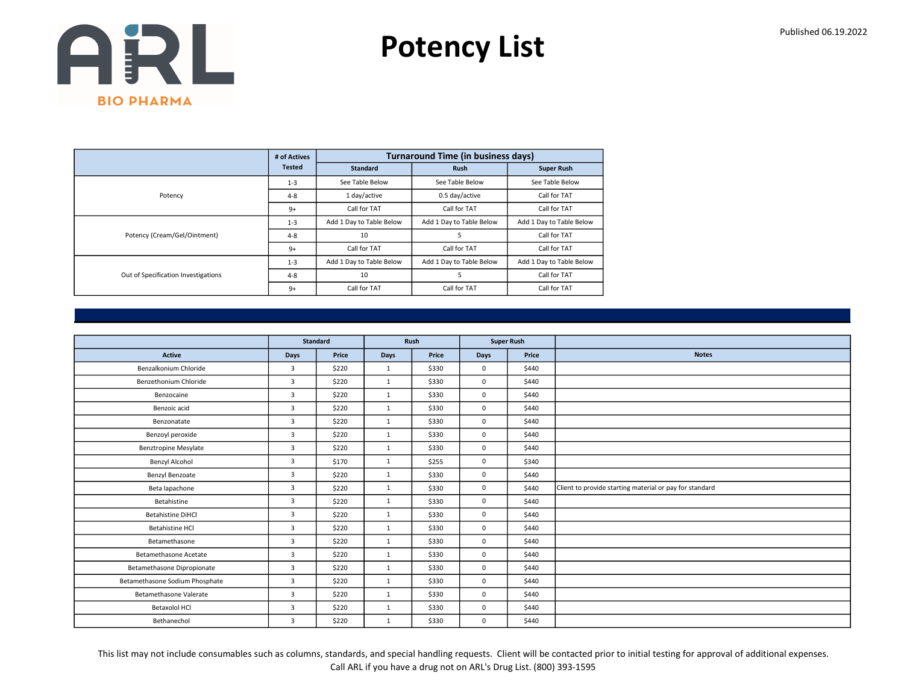Potency List

|                                     | # of Actives  |                          | <b>Turnaround Time (in business days)</b> |                          |
|-------------------------------------|---------------|--------------------------|-------------------------------------------|--------------------------|
|                                     | <b>Tested</b> | <b>Standard</b>          | <b>Rush</b>                               | <b>Super Rush</b>        |
|                                     | $1 - 3$       | See Table Below          | See Table Below                           | See Table Below          |
| Potency                             | $4 - 8$       | 1 day/active             | 0.5 day/active                            | Call for TAT             |
|                                     | $9+$          | Call for TAT             | Call for TAT                              | Call for TAT             |
|                                     | $1 - 3$       | Add 1 Day to Table Below | Add 1 Day to Table Below                  | Add 1 Day to Table Below |
| Potency (Cream/Gel/Ointment)        | $4 - 8$       | 10                       | 5                                         | Call for TAT             |
|                                     | $9+$          | Call for TAT             | Call for TAT                              | Call for TAT             |
|                                     | $1 - 3$       | Add 1 Day to Table Below | Add 1 Day to Table Below                  | Add 1 Day to Table Below |
| Out of Specification Investigations | $4 - 8$       | 10                       | 5                                         | Call for TAT             |
|                                     | $9+$          | Call for TAT             | Call for TAT                              | Call for TAT             |

|                                | <b>Standard</b> |       | Rush         |       | <b>Super Rush</b> |       |                                                         |
|--------------------------------|-----------------|-------|--------------|-------|-------------------|-------|---------------------------------------------------------|
| <b>Active</b>                  | Days            | Price | Days         | Price | Days              | Price | <b>Notes</b>                                            |
| Benzalkonium Chloride          | $\overline{3}$  | \$220 | 1            | \$330 | $\mathbf{0}$      | \$440 |                                                         |
| Benzethonium Chloride          | $\overline{3}$  | \$220 | 1            | \$330 | $\mathbf 0$       | \$440 |                                                         |
| Benzocaine                     | 3               | \$220 | 1            | \$330 | $\mathbf 0$       | \$440 |                                                         |
| Benzoic acid                   | $\overline{3}$  | \$220 | 1            | \$330 | $\mathbf{0}$      | \$440 |                                                         |
| Benzonatate                    | $\overline{3}$  | \$220 | 1            | \$330 | $\mathbf 0$       | \$440 |                                                         |
| Benzoyl peroxide               | 3               | \$220 | 1            | \$330 | $\mathbf 0$       | \$440 |                                                         |
| <b>Benztropine Mesylate</b>    | $\overline{3}$  | \$220 | 1            | \$330 | $\mathbf{0}$      | \$440 |                                                         |
| Benzyl Alcohol                 | $\overline{3}$  | \$170 | 1            | \$255 | $\mathbf 0$       | \$340 |                                                         |
| Benzyl Benzoate                | 3               | \$220 | 1            | \$330 | $\mathbf 0$       | \$440 |                                                         |
| Beta lapachone                 | $\overline{3}$  | \$220 | 1            | \$330 | $\mathbf{0}$      | \$440 | Client to provide starting material or pay for standard |
| Betahistine                    | $\overline{3}$  | \$220 | 1            | \$330 | $\mathbf{0}$      | \$440 |                                                         |
| <b>Betahistine DiHCl</b>       | 3               | \$220 | 1            | \$330 | $\mathbf 0$       | \$440 |                                                         |
| <b>Betahistine HCI</b>         | $\overline{3}$  | \$220 | 1            | \$330 | $\mathbf{0}$      | \$440 |                                                         |
| Betamethasone                  | $\overline{3}$  | \$220 | 1            | \$330 | $\mathbf 0$       | \$440 |                                                         |
| <b>Betamethasone Acetate</b>   | 3               | \$220 | 1            | \$330 | $\mathbf 0$       | \$440 |                                                         |
| Betamethasone Dipropionate     | $\overline{3}$  | \$220 | 1            | \$330 | $\mathbf{0}$      | \$440 |                                                         |
| Betamethasone Sodium Phosphate | 3               | \$220 | 1            | \$330 | $\mathbf 0$       | \$440 |                                                         |
| Betamethasone Valerate         | 3               | \$220 | $\mathbf{1}$ | \$330 | $\mathbf 0$       | \$440 |                                                         |
| Betaxolol HCl                  | 3               | \$220 | 1            | \$330 | $\mathbf{0}$      | \$440 |                                                         |
| Bethanechol                    | 3               | \$220 | $\mathbf{1}$ | \$330 | $\mathbf 0$       | \$440 |                                                         |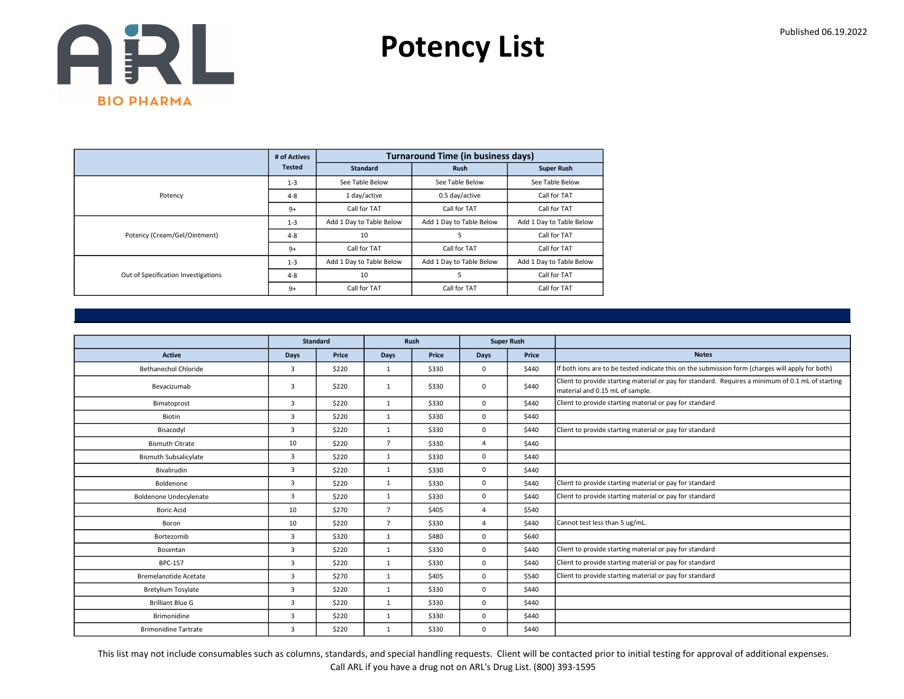Potency List

|                                     | # of Actives  |                          | <b>Turnaround Time (in business days)</b> |                          |
|-------------------------------------|---------------|--------------------------|-------------------------------------------|--------------------------|
|                                     | <b>Tested</b> | <b>Standard</b>          | <b>Rush</b>                               | <b>Super Rush</b>        |
|                                     | $1 - 3$       | See Table Below          | See Table Below                           | See Table Below          |
| Potency                             | $4 - 8$       | 1 day/active             | 0.5 day/active                            | Call for TAT             |
|                                     | $9+$          | Call for TAT             | Call for TAT                              | Call for TAT             |
|                                     | $1 - 3$       | Add 1 Day to Table Below | Add 1 Day to Table Below                  | Add 1 Day to Table Below |
| Potency (Cream/Gel/Ointment)        | $4 - 8$       | 10                       | 5                                         | Call for TAT             |
|                                     | $9+$          | Call for TAT             | Call for TAT                              | Call for TAT             |
|                                     | $1 - 3$       | Add 1 Day to Table Below | Add 1 Day to Table Below                  | Add 1 Day to Table Below |
| Out of Specification Investigations | $4 - 8$       | 10                       | 5                                         | Call for TAT             |
|                                     | $9+$          | Call for TAT             | Call for TAT                              | Call for TAT             |

|                               |                | <b>Standard</b> |                | Rush  |                | <b>Super Rush</b> |                                                                                                                                      |
|-------------------------------|----------------|-----------------|----------------|-------|----------------|-------------------|--------------------------------------------------------------------------------------------------------------------------------------|
| <b>Active</b>                 | <b>Days</b>    | Price           | Days           | Price | Days           | Price             | <b>Notes</b>                                                                                                                         |
| <b>Bethanechol Chloride</b>   | 3              | \$220           | $\mathbf{1}$   | \$330 | $\mathbf 0$    | \$440             | If both ions are to be tested indicate this on the submission form (charges will apply for both)                                     |
| Bevacizumab                   | 3              | \$220           | $\mathbf{1}$   | \$330 | $\mathbf 0$    | \$440             | Client to provide starting material or pay for standard. Requires a minimum of 0.1 mL of starting<br>material and 0.15 mL of sample. |
| Bimatoprost                   | 3              | \$220           | $\mathbf{1}$   | \$330 | $\mathbf 0$    | \$440             | Client to provide starting material or pay for standard                                                                              |
| Biotin                        | 3              | \$220           | $\mathbf{1}$   | \$330 | $\mathbf 0$    | \$440             |                                                                                                                                      |
| Bisacodyl                     | $\overline{3}$ | \$220           | $\mathbf{1}$   | \$330 | $\mathbf 0$    | \$440             | Client to provide starting material or pay for standard                                                                              |
| <b>Bismuth Citrate</b>        | 10             | \$220           | $\overline{7}$ | \$330 | $\overline{a}$ | \$440             |                                                                                                                                      |
| <b>Bismuth Subsalicylate</b>  | 3              | \$220           | $\mathbf{1}$   | \$330 | $\mathbf 0$    | \$440             |                                                                                                                                      |
| Bivalirudin                   | 3              | \$220           | $\mathbf{1}$   | \$330 | $\mathbf 0$    | \$440             |                                                                                                                                      |
| Boldenone                     | 3              | \$220           | $\mathbf{1}$   | \$330 | $\Omega$       | \$440             | Client to provide starting material or pay for standard                                                                              |
| <b>Boldenone Undecylenate</b> | 3              | \$220           | $\mathbf{1}$   | \$330 | $\Omega$       | \$440             | Client to provide starting material or pay for standard                                                                              |
| <b>Boric Acid</b>             | 10             | \$270           | $\overline{7}$ | \$405 | 4              | \$540             |                                                                                                                                      |
| Boron                         | 10             | \$220           | $\overline{7}$ | \$330 | $\overline{a}$ | \$440             | Cannot test less than 5 ug/mL.                                                                                                       |
| Bortezomib                    | 3              | \$320           | $\mathbf{1}$   | \$480 | $\mathbf 0$    | \$640             |                                                                                                                                      |
| Bosentan                      | 3              | \$220           | $\mathbf{1}$   | \$330 | $\mathbf 0$    | \$440             | Client to provide starting material or pay for standard                                                                              |
| <b>BPC-157</b>                | 3              | \$220           | $\mathbf{1}$   | \$330 | $\mathbf 0$    | \$440             | Client to provide starting material or pay for standard                                                                              |
| <b>Bremelanotide Acetate</b>  | 3              | \$270           | $\mathbf{1}$   | \$405 | $\mathbf 0$    | \$540             | Client to provide starting material or pay for standard                                                                              |
| <b>Bretylium Tosylate</b>     | 3              | \$220           | $\mathbf{1}$   | \$330 | $\mathbf 0$    | \$440             |                                                                                                                                      |
| <b>Brilliant Blue G</b>       | 3              | \$220           | $\mathbf{1}$   | \$330 | $\mathbf 0$    | \$440             |                                                                                                                                      |
| Brimonidine                   | 3              | \$220           | $\mathbf{1}$   | \$330 | $\mathbf 0$    | \$440             |                                                                                                                                      |
| <b>Brimonidine Tartrate</b>   | 3              | \$220           | $\mathbf{1}$   | \$330 | $\mathbf 0$    | \$440             |                                                                                                                                      |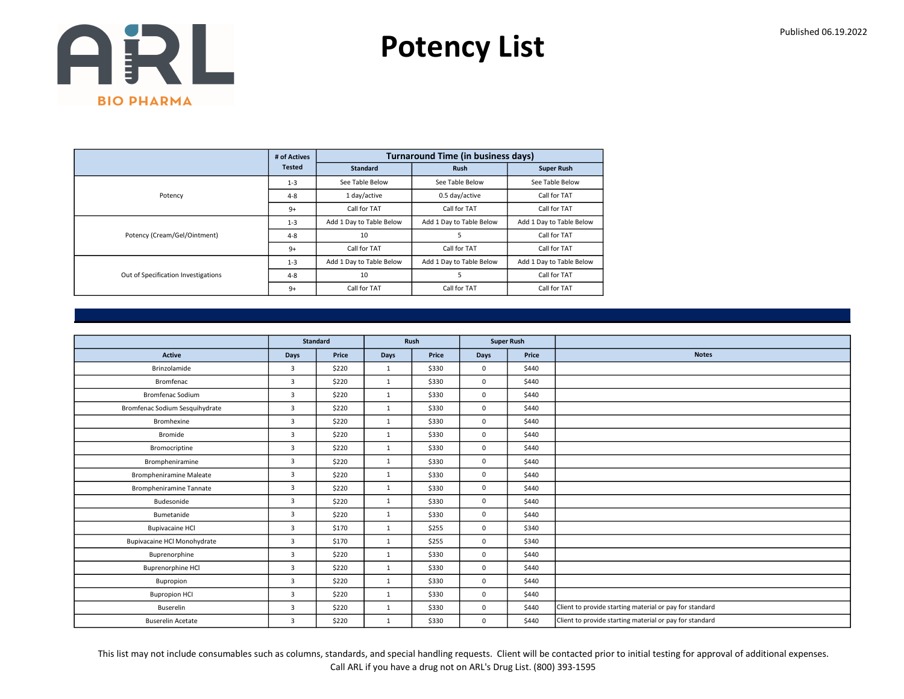Potency List

|                                     | # of Actives  |                          | <b>Turnaround Time (in business days)</b> |                          |
|-------------------------------------|---------------|--------------------------|-------------------------------------------|--------------------------|
|                                     | <b>Tested</b> | <b>Standard</b>          | <b>Rush</b>                               | <b>Super Rush</b>        |
|                                     | $1 - 3$       | See Table Below          | See Table Below                           | See Table Below          |
| Potency                             | $4 - 8$       | 1 day/active             | 0.5 day/active                            | Call for TAT             |
|                                     | $9+$          | Call for TAT             | Call for TAT                              | Call for TAT             |
|                                     | $1 - 3$       | Add 1 Day to Table Below | Add 1 Day to Table Below                  | Add 1 Day to Table Below |
| Potency (Cream/Gel/Ointment)        | $4 - 8$       | 10                       | 5                                         | Call for TAT             |
|                                     | $9+$          | Call for TAT             | Call for TAT                              | Call for TAT             |
|                                     | $1 - 3$       | Add 1 Day to Table Below | Add 1 Day to Table Below                  | Add 1 Day to Table Below |
| Out of Specification Investigations | $4 - 8$       | 10                       | 5                                         | Call for TAT             |
|                                     | $9+$          | Call for TAT             | Call for TAT                              | Call for TAT             |

|                                    |                | <b>Standard</b> | Rush         |       | <b>Super Rush</b> |       |                                                         |
|------------------------------------|----------------|-----------------|--------------|-------|-------------------|-------|---------------------------------------------------------|
| <b>Active</b>                      | Days           | Price           | Days         | Price | Days              | Price | <b>Notes</b>                                            |
| Brinzolamide                       | $\overline{3}$ | \$220           | 1            | \$330 | $\mathbf{0}$      | \$440 |                                                         |
| Bromfenac                          | $\overline{3}$ | \$220           | 1            | \$330 | $\mathbf 0$       | \$440 |                                                         |
| <b>Bromfenac Sodium</b>            | 3              | \$220           | $\mathbf{1}$ | \$330 | $\mathbf 0$       | \$440 |                                                         |
| Bromfenac Sodium Sesquihydrate     | $\overline{3}$ | \$220           | 1            | \$330 | $\mathbf{0}$      | \$440 |                                                         |
| Bromhexine                         | 3              | \$220           | 1            | \$330 | $\mathbf 0$       | \$440 |                                                         |
| Bromide                            | 3              | \$220           | 1            | \$330 | $\mathbf 0$       | \$440 |                                                         |
| Bromocriptine                      | $\overline{3}$ | \$220           | 1            | \$330 | $\mathbf{0}$      | \$440 |                                                         |
| Brompheniramine                    | 3              | \$220           | 1            | \$330 | $\mathbf 0$       | \$440 |                                                         |
| <b>Brompheniramine Maleate</b>     | 3              | \$220           | 1            | \$330 | $\mathbf 0$       | \$440 |                                                         |
| <b>Brompheniramine Tannate</b>     | 3              | \$220           | 1            | \$330 | $\mathbf{0}$      | \$440 |                                                         |
| Budesonide                         | $\overline{3}$ | \$220           | 1            | \$330 | $\mathbf{0}$      | \$440 |                                                         |
| Bumetanide                         | 3              | \$220           | 1            | \$330 | $\mathbf 0$       | \$440 |                                                         |
| <b>Bupivacaine HCI</b>             | $\overline{3}$ | \$170           | 1            | \$255 | $\mathbf{0}$      | \$340 |                                                         |
| <b>Bupivacaine HCl Monohydrate</b> | 3              | \$170           | 1            | \$255 | $\mathbf 0$       | \$340 |                                                         |
| Buprenorphine                      | 3              | \$220           | 1            | \$330 | $\mathbf 0$       | \$440 |                                                         |
| <b>Buprenorphine HCI</b>           | 3              | \$220           | 1            | \$330 | $\mathbf{0}$      | \$440 |                                                         |
| Bupropion                          | 3              | \$220           | 1            | \$330 | $\mathbf 0$       | \$440 |                                                         |
| <b>Bupropion HCI</b>               | 3              | \$220           | $\mathbf{1}$ | \$330 | $\mathbf 0$       | \$440 |                                                         |
| Buserelin                          | 3              | \$220           | 1            | \$330 | $\mathbf{0}$      | \$440 | Client to provide starting material or pay for standard |
| <b>Buserelin Acetate</b>           | 3              | \$220           | $\mathbf{1}$ | \$330 | $\mathbf 0$       | \$440 | Client to provide starting material or pay for standard |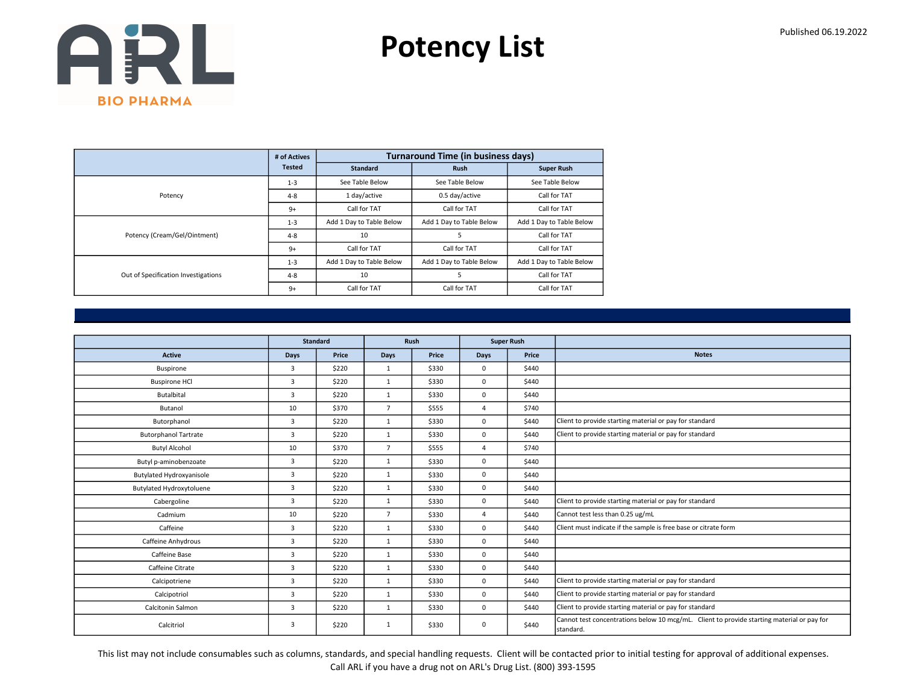Potency List

|                                     | # of Actives  |                          | <b>Turnaround Time (in business days)</b> |                          |
|-------------------------------------|---------------|--------------------------|-------------------------------------------|--------------------------|
|                                     | <b>Tested</b> | <b>Standard</b>          | <b>Rush</b>                               | <b>Super Rush</b>        |
|                                     | $1 - 3$       | See Table Below          | See Table Below                           | See Table Below          |
| Potency                             | $4 - 8$       | 1 day/active             | 0.5 day/active                            | Call for TAT             |
|                                     | $9+$          | Call for TAT             | Call for TAT                              | Call for TAT             |
|                                     | $1 - 3$       | Add 1 Day to Table Below | Add 1 Day to Table Below                  | Add 1 Day to Table Below |
| Potency (Cream/Gel/Ointment)        | $4 - 8$       | 10                       | 5                                         | Call for TAT             |
|                                     | $9+$          | Call for TAT             | Call for TAT                              | Call for TAT             |
|                                     | $1 - 3$       | Add 1 Day to Table Below | Add 1 Day to Table Below                  | Add 1 Day to Table Below |
| Out of Specification Investigations | $4 - 8$       | 10                       | 5                                         | Call for TAT             |
|                                     | $9+$          | Call for TAT             | Call for TAT                              | Call for TAT             |

|                                 |                | <b>Standard</b> |                | <b>Rush</b> |                | <b>Super Rush</b> |                                                                                                         |
|---------------------------------|----------------|-----------------|----------------|-------------|----------------|-------------------|---------------------------------------------------------------------------------------------------------|
| <b>Active</b>                   | <b>Days</b>    | Price           | Days           | Price       | Days           | Price             | <b>Notes</b>                                                                                            |
| Buspirone                       | 3              | \$220           | 1              | \$330       | $\mathbf 0$    | \$440             |                                                                                                         |
| <b>Buspirone HCI</b>            | $\overline{3}$ | \$220           | 1              | \$330       | $\mathbf 0$    | \$440             |                                                                                                         |
| Butalbital                      | 3              | \$220           | $\mathbf{1}$   | \$330       | $\mathbf 0$    | \$440             |                                                                                                         |
| Butanol                         | 10             | \$370           | $\overline{7}$ | \$555       | $\overline{4}$ | \$740             |                                                                                                         |
| Butorphanol                     | 3              | \$220           | $\mathbf{1}$   | \$330       | $\mathbf 0$    | \$440             | Client to provide starting material or pay for standard                                                 |
| <b>Butorphanol Tartrate</b>     | 3              | \$220           | $\mathbf{1}$   | \$330       | $\mathbf 0$    | \$440             | Client to provide starting material or pay for standard                                                 |
| <b>Butyl Alcohol</b>            | 10             | \$370           | $\overline{7}$ | \$555       | $\overline{4}$ | \$740             |                                                                                                         |
| Butyl p-aminobenzoate           | 3              | \$220           | $\mathbf{1}$   | \$330       | $\mathbf 0$    | \$440             |                                                                                                         |
| <b>Butylated Hydroxyanisole</b> | 3              | \$220           | 1              | \$330       | $\mathbf 0$    | \$440             |                                                                                                         |
| Butylated Hydroxytoluene        | 3              | \$220           | $\mathbf{1}$   | \$330       | $\mathbf 0$    | \$440             |                                                                                                         |
| Cabergoline                     | $\overline{3}$ | \$220           | 1              | \$330       | $\mathbf 0$    | \$440             | Client to provide starting material or pay for standard                                                 |
| Cadmium                         | 10             | \$220           | $\overline{7}$ | \$330       | 4              | \$440             | Cannot test less than 0.25 ug/mL                                                                        |
| Caffeine                        | 3              | \$220           | $\mathbf{1}$   | \$330       | $\mathbf 0$    | \$440             | Client must indicate if the sample is free base or citrate form                                         |
| Caffeine Anhydrous              | 3              | \$220           | $\mathbf{1}$   | \$330       | $\mathbf 0$    | \$440             |                                                                                                         |
| Caffeine Base                   | 3              | \$220           | $\mathbf{1}$   | \$330       | $\mathbf 0$    | \$440             |                                                                                                         |
| Caffeine Citrate                | 3              | \$220           | $\mathbf{1}$   | \$330       | $\mathbf 0$    | \$440             |                                                                                                         |
| Calcipotriene                   | $\overline{3}$ | \$220           | 1              | \$330       | $\mathbf 0$    | \$440             | Client to provide starting material or pay for standard                                                 |
| Calcipotriol                    | 3              | \$220           | $\mathbf{1}$   | \$330       | $\mathbf 0$    | \$440             | Client to provide starting material or pay for standard                                                 |
| Calcitonin Salmon               | 3              | \$220           | $\mathbf{1}$   | \$330       | $\mathbf 0$    | \$440             | Client to provide starting material or pay for standard                                                 |
| Calcitriol                      | 3              | \$220           | $\mathbf{1}$   | \$330       | 0              | \$440             | Cannot test concentrations below 10 mcg/mL. Client to provide starting material or pay for<br>standard. |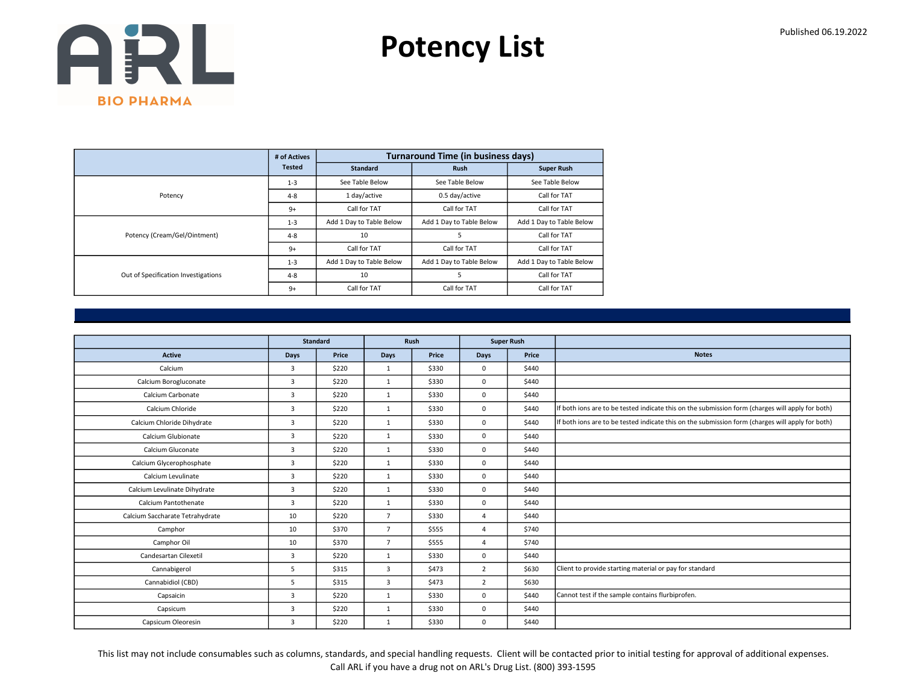Potency List

|                                     | # of Actives  |                          | <b>Turnaround Time (in business days)</b> |                          |
|-------------------------------------|---------------|--------------------------|-------------------------------------------|--------------------------|
|                                     | <b>Tested</b> | <b>Standard</b>          | <b>Rush</b>                               | <b>Super Rush</b>        |
|                                     | $1 - 3$       | See Table Below          | See Table Below                           | See Table Below          |
| Potency                             | $4 - 8$       | 1 day/active             | 0.5 day/active                            | Call for TAT             |
|                                     | $9+$          | Call for TAT             | Call for TAT                              | Call for TAT             |
|                                     | $1 - 3$       | Add 1 Day to Table Below | Add 1 Day to Table Below                  | Add 1 Day to Table Below |
| Potency (Cream/Gel/Ointment)        | $4 - 8$       | 10                       | 5                                         | Call for TAT             |
|                                     | $9+$          | Call for TAT             | Call for TAT                              | Call for TAT             |
|                                     | $1 - 3$       | Add 1 Day to Table Below | Add 1 Day to Table Below                  | Add 1 Day to Table Below |
| Out of Specification Investigations | $4 - 8$       | 10                       | 5                                         | Call for TAT             |
|                                     | $9+$          | Call for TAT             | Call for TAT                              | Call for TAT             |

|                                 |                         | <b>Standard</b> |                | Rush  | <b>Super Rush</b> |       |                                                                                                  |
|---------------------------------|-------------------------|-----------------|----------------|-------|-------------------|-------|--------------------------------------------------------------------------------------------------|
| <b>Active</b>                   | <b>Days</b>             | Price           | <b>Days</b>    | Price | Days              | Price | <b>Notes</b>                                                                                     |
| Calcium                         | $\overline{3}$          | \$220           | 1              | \$330 | $\mathbf 0$       | \$440 |                                                                                                  |
| Calcium Borogluconate           | 3                       | \$220           | $\mathbf{1}$   | \$330 | $\mathbf 0$       | \$440 |                                                                                                  |
| Calcium Carbonate               | $\overline{3}$          | \$220           | $\mathbf{1}$   | \$330 | $\mathbf 0$       | \$440 |                                                                                                  |
| Calcium Chloride                | $\overline{3}$          | \$220           | 1              | \$330 | $\mathbf 0$       | \$440 | If both ions are to be tested indicate this on the submission form (charges will apply for both) |
| Calcium Chloride Dihydrate      | $\overline{3}$          | \$220           | 1              | \$330 | $\mathbf 0$       | \$440 | If both ions are to be tested indicate this on the submission form (charges will apply for both) |
| Calcium Glubionate              | $\overline{3}$          | \$220           | $\mathbf{1}$   | \$330 | $\mathbf 0$       | \$440 |                                                                                                  |
| Calcium Gluconate               | $\overline{3}$          | \$220           | $\mathbf{1}$   | \$330 | $\mathbf 0$       | \$440 |                                                                                                  |
| Calcium Glycerophosphate        | $\overline{3}$          | \$220           | $\mathbf{1}$   | \$330 | $\mathbf 0$       | \$440 |                                                                                                  |
| Calcium Levulinate              | $\overline{\mathbf{3}}$ | \$220           | $\mathbf{1}$   | \$330 | $\mathbf 0$       | \$440 |                                                                                                  |
| Calcium Levulinate Dihydrate    | $\overline{3}$          | \$220           | $\mathbf{1}$   | \$330 | $\mathbf 0$       | \$440 |                                                                                                  |
| Calcium Pantothenate            | $\overline{3}$          | \$220           | $\mathbf{1}$   | \$330 | $\mathbf 0$       | \$440 |                                                                                                  |
| Calcium Saccharate Tetrahydrate | 10                      | \$220           | $\overline{7}$ | \$330 | $\overline{4}$    | \$440 |                                                                                                  |
| Camphor                         | 10                      | \$370           | $\overline{7}$ | \$555 | 4                 | \$740 |                                                                                                  |
| Camphor Oil                     | 10                      | \$370           | $\overline{7}$ | \$555 | $\overline{4}$    | \$740 |                                                                                                  |
| Candesartan Cilexetil           | 3                       | \$220           | $\mathbf{1}$   | \$330 | $\mathbf 0$       | \$440 |                                                                                                  |
| Cannabigerol                    | 5                       | \$315           | 3              | \$473 | $\overline{2}$    | \$630 | Client to provide starting material or pay for standard                                          |
| Cannabidiol (CBD)               | 5                       | \$315           | 3              | \$473 | $\overline{2}$    | \$630 |                                                                                                  |
| Capsaicin                       | 3                       | \$220           | $\mathbf{1}$   | \$330 | $\mathbf 0$       | \$440 | Cannot test if the sample contains flurbiprofen.                                                 |
| Capsicum                        | $\overline{3}$          | \$220           | $\mathbf{1}$   | \$330 | $\mathbf 0$       | \$440 |                                                                                                  |
| Capsicum Oleoresin              | 3                       | \$220           | $\mathbf{1}$   | \$330 | $\mathbf{0}$      | \$440 |                                                                                                  |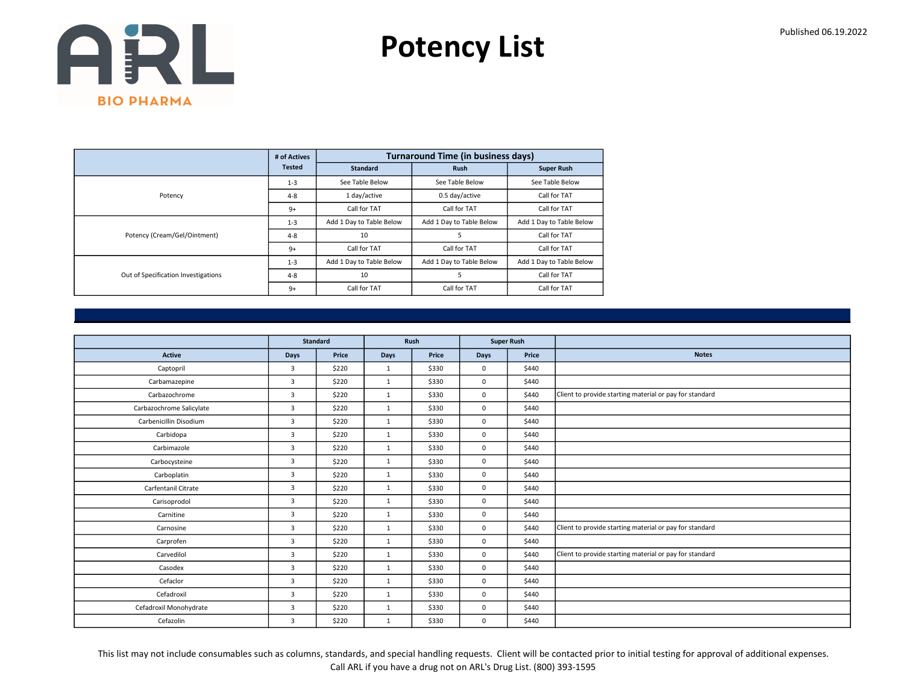Potency List

|                                     | # of Actives  |                          | <b>Turnaround Time (in business days)</b> |                          |
|-------------------------------------|---------------|--------------------------|-------------------------------------------|--------------------------|
|                                     | <b>Tested</b> | <b>Standard</b>          | <b>Rush</b>                               | <b>Super Rush</b>        |
|                                     | $1 - 3$       | See Table Below          | See Table Below                           | See Table Below          |
| Potency                             | $4 - 8$       | 1 day/active             | 0.5 day/active                            | Call for TAT             |
|                                     | $9+$          | Call for TAT             | Call for TAT                              | Call for TAT             |
|                                     | $1 - 3$       | Add 1 Day to Table Below | Add 1 Day to Table Below                  | Add 1 Day to Table Below |
| Potency (Cream/Gel/Ointment)        | $4 - 8$       | 10                       | 5                                         | Call for TAT             |
|                                     | $9+$          | Call for TAT             | Call for TAT                              | Call for TAT             |
|                                     | $1 - 3$       | Add 1 Day to Table Below | Add 1 Day to Table Below                  | Add 1 Day to Table Below |
| Out of Specification Investigations | $4 - 8$       | 10                       | 5                                         | Call for TAT             |
|                                     | $9+$          | Call for TAT             | Call for TAT                              | Call for TAT             |

|                          |                | <b>Standard</b> |              | Rush  |             | <b>Super Rush</b> |                                                         |
|--------------------------|----------------|-----------------|--------------|-------|-------------|-------------------|---------------------------------------------------------|
| <b>Active</b>            | <b>Days</b>    | Price           | Days         | Price | <b>Days</b> | Price             | <b>Notes</b>                                            |
| Captopril                | 3              | \$220           | 1            | \$330 | $\mathbf 0$ | \$440             |                                                         |
| Carbamazepine            | 3              | \$220           | $\mathbf{1}$ | \$330 | $\mathbf 0$ | \$440             |                                                         |
| Carbazochrome            | 3              | \$220           | $\mathbf{1}$ | \$330 | $\mathbf 0$ | \$440             | Client to provide starting material or pay for standard |
| Carbazochrome Salicylate | $\overline{3}$ | \$220           | $\mathbf{1}$ | \$330 | $\mathbf 0$ | \$440             |                                                         |
| Carbenicillin Disodium   | 3              | \$220           | $\mathbf{1}$ | \$330 | $\mathbf 0$ | \$440             |                                                         |
| Carbidopa                | 3              | \$220           | $\mathbf{1}$ | \$330 | $\mathbf 0$ | \$440             |                                                         |
| Carbimazole              | $\overline{3}$ | \$220           | 1            | \$330 | $\mathbf 0$ | \$440             |                                                         |
| Carbocysteine            | 3              | \$220           | $\mathbf{1}$ | \$330 | $\mathbf 0$ | \$440             |                                                         |
| Carboplatin              | 3              | \$220           | $\mathbf{1}$ | \$330 | $\mathbf 0$ | \$440             |                                                         |
| Carfentanil Citrate      | $\overline{3}$ | \$220           | $\mathbf{1}$ | \$330 | $\mathbf 0$ | \$440             |                                                         |
| Carisoprodol             | $\overline{3}$ | \$220           | $\mathbf{1}$ | \$330 | $\mathbf 0$ | \$440             |                                                         |
| Carnitine                | $\overline{3}$ | \$220           | $\mathbf{1}$ | \$330 | $\mathbf 0$ | \$440             |                                                         |
| Carnosine                | 3              | \$220           | $\mathbf{1}$ | \$330 | $\mathbf 0$ | \$440             | Client to provide starting material or pay for standard |
| Carprofen                | $\overline{3}$ | \$220           | $\mathbf{1}$ | \$330 | $\mathbf 0$ | \$440             |                                                         |
| Carvedilol               | $\overline{3}$ | \$220           | $\mathbf{1}$ | \$330 | $\mathbf 0$ | \$440             | Client to provide starting material or pay for standard |
| Casodex                  | $\overline{3}$ | \$220           | $\mathbf{1}$ | \$330 | $\mathbf 0$ | \$440             |                                                         |
| Cefaclor                 | $\overline{3}$ | \$220           | $\mathbf{1}$ | \$330 | $\mathbf 0$ | \$440             |                                                         |
| Cefadroxil               | 3              | \$220           | $\mathbf{1}$ | \$330 | $\mathbf 0$ | \$440             |                                                         |
| Cefadroxil Monohydrate   | 3              | \$220           | $\mathbf{1}$ | \$330 | $\mathbf 0$ | \$440             |                                                         |
| Cefazolin                | 3              | \$220           | $\mathbf{1}$ | \$330 | $\mathbf 0$ | \$440             |                                                         |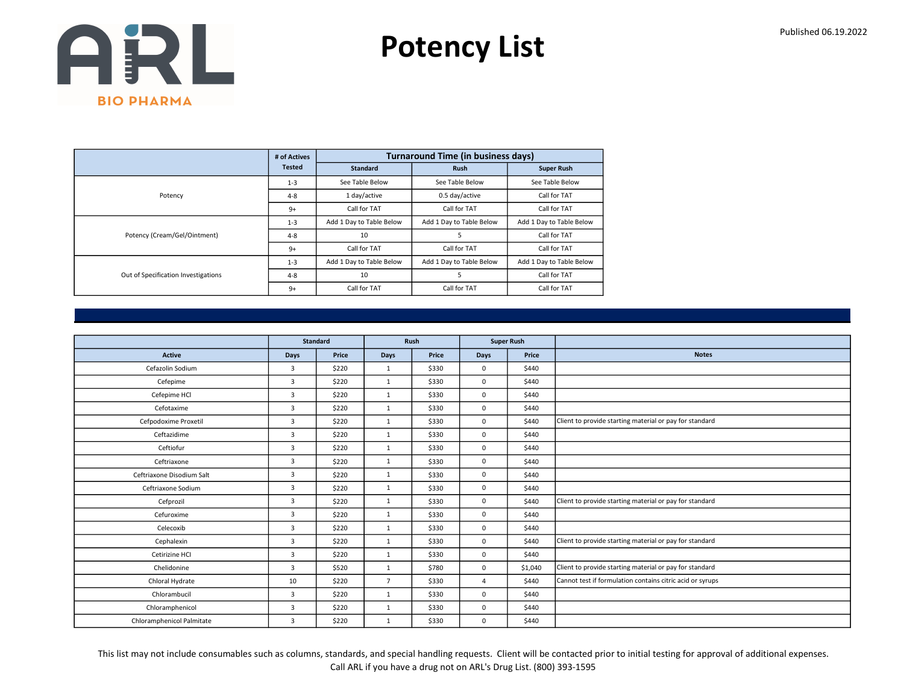Potency List

|                                     | # of Actives  |                          | <b>Turnaround Time (in business days)</b> |                          |
|-------------------------------------|---------------|--------------------------|-------------------------------------------|--------------------------|
|                                     | <b>Tested</b> | <b>Standard</b>          | <b>Rush</b>                               | <b>Super Rush</b>        |
|                                     | $1 - 3$       | See Table Below          | See Table Below                           | See Table Below          |
| Potency                             | $4 - 8$       | 1 day/active             | 0.5 day/active                            | Call for TAT             |
|                                     | $9+$          | Call for TAT             | Call for TAT                              | Call for TAT             |
|                                     | $1 - 3$       | Add 1 Day to Table Below | Add 1 Day to Table Below                  | Add 1 Day to Table Below |
| Potency (Cream/Gel/Ointment)        | $4 - 8$       | 10                       | 5                                         | Call for TAT             |
|                                     | $9+$          | Call for TAT             | Call for TAT                              | Call for TAT             |
|                                     | $1 - 3$       | Add 1 Day to Table Below | Add 1 Day to Table Below                  | Add 1 Day to Table Below |
| Out of Specification Investigations | $4 - 8$       | 10                       | 5                                         | Call for TAT             |
|                                     | $9+$          | Call for TAT             | Call for TAT                              | Call for TAT             |

|                           | Standard       |       | Rush           |       | <b>Super Rush</b> |         |                                                           |
|---------------------------|----------------|-------|----------------|-------|-------------------|---------|-----------------------------------------------------------|
| <b>Active</b>             | Days           | Price | Days           | Price | <b>Days</b>       | Price   | <b>Notes</b>                                              |
| Cefazolin Sodium          | 3              | \$220 | $\mathbf{1}$   | \$330 | $\mathbf 0$       | \$440   |                                                           |
| Cefepime                  | $\overline{3}$ | \$220 | 1              | \$330 | $\mathbf 0$       | \$440   |                                                           |
| Cefepime HCl              | 3              | \$220 | $\mathbf{1}$   | \$330 | $\mathbf 0$       | \$440   |                                                           |
| Cefotaxime                | $\overline{3}$ | \$220 | $\mathbf{1}$   | \$330 | $\mathbf 0$       | \$440   |                                                           |
| Cefpodoxime Proxetil      | $\overline{3}$ | \$220 | $\mathbf{1}$   | \$330 | $\mathbf 0$       | \$440   | Client to provide starting material or pay for standard   |
| Ceftazidime               | 3              | \$220 | $\mathbf{1}$   | \$330 | $\mathbf 0$       | \$440   |                                                           |
| Ceftiofur                 | $\overline{3}$ | \$220 | 1              | \$330 | $\mathbf 0$       | \$440   |                                                           |
| Ceftriaxone               | 3              | \$220 | $\mathbf{1}$   | \$330 | $\mathbf 0$       | \$440   |                                                           |
| Ceftriaxone Disodium Salt | $\overline{3}$ | \$220 | $\mathbf{1}$   | \$330 | $\mathbf 0$       | \$440   |                                                           |
| Ceftriaxone Sodium        | $\overline{3}$ | \$220 | $\mathbf{1}$   | \$330 | $\mathbf 0$       | \$440   |                                                           |
| Cefprozil                 | $\overline{3}$ | \$220 | $\mathbf{1}$   | \$330 | $\mathbf 0$       | \$440   | Client to provide starting material or pay for standard   |
| Cefuroxime                | 3              | \$220 | $\mathbf{1}$   | \$330 | $\mathbf 0$       | \$440   |                                                           |
| Celecoxib                 | 3              | \$220 | $\mathbf{1}$   | \$330 | $\mathbf 0$       | \$440   |                                                           |
| Cephalexin                | 3              | \$220 | $\mathbf{1}$   | \$330 | $\mathbf 0$       | \$440   | Client to provide starting material or pay for standard   |
| Cetirizine HCI            | 3              | \$220 | $\mathbf{1}$   | \$330 | $\mathbf 0$       | \$440   |                                                           |
| Chelidonine               | $\overline{3}$ | \$520 | $\mathbf{1}$   | \$780 | $\mathbf 0$       | \$1,040 | Client to provide starting material or pay for standard   |
| Chloral Hydrate           | 10             | \$220 | $\overline{7}$ | \$330 | $\overline{4}$    | \$440   | Cannot test if formulation contains citric acid or syrups |
| Chlorambucil              | 3              | \$220 | 1              | \$330 | $\mathbf 0$       | \$440   |                                                           |
| Chloramphenicol           | 3              | \$220 | $\mathbf{1}$   | \$330 | $\mathbf 0$       | \$440   |                                                           |
| Chloramphenicol Palmitate | 3              | \$220 | $\mathbf{1}$   | \$330 | $\mathbf 0$       | \$440   |                                                           |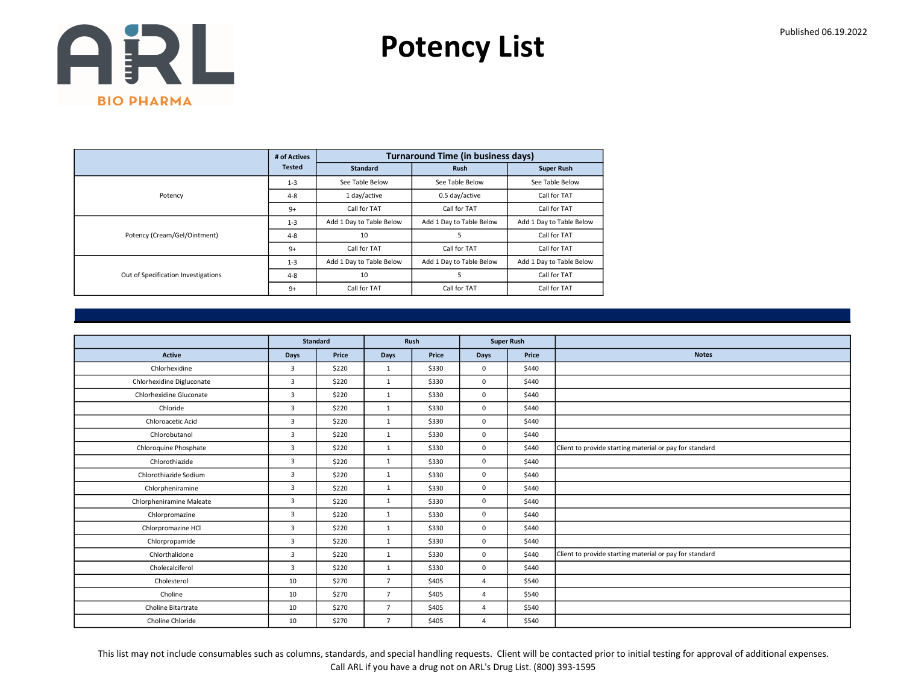Potency List

|                                     | # of Actives  |                          | <b>Turnaround Time (in business days)</b> |                          |
|-------------------------------------|---------------|--------------------------|-------------------------------------------|--------------------------|
|                                     | <b>Tested</b> | <b>Standard</b>          | <b>Rush</b>                               | <b>Super Rush</b>        |
|                                     | $1 - 3$       | See Table Below          | See Table Below                           | See Table Below          |
| Potency                             | $4 - 8$       | 1 day/active             | 0.5 day/active                            | Call for TAT             |
|                                     | $9+$          | Call for TAT             | Call for TAT                              | Call for TAT             |
|                                     | $1 - 3$       | Add 1 Day to Table Below | Add 1 Day to Table Below                  | Add 1 Day to Table Below |
| Potency (Cream/Gel/Ointment)        | $4 - 8$       | 10                       | 5                                         | Call for TAT             |
|                                     | $9+$          | Call for TAT             | Call for TAT                              | Call for TAT             |
|                                     | $1 - 3$       | Add 1 Day to Table Below | Add 1 Day to Table Below                  | Add 1 Day to Table Below |
| Out of Specification Investigations | $4 - 8$       | 10                       | 5                                         | Call for TAT             |
|                                     | $9+$          | Call for TAT             | Call for TAT                              | Call for TAT             |

|                           | Standard       |       | Rush           |       | <b>Super Rush</b> |       |                                                         |
|---------------------------|----------------|-------|----------------|-------|-------------------|-------|---------------------------------------------------------|
| <b>Active</b>             | Days           | Price | Days           | Price | <b>Days</b>       | Price | <b>Notes</b>                                            |
| Chlorhexidine             | $\overline{3}$ | \$220 | 1              | \$330 | $\mathbf{0}$      | \$440 |                                                         |
| Chlorhexidine Digluconate | 3              | \$220 | 1              | \$330 | $\mathbf 0$       | \$440 |                                                         |
| Chlorhexidine Gluconate   | 3              | \$220 | 1              | \$330 | $\mathbf 0$       | \$440 |                                                         |
| Chloride                  | 3              | \$220 | $\mathbf{1}$   | \$330 | $\mathbf 0$       | \$440 |                                                         |
| Chloroacetic Acid         | 3              | \$220 | 1              | \$330 | $\mathbf 0$       | \$440 |                                                         |
| Chlorobutanol             | 3              | \$220 | $\mathbf{1}$   | \$330 | $\mathbf 0$       | \$440 |                                                         |
| Chloroquine Phosphate     | $\overline{3}$ | \$220 | 1              | \$330 | $\mathbf 0$       | \$440 | Client to provide starting material or pay for standard |
| Chlorothiazide            | 3              | \$220 | 1              | \$330 | $\mathbf 0$       | \$440 |                                                         |
| Chlorothiazide Sodium     | $\overline{3}$ | \$220 | $\mathbf{1}$   | \$330 | $\mathbf 0$       | \$440 |                                                         |
| Chlorpheniramine          | 3              | \$220 | 1              | \$330 | $\mathbf 0$       | \$440 |                                                         |
| Chlorpheniramine Maleate  | 3              | \$220 | $\mathbf{1}$   | \$330 | $\mathbf 0$       | \$440 |                                                         |
| Chlorpromazine            | 3              | \$220 | $\mathbf{1}$   | \$330 | $\mathbf 0$       | \$440 |                                                         |
| Chlorpromazine HCl        | 3              | \$220 | $\mathbf{1}$   | \$330 | $\mathbf 0$       | \$440 |                                                         |
| Chlorpropamide            | 3              | \$220 | $\mathbf{1}$   | \$330 | $\mathbf 0$       | \$440 |                                                         |
| Chlorthalidone            | 3              | \$220 | 1              | \$330 | $\mathbf 0$       | \$440 | Client to provide starting material or pay for standard |
| Cholecalciferol           | 3              | \$220 | $\mathbf{1}$   | \$330 | $\mathsf 0$       | \$440 |                                                         |
| Cholesterol               | 10             | \$270 | $\overline{7}$ | \$405 | $\overline{4}$    | \$540 |                                                         |
| Choline                   | 10             | \$270 | $\overline{7}$ | \$405 | $\overline{4}$    | \$540 |                                                         |
| Choline Bitartrate        | 10             | \$270 | $\overline{7}$ | \$405 | $\overline{4}$    | \$540 |                                                         |
| Choline Chloride          | 10             | \$270 | $\overline{7}$ | \$405 | $\overline{4}$    | \$540 |                                                         |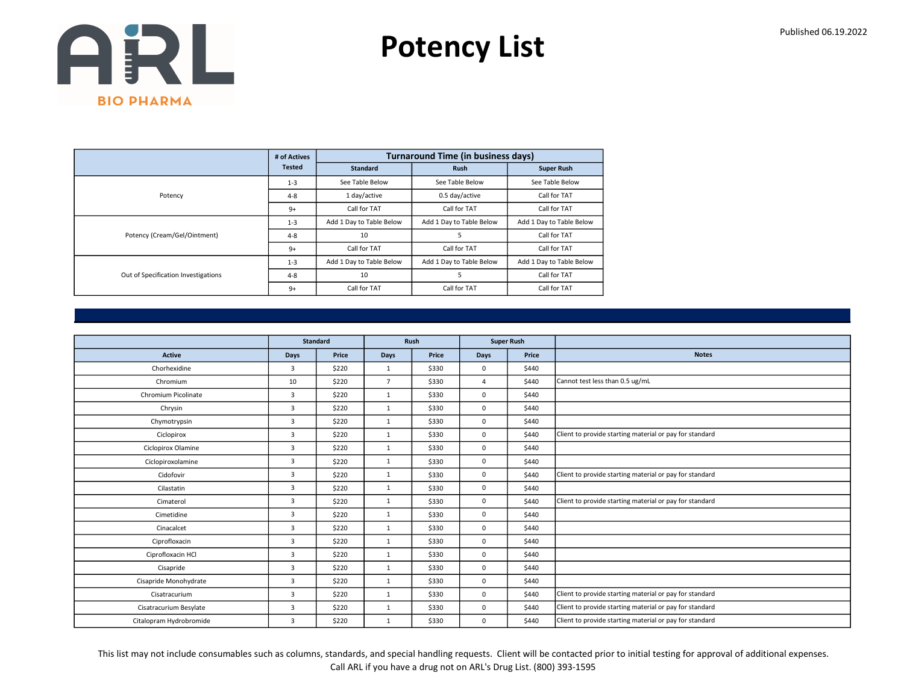Potency List

|                                     | # of Actives  |                          | <b>Turnaround Time (in business days)</b> |                          |
|-------------------------------------|---------------|--------------------------|-------------------------------------------|--------------------------|
|                                     | <b>Tested</b> | <b>Standard</b>          | <b>Rush</b>                               | <b>Super Rush</b>        |
|                                     | $1 - 3$       | See Table Below          | See Table Below                           | See Table Below          |
| Potency                             | $4 - 8$       | 1 day/active             | 0.5 day/active                            | Call for TAT             |
|                                     | $9+$          | Call for TAT             | Call for TAT                              | Call for TAT             |
|                                     | $1 - 3$       | Add 1 Day to Table Below | Add 1 Day to Table Below                  | Add 1 Day to Table Below |
| Potency (Cream/Gel/Ointment)        | $4 - 8$       | 10                       | 5                                         | Call for TAT             |
|                                     | $9+$          | Call for TAT             | Call for TAT                              | Call for TAT             |
|                                     | $1 - 3$       | Add 1 Day to Table Below | Add 1 Day to Table Below                  | Add 1 Day to Table Below |
| Out of Specification Investigations | $4 - 8$       | 10                       | 5                                         | Call for TAT             |
|                                     | $9+$          | Call for TAT             | Call for TAT                              | Call for TAT             |

|                         | Standard       |       | Rush           |       |                | <b>Super Rush</b> |                                                         |
|-------------------------|----------------|-------|----------------|-------|----------------|-------------------|---------------------------------------------------------|
| <b>Active</b>           | Days           | Price | Days           | Price | <b>Days</b>    | Price             | <b>Notes</b>                                            |
| Chorhexidine            | 3              | \$220 | $\mathbf{1}$   | \$330 | $\mathbf 0$    | \$440             |                                                         |
| Chromium                | 10             | \$220 | $\overline{7}$ | \$330 | $\overline{4}$ | \$440             | Cannot test less than 0.5 ug/mL                         |
| Chromium Picolinate     | 3              | \$220 | $\mathbf{1}$   | \$330 | $\mathbf 0$    | \$440             |                                                         |
| Chrysin                 | $\overline{3}$ | \$220 | $\mathbf{1}$   | \$330 | $\mathbf 0$    | \$440             |                                                         |
| Chymotrypsin            | $\overline{3}$ | \$220 | $\mathbf{1}$   | \$330 | $\mathbf 0$    | \$440             |                                                         |
| Ciclopirox              | 3              | \$220 | $\mathbf{1}$   | \$330 | $\mathbf 0$    | \$440             | Client to provide starting material or pay for standard |
| Ciclopirox Olamine      | $\overline{3}$ | \$220 | $\mathbf{1}$   | \$330 | $\mathbf 0$    | \$440             |                                                         |
| Ciclopiroxolamine       | 3              | \$220 | 1              | \$330 | $\mathbf 0$    | \$440             |                                                         |
| Cidofovir               | 3              | \$220 | $\mathbf{1}$   | \$330 | $\mathbf 0$    | \$440             | Client to provide starting material or pay for standard |
| Cilastatin              | 3              | \$220 | $\mathbf{1}$   | \$330 | $\mathbf 0$    | \$440             |                                                         |
| Cimaterol               | 3              | \$220 | $\mathbf{1}$   | \$330 | $\mathbf 0$    | \$440             | Client to provide starting material or pay for standard |
| Cimetidine              | 3              | \$220 | $\mathbf{1}$   | \$330 | $\mathbf 0$    | \$440             |                                                         |
| Cinacalcet              | 3              | \$220 | $\mathbf{1}$   | \$330 | $\mathbf 0$    | \$440             |                                                         |
| Ciprofloxacin           | 3              | \$220 | $\mathbf{1}$   | \$330 | $\mathbf 0$    | \$440             |                                                         |
| Ciprofloxacin HCl       | 3              | \$220 | $\mathbf{1}$   | \$330 | $\mathbf 0$    | \$440             |                                                         |
| Cisapride               | $\overline{3}$ | \$220 | $\mathbf{1}$   | \$330 | $\mathbf 0$    | \$440             |                                                         |
| Cisapride Monohydrate   | 3              | \$220 | $\mathbf{1}$   | \$330 | $\mathbf 0$    | \$440             |                                                         |
| Cisatracurium           | 3              | \$220 | 1              | \$330 | $\mathbf 0$    | \$440             | Client to provide starting material or pay for standard |
| Cisatracurium Besylate  | 3              | \$220 | $\mathbf{1}$   | \$330 | $\mathbf 0$    | \$440             | Client to provide starting material or pay for standard |
| Citalopram Hydrobromide | 3              | \$220 | $\mathbf{1}$   | \$330 | $\mathbf 0$    | \$440             | Client to provide starting material or pay for standard |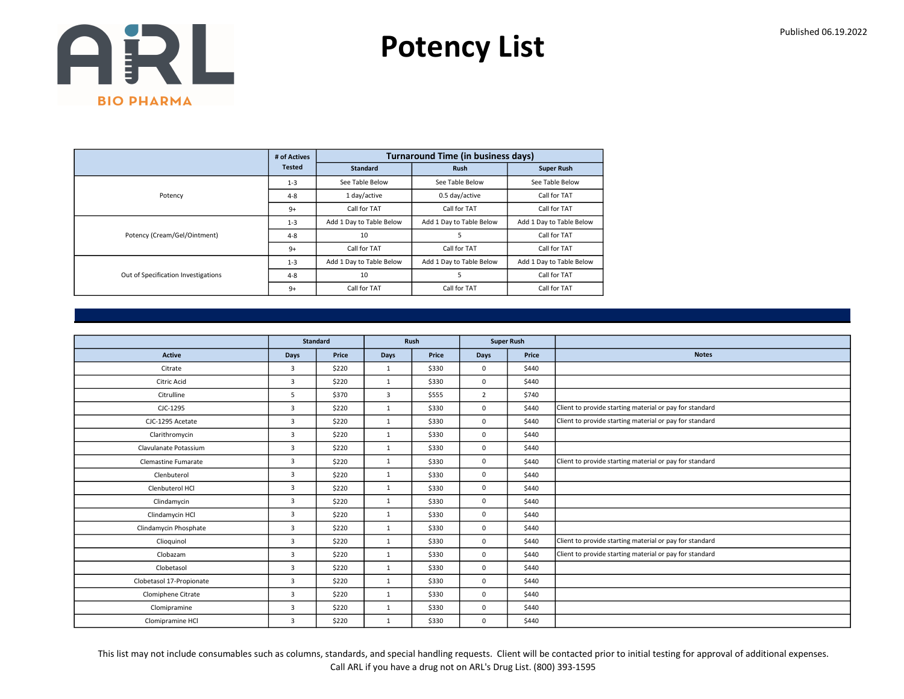Potency List

|                                     | # of Actives  |                          | <b>Turnaround Time (in business days)</b> |                          |
|-------------------------------------|---------------|--------------------------|-------------------------------------------|--------------------------|
|                                     | <b>Tested</b> | <b>Standard</b>          | <b>Rush</b>                               | <b>Super Rush</b>        |
|                                     | $1 - 3$       | See Table Below          | See Table Below                           | See Table Below          |
| Potency                             | $4 - 8$       | 1 day/active             | 0.5 day/active                            | Call for TAT             |
|                                     | $9+$          | Call for TAT             | Call for TAT                              | Call for TAT             |
|                                     | $1 - 3$       | Add 1 Day to Table Below | Add 1 Day to Table Below                  | Add 1 Day to Table Below |
| Potency (Cream/Gel/Ointment)        | $4 - 8$       | 10                       | 5                                         | Call for TAT             |
|                                     | $9+$          | Call for TAT             | Call for TAT                              | Call for TAT             |
|                                     | $1 - 3$       | Add 1 Day to Table Below | Add 1 Day to Table Below                  | Add 1 Day to Table Below |
| Out of Specification Investigations | $4 - 8$       | 10                       | 5                                         | Call for TAT             |
|                                     | $9+$          | Call for TAT             | Call for TAT                              | Call for TAT             |

|                          |                | Standard |              | Rush  |                | <b>Super Rush</b> |                                                         |
|--------------------------|----------------|----------|--------------|-------|----------------|-------------------|---------------------------------------------------------|
| <b>Active</b>            | <b>Days</b>    | Price    | Days         | Price | <b>Days</b>    | Price             | <b>Notes</b>                                            |
| Citrate                  | 3              | \$220    | $\mathbf{1}$ | \$330 | $\mathbf 0$    | \$440             |                                                         |
| <b>Citric Acid</b>       | $\overline{3}$ | \$220    | $\mathbf{1}$ | \$330 | $\mathbf 0$    | \$440             |                                                         |
| Citrulline               | 5              | \$370    | 3            | \$555 | $\overline{2}$ | \$740             |                                                         |
| CJC-1295                 | $\overline{3}$ | \$220    | $\mathbf{1}$ | \$330 | 0              | \$440             | Client to provide starting material or pay for standard |
| CJC-1295 Acetate         | $\overline{3}$ | \$220    | $\mathbf{1}$ | \$330 | $\mathbf 0$    | \$440             | Client to provide starting material or pay for standard |
| Clarithromycin           | 3              | \$220    | $\mathbf{1}$ | \$330 | 0              | \$440             |                                                         |
| Clavulanate Potassium    | $\overline{3}$ | \$220    | $\mathbf{1}$ | \$330 | 0              | \$440             |                                                         |
| Clemastine Fumarate      | $\overline{3}$ | \$220    | $\mathbf{1}$ | \$330 | 0              | \$440             | Client to provide starting material or pay for standard |
| Clenbuterol              | 3              | \$220    | $\mathbf{1}$ | \$330 | 0              | \$440             |                                                         |
| Clenbuterol HCl          | $\overline{3}$ | \$220    | $\mathbf{1}$ | \$330 | $\Omega$       | \$440             |                                                         |
| Clindamycin              | $\overline{3}$ | \$220    | $\mathbf{1}$ | \$330 | 0              | \$440             |                                                         |
| Clindamycin HCl          | $\overline{3}$ | \$220    | $\mathbf{1}$ | \$330 | 0              | \$440             |                                                         |
| Clindamycin Phosphate    | 3              | \$220    | $\mathbf{1}$ | \$330 | 0              | \$440             |                                                         |
| Clioquinol               | $\overline{3}$ | \$220    | $\mathbf{1}$ | \$330 | 0              | \$440             | Client to provide starting material or pay for standard |
| Clobazam                 | 3              | \$220    | $\mathbf{1}$ | \$330 | 0              | \$440             | Client to provide starting material or pay for standard |
| Clobetasol               | 3              | \$220    | $\mathbf{1}$ | \$330 | $\mathbf 0$    | \$440             |                                                         |
| Clobetasol 17-Propionate | $\overline{3}$ | \$220    | $\mathbf{1}$ | \$330 | 0              | \$440             |                                                         |
| Clomiphene Citrate       | 3              | \$220    | $\mathbf{1}$ | \$330 | 0              | \$440             |                                                         |
| Clomipramine             | $\overline{3}$ | \$220    | $\mathbf{1}$ | \$330 | 0              | \$440             |                                                         |
| Clomipramine HCl         | 3              | \$220    | $\mathbf{1}$ | \$330 | 0              | \$440             |                                                         |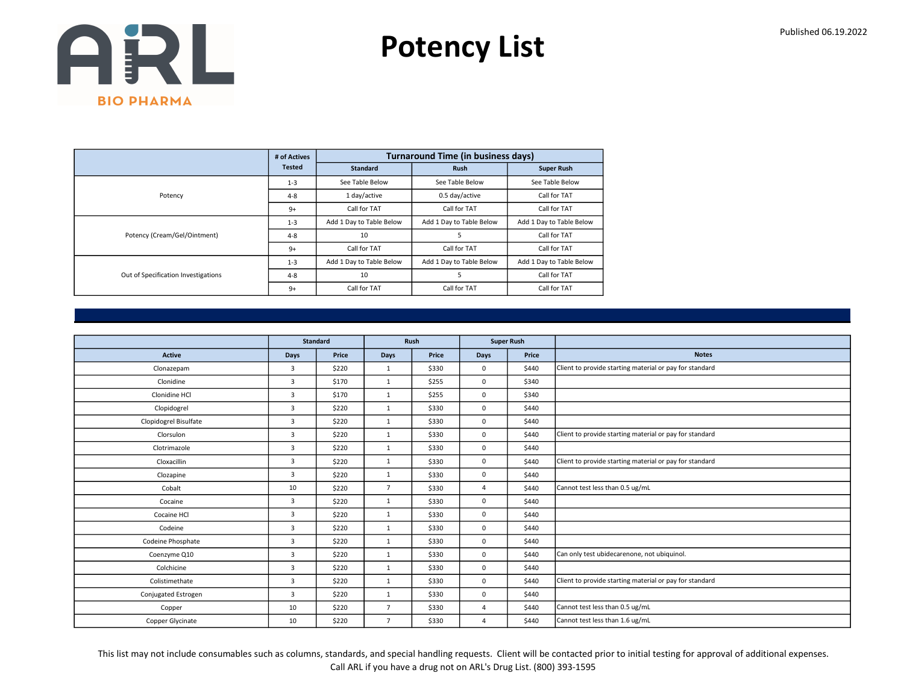Potency List

|                                     | # of Actives  |                          | <b>Turnaround Time (in business days)</b> |                          |
|-------------------------------------|---------------|--------------------------|-------------------------------------------|--------------------------|
|                                     | <b>Tested</b> | <b>Standard</b>          | <b>Rush</b>                               | <b>Super Rush</b>        |
|                                     | $1 - 3$       | See Table Below          | See Table Below                           | See Table Below          |
| Potency                             | $4 - 8$       | 1 day/active             | 0.5 day/active                            | Call for TAT             |
|                                     | $9+$          | Call for TAT             | Call for TAT                              | Call for TAT             |
|                                     | $1 - 3$       | Add 1 Day to Table Below | Add 1 Day to Table Below                  | Add 1 Day to Table Below |
| Potency (Cream/Gel/Ointment)        | $4 - 8$       | 10                       | 5                                         | Call for TAT             |
|                                     | $9+$          | Call for TAT             | Call for TAT                              | Call for TAT             |
|                                     | $1 - 3$       | Add 1 Day to Table Below | Add 1 Day to Table Below                  | Add 1 Day to Table Below |
| Out of Specification Investigations | $4 - 8$       | 10                       | 5                                         | Call for TAT             |
|                                     | $9+$          | Call for TAT             | Call for TAT                              | Call for TAT             |

|                       |                         | <b>Standard</b> |                | Rush  |                | <b>Super Rush</b> |                                                         |
|-----------------------|-------------------------|-----------------|----------------|-------|----------------|-------------------|---------------------------------------------------------|
| <b>Active</b>         | <b>Days</b>             | Price           | <b>Days</b>    | Price | Days           | Price             | <b>Notes</b>                                            |
| Clonazepam            | 3                       | \$220           | $\mathbf{1}$   | \$330 | 0              | \$440             | Client to provide starting material or pay for standard |
| Clonidine             | $\overline{3}$          | \$170           | $\mathbf{1}$   | \$255 | 0              | \$340             |                                                         |
| Clonidine HCl         | $\overline{3}$          | \$170           | $\mathbf{1}$   | \$255 | 0              | \$340             |                                                         |
| Clopidogrel           | $\overline{3}$          | \$220           | $\mathbf{1}$   | \$330 | 0              | \$440             |                                                         |
| Clopidogrel Bisulfate | 3                       | \$220           | $\mathbf{1}$   | \$330 | 0              | \$440             |                                                         |
| Clorsulon             | $\overline{3}$          | \$220           | $\mathbf{1}$   | \$330 | 0              | \$440             | Client to provide starting material or pay for standard |
| Clotrimazole          | $\overline{3}$          | \$220           | $\mathbf{1}$   | \$330 | 0              | \$440             |                                                         |
| Cloxacillin           | $\overline{3}$          | \$220           | $\mathbf{1}$   | \$330 | 0              | \$440             | Client to provide starting material or pay for standard |
| Clozapine             | $\overline{3}$          | \$220           | $\mathbf{1}$   | \$330 | 0              | \$440             |                                                         |
| Cobalt                | 10                      | \$220           | $\overline{7}$ | \$330 | $\overline{a}$ | \$440             | Cannot test less than 0.5 ug/mL                         |
| Cocaine               | $\overline{3}$          | \$220           | $\mathbf{1}$   | \$330 | 0              | \$440             |                                                         |
| Cocaine HCl           | 3                       | \$220           | $\mathbf{1}$   | \$330 | 0              | \$440             |                                                         |
| Codeine               | $\overline{3}$          | \$220           | 1              | \$330 | 0              | \$440             |                                                         |
| Codeine Phosphate     | $\overline{3}$          | \$220           | $\mathbf{1}$   | \$330 | 0              | \$440             |                                                         |
| Coenzyme Q10          | $\overline{3}$          | \$220           | $\mathbf{1}$   | \$330 | 0              | \$440             | Can only test ubidecarenone, not ubiquinol.             |
| Colchicine            | $\overline{3}$          | \$220           | $\mathbf{1}$   | \$330 | 0              | \$440             |                                                         |
| Colistimethate        | $\overline{\mathbf{3}}$ | \$220           | $\mathbf{1}$   | \$330 | 0              | \$440             | Client to provide starting material or pay for standard |
| Conjugated Estrogen   | $\overline{3}$          | \$220           | $\mathbf{1}$   | \$330 | 0              | \$440             |                                                         |
| Copper                | 10                      | \$220           | $\overline{7}$ | \$330 | $\overline{4}$ | \$440             | Cannot test less than 0.5 ug/mL                         |
| Copper Glycinate      | 10                      | \$220           | $\overline{7}$ | \$330 | $\overline{4}$ | \$440             | Cannot test less than 1.6 ug/mL                         |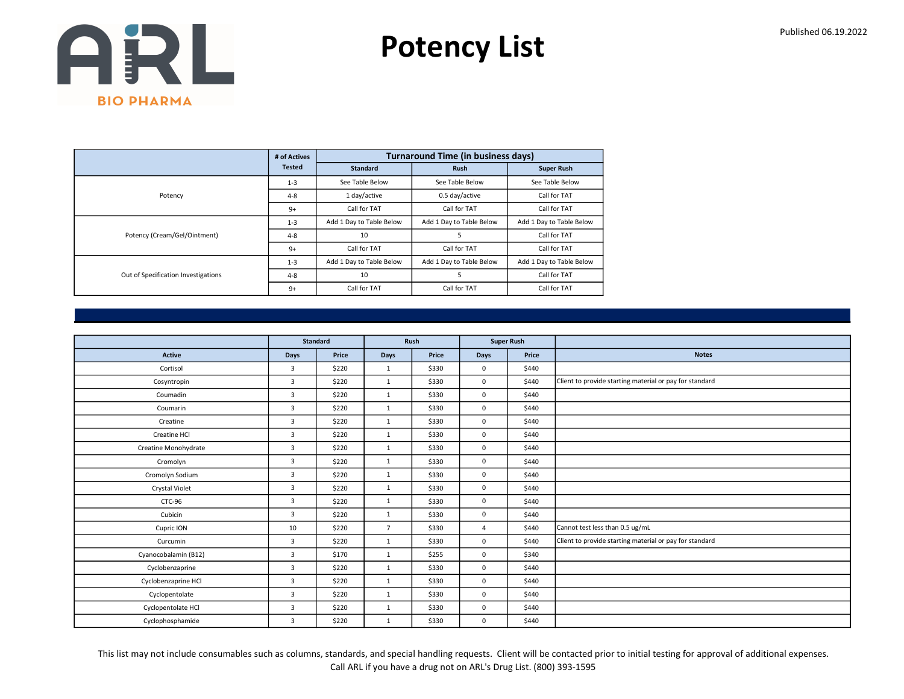Potency List

|                                     | # of Actives  |                          | <b>Turnaround Time (in business days)</b> |                          |
|-------------------------------------|---------------|--------------------------|-------------------------------------------|--------------------------|
|                                     | <b>Tested</b> | <b>Standard</b>          | <b>Rush</b>                               | <b>Super Rush</b>        |
|                                     | $1 - 3$       | See Table Below          | See Table Below                           | See Table Below          |
| Potency                             | $4 - 8$       | 1 day/active             | 0.5 day/active                            | Call for TAT             |
|                                     | $9+$          | Call for TAT             | Call for TAT                              | Call for TAT             |
|                                     | $1 - 3$       | Add 1 Day to Table Below | Add 1 Day to Table Below                  | Add 1 Day to Table Below |
| Potency (Cream/Gel/Ointment)        | $4 - 8$       | 10                       | 5                                         | Call for TAT             |
|                                     | $9+$          | Call for TAT             | Call for TAT                              | Call for TAT             |
|                                     | $1 - 3$       | Add 1 Day to Table Below | Add 1 Day to Table Below                  | Add 1 Day to Table Below |
| Out of Specification Investigations | $4 - 8$       | 10                       | 5                                         | Call for TAT             |
|                                     | $9+$          | Call for TAT             | Call for TAT                              | Call for TAT             |

|                      |                | Standard |                | Rush  |                | <b>Super Rush</b> |                                                         |
|----------------------|----------------|----------|----------------|-------|----------------|-------------------|---------------------------------------------------------|
|                      |                |          |                |       |                |                   |                                                         |
| <b>Active</b>        | Days           | Price    | Days           | Price | <b>Days</b>    | Price             | <b>Notes</b>                                            |
| Cortisol             | 3              | \$220    | 1              | \$330 | $\mathbf 0$    | \$440             |                                                         |
| Cosyntropin          | $\overline{3}$ | \$220    | 1              | \$330 | $\mathbf 0$    | \$440             | Client to provide starting material or pay for standard |
| Coumadin             | 3              | \$220    | $\mathbf{1}$   | \$330 | $\mathbf 0$    | \$440             |                                                         |
| Coumarin             | $\overline{3}$ | \$220    | $\mathbf{1}$   | \$330 | $\mathbf 0$    | \$440             |                                                         |
| Creatine             | $\overline{3}$ | \$220    | 1              | \$330 | $\mathbf 0$    | \$440             |                                                         |
| Creatine HCl         | $\overline{3}$ | \$220    | $\mathbf{1}$   | \$330 | $\mathbf 0$    | \$440             |                                                         |
| Creatine Monohydrate | 3              | \$220    | $\mathbf{1}$   | \$330 | $\mathbf{0}$   | \$440             |                                                         |
| Cromolyn             | 3              | \$220    | $\mathbf{1}$   | \$330 | $\mathbf 0$    | \$440             |                                                         |
| Cromolyn Sodium      | 3              | \$220    | $\mathbf{1}$   | \$330 | $\mathbf 0$    | \$440             |                                                         |
| Crystal Violet       | $\overline{3}$ | \$220    | 1              | \$330 | $\mathbf 0$    | \$440             |                                                         |
| CTC-96               | 3              | \$220    | $\mathbf{1}$   | \$330 | $\mathbf 0$    | \$440             |                                                         |
| Cubicin              | $\overline{3}$ | \$220    | 1              | \$330 | $\mathbf 0$    | \$440             |                                                         |
| Cupric ION           | 10             | \$220    | $\overline{7}$ | \$330 | $\overline{4}$ | \$440             | Cannot test less than 0.5 ug/mL                         |
| Curcumin             | $\overline{3}$ | \$220    | $\mathbf{1}$   | \$330 | $\mathbf 0$    | \$440             | Client to provide starting material or pay for standard |
| Cyanocobalamin (B12) | 3              | \$170    | $\mathbf{1}$   | \$255 | $\mathbf 0$    | \$340             |                                                         |
| Cyclobenzaprine      | $\overline{3}$ | \$220    | $\mathbf{1}$   | \$330 | $\mathbf 0$    | \$440             |                                                         |
| Cyclobenzaprine HCl  | 3              | \$220    | $\mathbf{1}$   | \$330 | $\mathbf 0$    | \$440             |                                                         |
| Cyclopentolate       | 3              | \$220    | 1              | \$330 | $\mathbf 0$    | \$440             |                                                         |
| Cyclopentolate HCl   | 3              | \$220    | $\mathbf{1}$   | \$330 | $\mathbf 0$    | \$440             |                                                         |
| Cyclophosphamide     | 3              | \$220    | $\mathbf{1}$   | \$330 | $\mathbf 0$    | \$440             |                                                         |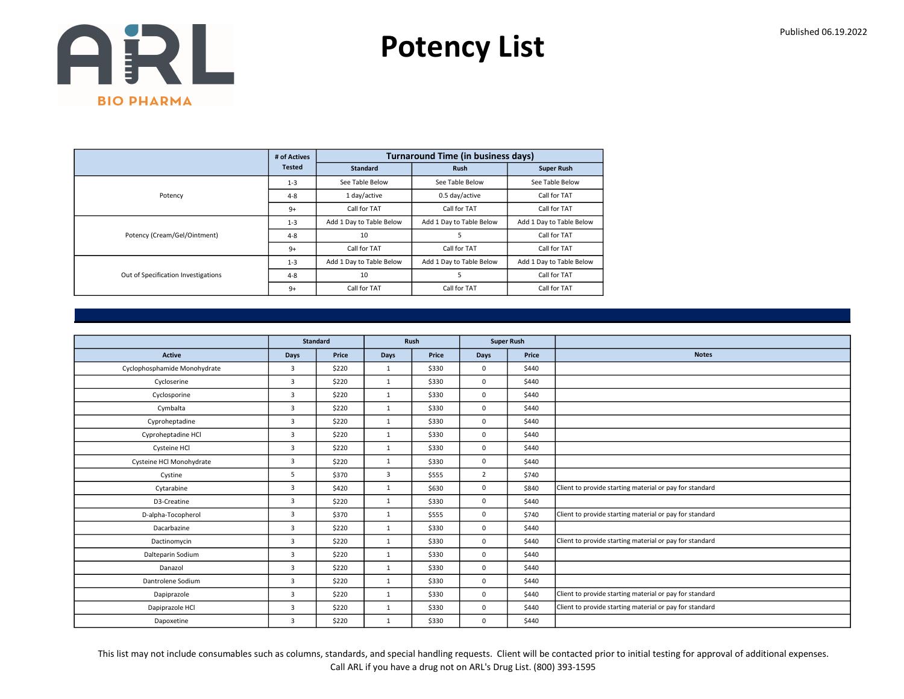Potency List

|                                     | # of Actives  |                          | <b>Turnaround Time (in business days)</b> |                          |  |  |  |
|-------------------------------------|---------------|--------------------------|-------------------------------------------|--------------------------|--|--|--|
|                                     | <b>Tested</b> | <b>Standard</b>          | <b>Rush</b>                               | <b>Super Rush</b>        |  |  |  |
|                                     | $1 - 3$       | See Table Below          | See Table Below                           | See Table Below          |  |  |  |
| Potency                             | $4 - 8$       | 1 day/active             | 0.5 day/active                            | Call for TAT             |  |  |  |
|                                     | $9+$          | Call for TAT             | Call for TAT                              | Call for TAT             |  |  |  |
|                                     | $1 - 3$       | Add 1 Day to Table Below | Add 1 Day to Table Below                  | Add 1 Day to Table Below |  |  |  |
| Potency (Cream/Gel/Ointment)        | $4 - 8$       | 10                       | 5                                         | Call for TAT             |  |  |  |
|                                     | $9+$          | Call for TAT             | Call for TAT                              | Call for TAT             |  |  |  |
|                                     | $1 - 3$       | Add 1 Day to Table Below | Add 1 Day to Table Below                  | Add 1 Day to Table Below |  |  |  |
| Out of Specification Investigations | $4 - 8$       | 10                       | 5                                         | Call for TAT             |  |  |  |
|                                     | $9+$          | Call for TAT             | Call for TAT                              | Call for TAT             |  |  |  |

|                              |                | <b>Standard</b> |              | Rush  |                | <b>Super Rush</b> |                                                         |
|------------------------------|----------------|-----------------|--------------|-------|----------------|-------------------|---------------------------------------------------------|
| <b>Active</b>                | <b>Days</b>    | Price           | Days         | Price | <b>Days</b>    | Price             | <b>Notes</b>                                            |
| Cyclophosphamide Monohydrate | $\overline{3}$ | \$220           | $\mathbf{1}$ | \$330 | $\mathbf 0$    | \$440             |                                                         |
| Cycloserine                  | 3              | \$220           | $\mathbf{1}$ | \$330 | $\mathbf 0$    | \$440             |                                                         |
| Cyclosporine                 | 3              | \$220           | $\mathbf{1}$ | \$330 | $\mathbf 0$    | \$440             |                                                         |
| Cymbalta                     | 3              | \$220           | $\mathbf{1}$ | \$330 | $\mathbf 0$    | \$440             |                                                         |
| Cyproheptadine               | $\overline{3}$ | \$220           | $\mathbf{1}$ | \$330 | $\mathbf 0$    | \$440             |                                                         |
| Cyproheptadine HCl           | 3              | \$220           | $\mathbf{1}$ | \$330 | $\mathbf 0$    | \$440             |                                                         |
| Cysteine HCl                 | 3              | \$220           | $\mathbf{1}$ | \$330 | $\mathbf 0$    | \$440             |                                                         |
| Cysteine HCl Monohydrate     | 3              | \$220           | $\mathbf{1}$ | \$330 | $\mathbf 0$    | \$440             |                                                         |
| Cystine                      | 5              | \$370           | 3            | \$555 | $\overline{2}$ | \$740             |                                                         |
| Cytarabine                   | $\overline{3}$ | \$420           | $\mathbf{1}$ | \$630 | $\mathbf 0$    | \$840             | Client to provide starting material or pay for standard |
| D3-Creatine                  | 3              | \$220           | $\mathbf{1}$ | \$330 | $\mathbf 0$    | \$440             |                                                         |
| D-alpha-Tocopherol           | 3              | \$370           | $\mathbf{1}$ | \$555 | $\mathbf 0$    | \$740             | Client to provide starting material or pay for standard |
| Dacarbazine                  | $\overline{3}$ | \$220           | $\mathbf{1}$ | \$330 | $\mathbf 0$    | \$440             |                                                         |
| Dactinomycin                 | 3              | \$220           | $\mathbf{1}$ | \$330 | $\mathbf 0$    | \$440             | Client to provide starting material or pay for standard |
| Dalteparin Sodium            | $\overline{3}$ | \$220           | $\mathbf{1}$ | \$330 | $\mathbf 0$    | \$440             |                                                         |
| Danazol                      | 3              | \$220           | $\mathbf{1}$ | \$330 | $\mathbf 0$    | \$440             |                                                         |
| Dantrolene Sodium            | 3              | \$220           | 1            | \$330 | $\mathbf 0$    | \$440             |                                                         |
| Dapiprazole                  | 3              | \$220           | $\mathbf{1}$ | \$330 | $\mathbf 0$    | \$440             | Client to provide starting material or pay for standard |
| Dapiprazole HCl              | 3              | \$220           | $\mathbf{1}$ | \$330 | $\mathbf 0$    | \$440             | Client to provide starting material or pay for standard |
| Dapoxetine                   | 3              | \$220           | $\mathbf{1}$ | \$330 | 0              | \$440             |                                                         |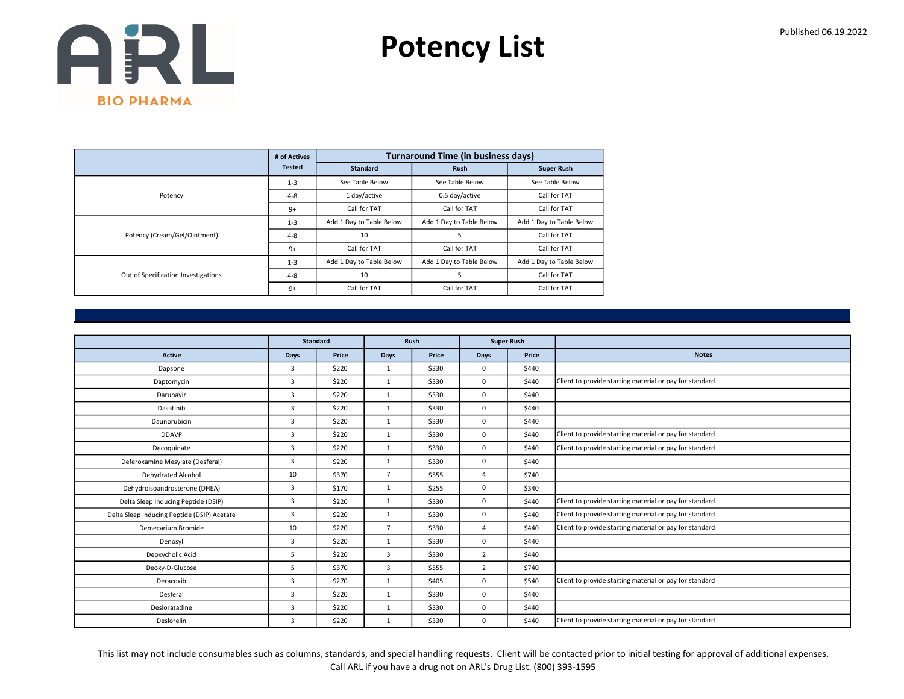Potency List

|                                     | # of Actives  |                          | <b>Turnaround Time (in business days)</b> |                          |
|-------------------------------------|---------------|--------------------------|-------------------------------------------|--------------------------|
|                                     | <b>Tested</b> | <b>Standard</b>          | <b>Rush</b>                               | <b>Super Rush</b>        |
|                                     | $1 - 3$       | See Table Below          | See Table Below                           | See Table Below          |
| Potency                             | $4 - 8$       | 1 day/active             | 0.5 day/active                            | Call for TAT             |
|                                     | $9+$          | Call for TAT             | Call for TAT                              | Call for TAT             |
|                                     | $1 - 3$       | Add 1 Day to Table Below | Add 1 Day to Table Below                  | Add 1 Day to Table Below |
| Potency (Cream/Gel/Ointment)        | $4 - 8$       | 10                       | 5                                         | Call for TAT             |
|                                     | $9+$          | Call for TAT             | Call for TAT                              | Call for TAT             |
|                                     | $1 - 3$       | Add 1 Day to Table Below | Add 1 Day to Table Below                  | Add 1 Day to Table Below |
| Out of Specification Investigations | $4 - 8$       | 10                       | 5                                         | Call for TAT             |
|                                     | $9+$          | Call for TAT             | Call for TAT                              | Call for TAT             |

|                                             |                | <b>Standard</b> |                | <b>Rush</b> |                | <b>Super Rush</b> |                                                         |
|---------------------------------------------|----------------|-----------------|----------------|-------------|----------------|-------------------|---------------------------------------------------------|
| <b>Active</b>                               | <b>Days</b>    | Price           | <b>Days</b>    | Price       | Days           | Price             | <b>Notes</b>                                            |
| Dapsone                                     | 3              | \$220           | $\mathbf{1}$   | \$330       | $\Omega$       | \$440             |                                                         |
| Daptomycin                                  | 3              | \$220           | $\mathbf{1}$   | \$330       | $\mathbf 0$    | \$440             | Client to provide starting material or pay for standard |
| Darunavir                                   | 3              | \$220           | $\mathbf{1}$   | \$330       | $\mathbf 0$    | \$440             |                                                         |
| Dasatinib                                   | 3              | \$220           | $\mathbf{1}$   | \$330       | $\mathbf 0$    | \$440             |                                                         |
| Daunorubicin                                | 3              | \$220           | $\mathbf{1}$   | \$330       | $\Omega$       | \$440             |                                                         |
| <b>DDAVP</b>                                | 3              | \$220           | $\mathbf{1}$   | \$330       | $\mathbf 0$    | \$440             | Client to provide starting material or pay for standard |
| Decoquinate                                 | 3              | \$220           | $\mathbf{1}$   | \$330       | $\mathbf 0$    | \$440             | Client to provide starting material or pay for standard |
| Deferoxamine Mesylate (Desferal)            | $\overline{3}$ | \$220           | $\mathbf{1}$   | \$330       | $\mathbf 0$    | \$440             |                                                         |
| Dehydrated Alcohol                          | 10             | \$370           | $\overline{7}$ | \$555       | 4              | \$740             |                                                         |
| Dehydroisoandrosterone (DHEA)               | $\overline{3}$ | \$170           | $\mathbf{1}$   | \$255       | $\mathbf 0$    | \$340             |                                                         |
| Delta Sleep Inducing Peptide (DSIP)         | 3              | \$220           | $\mathbf{1}$   | \$330       | $\mathbf 0$    | \$440             | Client to provide starting material or pay for standard |
| Delta Sleep Inducing Peptide (DSIP) Acetate | 3              | \$220           | $\mathbf{1}$   | \$330       | $\mathbf 0$    | \$440             | Client to provide starting material or pay for standard |
| Demecarium Bromide                          | 10             | \$220           | $\overline{7}$ | \$330       | 4              | \$440             | Client to provide starting material or pay for standard |
| Denosyl                                     | 3              | \$220           | $\mathbf{1}$   | \$330       | $\mathbf 0$    | \$440             |                                                         |
| Deoxycholic Acid                            | 5              | \$220           | 3              | \$330       | 2              | \$440             |                                                         |
| Deoxy-D-Glucose                             | 5              | \$370           | 3              | \$555       | $\overline{2}$ | \$740             |                                                         |
| Deracoxib                                   | 3              | \$270           | $\mathbf{1}$   | \$405       | $\mathbf 0$    | \$540             | Client to provide starting material or pay for standard |
| Desferal                                    | 3              | \$220           | 1              | \$330       | $\mathbf 0$    | \$440             |                                                         |
| Desloratadine                               | 3              | \$220           | $\mathbf{1}$   | \$330       | $\mathbf 0$    | \$440             |                                                         |
| Deslorelin                                  | 3              | \$220           | $\mathbf{1}$   | \$330       | $\mathbf 0$    | \$440             | Client to provide starting material or pay for standard |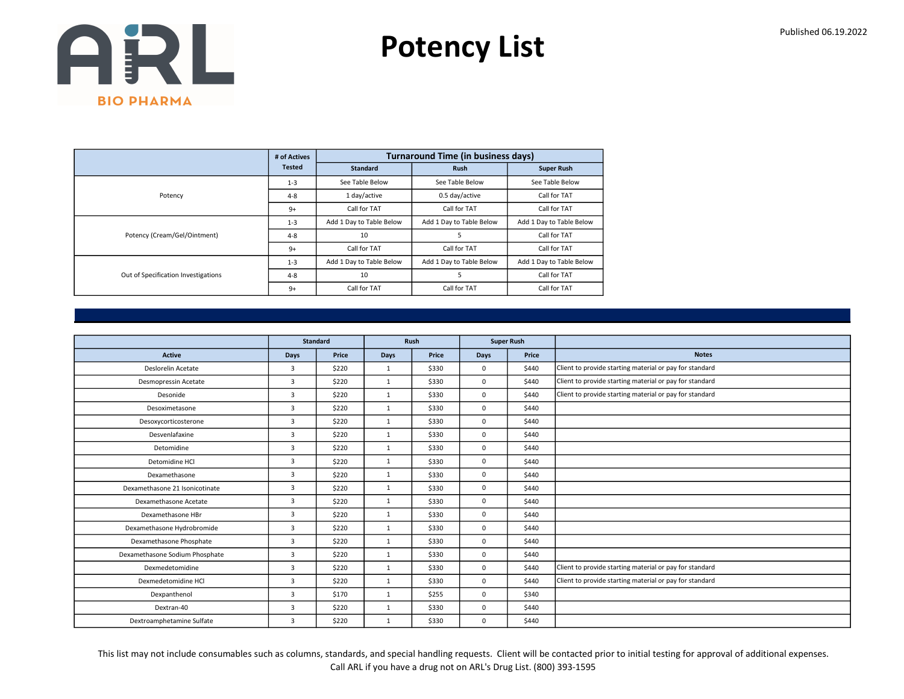Potency List

|                                     | # of Actives  |                          | <b>Turnaround Time (in business days)</b> |                          |
|-------------------------------------|---------------|--------------------------|-------------------------------------------|--------------------------|
|                                     | <b>Tested</b> | <b>Standard</b>          | <b>Rush</b>                               | <b>Super Rush</b>        |
|                                     | $1 - 3$       | See Table Below          | See Table Below                           | See Table Below          |
| Potency                             | $4 - 8$       | 1 day/active             | 0.5 day/active                            | Call for TAT             |
|                                     | $9+$          | Call for TAT             | Call for TAT                              | Call for TAT             |
|                                     | $1 - 3$       | Add 1 Day to Table Below | Add 1 Day to Table Below                  | Add 1 Day to Table Below |
| Potency (Cream/Gel/Ointment)        | $4 - 8$       | 10                       | 5                                         | Call for TAT             |
|                                     | $9+$          | Call for TAT             | Call for TAT                              | Call for TAT             |
|                                     | $1 - 3$       | Add 1 Day to Table Below | Add 1 Day to Table Below                  | Add 1 Day to Table Below |
| Out of Specification Investigations | $4 - 8$       | 10                       | 5                                         | Call for TAT             |
|                                     | $9+$          | Call for TAT             | Call for TAT                              | Call for TAT             |

|                                |                | <b>Standard</b> |              | Rush  | <b>Super Rush</b> |       |                                                         |
|--------------------------------|----------------|-----------------|--------------|-------|-------------------|-------|---------------------------------------------------------|
| <b>Active</b>                  | Days           | Price           | <b>Days</b>  | Price | <b>Days</b>       | Price | <b>Notes</b>                                            |
| Deslorelin Acetate             | $\overline{3}$ | \$220           | $\mathbf{1}$ | \$330 | $\mathbf 0$       | \$440 | Client to provide starting material or pay for standard |
| Desmopressin Acetate           | $\overline{3}$ | \$220           | $\mathbf{1}$ | \$330 | $\mathbf 0$       | \$440 | Client to provide starting material or pay for standard |
| Desonide                       | 3              | \$220           | $\mathbf{1}$ | \$330 | $\mathbf 0$       | \$440 | Client to provide starting material or pay for standard |
| Desoximetasone                 | $\overline{3}$ | \$220           | $\mathbf{1}$ | \$330 | $\mathbf 0$       | \$440 |                                                         |
| Desoxycorticosterone           | $\overline{3}$ | \$220           | $\mathbf{1}$ | \$330 | $\mathbf 0$       | \$440 |                                                         |
| Desvenlafaxine                 | 3              | \$220           | $\mathbf{1}$ | \$330 | $\mathbf 0$       | \$440 |                                                         |
| Detomidine                     | 3              | \$220           | 1            | \$330 | $\mathbf 0$       | \$440 |                                                         |
| Detomidine HCl                 | $\overline{3}$ | \$220           | 1            | \$330 | $\mathbf 0$       | \$440 |                                                         |
| Dexamethasone                  | $\overline{3}$ | \$220           | 1            | \$330 | $\mathbf 0$       | \$440 |                                                         |
| Dexamethasone 21 Isonicotinate | 3              | \$220           | 1            | \$330 | $\mathbf 0$       | \$440 |                                                         |
| Dexamethasone Acetate          | $\overline{3}$ | \$220           | 1            | \$330 | $\mathbf 0$       | \$440 |                                                         |
| Dexamethasone HBr              | $\overline{3}$ | \$220           | 1            | \$330 | $\mathbf 0$       | \$440 |                                                         |
| Dexamethasone Hydrobromide     | $\overline{3}$ | \$220           | $\mathbf{1}$ | \$330 | $\mathbf 0$       | \$440 |                                                         |
| Dexamethasone Phosphate        | 3              | \$220           | $\mathbf{1}$ | \$330 | $\mathbf 0$       | \$440 |                                                         |
| Dexamethasone Sodium Phosphate | 3              | \$220           | $\mathbf{1}$ | \$330 | $\mathbf 0$       | \$440 |                                                         |
| Dexmedetomidine                | 3              | \$220           | $\mathbf{1}$ | \$330 | $\mathbf 0$       | \$440 | Client to provide starting material or pay for standard |
| Dexmedetomidine HCl            | 3              | \$220           | $\mathbf{1}$ | \$330 | $\mathbf 0$       | \$440 | Client to provide starting material or pay for standard |
| Dexpanthenol                   | 3              | \$170           | $\mathbf{1}$ | \$255 | $\mathbf 0$       | \$340 |                                                         |
| Dextran-40                     | $\overline{3}$ | \$220           | $\mathbf{1}$ | \$330 | $\mathbf 0$       | \$440 |                                                         |
| Dextroamphetamine Sulfate      | 3              | \$220           | 1            | \$330 | $\mathbf 0$       | \$440 |                                                         |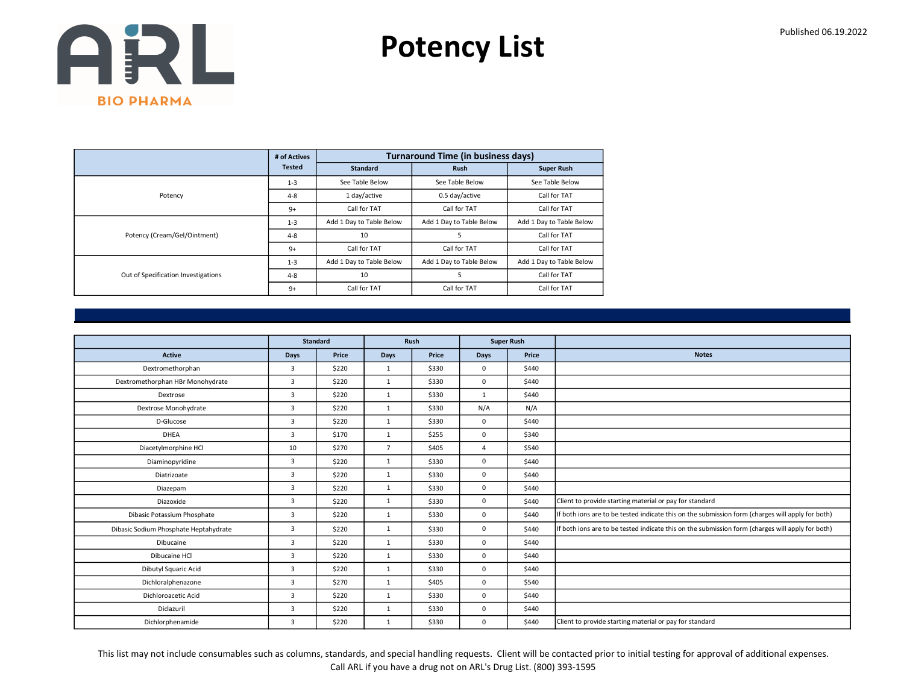Potency List

|                                     | # of Actives  |                          | <b>Turnaround Time (in business days)</b> |                          |
|-------------------------------------|---------------|--------------------------|-------------------------------------------|--------------------------|
|                                     | <b>Tested</b> | <b>Standard</b>          | <b>Rush</b>                               | <b>Super Rush</b>        |
|                                     | $1 - 3$       | See Table Below          | See Table Below                           | See Table Below          |
| Potency                             | $4 - 8$       | 1 day/active             | 0.5 day/active                            | Call for TAT             |
|                                     | $9+$          | Call for TAT             | Call for TAT                              | Call for TAT             |
|                                     | $1 - 3$       | Add 1 Day to Table Below | Add 1 Day to Table Below                  | Add 1 Day to Table Below |
| Potency (Cream/Gel/Ointment)        | $4 - 8$       | 10                       | 5                                         | Call for TAT             |
|                                     | $9+$          | Call for TAT             | Call for TAT                              | Call for TAT             |
|                                     | $1 - 3$       | Add 1 Day to Table Below | Add 1 Day to Table Below                  | Add 1 Day to Table Below |
| Out of Specification Investigations | $4 - 8$       | 10                       | 5                                         | Call for TAT             |
|                                     | $9+$          | Call for TAT             | Call for TAT                              | Call for TAT             |

|                                       | <b>Standard</b> |       | Rush<br><b>Super Rush</b> |       |                |       |                                                                                                  |
|---------------------------------------|-----------------|-------|---------------------------|-------|----------------|-------|--------------------------------------------------------------------------------------------------|
|                                       |                 |       |                           |       |                |       |                                                                                                  |
| <b>Active</b>                         | Days            | Price | <b>Days</b>               | Price | Days           | Price | <b>Notes</b>                                                                                     |
| Dextromethorphan                      | 3               | \$220 | $\mathbf{1}$              | \$330 | $\mathbf 0$    | \$440 |                                                                                                  |
| Dextromethorphan HBr Monohydrate      | $\overline{3}$  | \$220 | 1                         | \$330 | $\mathbf 0$    | \$440 |                                                                                                  |
| Dextrose                              | 3               | \$220 | 1                         | \$330 | 1              | \$440 |                                                                                                  |
| Dextrose Monohydrate                  | 3               | \$220 | $\mathbf{1}$              | \$330 | N/A            | N/A   |                                                                                                  |
| D-Glucose                             | 3               | \$220 | 1                         | \$330 | $\mathbf 0$    | \$440 |                                                                                                  |
| <b>DHEA</b>                           | 3               | \$170 | 1                         | \$255 | $\mathbf 0$    | \$340 |                                                                                                  |
| Diacetylmorphine HCl                  | 10              | \$270 | $\overline{7}$            | \$405 | $\overline{a}$ | \$540 |                                                                                                  |
| Diaminopyridine                       | 3               | \$220 | $\mathbf{1}$              | \$330 | $\mathbf 0$    | \$440 |                                                                                                  |
| Diatrizoate                           | 3               | \$220 | 1                         | \$330 | $\mathbf 0$    | \$440 |                                                                                                  |
| Diazepam                              | $\overline{3}$  | \$220 | 1                         | \$330 | $\mathbf 0$    | \$440 |                                                                                                  |
| Diazoxide                             | 3               | \$220 | $\mathbf{1}$              | \$330 | $\mathbf 0$    | \$440 | Client to provide starting material or pay for standard                                          |
| Dibasic Potassium Phosphate           | 3               | \$220 | $\mathbf{1}$              | \$330 | $\mathbf 0$    | \$440 | If both ions are to be tested indicate this on the submission form (charges will apply for both) |
| Dibasic Sodium Phosphate Heptahydrate | $\overline{3}$  | \$220 | 1                         | \$330 | $\mathbf 0$    | \$440 | If both ions are to be tested indicate this on the submission form (charges will apply for both) |
| Dibucaine                             | $\overline{3}$  | \$220 | $\mathbf{1}$              | \$330 | $\mathbf 0$    | \$440 |                                                                                                  |
| Dibucaine HCI                         | $\overline{3}$  | \$220 | 1                         | \$330 | $\mathbf 0$    | \$440 |                                                                                                  |
| Dibutyl Squaric Acid                  | 3               | \$220 | $\mathbf{1}$              | \$330 | $\mathbf 0$    | \$440 |                                                                                                  |
| Dichloralphenazone                    | $\overline{3}$  | \$270 | $\mathbf{1}$              | \$405 | $\mathbf 0$    | \$540 |                                                                                                  |
| Dichloroacetic Acid                   | $\overline{3}$  | \$220 | $\mathbf{1}$              | \$330 | $\mathbf 0$    | \$440 |                                                                                                  |
| Diclazuril                            | 3               | \$220 | $\mathbf{1}$              | \$330 | $\mathbf 0$    | \$440 |                                                                                                  |
| Dichlorphenamide                      | 3               | \$220 | $\mathbf{1}$              | \$330 | $\mathbf 0$    | \$440 | Client to provide starting material or pay for standard                                          |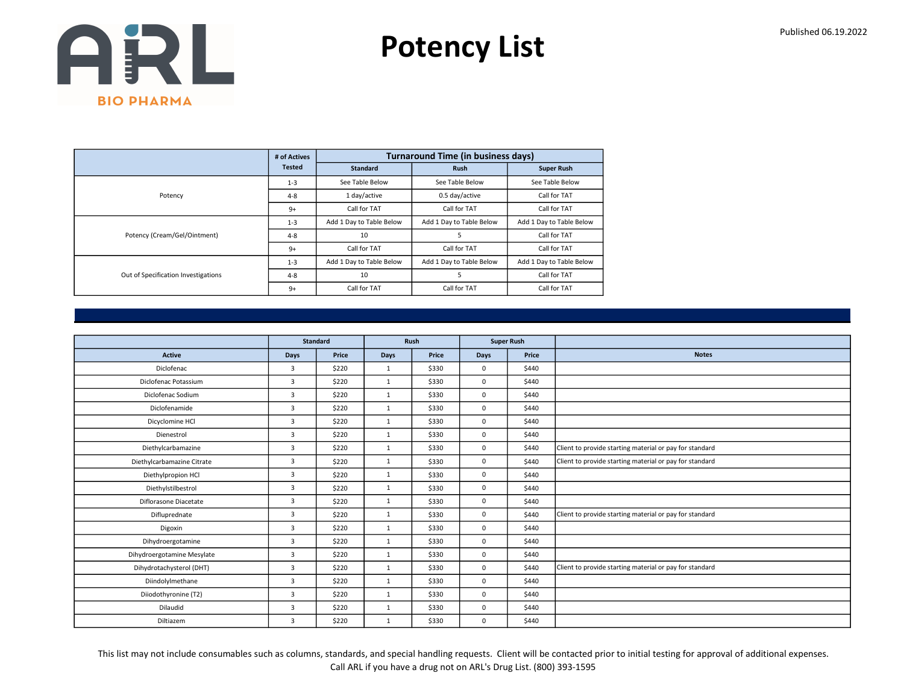Potency List

|                                     | # of Actives  |                          | <b>Turnaround Time (in business days)</b> |                          |
|-------------------------------------|---------------|--------------------------|-------------------------------------------|--------------------------|
|                                     | <b>Tested</b> | <b>Standard</b>          | <b>Rush</b>                               | <b>Super Rush</b>        |
|                                     | $1 - 3$       | See Table Below          | See Table Below                           | See Table Below          |
| Potency                             | $4 - 8$       | 1 day/active             | 0.5 day/active                            | Call for TAT             |
|                                     | $9+$          | Call for TAT             | Call for TAT                              | Call for TAT             |
|                                     | $1 - 3$       | Add 1 Day to Table Below | Add 1 Day to Table Below                  | Add 1 Day to Table Below |
| Potency (Cream/Gel/Ointment)        | $4 - 8$       | 10                       | 5                                         | Call for TAT             |
|                                     | $9+$          | Call for TAT             | Call for TAT                              | Call for TAT             |
|                                     | $1 - 3$       | Add 1 Day to Table Below | Add 1 Day to Table Below                  | Add 1 Day to Table Below |
| Out of Specification Investigations | $4 - 8$       | 10                       | 5                                         | Call for TAT             |
|                                     | $9+$          | Call for TAT             | Call for TAT                              | Call for TAT             |

|                            |                | <b>Standard</b> |              | Rush  | <b>Super Rush</b> |       |                                                         |
|----------------------------|----------------|-----------------|--------------|-------|-------------------|-------|---------------------------------------------------------|
| <b>Active</b>              | Days           | Price           | Days         | Price | <b>Days</b>       | Price | <b>Notes</b>                                            |
| Diclofenac                 | $\overline{3}$ | \$220           | 1            | \$330 | $\mathbf 0$       | \$440 |                                                         |
| Diclofenac Potassium       | $\overline{3}$ | \$220           | $\mathbf{1}$ | \$330 | $\mathbf 0$       | \$440 |                                                         |
| Diclofenac Sodium          | $\overline{3}$ | \$220           | $\mathbf{1}$ | \$330 | $\mathbf 0$       | \$440 |                                                         |
| Diclofenamide              | $\overline{3}$ | \$220           | $\mathbf{1}$ | \$330 | $\mathbf 0$       | \$440 |                                                         |
| Dicyclomine HCl            | $\overline{3}$ | \$220           | 1            | \$330 | $\mathbf 0$       | \$440 |                                                         |
| Dienestrol                 | 3              | \$220           | $\mathbf{1}$ | \$330 | $\mathbf 0$       | \$440 |                                                         |
| Diethylcarbamazine         | 3              | \$220           | $\mathbf{1}$ | \$330 | $\mathbf 0$       | \$440 | Client to provide starting material or pay for standard |
| Diethylcarbamazine Citrate | 3              | \$220           | $\mathbf{1}$ | \$330 | $\mathbf 0$       | \$440 | Client to provide starting material or pay for standard |
| Diethylpropion HCl         | 3              | \$220           | $\mathbf{1}$ | \$330 | $\mathbf 0$       | \$440 |                                                         |
| Diethylstilbestrol         | $\overline{3}$ | \$220           | $\mathbf{1}$ | \$330 | $\mathbf 0$       | \$440 |                                                         |
| Diflorasone Diacetate      | $\overline{3}$ | \$220           | $\mathbf{1}$ | \$330 | $\mathbf 0$       | \$440 |                                                         |
| Difluprednate              | 3              | \$220           | $\mathbf{1}$ | \$330 | $\mathbf 0$       | \$440 | Client to provide starting material or pay for standard |
| Digoxin                    | $\overline{3}$ | \$220           | $\mathbf{1}$ | \$330 | $\mathbf 0$       | \$440 |                                                         |
| Dihydroergotamine          | 3              | \$220           | $\mathbf{1}$ | \$330 | $\mathbf 0$       | \$440 |                                                         |
| Dihydroergotamine Mesylate | 3              | \$220           | $\mathbf{1}$ | \$330 | $\mathbf 0$       | \$440 |                                                         |
| Dihydrotachysterol (DHT)   | $\overline{3}$ | \$220           | 1            | \$330 | $\mathbf 0$       | \$440 | Client to provide starting material or pay for standard |
| Diindolylmethane           | 3              | \$220           | $\mathbf{1}$ | \$330 | $\mathbf 0$       | \$440 |                                                         |
| Diiodothyronine (T2)       | 3              | \$220           | 1            | \$330 | $\mathbf 0$       | \$440 |                                                         |
| Dilaudid                   | 3              | \$220           | $\mathbf{1}$ | \$330 | $\mathbf 0$       | \$440 |                                                         |
| Diltiazem                  | 3              | \$220           | $\mathbf{1}$ | \$330 | $\mathbf 0$       | \$440 |                                                         |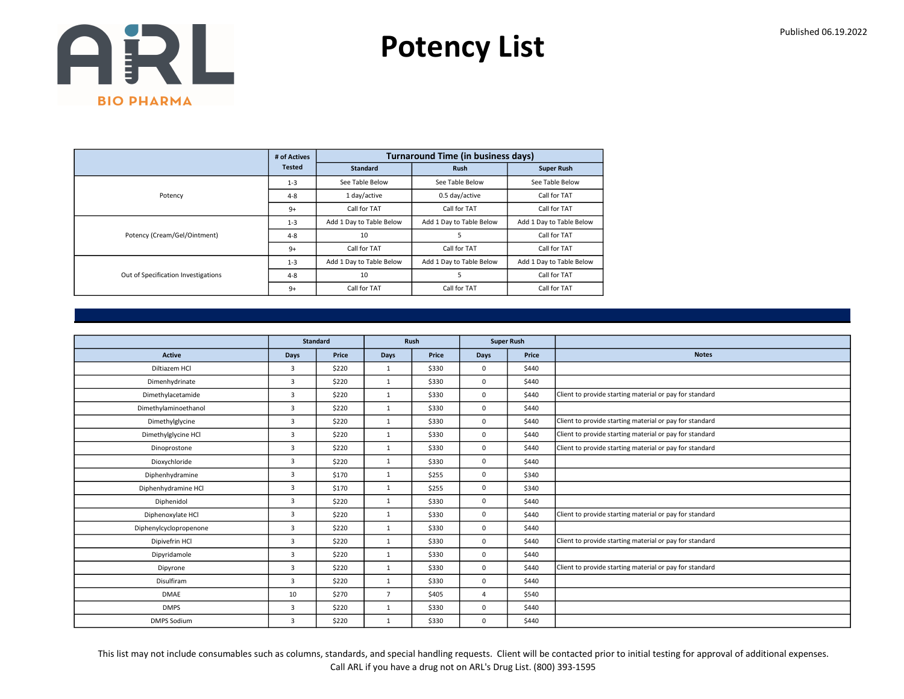Potency List

|                                     | # of Actives  |                          | <b>Turnaround Time (in business days)</b> |                          |
|-------------------------------------|---------------|--------------------------|-------------------------------------------|--------------------------|
|                                     | <b>Tested</b> | <b>Standard</b>          | <b>Rush</b>                               | <b>Super Rush</b>        |
|                                     | $1 - 3$       | See Table Below          | See Table Below                           | See Table Below          |
| Potency                             | $4 - 8$       | 1 day/active             | 0.5 day/active                            | Call for TAT             |
|                                     | $9+$          | Call for TAT             | Call for TAT                              | Call for TAT             |
|                                     | $1 - 3$       | Add 1 Day to Table Below | Add 1 Day to Table Below                  | Add 1 Day to Table Below |
| Potency (Cream/Gel/Ointment)        | $4 - 8$       | 10                       | 5                                         | Call for TAT             |
|                                     | $9+$          | Call for TAT             | Call for TAT                              | Call for TAT             |
|                                     | $1 - 3$       | Add 1 Day to Table Below | Add 1 Day to Table Below                  | Add 1 Day to Table Below |
| Out of Specification Investigations | $4 - 8$       | 10                       | 5                                         | Call for TAT             |
|                                     | $9+$          | Call for TAT             | Call for TAT                              | Call for TAT             |

|                        |                | <b>Standard</b> |                | <b>Rush</b> |              | <b>Super Rush</b> |                                                         |
|------------------------|----------------|-----------------|----------------|-------------|--------------|-------------------|---------------------------------------------------------|
| <b>Active</b>          | <b>Days</b>    | Price           | <b>Days</b>    | Price       | <b>Days</b>  | Price             | <b>Notes</b>                                            |
| Diltiazem HCl          | 3              | \$220           | $\mathbf{1}$   | \$330       | $\mathbf 0$  | \$440             |                                                         |
| Dimenhydrinate         | 3              | \$220           | $\mathbf{1}$   | \$330       | $\mathbf 0$  | \$440             |                                                         |
| Dimethylacetamide      | 3              | \$220           | $\mathbf{1}$   | \$330       | $\mathbf 0$  | \$440             | Client to provide starting material or pay for standard |
| Dimethylaminoethanol   | $\overline{3}$ | \$220           | 1              | \$330       | $\mathbf 0$  | \$440             |                                                         |
| Dimethylglycine        | 3              | \$220           | $\mathbf{1}$   | \$330       | $\mathbf 0$  | \$440             | Client to provide starting material or pay for standard |
| Dimethylglycine HCl    | $\overline{3}$ | \$220           | $\mathbf{1}$   | \$330       | $\mathbf 0$  | \$440             | Client to provide starting material or pay for standard |
| Dinoprostone           | $\overline{3}$ | \$220           | 1              | \$330       | $\mathbf 0$  | \$440             | Client to provide starting material or pay for standard |
| Dioxychloride          | $\overline{3}$ | \$220           | $\mathbf{1}$   | \$330       | $\mathbf 0$  | \$440             |                                                         |
| Diphenhydramine        | 3              | \$170           | $\mathbf{1}$   | \$255       | $\mathbf 0$  | \$340             |                                                         |
| Diphenhydramine HCl    | 3              | \$170           | $\mathbf{1}$   | \$255       | $\mathbf 0$  | \$340             |                                                         |
| Diphenidol             | $\overline{3}$ | \$220           | $\mathbf{1}$   | \$330       | $\mathbf 0$  | \$440             |                                                         |
| Diphenoxylate HCl      | 3              | \$220           | $\mathbf{1}$   | \$330       | $\mathbf 0$  | \$440             | Client to provide starting material or pay for standard |
| Diphenylcyclopropenone | 3              | \$220           | $\mathbf{1}$   | \$330       | $\mathbf 0$  | \$440             |                                                         |
| Dipivefrin HCl         | $\overline{3}$ | \$220           | $\mathbf{1}$   | \$330       | $\mathbf 0$  | \$440             | Client to provide starting material or pay for standard |
| Dipyridamole           | 3              | \$220           | $\mathbf{1}$   | \$330       | $\mathbf 0$  | \$440             |                                                         |
| Dipyrone               | $\overline{3}$ | \$220           | $\mathbf{1}$   | \$330       | $\mathbf 0$  | \$440             | Client to provide starting material or pay for standard |
| Disulfiram             | 3              | \$220           | $\mathbf{1}$   | \$330       | $\mathbf 0$  | \$440             |                                                         |
| <b>DMAE</b>            | 10             | \$270           | $\overline{7}$ | \$405       | 4            | \$540             |                                                         |
| <b>DMPS</b>            | 3              | \$220           | $\mathbf{1}$   | \$330       | $\mathbf 0$  | \$440             |                                                         |
| <b>DMPS Sodium</b>     | 3              | \$220           | $\mathbf{1}$   | \$330       | $\mathbf{0}$ | \$440             |                                                         |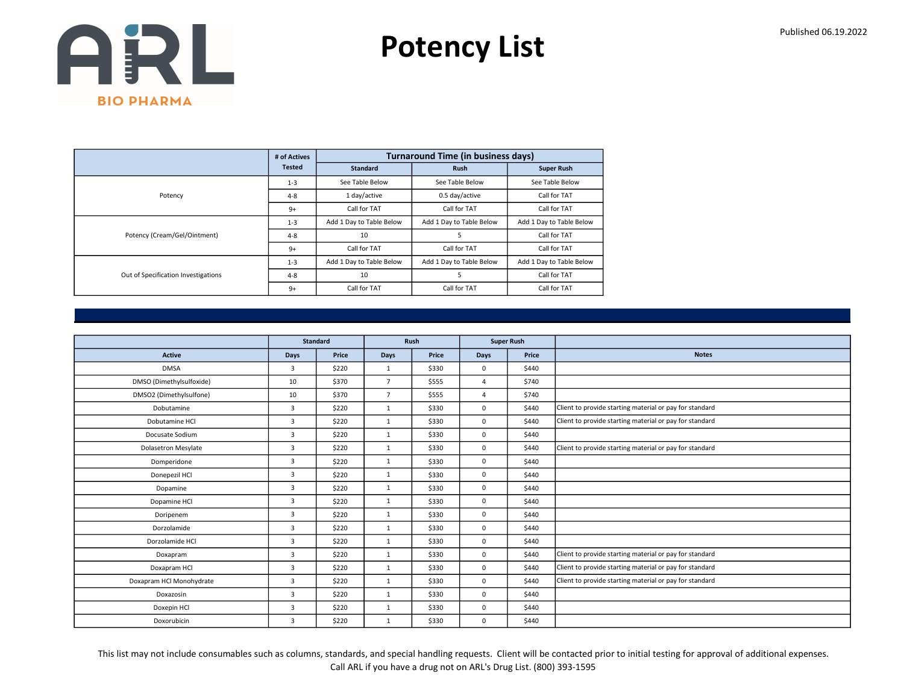Potency List

|                                     | # of Actives  |                          | <b>Turnaround Time (in business days)</b> |                          |
|-------------------------------------|---------------|--------------------------|-------------------------------------------|--------------------------|
|                                     | <b>Tested</b> | <b>Standard</b>          | <b>Rush</b>                               | <b>Super Rush</b>        |
|                                     | $1 - 3$       | See Table Below          | See Table Below                           | See Table Below          |
| Potency                             | $4 - 8$       | 1 day/active             | 0.5 day/active                            | Call for TAT             |
|                                     | $9+$          | Call for TAT             | Call for TAT                              | Call for TAT             |
|                                     | $1 - 3$       | Add 1 Day to Table Below | Add 1 Day to Table Below                  | Add 1 Day to Table Below |
| Potency (Cream/Gel/Ointment)        | $4 - 8$       | 10                       | 5                                         | Call for TAT             |
|                                     | $9+$          | Call for TAT             | Call for TAT                              | Call for TAT             |
|                                     | $1 - 3$       | Add 1 Day to Table Below | Add 1 Day to Table Below                  | Add 1 Day to Table Below |
| Out of Specification Investigations | $4 - 8$       | 10                       | 5                                         | Call for TAT             |
|                                     | $9+$          | Call for TAT             | Call for TAT                              | Call for TAT             |

|                            |                | <b>Standard</b> |                | Rush  | <b>Super Rush</b> |       |                                                         |
|----------------------------|----------------|-----------------|----------------|-------|-------------------|-------|---------------------------------------------------------|
| <b>Active</b>              | Days           | Price           | Days           | Price | <b>Days</b>       | Price | <b>Notes</b>                                            |
| <b>DMSA</b>                | 3              | \$220           | $\mathbf{1}$   | \$330 | $\mathbf 0$       | \$440 |                                                         |
| DMSO (Dimethylsulfoxide)   | 10             | \$370           | $\overline{7}$ | \$555 | $\overline{4}$    | \$740 |                                                         |
| DMSO2 (Dimethylsulfone)    | 10             | \$370           | $\overline{7}$ | \$555 | 4                 | \$740 |                                                         |
| Dobutamine                 | $\overline{3}$ | \$220           | $\mathbf{1}$   | \$330 | $\mathbf 0$       | \$440 | Client to provide starting material or pay for standard |
| Dobutamine HCl             | $\overline{3}$ | \$220           | 1              | \$330 | $\mathbf 0$       | \$440 | Client to provide starting material or pay for standard |
| Docusate Sodium            | 3              | \$220           | $\mathbf{1}$   | \$330 | $\mathbf 0$       | \$440 |                                                         |
| <b>Dolasetron Mesylate</b> | 3              | \$220           | $\mathbf{1}$   | \$330 | $\mathbf 0$       | \$440 | Client to provide starting material or pay for standard |
| Domperidone                | 3              | \$220           | $\mathbf{1}$   | \$330 | $\mathbf 0$       | \$440 |                                                         |
| Donepezil HCl              | 3              | \$220           | $\mathbf{1}$   | \$330 | $\mathbf 0$       | \$440 |                                                         |
| Dopamine                   | $\overline{3}$ | \$220           | $\mathbf{1}$   | \$330 | $\mathbf 0$       | \$440 |                                                         |
| Dopamine HCl               | $\overline{3}$ | \$220           | $\mathbf{1}$   | \$330 | $\mathbf 0$       | \$440 |                                                         |
| Doripenem                  | 3              | \$220           | $\mathbf{1}$   | \$330 | $\mathbf 0$       | \$440 |                                                         |
| Dorzolamide                | $\overline{3}$ | \$220           | $\mathbf{1}$   | \$330 | $\mathbf 0$       | \$440 |                                                         |
| Dorzolamide HCl            | 3              | \$220           | $\mathbf{1}$   | \$330 | $\mathbf 0$       | \$440 |                                                         |
| Doxapram                   | 3              | \$220           | $\mathbf{1}$   | \$330 | $\mathbf 0$       | \$440 | Client to provide starting material or pay for standard |
| Doxapram HCl               | $\overline{3}$ | \$220           | $\mathbf{1}$   | \$330 | $\mathbf 0$       | \$440 | Client to provide starting material or pay for standard |
| Doxapram HCl Monohydrate   | 3              | \$220           | $\mathbf{1}$   | \$330 | $\mathbf 0$       | \$440 | Client to provide starting material or pay for standard |
| Doxazosin                  | 3              | \$220           | 1              | \$330 | $\mathbf 0$       | \$440 |                                                         |
| Doxepin HCl                | 3              | \$220           | $\mathbf{1}$   | \$330 | $\mathbf 0$       | \$440 |                                                         |
| Doxorubicin                | 3              | \$220           | $\mathbf{1}$   | \$330 | $\mathbf 0$       | \$440 |                                                         |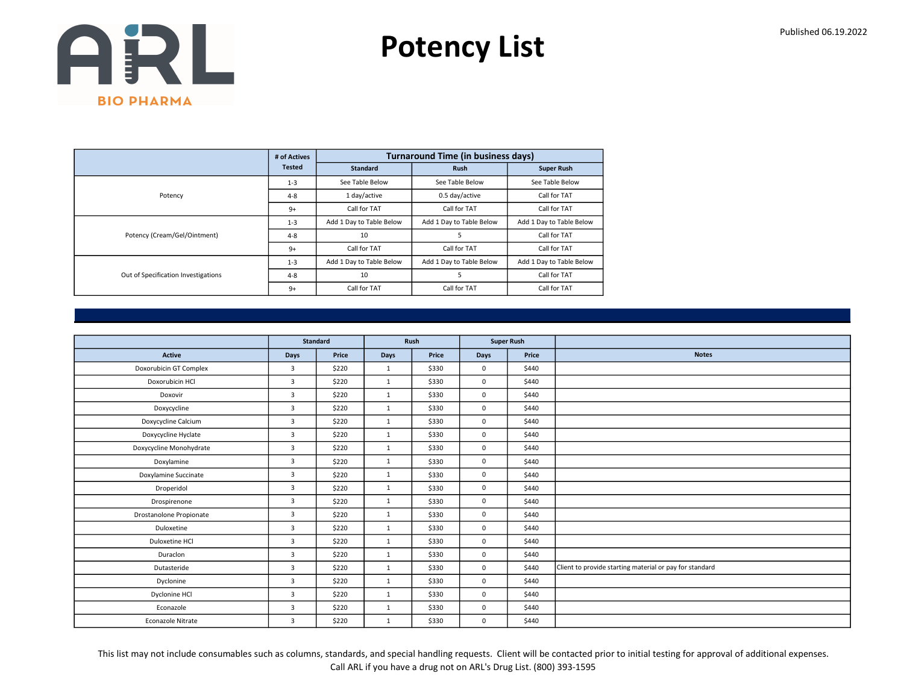Potency List

|                                     | # of Actives  |                          | <b>Turnaround Time (in business days)</b> |                          |
|-------------------------------------|---------------|--------------------------|-------------------------------------------|--------------------------|
|                                     | <b>Tested</b> | <b>Standard</b>          | <b>Rush</b>                               | <b>Super Rush</b>        |
|                                     | $1 - 3$       | See Table Below          | See Table Below                           | See Table Below          |
| Potency                             | $4 - 8$       | 1 day/active             | 0.5 day/active                            | Call for TAT             |
|                                     | $9+$          | Call for TAT             | Call for TAT                              | Call for TAT             |
|                                     | $1 - 3$       | Add 1 Day to Table Below | Add 1 Day to Table Below                  | Add 1 Day to Table Below |
| Potency (Cream/Gel/Ointment)        | $4 - 8$       | 10                       | 5                                         | Call for TAT             |
|                                     | $9+$          | Call for TAT             | Call for TAT                              | Call for TAT             |
|                                     | $1 - 3$       | Add 1 Day to Table Below | Add 1 Day to Table Below                  | Add 1 Day to Table Below |
| Out of Specification Investigations | $4 - 8$       | 10                       | 5                                         | Call for TAT             |
|                                     | $9+$          | Call for TAT             | Call for TAT                              | Call for TAT             |

|                         |                | <b>Standard</b> | Rush         |       | <b>Super Rush</b> |       |                                                         |
|-------------------------|----------------|-----------------|--------------|-------|-------------------|-------|---------------------------------------------------------|
| <b>Active</b>           | Days           | Price           | Days         | Price | Days              | Price | <b>Notes</b>                                            |
| Doxorubicin GT Complex  | $\overline{3}$ | \$220           | 1            | \$330 | $\mathbf{0}$      | \$440 |                                                         |
| Doxorubicin HCl         | $\overline{3}$ | \$220           | 1            | \$330 | $\mathbf 0$       | \$440 |                                                         |
| Doxovir                 | $\overline{3}$ | \$220           | 1            | \$330 | $\mathbf 0$       | \$440 |                                                         |
| Doxycycline             | $\overline{3}$ | \$220           | 1            | \$330 | $\mathbf{0}$      | \$440 |                                                         |
| Doxycycline Calcium     | $\overline{3}$ | \$220           | 1            | \$330 | $\mathbf 0$       | \$440 |                                                         |
| Doxycycline Hyclate     | $\overline{3}$ | \$220           | 1            | \$330 | $\mathbf 0$       | \$440 |                                                         |
| Doxycycline Monohydrate | $\overline{3}$ | \$220           | 1            | \$330 | $\mathbf{0}$      | \$440 |                                                         |
| Doxylamine              | $\overline{3}$ | \$220           | 1            | \$330 | $\mathbf 0$       | \$440 |                                                         |
| Doxylamine Succinate    | $\overline{3}$ | \$220           | 1            | \$330 | $\mathbf 0$       | \$440 |                                                         |
| Droperidol              | $\overline{3}$ | \$220           | 1            | \$330 | $\mathbf 0$       | \$440 |                                                         |
| Drospirenone            | $\overline{3}$ | \$220           | 1            | \$330 | $\mathbf{0}$      | \$440 |                                                         |
| Drostanolone Propionate | $\overline{3}$ | \$220           | 1            | \$330 | $\mathbf 0$       | \$440 |                                                         |
| Duloxetine              | $\overline{3}$ | \$220           | 1            | \$330 | $\mathbf{0}$      | \$440 |                                                         |
| Duloxetine HCl          | $\overline{3}$ | \$220           | 1            | \$330 | $\mathbf 0$       | \$440 |                                                         |
| Duraclon                | $\overline{3}$ | \$220           | 1            | \$330 | $\mathbf 0$       | \$440 |                                                         |
| Dutasteride             | $\overline{3}$ | \$220           | 1            | \$330 | $\mathbf{0}$      | \$440 | Client to provide starting material or pay for standard |
| Dyclonine               | $\overline{3}$ | \$220           | 1            | \$330 | $\mathbf{0}$      | \$440 |                                                         |
| Dyclonine HCl           | $\overline{3}$ | \$220           | $\mathbf{1}$ | \$330 | $\mathbf 0$       | \$440 |                                                         |
| Econazole               | $\overline{3}$ | \$220           | 1            | \$330 | $\mathbf{0}$      | \$440 |                                                         |
| Econazole Nitrate       | 3              | \$220           | $\mathbf{1}$ | \$330 | $\mathbf 0$       | \$440 |                                                         |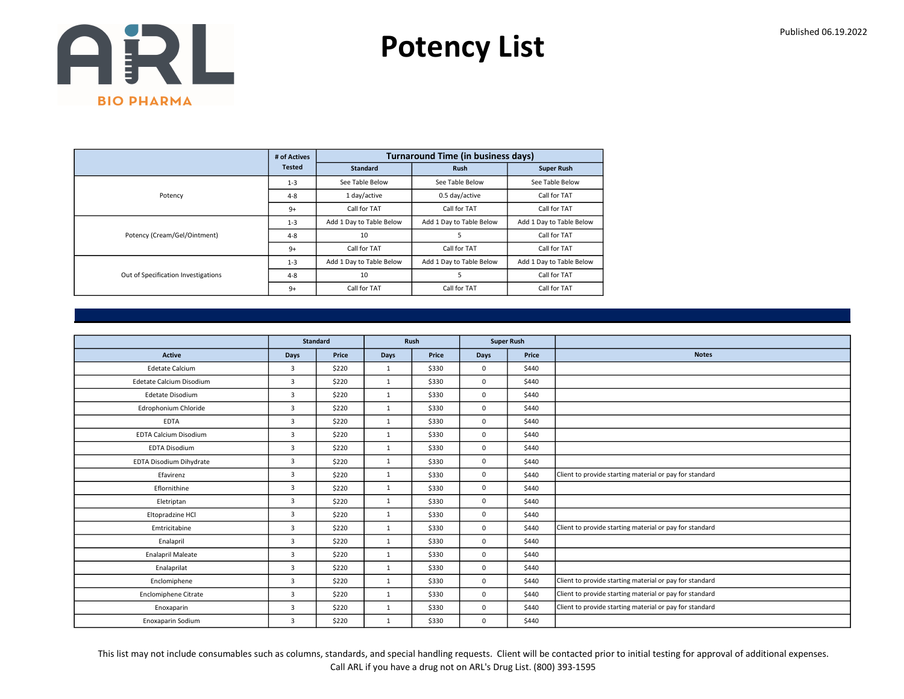Potency List

|                                     | # of Actives  |                          | <b>Turnaround Time (in business days)</b> |                          |
|-------------------------------------|---------------|--------------------------|-------------------------------------------|--------------------------|
|                                     | <b>Tested</b> | <b>Standard</b>          | <b>Rush</b>                               | <b>Super Rush</b>        |
|                                     | $1 - 3$       | See Table Below          | See Table Below                           | See Table Below          |
| Potency                             | $4 - 8$       | 1 day/active             | 0.5 day/active                            | Call for TAT             |
|                                     | $9+$          | Call for TAT             | Call for TAT                              | Call for TAT             |
|                                     | $1 - 3$       | Add 1 Day to Table Below | Add 1 Day to Table Below                  | Add 1 Day to Table Below |
| Potency (Cream/Gel/Ointment)        | $4 - 8$       | 10                       | 5                                         | Call for TAT             |
|                                     | $9+$          | Call for TAT             | Call for TAT                              | Call for TAT             |
|                                     | $1 - 3$       | Add 1 Day to Table Below | Add 1 Day to Table Below                  | Add 1 Day to Table Below |
| Out of Specification Investigations | $4 - 8$       | 10                       | 5                                         | Call for TAT             |
|                                     | $9+$          | Call for TAT             | Call for TAT                              | Call for TAT             |

|                              | <b>Standard</b> |       |              | Rush  | <b>Super Rush</b> |       |                                                         |
|------------------------------|-----------------|-------|--------------|-------|-------------------|-------|---------------------------------------------------------|
| <b>Active</b>                | Days            | Price | Days         | Price | <b>Days</b>       | Price | <b>Notes</b>                                            |
| <b>Edetate Calcium</b>       | $\overline{3}$  | \$220 | $\mathbf{1}$ | \$330 | $\mathbf{0}$      | \$440 |                                                         |
| Edetate Calcium Disodium     | $\overline{3}$  | \$220 | 1            | \$330 | 0                 | \$440 |                                                         |
| Edetate Disodium             | $\overline{3}$  | \$220 | $\mathbf{1}$ | \$330 | $\mathbf 0$       | \$440 |                                                         |
| Edrophonium Chloride         | $\overline{3}$  | \$220 | $\mathbf{1}$ | \$330 | $\mathbf{0}$      | \$440 |                                                         |
| <b>EDTA</b>                  | $\overline{3}$  | \$220 | $\mathbf{1}$ | \$330 | $\mathbf 0$       | \$440 |                                                         |
| <b>EDTA Calcium Disodium</b> | 3               | \$220 | $\mathbf{1}$ | \$330 | $\mathbf 0$       | \$440 |                                                         |
| <b>EDTA Disodium</b>         | $\overline{3}$  | \$220 | 1            | \$330 | $\mathbf{0}$      | \$440 |                                                         |
| EDTA Disodium Dihydrate      | $\overline{3}$  | \$220 | 1            | \$330 | $\mathbf 0$       | \$440 |                                                         |
| Efavirenz                    | $\overline{3}$  | \$220 | $\mathbf{1}$ | \$330 | $\mathbf 0$       | \$440 | Client to provide starting material or pay for standard |
| Eflornithine                 | $\overline{3}$  | \$220 | $\mathbf{1}$ | \$330 | $\mathbf 0$       | \$440 |                                                         |
| Eletriptan                   | $\overline{3}$  | \$220 | 1            | \$330 | $\mathbf 0$       | \$440 |                                                         |
| Eltopradzine HCl             | 3               | \$220 | $\mathbf{1}$ | \$330 | $\mathbf 0$       | \$440 |                                                         |
| Emtricitabine                | $\overline{3}$  | \$220 | $\mathbf{1}$ | \$330 | $\mathbf 0$       | \$440 | Client to provide starting material or pay for standard |
| Enalapril                    | 3               | \$220 | 1            | \$330 | $\mathbf 0$       | \$440 |                                                         |
| <b>Enalapril Maleate</b>     | $\overline{3}$  | \$220 | $\mathbf{1}$ | \$330 | $\mathbf 0$       | \$440 |                                                         |
| Enalaprilat                  | 3               | \$220 | 1            | \$330 | $\mathbf 0$       | \$440 |                                                         |
| Enclomiphene                 | 3               | \$220 | 1            | \$330 | $\mathbf 0$       | \$440 | Client to provide starting material or pay for standard |
| <b>Enclomiphene Citrate</b>  | 3               | \$220 | $\mathbf{1}$ | \$330 | 0                 | \$440 | Client to provide starting material or pay for standard |
| Enoxaparin                   | 3               | \$220 | 1            | \$330 | $\mathbf 0$       | \$440 | Client to provide starting material or pay for standard |
| Enoxaparin Sodium            | 3               | \$220 | 1            | \$330 | $\mathbf 0$       | \$440 |                                                         |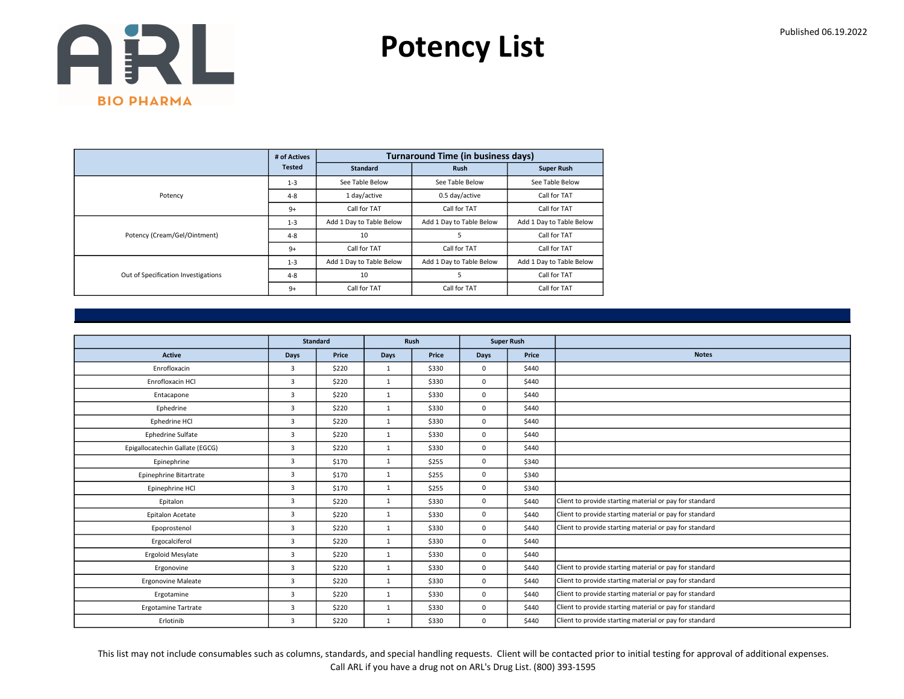Potency List

|                                     | # of Actives  |                          | <b>Turnaround Time (in business days)</b> |                          |
|-------------------------------------|---------------|--------------------------|-------------------------------------------|--------------------------|
|                                     | <b>Tested</b> | <b>Standard</b>          | <b>Rush</b>                               | <b>Super Rush</b>        |
|                                     | $1 - 3$       | See Table Below          | See Table Below                           | See Table Below          |
| Potency                             | $4 - 8$       | 1 day/active             | 0.5 day/active                            | Call for TAT             |
|                                     | $9+$          | Call for TAT             | Call for TAT                              | Call for TAT             |
|                                     | $1 - 3$       | Add 1 Day to Table Below | Add 1 Day to Table Below                  | Add 1 Day to Table Below |
| Potency (Cream/Gel/Ointment)        | $4 - 8$       | 10                       | 5                                         | Call for TAT             |
|                                     | $9+$          | Call for TAT             | Call for TAT                              | Call for TAT             |
|                                     | $1 - 3$       | Add 1 Day to Table Below | Add 1 Day to Table Below                  | Add 1 Day to Table Below |
| Out of Specification Investigations | $4 - 8$       | 10                       | 5                                         | Call for TAT             |
|                                     | $9+$          | Call for TAT             | Call for TAT                              | Call for TAT             |

|                                 |                | <b>Standard</b> |              | Rush  |             | <b>Super Rush</b> |                                                         |
|---------------------------------|----------------|-----------------|--------------|-------|-------------|-------------------|---------------------------------------------------------|
| <b>Active</b>                   | Days           | Price           | <b>Days</b>  | Price | Days        | Price             | <b>Notes</b>                                            |
| Enrofloxacin                    | 3              | \$220           | 1            | \$330 | $\mathbf 0$ | \$440             |                                                         |
| Enrofloxacin HCl                | 3              | \$220           | $\mathbf{1}$ | \$330 | $\mathbf 0$ | \$440             |                                                         |
| Entacapone                      | 3              | \$220           | 1            | \$330 | $\mathbf 0$ | \$440             |                                                         |
| Ephedrine                       | $\overline{3}$ | \$220           | 1            | \$330 | $\mathbf 0$ | \$440             |                                                         |
| Ephedrine HCl                   | 3              | \$220           | $\mathbf{1}$ | \$330 | $\mathbf 0$ | \$440             |                                                         |
| <b>Ephedrine Sulfate</b>        | 3              | \$220           | $\mathbf{1}$ | \$330 | $\mathbf 0$ | \$440             |                                                         |
| Epigallocatechin Gallate (EGCG) | 3              | \$220           | 1            | \$330 | $\mathbf 0$ | \$440             |                                                         |
| Epinephrine                     | 3              | \$170           | $\mathbf{1}$ | \$255 | $\mathbf 0$ | \$340             |                                                         |
| Epinephrine Bitartrate          | 3              | \$170           | $\mathbf{1}$ | \$255 | $\mathbf 0$ | \$340             |                                                         |
| Epinephrine HCl                 | $\overline{3}$ | \$170           | 1            | \$255 | $\mathbf 0$ | \$340             |                                                         |
| Epitalon                        | $\overline{3}$ | \$220           | $\mathbf{1}$ | \$330 | $\mathbf 0$ | \$440             | Client to provide starting material or pay for standard |
| Epitalon Acetate                | 3              | \$220           | $\mathbf{1}$ | \$330 | $\mathbf 0$ | \$440             | Client to provide starting material or pay for standard |
| Epoprostenol                    | 3              | \$220           | $\mathbf{1}$ | \$330 | $\mathbf 0$ | \$440             | Client to provide starting material or pay for standard |
| Ergocalciferol                  | $\overline{3}$ | \$220           | $\mathbf{1}$ | \$330 | $\mathbf 0$ | \$440             |                                                         |
| Ergoloid Mesylate               | 3              | \$220           | 1            | \$330 | $\mathbf 0$ | \$440             |                                                         |
| Ergonovine                      | 3              | \$220           | $\mathbf{1}$ | \$330 | $\mathbf 0$ | \$440             | Client to provide starting material or pay for standard |
| <b>Ergonovine Maleate</b>       | 3              | \$220           | $\mathbf{1}$ | \$330 | $\mathbf 0$ | \$440             | Client to provide starting material or pay for standard |
| Ergotamine                      | $\overline{3}$ | \$220           | $\mathbf{1}$ | \$330 | $\mathbf 0$ | \$440             | Client to provide starting material or pay for standard |
| <b>Ergotamine Tartrate</b>      | 3              | \$220           | $\mathbf{1}$ | \$330 | $\mathbf 0$ | \$440             | Client to provide starting material or pay for standard |
| Erlotinib                       | 3              | \$220           | $\mathbf{1}$ | \$330 | $\mathbf 0$ | \$440             | Client to provide starting material or pay for standard |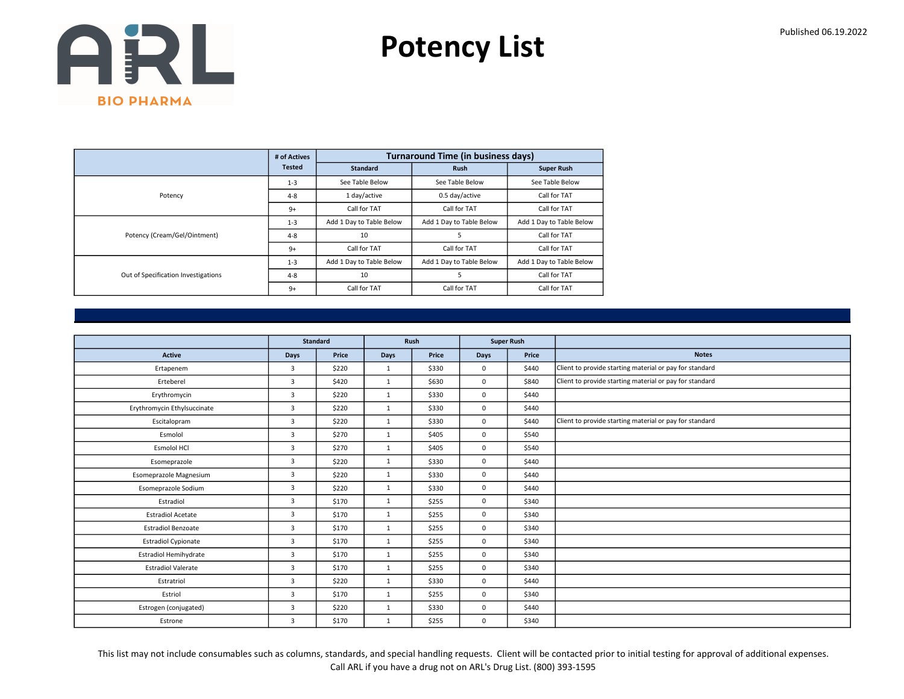Potency List

|                                     | # of Actives  |                          | <b>Turnaround Time (in business days)</b> |                          |
|-------------------------------------|---------------|--------------------------|-------------------------------------------|--------------------------|
|                                     | <b>Tested</b> | <b>Standard</b>          | <b>Rush</b>                               | <b>Super Rush</b>        |
|                                     | $1 - 3$       | See Table Below          | See Table Below                           | See Table Below          |
| Potency                             | $4 - 8$       | 1 day/active             | 0.5 day/active                            | Call for TAT             |
|                                     | $9+$          | Call for TAT             | Call for TAT                              | Call for TAT             |
|                                     | $1 - 3$       | Add 1 Day to Table Below | Add 1 Day to Table Below                  | Add 1 Day to Table Below |
| Potency (Cream/Gel/Ointment)        | $4 - 8$       | 10                       | 5                                         | Call for TAT             |
|                                     | $9+$          | Call for TAT             | Call for TAT                              | Call for TAT             |
|                                     | $1 - 3$       | Add 1 Day to Table Below | Add 1 Day to Table Below                  | Add 1 Day to Table Below |
| Out of Specification Investigations | $4 - 8$       | 10                       | 5                                         | Call for TAT             |
|                                     | $9+$          | Call for TAT             | Call for TAT                              | Call for TAT             |

|                              | Standard       |       |              | Rush  |             | <b>Super Rush</b> |                                                         |
|------------------------------|----------------|-------|--------------|-------|-------------|-------------------|---------------------------------------------------------|
| <b>Active</b>                | Days           | Price | Days         | Price | <b>Days</b> | Price             | <b>Notes</b>                                            |
| Ertapenem                    | 3              | \$220 | 1            | \$330 | $\mathbf 0$ | \$440             | Client to provide starting material or pay for standard |
| Erteberel                    | $\overline{3}$ | \$420 | 1            | \$630 | $\mathbf 0$ | \$840             | Client to provide starting material or pay for standard |
| Erythromycin                 | 3              | \$220 | $\mathbf{1}$ | \$330 | $\mathbf 0$ | \$440             |                                                         |
| Erythromycin Ethylsuccinate  | $\overline{3}$ | \$220 | $\mathbf{1}$ | \$330 | $\mathbf 0$ | \$440             |                                                         |
| Escitalopram                 | $\overline{3}$ | \$220 | 1            | \$330 | $\mathbf 0$ | \$440             | Client to provide starting material or pay for standard |
| Esmolol                      | $\overline{3}$ | \$270 | $\mathbf{1}$ | \$405 | $\mathbf 0$ | \$540             |                                                         |
| Esmolol HCl                  | $\overline{3}$ | \$270 | $\mathbf{1}$ | \$405 | $\mathbf 0$ | \$540             |                                                         |
| Esomeprazole                 | 3              | \$220 | $\mathbf{1}$ | \$330 | $\mathbf 0$ | \$440             |                                                         |
| Esomeprazole Magnesium       | 3              | \$220 | $\mathbf{1}$ | \$330 | $\mathbf 0$ | \$440             |                                                         |
| Esomeprazole Sodium          | 3              | \$220 | 1            | \$330 | $\mathbf 0$ | \$440             |                                                         |
| Estradiol                    | 3              | \$170 | $\mathbf{1}$ | \$255 | $\mathbf 0$ | \$340             |                                                         |
| <b>Estradiol Acetate</b>     | 3              | \$170 | 1            | \$255 | $\mathbf 0$ | \$340             |                                                         |
| <b>Estradiol Benzoate</b>    | 3              | \$170 | $\mathbf{1}$ | \$255 | $\mathbf 0$ | \$340             |                                                         |
| <b>Estradiol Cypionate</b>   | $\overline{3}$ | \$170 | $\mathbf{1}$ | \$255 | $\mathbf 0$ | \$340             |                                                         |
| <b>Estradiol Hemihydrate</b> | 3              | \$170 | $\mathbf{1}$ | \$255 | $\mathbf 0$ | \$340             |                                                         |
| <b>Estradiol Valerate</b>    | $\overline{3}$ | \$170 | 1            | \$255 | $\mathbf 0$ | \$340             |                                                         |
| Estratriol                   | 3              | \$220 | $\mathbf{1}$ | \$330 | $\mathbf 0$ | \$440             |                                                         |
| Estriol                      | 3              | \$170 | 1            | \$255 | $\mathbf 0$ | \$340             |                                                         |
| Estrogen (conjugated)        | 3              | \$220 | $\mathbf{1}$ | \$330 | $\mathbf 0$ | \$440             |                                                         |
| Estrone                      | 3              | \$170 | $\mathbf{1}$ | \$255 | $\mathbf 0$ | \$340             |                                                         |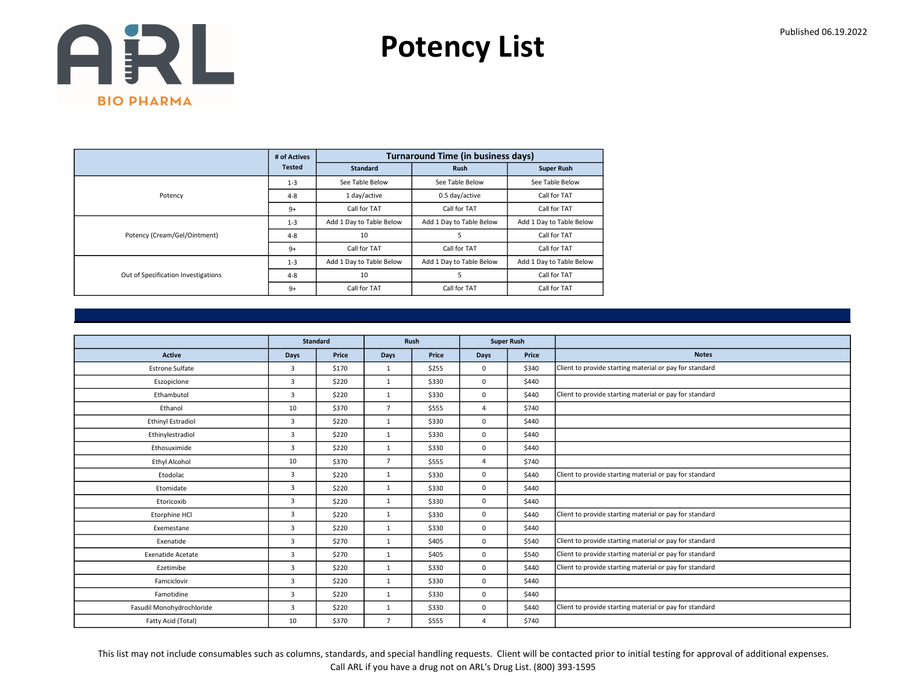Potency List

|                                     | # of Actives  |                          | <b>Turnaround Time (in business days)</b> |                          |
|-------------------------------------|---------------|--------------------------|-------------------------------------------|--------------------------|
|                                     | <b>Tested</b> | <b>Standard</b>          | <b>Rush</b>                               | <b>Super Rush</b>        |
|                                     | $1 - 3$       | See Table Below          | See Table Below                           | See Table Below          |
| Potency                             | $4 - 8$       | 1 day/active             | 0.5 day/active                            | Call for TAT             |
|                                     | $9+$          | Call for TAT             | Call for TAT                              | Call for TAT             |
|                                     | $1 - 3$       | Add 1 Day to Table Below | Add 1 Day to Table Below                  | Add 1 Day to Table Below |
| Potency (Cream/Gel/Ointment)        | $4 - 8$       | 10                       | 5                                         | Call for TAT             |
|                                     | $9+$          | Call for TAT             | Call for TAT                              | Call for TAT             |
|                                     | $1 - 3$       | Add 1 Day to Table Below | Add 1 Day to Table Below                  | Add 1 Day to Table Below |
| Out of Specification Investigations | $4 - 8$       | 10                       | 5                                         | Call for TAT             |
|                                     | $9+$          | Call for TAT             | Call for TAT                              | Call for TAT             |

|                           |                | <b>Standard</b> |                | Rush  |                | <b>Super Rush</b> |                                                         |
|---------------------------|----------------|-----------------|----------------|-------|----------------|-------------------|---------------------------------------------------------|
| <b>Active</b>             | <b>Days</b>    | Price           | <b>Days</b>    | Price | Days           | Price             | <b>Notes</b>                                            |
| <b>Estrone Sulfate</b>    | 3              | \$170           | 1              | \$255 | 0              | \$340             | Client to provide starting material or pay for standard |
| Eszopiclone               | 3              | \$220           | $\mathbf{1}$   | \$330 | 0              | \$440             |                                                         |
| Ethambutol                | 3              | \$220           | $\mathbf{1}$   | \$330 | 0              | \$440             | Client to provide starting material or pay for standard |
| Ethanol                   | 10             | \$370           | $\overline{7}$ | \$555 | $\overline{a}$ | \$740             |                                                         |
| <b>Ethinyl Estradiol</b>  | 3              | \$220           | $\mathbf{1}$   | \$330 | 0              | \$440             |                                                         |
| Ethinylestradiol          | 3              | \$220           | $\mathbf{1}$   | \$330 | 0              | \$440             |                                                         |
| Ethosuximide              | 3              | \$220           | $\mathbf{1}$   | \$330 | 0              | \$440             |                                                         |
| <b>Ethyl Alcohol</b>      | 10             | \$370           | $\overline{7}$ | \$555 | $\overline{4}$ | \$740             |                                                         |
| Etodolac                  | 3              | \$220           | $\mathbf{1}$   | \$330 | $\mathbf 0$    | \$440             | Client to provide starting material or pay for standard |
| Etomidate                 | $\overline{3}$ | \$220           | $\mathbf{1}$   | \$330 | 0              | \$440             |                                                         |
| Etoricoxib                | 3              | \$220           | $\mathbf{1}$   | \$330 | 0              | \$440             |                                                         |
| Etorphine HCl             | 3              | \$220           | $\mathbf{1}$   | \$330 | 0              | \$440             | Client to provide starting material or pay for standard |
| Exemestane                | $\overline{3}$ | \$220           | 1              | \$330 | $\Omega$       | \$440             |                                                         |
| Exenatide                 | $\overline{3}$ | \$270           | $\mathbf{1}$   | \$405 | 0              | \$540             | Client to provide starting material or pay for standard |
| <b>Exenatide Acetate</b>  | 3              | \$270           | $\mathbf{1}$   | \$405 | 0              | \$540             | Client to provide starting material or pay for standard |
| Ezetimibe                 | 3              | \$220           | 1              | \$330 | 0              | \$440             | Client to provide starting material or pay for standard |
| Famciclovir               | 3              | \$220           | $\mathbf{1}$   | \$330 | 0              | \$440             |                                                         |
| Famotidine                | $\overline{3}$ | \$220           | $\mathbf{1}$   | \$330 | 0              | \$440             |                                                         |
| Fasudil Monohydrochloride | $\overline{3}$ | \$220           | $\mathbf{1}$   | \$330 | 0              | \$440             | Client to provide starting material or pay for standard |
| Fatty Acid (Total)        | 10             | \$370           | $\overline{7}$ | \$555 | $\overline{4}$ | \$740             |                                                         |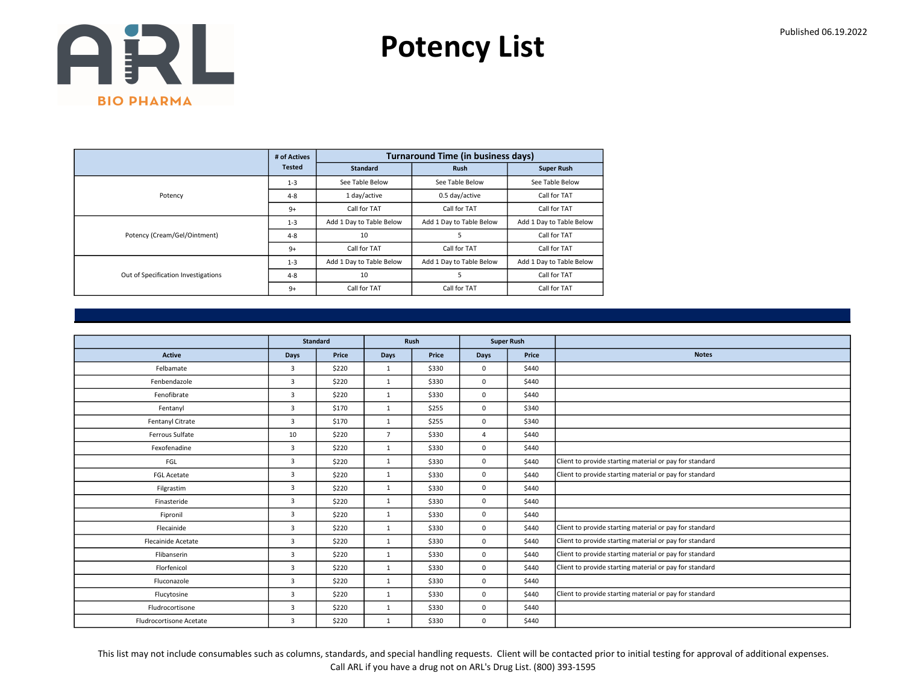Potency List

|                                     | # of Actives  |                          | <b>Turnaround Time (in business days)</b> |                          |
|-------------------------------------|---------------|--------------------------|-------------------------------------------|--------------------------|
|                                     | <b>Tested</b> | <b>Standard</b>          | <b>Rush</b>                               | <b>Super Rush</b>        |
|                                     | $1 - 3$       | See Table Below          | See Table Below                           | See Table Below          |
| Potency                             | $4 - 8$       | 1 day/active             | 0.5 day/active                            | Call for TAT             |
|                                     | $9+$          | Call for TAT             | Call for TAT                              | Call for TAT             |
|                                     | $1 - 3$       | Add 1 Day to Table Below | Add 1 Day to Table Below                  | Add 1 Day to Table Below |
| Potency (Cream/Gel/Ointment)        | $4 - 8$       | 10                       | 5                                         | Call for TAT             |
|                                     | $9+$          | Call for TAT             | Call for TAT                              | Call for TAT             |
|                                     | $1 - 3$       | Add 1 Day to Table Below | Add 1 Day to Table Below                  | Add 1 Day to Table Below |
| Out of Specification Investigations | $4 - 8$       | 10                       | 5                                         | Call for TAT             |
|                                     | $9+$          | Call for TAT             | Call for TAT                              | Call for TAT             |

|                         |                | <b>Standard</b> |                | Rush  |                | <b>Super Rush</b> |                                                         |
|-------------------------|----------------|-----------------|----------------|-------|----------------|-------------------|---------------------------------------------------------|
| <b>Active</b>           | <b>Days</b>    | Price           | <b>Days</b>    | Price | <b>Days</b>    | Price             | <b>Notes</b>                                            |
| Felbamate               | 3              | \$220           | 1              | \$330 | $\mathbf 0$    | \$440             |                                                         |
| Fenbendazole            | 3              | \$220           | $\mathbf{1}$   | \$330 | $\mathbf 0$    | \$440             |                                                         |
| Fenofibrate             | $\overline{3}$ | \$220           | 1              | \$330 | $\mathbf 0$    | \$440             |                                                         |
| Fentanyl                | 3              | \$170           | $\mathbf{1}$   | \$255 | $\mathbf 0$    | \$340             |                                                         |
| Fentanyl Citrate        | $\overline{3}$ | \$170           | $\mathbf{1}$   | \$255 | $\mathbf 0$    | \$340             |                                                         |
| Ferrous Sulfate         | 10             | \$220           | $\overline{7}$ | \$330 | $\overline{4}$ | \$440             |                                                         |
| Fexofenadine            | 3              | \$220           | $\mathbf{1}$   | \$330 | $\mathbf 0$    | \$440             |                                                         |
| FGL                     | $\overline{3}$ | \$220           | $\mathbf{1}$   | \$330 | $\mathbf 0$    | \$440             | Client to provide starting material or pay for standard |
| <b>FGL Acetate</b>      | 3              | \$220           | $\mathbf{1}$   | \$330 | $\mathbf 0$    | \$440             | Client to provide starting material or pay for standard |
| Filgrastim              | $\overline{3}$ | \$220           | $\mathbf{1}$   | \$330 | $\mathbf 0$    | \$440             |                                                         |
| Finasteride             | 3              | \$220           | $\mathbf{1}$   | \$330 | $\mathbf 0$    | \$440             |                                                         |
| Fipronil                | 3              | \$220           | $\mathbf{1}$   | \$330 | $\mathbf 0$    | \$440             |                                                         |
| Flecainide              | $\overline{3}$ | \$220           | $\mathbf{1}$   | \$330 | $\mathbf 0$    | \$440             | Client to provide starting material or pay for standard |
| Flecainide Acetate      | 3              | \$220           | $\mathbf{1}$   | \$330 | $\mathbf 0$    | \$440             | Client to provide starting material or pay for standard |
| Flibanserin             | 3              | \$220           | $\mathbf{1}$   | \$330 | $\mathbf 0$    | \$440             | Client to provide starting material or pay for standard |
| Florfenicol             | 3              | \$220           | $\mathbf{1}$   | \$330 | $\mathbf 0$    | \$440             | Client to provide starting material or pay for standard |
| Fluconazole             | $\overline{3}$ | \$220           | 1              | \$330 | $\mathbf 0$    | \$440             |                                                         |
| Flucytosine             | 3              | \$220           | $\mathbf{1}$   | \$330 | $\mathbf 0$    | \$440             | Client to provide starting material or pay for standard |
| Fludrocortisone         | 3              | \$220           | $\mathbf{1}$   | \$330 | $\mathbf 0$    | \$440             |                                                         |
| Fludrocortisone Acetate | 3              | \$220           | 1              | \$330 | 0              | \$440             |                                                         |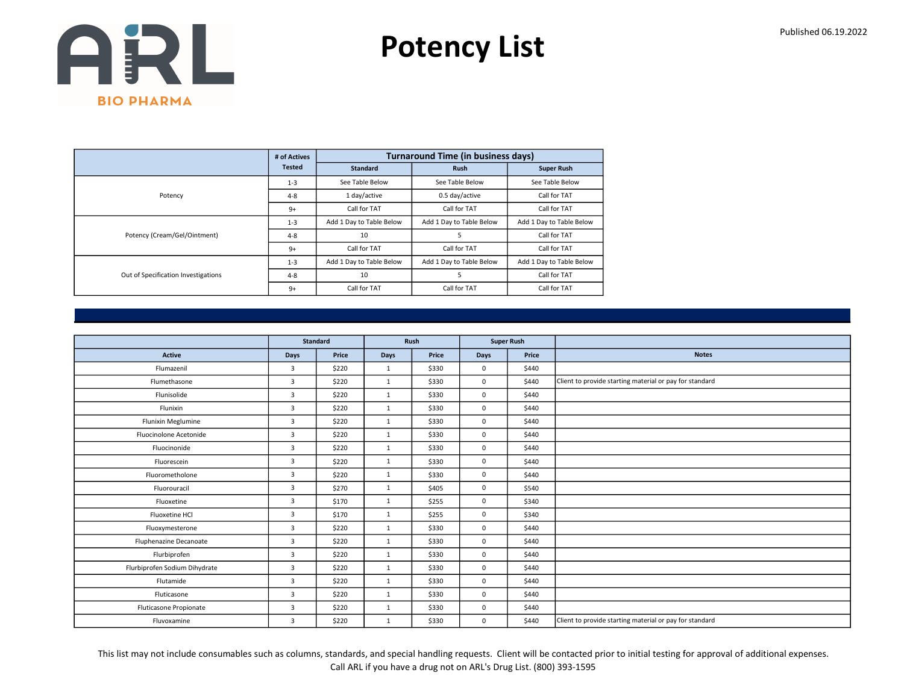Potency List

|                                     | # of Actives  |                          | <b>Turnaround Time (in business days)</b> |                          |
|-------------------------------------|---------------|--------------------------|-------------------------------------------|--------------------------|
|                                     | <b>Tested</b> | <b>Standard</b>          | <b>Rush</b>                               | <b>Super Rush</b>        |
|                                     | $1 - 3$       | See Table Below          | See Table Below                           | See Table Below          |
| Potency                             | $4 - 8$       | 1 day/active             | 0.5 day/active                            | Call for TAT             |
|                                     | $9+$          | Call for TAT             | Call for TAT                              | Call for TAT             |
|                                     | $1 - 3$       | Add 1 Day to Table Below | Add 1 Day to Table Below                  | Add 1 Day to Table Below |
| Potency (Cream/Gel/Ointment)        | $4 - 8$       | 10                       | 5                                         | Call for TAT             |
|                                     | $9+$          | Call for TAT             | Call for TAT                              | Call for TAT             |
|                                     | $1 - 3$       | Add 1 Day to Table Below | Add 1 Day to Table Below                  | Add 1 Day to Table Below |
| Out of Specification Investigations | $4 - 8$       | 10                       | 5                                         | Call for TAT             |
|                                     | $9+$          | Call for TAT             | Call for TAT                              | Call for TAT             |

|                               |                | <b>Standard</b> |              | Rush  |             | <b>Super Rush</b> |                                                         |
|-------------------------------|----------------|-----------------|--------------|-------|-------------|-------------------|---------------------------------------------------------|
| <b>Active</b>                 | Days           | Price           | Days         | Price | <b>Days</b> | Price             | <b>Notes</b>                                            |
| Flumazenil                    | 3              | \$220           | 1            | \$330 | $\mathbf 0$ | \$440             |                                                         |
| Flumethasone                  | $\overline{3}$ | \$220           | $\mathbf{1}$ | \$330 | $\mathbf 0$ | \$440             | Client to provide starting material or pay for standard |
| Flunisolide                   | $\overline{3}$ | \$220           | $\mathbf{1}$ | \$330 | $\mathbf 0$ | \$440             |                                                         |
| Flunixin                      | $\overline{3}$ | \$220           | $\mathbf{1}$ | \$330 | $\mathbf 0$ | \$440             |                                                         |
| Flunixin Meglumine            | $\overline{3}$ | \$220           | $\mathbf{1}$ | \$330 | $\mathbf 0$ | \$440             |                                                         |
| Fluocinolone Acetonide        | 3              | \$220           | $\mathbf{1}$ | \$330 | $\mathbf 0$ | \$440             |                                                         |
| Fluocinonide                  | 3              | \$220           | $\mathbf{1}$ | \$330 | $\mathbf 0$ | \$440             |                                                         |
| Fluorescein                   | $\overline{3}$ | \$220           | 1            | \$330 | $\mathbf 0$ | \$440             |                                                         |
| Fluorometholone               | 3              | \$220           | $\mathbf{1}$ | \$330 | $\mathbf 0$ | \$440             |                                                         |
| Fluorouracil                  | $\overline{3}$ | \$270           | $\mathbf{1}$ | \$405 | $\mathbf 0$ | \$540             |                                                         |
| Fluoxetine                    | $\overline{3}$ | \$170           | 1            | \$255 | $\mathbf 0$ | \$340             |                                                         |
| Fluoxetine HCl                | 3              | \$170           | $\mathbf{1}$ | \$255 | $\mathbf 0$ | \$340             |                                                         |
| Fluoxymesterone               | 3              | \$220           | $\mathbf{1}$ | \$330 | $\mathbf 0$ | \$440             |                                                         |
| <b>Fluphenazine Decanoate</b> | 3              | \$220           | $\mathbf{1}$ | \$330 | $\mathbf 0$ | \$440             |                                                         |
| Flurbiprofen                  | 3              | \$220           | $\mathbf{1}$ | \$330 | $\mathbf 0$ | \$440             |                                                         |
| Flurbiprofen Sodium Dihydrate | $\overline{3}$ | \$220           | $\mathbf{1}$ | \$330 | $\mathbf 0$ | \$440             |                                                         |
| Flutamide                     | 3              | \$220           | $\mathbf{1}$ | \$330 | $\mathbf 0$ | \$440             |                                                         |
| Fluticasone                   | 3              | \$220           | 1            | \$330 | $\mathbf 0$ | \$440             |                                                         |
| Fluticasone Propionate        | 3              | \$220           | $\mathbf{1}$ | \$330 | $\mathbf 0$ | \$440             |                                                         |
| Fluvoxamine                   | 3              | \$220           | $\mathbf{1}$ | \$330 | $\mathbf 0$ | \$440             | Client to provide starting material or pay for standard |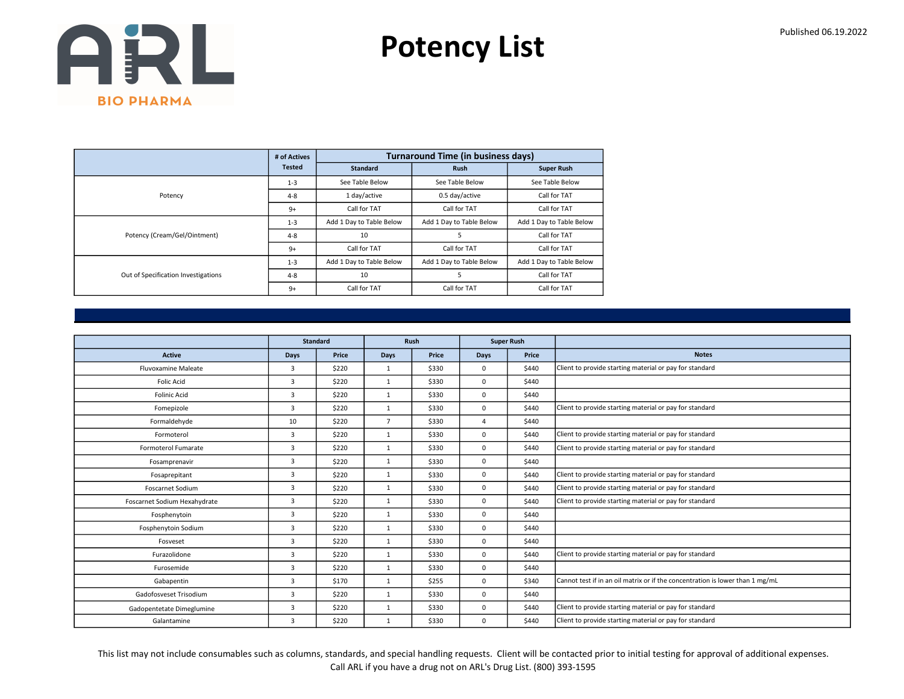Potency List

|                                     | # of Actives  |                          | <b>Turnaround Time (in business days)</b> |                          |
|-------------------------------------|---------------|--------------------------|-------------------------------------------|--------------------------|
|                                     | <b>Tested</b> | <b>Standard</b>          | <b>Rush</b>                               | <b>Super Rush</b>        |
|                                     | $1 - 3$       | See Table Below          | See Table Below                           | See Table Below          |
| Potency                             | $4 - 8$       | 1 day/active             | 0.5 day/active                            | Call for TAT             |
|                                     | $9+$          | Call for TAT             | Call for TAT                              | Call for TAT             |
|                                     | $1 - 3$       | Add 1 Day to Table Below | Add 1 Day to Table Below                  | Add 1 Day to Table Below |
| Potency (Cream/Gel/Ointment)        | $4 - 8$       | 10                       | 5                                         | Call for TAT             |
|                                     | $9+$          | Call for TAT             | Call for TAT                              | Call for TAT             |
|                                     | $1 - 3$       | Add 1 Day to Table Below | Add 1 Day to Table Below                  | Add 1 Day to Table Below |
| Out of Specification Investigations | $4 - 8$       | 10                       | 5                                         | Call for TAT             |
|                                     | $9+$          | Call for TAT             | Call for TAT                              | Call for TAT             |

|                              |                | <b>Standard</b> |                | <b>Rush</b> |             | <b>Super Rush</b> |                                                                               |
|------------------------------|----------------|-----------------|----------------|-------------|-------------|-------------------|-------------------------------------------------------------------------------|
| <b>Active</b>                | <b>Days</b>    | Price           | <b>Days</b>    | Price       | <b>Days</b> | Price             | <b>Notes</b>                                                                  |
| <b>Fluvoxamine Maleate</b>   | 3              | \$220           | $\mathbf{1}$   | \$330       | 0           | \$440             | Client to provide starting material or pay for standard                       |
| <b>Folic Acid</b>            | 3              | \$220           | $\mathbf{1}$   | \$330       | 0           | \$440             |                                                                               |
| <b>Folinic Acid</b>          | 3              | \$220           | $\mathbf{1}$   | \$330       | 0           | \$440             |                                                                               |
| Fomepizole                   | 3              | \$220           | 1              | \$330       | 0           | \$440             | Client to provide starting material or pay for standard                       |
| Formaldehyde                 | 10             | \$220           | $\overline{7}$ | \$330       | $\Delta$    | \$440             |                                                                               |
| Formoterol                   | 3              | \$220           | $\mathbf{1}$   | \$330       | 0           | \$440             | Client to provide starting material or pay for standard                       |
| Formoterol Fumarate          | 3              | \$220           | 1              | \$330       | 0           | \$440             | Client to provide starting material or pay for standard                       |
| Fosamprenavir                | 3              | \$220           | $\mathbf{1}$   | \$330       | 0           | \$440             |                                                                               |
| Fosaprepitant                | 3              | \$220           | $\mathbf{1}$   | \$330       | 0           | \$440             | Client to provide starting material or pay for standard                       |
| <b>Foscarnet Sodium</b>      | 3              | \$220           | $\mathbf{1}$   | \$330       | 0           | \$440             | Client to provide starting material or pay for standard                       |
| Foscarnet Sodium Hexahydrate | 3              | \$220           | $\mathbf{1}$   | \$330       | 0           | \$440             | Client to provide starting material or pay for standard                       |
| Fosphenytoin                 | 3              | \$220           | $\mathbf{1}$   | \$330       | 0           | \$440             |                                                                               |
| Fosphenytoin Sodium          | $\overline{3}$ | \$220           | $\mathbf{1}$   | \$330       | 0           | \$440             |                                                                               |
| Fosveset                     | 3              | \$220           | 1              | \$330       | 0           | \$440             |                                                                               |
| Furazolidone                 | 3              | \$220           | $\mathbf{1}$   | \$330       | 0           | \$440             | Client to provide starting material or pay for standard                       |
| Furosemide                   | 3              | \$220           | $\mathbf{1}$   | \$330       | 0           | \$440             |                                                                               |
| Gabapentin                   | 3              | \$170           | $\mathbf{1}$   | \$255       | 0           | \$340             | Cannot test if in an oil matrix or if the concentration is lower than 1 mg/mL |
| Gadofosveset Trisodium       | 3              | \$220           | 1              | \$330       | 0           | \$440             |                                                                               |
| Gadopentetate Dimeglumine    | 3              | \$220           | $\mathbf{1}$   | \$330       | 0           | \$440             | Client to provide starting material or pay for standard                       |
| Galantamine                  | 3              | \$220           | $\mathbf{1}$   | \$330       | 0           | \$440             | Client to provide starting material or pay for standard                       |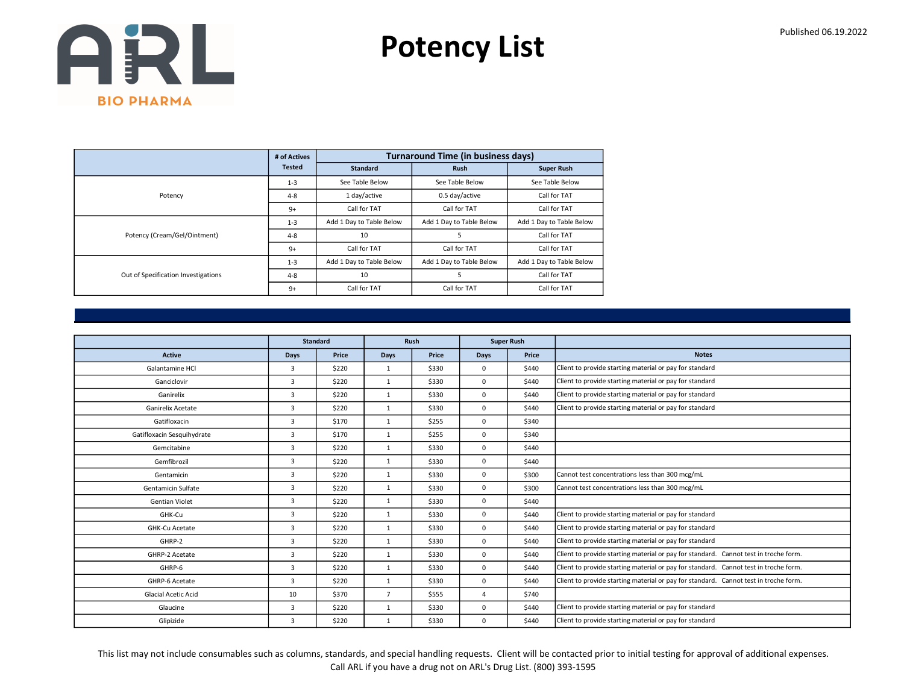Potency List

|                                     | # of Actives  |                          | <b>Turnaround Time (in business days)</b> |                          |
|-------------------------------------|---------------|--------------------------|-------------------------------------------|--------------------------|
|                                     | <b>Tested</b> | <b>Standard</b>          | <b>Rush</b>                               | <b>Super Rush</b>        |
|                                     | $1 - 3$       | See Table Below          | See Table Below                           | See Table Below          |
| Potency                             | $4 - 8$       | 1 day/active             | 0.5 day/active                            | Call for TAT             |
|                                     | $9+$          | Call for TAT             | Call for TAT                              | Call for TAT             |
|                                     | $1 - 3$       | Add 1 Day to Table Below | Add 1 Day to Table Below                  | Add 1 Day to Table Below |
| Potency (Cream/Gel/Ointment)        | $4 - 8$       | 10                       | 5                                         | Call for TAT             |
|                                     | $9+$          | Call for TAT             | Call for TAT                              | Call for TAT             |
|                                     | $1 - 3$       | Add 1 Day to Table Below | Add 1 Day to Table Below                  | Add 1 Day to Table Below |
| Out of Specification Investigations | $4 - 8$       | 10                       | 5                                         | Call for TAT             |
|                                     | $9+$          | Call for TAT             | Call for TAT                              | Call for TAT             |

|                            |                | <b>Standard</b> |                | <b>Rush</b> |                | <b>Super Rush</b> |                                                                                      |
|----------------------------|----------------|-----------------|----------------|-------------|----------------|-------------------|--------------------------------------------------------------------------------------|
| <b>Active</b>              | Days           | Price           | <b>Days</b>    | Price       | <b>Days</b>    | Price             | <b>Notes</b>                                                                         |
| Galantamine HCl            | 3              | \$220           | 1              | \$330       | 0              | \$440             | Client to provide starting material or pay for standard                              |
| Ganciclovir                | $\overline{3}$ | \$220           | $\mathbf{1}$   | \$330       | 0              | \$440             | Client to provide starting material or pay for standard                              |
| Ganirelix                  | 3              | \$220           | $\mathbf{1}$   | \$330       | 0              | \$440             | Client to provide starting material or pay for standard                              |
| <b>Ganirelix Acetate</b>   | $\overline{3}$ | \$220           | 1              | \$330       | 0              | \$440             | Client to provide starting material or pay for standard                              |
| Gatifloxacin               | $\overline{3}$ | \$170           | $\mathbf{1}$   | \$255       | 0              | \$340             |                                                                                      |
| Gatifloxacin Sesquihydrate | 3              | \$170           | $\mathbf{1}$   | \$255       | 0              | \$340             |                                                                                      |
| Gemcitabine                | $\overline{3}$ | \$220           | 1              | \$330       | 0              | \$440             |                                                                                      |
| Gemfibrozil                | $\overline{3}$ | \$220           | $\mathbf{1}$   | \$330       | 0              | \$440             |                                                                                      |
| Gentamicin                 | 3              | \$220           | $\mathbf{1}$   | \$330       | 0              | \$300             | Cannot test concentrations less than 300 mcg/mL                                      |
| Gentamicin Sulfate         | $\overline{3}$ | \$220           | $\mathbf{1}$   | \$330       | 0              | \$300             | Cannot test concentrations less than 300 mcg/mL                                      |
| <b>Gentian Violet</b>      | 3              | \$220           | $\mathbf{1}$   | \$330       | 0              | \$440             |                                                                                      |
| GHK-Cu                     | 3              | \$220           | $\mathbf{1}$   | \$330       | 0              | \$440             | Client to provide starting material or pay for standard                              |
| GHK-Cu Acetate             | $\overline{3}$ | \$220           | $\mathbf{1}$   | \$330       | 0              | \$440             | Client to provide starting material or pay for standard                              |
| GHRP-2                     | 3              | \$220           | 1              | \$330       | 0              | \$440             | Client to provide starting material or pay for standard                              |
| GHRP-2 Acetate             | $\overline{3}$ | \$220           | $\mathbf{1}$   | \$330       | 0              | \$440             | Client to provide starting material or pay for standard. Cannot test in troche form. |
| GHRP-6                     | $\overline{3}$ | \$220           | $\mathbf{1}$   | \$330       | 0              | \$440             | Client to provide starting material or pay for standard. Cannot test in troche form. |
| GHRP-6 Acetate             | 3              | \$220           | $\mathbf{1}$   | \$330       | 0              | \$440             | Client to provide starting material or pay for standard. Cannot test in troche form. |
| Glacial Acetic Acid        | 10             | \$370           | $\overline{7}$ | \$555       | $\overline{4}$ | \$740             |                                                                                      |
| Glaucine                   | $\overline{3}$ | \$220           | $\mathbf{1}$   | \$330       | 0              | \$440             | Client to provide starting material or pay for standard                              |
| Glipizide                  | 3              | \$220           | $\mathbf{1}$   | \$330       | 0              | \$440             | Client to provide starting material or pay for standard                              |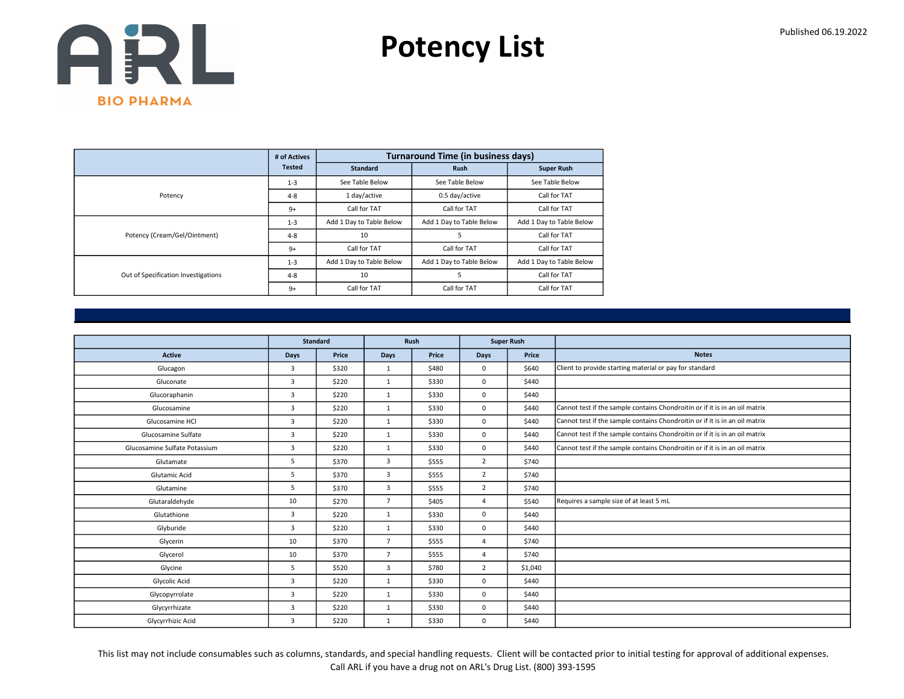Potency List

|                                     | # of Actives  |                          | <b>Turnaround Time (in business days)</b> |                          |
|-------------------------------------|---------------|--------------------------|-------------------------------------------|--------------------------|
|                                     | <b>Tested</b> | <b>Standard</b>          | <b>Rush</b>                               | <b>Super Rush</b>        |
|                                     | $1 - 3$       | See Table Below          | See Table Below                           | See Table Below          |
| Potency                             | $4 - 8$       | 1 day/active             | 0.5 day/active                            | Call for TAT             |
|                                     | $9+$          | Call for TAT             | Call for TAT                              | Call for TAT             |
|                                     | $1 - 3$       | Add 1 Day to Table Below | Add 1 Day to Table Below                  | Add 1 Day to Table Below |
| Potency (Cream/Gel/Ointment)        | $4 - 8$       | 10                       | 5                                         | Call for TAT             |
|                                     | $9+$          | Call for TAT             | Call for TAT                              | Call for TAT             |
|                                     | $1 - 3$       | Add 1 Day to Table Below | Add 1 Day to Table Below                  | Add 1 Day to Table Below |
| Out of Specification Investigations | $4 - 8$       | 10                       | 5                                         | Call for TAT             |
|                                     | $9+$          | Call for TAT             | Call for TAT                              | Call for TAT             |

|                               |                | <b>Standard</b> |                | Rush  |                | <b>Super Rush</b> |                                                                             |
|-------------------------------|----------------|-----------------|----------------|-------|----------------|-------------------|-----------------------------------------------------------------------------|
| <b>Active</b>                 | <b>Days</b>    | Price           | Days           | Price | <b>Days</b>    | Price             | <b>Notes</b>                                                                |
| Glucagon                      | 3              | \$320           | $\mathbf{1}$   | \$480 | $\mathbf 0$    | \$640             | Client to provide starting material or pay for standard                     |
| Gluconate                     | $\overline{3}$ | \$220           | $\mathbf{1}$   | \$330 | $\mathbf 0$    | \$440             |                                                                             |
| Glucoraphanin                 | 3              | \$220           | $\mathbf{1}$   | \$330 | $\mathbf 0$    | \$440             |                                                                             |
| Glucosamine                   | $\overline{3}$ | \$220           | 1              | \$330 | $\mathbf 0$    | \$440             | Cannot test if the sample contains Chondroitin or if it is in an oil matrix |
| Glucosamine HCl               | $\overline{3}$ | \$220           | $\mathbf{1}$   | \$330 | $\mathbf 0$    | \$440             | Cannot test if the sample contains Chondroitin or if it is in an oil matrix |
| Glucosamine Sulfate           | 3              | \$220           | $\mathbf{1}$   | \$330 | $\mathbf 0$    | \$440             | Cannot test if the sample contains Chondroitin or if it is in an oil matrix |
| Glucosamine Sulfate Potassium | $\overline{3}$ | \$220           | 1              | \$330 | $\mathbf 0$    | \$440             | Cannot test if the sample contains Chondroitin or if it is in an oil matrix |
| Glutamate                     | 5              | \$370           | 3              | \$555 | $\overline{2}$ | \$740             |                                                                             |
| Glutamic Acid                 | 5              | \$370           | 3              | \$555 | $\overline{2}$ | \$740             |                                                                             |
| Glutamine                     | 5              | \$370           | 3              | \$555 | 2              | \$740             |                                                                             |
| Glutaraldehyde                | 10             | \$270           | $\overline{7}$ | \$405 | $\overline{4}$ | \$540             | Requires a sample size of at least 5 mL                                     |
| Glutathione                   | 3              | \$220           | $\mathbf{1}$   | \$330 | $\mathbf 0$    | \$440             |                                                                             |
| Glyburide                     | $\overline{3}$ | \$220           | 1              | \$330 | $\mathbf 0$    | \$440             |                                                                             |
| Glycerin                      | 10             | \$370           | $\overline{7}$ | \$555 | $\overline{4}$ | \$740             |                                                                             |
| Glycerol                      | 10             | \$370           | $\overline{7}$ | \$555 | 4              | \$740             |                                                                             |
| Glycine                       | 5              | \$520           | 3              | \$780 | $\overline{2}$ | \$1,040           |                                                                             |
| Glycolic Acid                 | $\overline{3}$ | \$220           | $\mathbf{1}$   | \$330 | $\mathbf 0$    | \$440             |                                                                             |
| Glycopyrrolate                | 3              | \$220           | 1              | \$330 | $\mathbf 0$    | \$440             |                                                                             |
| Glycyrrhizate                 | $\overline{3}$ | \$220           | $\mathbf{1}$   | \$330 | $\mathbf 0$    | \$440             |                                                                             |
| Glycyrrhizic Acid             | 3              | \$220           | $\mathbf{1}$   | \$330 | $\mathbf 0$    | \$440             |                                                                             |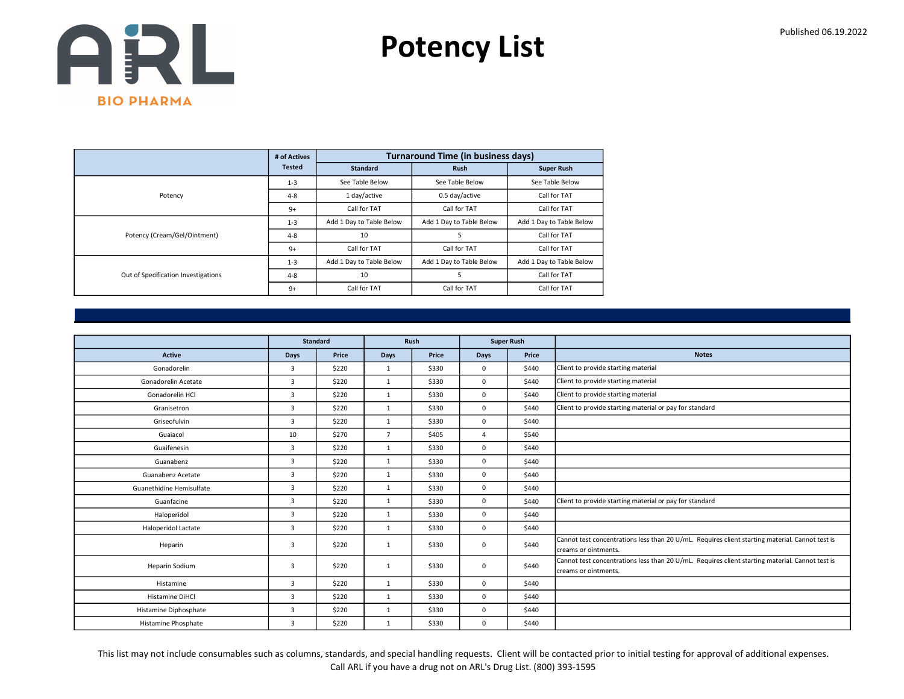Potency List

|                                     | # of Actives  |                          | <b>Turnaround Time (in business days)</b> |                          |
|-------------------------------------|---------------|--------------------------|-------------------------------------------|--------------------------|
|                                     | <b>Tested</b> | <b>Standard</b>          | <b>Rush</b>                               | <b>Super Rush</b>        |
|                                     | $1 - 3$       | See Table Below          | See Table Below                           | See Table Below          |
| Potency                             | $4 - 8$       | 1 day/active             | 0.5 day/active                            | Call for TAT             |
|                                     | $9+$          | Call for TAT             | Call for TAT                              | Call for TAT             |
|                                     | $1 - 3$       | Add 1 Day to Table Below | Add 1 Day to Table Below                  | Add 1 Day to Table Below |
| Potency (Cream/Gel/Ointment)        | $4 - 8$       | 10                       | 5                                         | Call for TAT             |
|                                     | $9+$          | Call for TAT             | Call for TAT                              | Call for TAT             |
|                                     | $1 - 3$       | Add 1 Day to Table Below | Add 1 Day to Table Below                  | Add 1 Day to Table Below |
| Out of Specification Investigations | $4 - 8$       | 10                       | 5                                         | Call for TAT             |
|                                     | $9+$          | Call for TAT             | Call for TAT                              | Call for TAT             |

|                            |                | <b>Standard</b> |                | Rush  |                | <b>Super Rush</b> |                                                                                                                          |
|----------------------------|----------------|-----------------|----------------|-------|----------------|-------------------|--------------------------------------------------------------------------------------------------------------------------|
| <b>Active</b>              | <b>Days</b>    | Price           | <b>Days</b>    | Price | Days           | Price             | <b>Notes</b>                                                                                                             |
| Gonadorelin                | 3              | \$220           | 1              | \$330 | $\mathbf 0$    | \$440             | Client to provide starting material                                                                                      |
| Gonadorelin Acetate        | $\overline{3}$ | \$220           | $\mathbf{1}$   | \$330 | $\mathbf 0$    | \$440             | Client to provide starting material                                                                                      |
| Gonadorelin HCl            | $\overline{3}$ | \$220           | 1              | \$330 | 0              | \$440             | Client to provide starting material                                                                                      |
| Granisetron                | 3              | \$220           | 1              | \$330 | 0              | \$440             | Client to provide starting material or pay for standard                                                                  |
| Griseofulvin               | $\overline{3}$ | \$220           | $\mathbf{1}$   | \$330 | $\mathbf 0$    | \$440             |                                                                                                                          |
| Guaiacol                   | 10             | \$270           | $\overline{7}$ | \$405 | $\overline{4}$ | \$540             |                                                                                                                          |
| Guaifenesin                | 3              | \$220           | 1              | \$330 | 0              | \$440             |                                                                                                                          |
| Guanabenz                  | 3              | \$220           | $\mathbf{1}$   | \$330 | 0              | \$440             |                                                                                                                          |
| Guanabenz Acetate          | 3              | \$220           | $\mathbf{1}$   | \$330 | 0              | \$440             |                                                                                                                          |
| Guanethidine Hemisulfate   | 3              | \$220           | $\mathbf{1}$   | \$330 | $\mathbf 0$    | \$440             |                                                                                                                          |
| Guanfacine                 | 3              | \$220           | $\mathbf{1}$   | \$330 | 0              | \$440             | Client to provide starting material or pay for standard                                                                  |
| Haloperidol                | $\overline{3}$ | \$220           | $\mathbf{1}$   | \$330 | 0              | \$440             |                                                                                                                          |
| <b>Haloperidol Lactate</b> | 3              | \$220           | $\mathbf{1}$   | \$330 | 0              | \$440             |                                                                                                                          |
| Heparin                    | 3              | \$220           | 1              | \$330 | 0              | \$440             | Cannot test concentrations less than 20 U/mL. Requires client starting material. Cannot test is<br>Icreams or ointments. |
| Heparin Sodium             | $\overline{3}$ | \$220           | $\mathbf{1}$   | \$330 | 0              | \$440             | Cannot test concentrations less than 20 U/mL. Requires client starting material. Cannot test is<br>Icreams or ointments. |
| Histamine                  | $\overline{3}$ | \$220           | 1              | \$330 | 0              | \$440             |                                                                                                                          |
| Histamine DiHCl            | 3              | \$220           | $\mathbf{1}$   | \$330 | 0              | \$440             |                                                                                                                          |
| Histamine Diphosphate      | $\overline{3}$ | \$220           | $\mathbf{1}$   | \$330 | 0              | \$440             |                                                                                                                          |
| Histamine Phosphate        | 3              | \$220           | 1              | \$330 | 0              | \$440             |                                                                                                                          |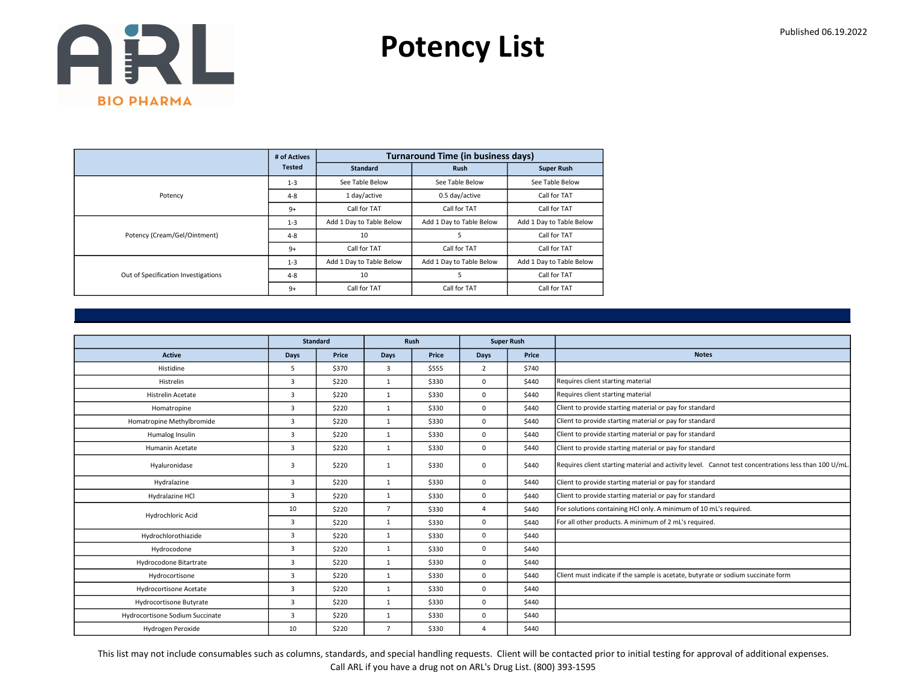Potency List

|                                     | # of Actives  |                          | <b>Turnaround Time (in business days)</b> |                          |
|-------------------------------------|---------------|--------------------------|-------------------------------------------|--------------------------|
|                                     | <b>Tested</b> | <b>Standard</b>          | <b>Rush</b>                               | <b>Super Rush</b>        |
|                                     | $1 - 3$       | See Table Below          | See Table Below                           | See Table Below          |
| Potency                             | $4 - 8$       | 1 day/active             | 0.5 day/active                            | Call for TAT             |
|                                     | $9+$          | Call for TAT             | Call for TAT                              | Call for TAT             |
|                                     | $1 - 3$       | Add 1 Day to Table Below | Add 1 Day to Table Below                  | Add 1 Day to Table Below |
| Potency (Cream/Gel/Ointment)        | $4 - 8$       | 10                       | 5                                         | Call for TAT             |
|                                     | $9+$          | Call for TAT             | Call for TAT                              | Call for TAT             |
|                                     | $1 - 3$       | Add 1 Day to Table Below | Add 1 Day to Table Below                  | Add 1 Day to Table Below |
| Out of Specification Investigations | $4 - 8$       | 10                       | 5                                         | Call for TAT             |
|                                     | $9+$          | Call for TAT             | Call for TAT                              | Call for TAT             |

|                                 |      | <b>Standard</b> |                | Rush  |                | <b>Super Rush</b> |                                                                                                      |
|---------------------------------|------|-----------------|----------------|-------|----------------|-------------------|------------------------------------------------------------------------------------------------------|
| <b>Active</b>                   | Days | Price           | Days           | Price | Days           | Price             | <b>Notes</b>                                                                                         |
| Histidine                       | 5    | \$370           | 3              | \$555 | $\overline{2}$ | \$740             |                                                                                                      |
| Histrelin                       | 3    | \$220           | 1              | \$330 | 0              | \$440             | Requires client starting material                                                                    |
| Histrelin Acetate               | 3    | \$220           | $\mathbf{1}$   | \$330 | 0              | \$440             | Requires client starting material                                                                    |
| Homatropine                     | 3    | \$220           | $\mathbf{1}$   | \$330 | 0              | \$440             | Client to provide starting material or pay for standard                                              |
| Homatropine Methylbromide       | 3    | \$220           | $\mathbf{1}$   | \$330 | 0              | \$440             | Client to provide starting material or pay for standard                                              |
| Humalog Insulin                 | 3    | \$220           | $\mathbf{1}$   | \$330 | 0              | \$440             | Client to provide starting material or pay for standard                                              |
| Humanin Acetate                 | 3    | \$220           | $\mathbf{1}$   | \$330 | 0              | \$440             | Client to provide starting material or pay for standard                                              |
| Hyaluronidase                   | 3    | \$220           | $\mathbf{1}$   | \$330 | 0              | \$440             | Requires client starting material and activity level. Cannot test concentrations less than 100 U/mL. |
| Hydralazine                     | 3    | \$220           | $\mathbf{1}$   | \$330 | 0              | \$440             | Client to provide starting material or pay for standard                                              |
| Hydralazine HCl                 | 3    | \$220           | 1              | \$330 | 0              | \$440             | Client to provide starting material or pay for standard                                              |
| Hydrochloric Acid               | 10   | \$220           | $\overline{7}$ | \$330 | $\Delta$       | \$440             | For solutions containing HCl only. A minimum of 10 mL's required.                                    |
|                                 | 3    | \$220           | $\mathbf{1}$   | \$330 | 0              | \$440             | For all other products. A minimum of 2 mL's required.                                                |
| Hydrochlorothiazide             | 3    | \$220           | $\mathbf{1}$   | \$330 | 0              | \$440             |                                                                                                      |
| Hydrocodone                     | 3    | \$220           | $\mathbf{1}$   | \$330 | 0              | \$440             |                                                                                                      |
| Hydrocodone Bitartrate          | 3    | \$220           | $\mathbf{1}$   | \$330 | 0              | \$440             |                                                                                                      |
| Hydrocortisone                  | 3    | \$220           | $\mathbf{1}$   | \$330 | $\mathbf 0$    | \$440             | Client must indicate if the sample is acetate, butyrate or sodium succinate form                     |
| Hydrocortisone Acetate          | 3    | \$220           | 1              | \$330 | 0              | \$440             |                                                                                                      |
| Hydrocortisone Butyrate         | 3    | \$220           | $\mathbf{1}$   | \$330 | $\mathbf 0$    | \$440             |                                                                                                      |
| Hydrocortisone Sodium Succinate | 3    | \$220           | $\mathbf{1}$   | \$330 | 0              | \$440             |                                                                                                      |
| Hydrogen Peroxide               | 10   | \$220           | $\overline{7}$ | \$330 | $\overline{4}$ | \$440             |                                                                                                      |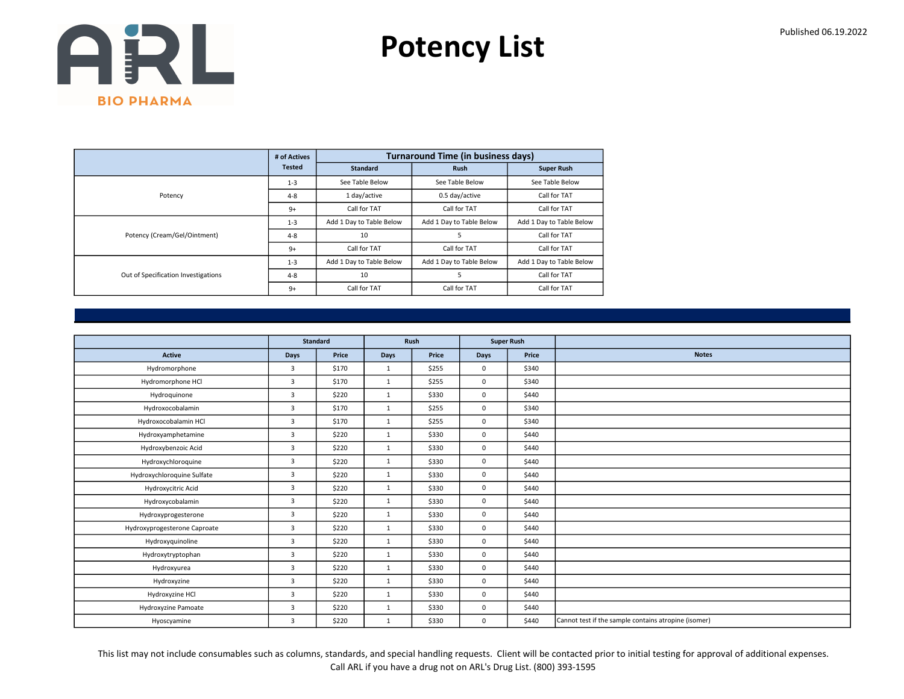Potency List

|                                     | # of Actives  |                          | <b>Turnaround Time (in business days)</b> |                          |
|-------------------------------------|---------------|--------------------------|-------------------------------------------|--------------------------|
|                                     | <b>Tested</b> | <b>Standard</b>          | <b>Rush</b>                               | <b>Super Rush</b>        |
|                                     | $1 - 3$       | See Table Below          | See Table Below                           | See Table Below          |
| Potency                             | $4 - 8$       | 1 day/active             | 0.5 day/active                            | Call for TAT             |
|                                     | $9+$          | Call for TAT             | Call for TAT                              | Call for TAT             |
|                                     | $1 - 3$       | Add 1 Day to Table Below | Add 1 Day to Table Below                  | Add 1 Day to Table Below |
| Potency (Cream/Gel/Ointment)        | $4 - 8$       | 10                       | 5                                         | Call for TAT             |
|                                     | $9+$          | Call for TAT             | Call for TAT                              | Call for TAT             |
|                                     | $1 - 3$       | Add 1 Day to Table Below | Add 1 Day to Table Below                  | Add 1 Day to Table Below |
| Out of Specification Investigations | $4 - 8$       | 10                       | 5                                         | Call for TAT             |
|                                     | $9+$          | Call for TAT             | Call for TAT                              | Call for TAT             |

|                              | <b>Standard</b> |       | Rush         |       | <b>Super Rush</b> |       |                                                      |
|------------------------------|-----------------|-------|--------------|-------|-------------------|-------|------------------------------------------------------|
| <b>Active</b>                | Days            | Price | Days         | Price | Days              | Price | <b>Notes</b>                                         |
|                              |                 |       |              |       |                   |       |                                                      |
| Hydromorphone                | $\overline{3}$  | \$170 | 1            | \$255 | $\mathbf 0$       | \$340 |                                                      |
| Hydromorphone HCl            | 3               | \$170 | 1            | \$255 | $\mathbf 0$       | \$340 |                                                      |
| Hydroquinone                 | 3               | \$220 | $\mathbf{1}$ | \$330 | $\mathbf 0$       | \$440 |                                                      |
| Hydroxocobalamin             | $\overline{3}$  | \$170 | 1            | \$255 | $\mathbf 0$       | \$340 |                                                      |
| Hydroxocobalamin HCl         | 3               | \$170 | 1            | \$255 | $\mathbf 0$       | \$340 |                                                      |
| Hydroxyamphetamine           | 3               | \$220 | 1            | \$330 | $\mathbf 0$       | \$440 |                                                      |
| Hydroxybenzoic Acid          | 3               | \$220 | $\mathbf{1}$ | \$330 | $\mathbf 0$       | \$440 |                                                      |
| Hydroxychloroquine           | 3               | \$220 | 1            | \$330 | $\mathbf 0$       | \$440 |                                                      |
| Hydroxychloroquine Sulfate   | 3               | \$220 | $\mathbf{1}$ | \$330 | $\mathbf 0$       | \$440 |                                                      |
| Hydroxycitric Acid           | 3               | \$220 | $\mathbf{1}$ | \$330 | $\mathbf 0$       | \$440 |                                                      |
| Hydroxycobalamin             | 3               | \$220 | 1            | \$330 | $\mathsf 0$       | \$440 |                                                      |
| Hydroxyprogesterone          | 3               | \$220 | $\mathbf{1}$ | \$330 | $\mathbf 0$       | \$440 |                                                      |
| Hydroxyprogesterone Caproate | 3               | \$220 | $\mathbf{1}$ | \$330 | $\mathbf{0}$      | \$440 |                                                      |
| Hydroxyquinoline             | 3               | \$220 | 1            | \$330 | $\mathbf 0$       | \$440 |                                                      |
| Hydroxytryptophan            | $\overline{3}$  | \$220 | $\mathbf{1}$ | \$330 | $\mathbf 0$       | \$440 |                                                      |
| Hydroxyurea                  | 3               | \$220 | 1            | \$330 | $\mathbf{0}$      | \$440 |                                                      |
| Hydroxyzine                  | 3               | \$220 | $\mathbf{1}$ | \$330 | $\mathbf 0$       | \$440 |                                                      |
| Hydroxyzine HCl              | $\overline{3}$  | \$220 | 1            | \$330 | $\mathbf 0$       | \$440 |                                                      |
| Hydroxyzine Pamoate          | 3               | \$220 | $\mathbf{1}$ | \$330 | $\mathbf 0$       | \$440 |                                                      |
| Hyoscyamine                  | 3               | \$220 | $\mathbf{1}$ | \$330 | $\mathbf 0$       | \$440 | Cannot test if the sample contains atropine (isomer) |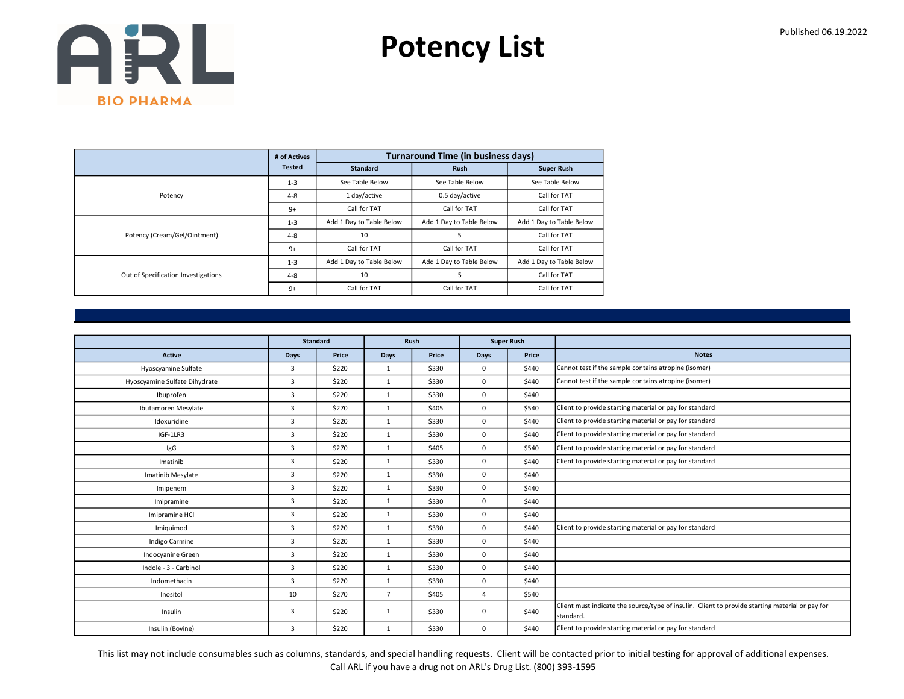Potency List

|                                     | # of Actives  |                          | <b>Turnaround Time (in business days)</b> |                          |
|-------------------------------------|---------------|--------------------------|-------------------------------------------|--------------------------|
|                                     | <b>Tested</b> | <b>Standard</b>          | <b>Rush</b>                               | <b>Super Rush</b>        |
|                                     | $1 - 3$       | See Table Below          | See Table Below                           | See Table Below          |
| Potency                             | $4 - 8$       | 1 day/active             | 0.5 day/active                            | Call for TAT             |
|                                     | $9+$          | Call for TAT             | Call for TAT                              | Call for TAT             |
|                                     | $1 - 3$       | Add 1 Day to Table Below | Add 1 Day to Table Below                  | Add 1 Day to Table Below |
| Potency (Cream/Gel/Ointment)        | $4 - 8$       | 10                       | 5                                         | Call for TAT             |
|                                     | $9+$          | Call for TAT             | Call for TAT                              | Call for TAT             |
|                                     | $1 - 3$       | Add 1 Day to Table Below | Add 1 Day to Table Below                  | Add 1 Day to Table Below |
| Out of Specification Investigations | $4 - 8$       | 10                       | 5                                         | Call for TAT             |
|                                     | $9+$          | Call for TAT             | Call for TAT                              | Call for TAT             |

|                               |                | <b>Standard</b> |                | Rush  |          | <b>Super Rush</b> |                                                                                                              |
|-------------------------------|----------------|-----------------|----------------|-------|----------|-------------------|--------------------------------------------------------------------------------------------------------------|
| <b>Active</b>                 | Days           | Price           | <b>Days</b>    | Price | Days     | Price             | <b>Notes</b>                                                                                                 |
| Hyoscyamine Sulfate           | 3              | \$220           | $\mathbf{1}$   | \$330 | 0        | \$440             | Cannot test if the sample contains atropine (isomer)                                                         |
| Hyoscyamine Sulfate Dihydrate | $\overline{3}$ | \$220           | $\mathbf{1}$   | \$330 | 0        | \$440             | Cannot test if the sample contains atropine (isomer)                                                         |
| Ibuprofen                     | $\overline{3}$ | \$220           | $\mathbf{1}$   | \$330 | 0        | \$440             |                                                                                                              |
| Ibutamoren Mesylate           | $\overline{3}$ | \$270           | $\mathbf{1}$   | \$405 | 0        | \$540             | Client to provide starting material or pay for standard                                                      |
| Idoxuridine                   | $\overline{3}$ | \$220           | $\mathbf{1}$   | \$330 | 0        | \$440             | Client to provide starting material or pay for standard                                                      |
| IGF-1LR3                      | $\overline{3}$ | \$220           | $\mathbf{1}$   | \$330 | 0        | \$440             | Client to provide starting material or pay for standard                                                      |
| IgG                           | $\overline{3}$ | \$270           | $\mathbf{1}$   | \$405 | 0        | \$540             | Client to provide starting material or pay for standard                                                      |
| Imatinib                      | $\overline{3}$ | \$220           | $\mathbf{1}$   | \$330 | 0        | \$440             | Client to provide starting material or pay for standard                                                      |
| Imatinib Mesylate             | 3              | \$220           | $\mathbf{1}$   | \$330 | 0        | \$440             |                                                                                                              |
| Imipenem                      | $\overline{3}$ | \$220           | $\mathbf{1}$   | \$330 | 0        | \$440             |                                                                                                              |
| Imipramine                    | $\overline{3}$ | \$220           | $\mathbf{1}$   | \$330 | 0        | \$440             |                                                                                                              |
| Imipramine HCl                | $\overline{3}$ | \$220           | $\mathbf{1}$   | \$330 | 0        | \$440             |                                                                                                              |
| Imiguimod                     | $\overline{3}$ | \$220           | $\mathbf{1}$   | \$330 | 0        | \$440             | Client to provide starting material or pay for standard                                                      |
| Indigo Carmine                | $\overline{3}$ | \$220           | $\mathbf{1}$   | \$330 | 0        | \$440             |                                                                                                              |
| Indocyanine Green             | $\overline{3}$ | \$220           | $\mathbf{1}$   | \$330 | 0        | \$440             |                                                                                                              |
| Indole - 3 - Carbinol         | 3              | \$220           | $\mathbf{1}$   | \$330 | 0        | \$440             |                                                                                                              |
| Indomethacin                  | $\overline{3}$ | \$220           | $\mathbf{1}$   | \$330 | 0        | \$440             |                                                                                                              |
| Inositol                      | 10             | \$270           | $\overline{7}$ | \$405 | $\Delta$ | \$540             |                                                                                                              |
| Insulin                       | 3              | \$220           | $\mathbf{1}$   | \$330 | 0        | \$440             | Client must indicate the source/type of insulin. Client to provide starting material or pay for<br>standard. |
| Insulin (Bovine)              | $\overline{3}$ | \$220           | $\mathbf{1}$   | \$330 | 0        | \$440             | Client to provide starting material or pay for standard                                                      |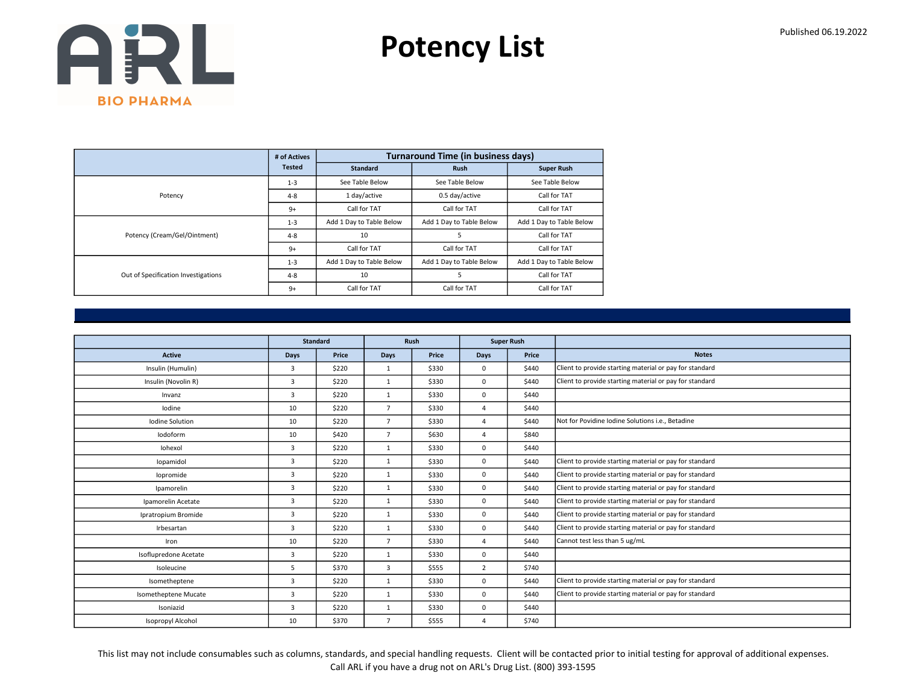Potency List

|                                     | # of Actives  |                          | <b>Turnaround Time (in business days)</b> |                          |
|-------------------------------------|---------------|--------------------------|-------------------------------------------|--------------------------|
|                                     | <b>Tested</b> | <b>Standard</b>          | <b>Rush</b>                               | <b>Super Rush</b>        |
|                                     | $1 - 3$       | See Table Below          | See Table Below                           | See Table Below          |
| Potency                             | $4 - 8$       | 1 day/active             | 0.5 day/active                            | Call for TAT             |
|                                     | $9+$          | Call for TAT             | Call for TAT                              | Call for TAT             |
|                                     | $1 - 3$       | Add 1 Day to Table Below | Add 1 Day to Table Below                  | Add 1 Day to Table Below |
| Potency (Cream/Gel/Ointment)        | $4 - 8$       | 10                       | 5                                         | Call for TAT             |
|                                     | $9+$          | Call for TAT             | Call for TAT                              | Call for TAT             |
|                                     | $1 - 3$       | Add 1 Day to Table Below | Add 1 Day to Table Below                  | Add 1 Day to Table Below |
| Out of Specification Investigations | $4 - 8$       | 10                       | 5                                         | Call for TAT             |
|                                     | $9+$          | Call for TAT             | Call for TAT                              | Call for TAT             |

|                       |                | <b>Standard</b> |                | <b>Rush</b> |                | <b>Super Rush</b> |                                                         |
|-----------------------|----------------|-----------------|----------------|-------------|----------------|-------------------|---------------------------------------------------------|
| <b>Active</b>         | Days           | Price           | <b>Days</b>    | Price       | Days           | Price             | <b>Notes</b>                                            |
| Insulin (Humulin)     | 3              | \$220           | 1              | \$330       | 0              | \$440             | Client to provide starting material or pay for standard |
| Insulin (Novolin R)   | 3              | \$220           | $\mathbf{1}$   | \$330       | 0              | \$440             | Client to provide starting material or pay for standard |
| Invanz                | 3              | \$220           | $\mathbf{1}$   | \$330       | 0              | \$440             |                                                         |
| lodine                | 10             | \$220           | $\overline{7}$ | \$330       | $\overline{4}$ | \$440             |                                                         |
| Iodine Solution       | 10             | \$220           | $\overline{7}$ | \$330       | $\overline{4}$ | \$440             | Not for Povidine Iodine Solutions i.e., Betadine        |
| lodoform              | 10             | \$420           | $\overline{7}$ | \$630       | $\Delta$       | \$840             |                                                         |
| Iohexol               | 3              | \$220           | $\mathbf{1}$   | \$330       | 0              | \$440             |                                                         |
| lopamidol             | 3              | \$220           | $\mathbf{1}$   | \$330       | 0              | \$440             | Client to provide starting material or pay for standard |
| lopromide             | 3              | \$220           | $\mathbf{1}$   | \$330       | 0              | \$440             | Client to provide starting material or pay for standard |
| Ipamorelin            | $\overline{3}$ | \$220           | $\mathbf{1}$   | \$330       | 0              | \$440             | Client to provide starting material or pay for standard |
| Ipamorelin Acetate    | $\overline{3}$ | \$220           | $\mathbf{1}$   | \$330       | 0              | \$440             | Client to provide starting material or pay for standard |
| Ipratropium Bromide   | 3              | \$220           | $\mathbf{1}$   | \$330       | 0              | \$440             | Client to provide starting material or pay for standard |
| Irbesartan            | 3              | \$220           | $\mathbf{1}$   | \$330       | 0              | \$440             | Client to provide starting material or pay for standard |
| Iron                  | 10             | \$220           | $\overline{7}$ | \$330       | $\Delta$       | \$440             | Cannot test less than 5 ug/mL                           |
| Isoflupredone Acetate | 3              | \$220           | 1              | \$330       | 0              | \$440             |                                                         |
| Isoleucine            | 5              | \$370           | 3              | \$555       | $\overline{2}$ | \$740             |                                                         |
| Isometheptene         | 3              | \$220           | $\mathbf{1}$   | \$330       | 0              | \$440             | Client to provide starting material or pay for standard |
| Isometheptene Mucate  | 3              | \$220           | $\mathbf{1}$   | \$330       | 0              | \$440             | Client to provide starting material or pay for standard |
| Isoniazid             | 3              | \$220           | $\mathbf{1}$   | \$330       | 0              | \$440             |                                                         |
| Isopropyl Alcohol     | 10             | \$370           | $\overline{7}$ | \$555       | $\overline{4}$ | \$740             |                                                         |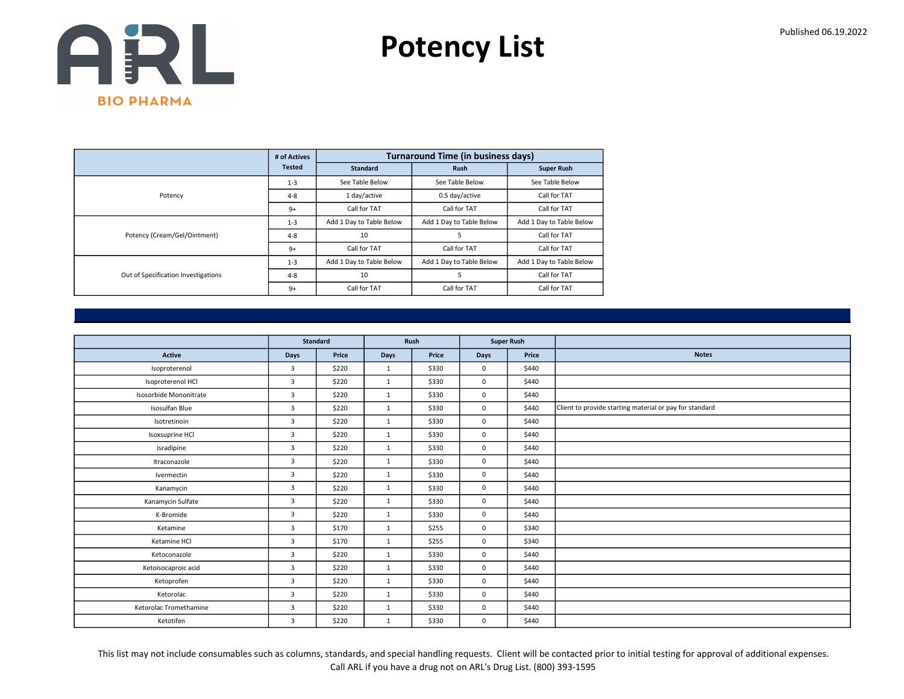Potency List

|                                     | # of Actives  |                          | <b>Turnaround Time (in business days)</b> |                          |
|-------------------------------------|---------------|--------------------------|-------------------------------------------|--------------------------|
|                                     | <b>Tested</b> | <b>Standard</b>          | <b>Rush</b>                               | <b>Super Rush</b>        |
|                                     | $1 - 3$       | See Table Below          | See Table Below                           | See Table Below          |
| Potency                             | $4 - 8$       | 1 day/active             | 0.5 day/active                            | Call for TAT             |
|                                     | $9+$          | Call for TAT             | Call for TAT                              | Call for TAT             |
|                                     | $1 - 3$       | Add 1 Day to Table Below | Add 1 Day to Table Below                  | Add 1 Day to Table Below |
| Potency (Cream/Gel/Ointment)        | $4 - 8$       | 10                       | 5                                         | Call for TAT             |
|                                     | $9+$          | Call for TAT             | Call for TAT                              | Call for TAT             |
|                                     | $1 - 3$       | Add 1 Day to Table Below | Add 1 Day to Table Below                  | Add 1 Day to Table Below |
| Out of Specification Investigations | $4 - 8$       | 10                       | 5                                         | Call for TAT             |
|                                     | $9+$          | Call for TAT             | Call for TAT                              | Call for TAT             |

|                        | <b>Standard</b> |       | Rush         |       | <b>Super Rush</b> |       |                                                         |
|------------------------|-----------------|-------|--------------|-------|-------------------|-------|---------------------------------------------------------|
| Active                 | Days            | Price | Days         | Price | <b>Days</b>       | Price | <b>Notes</b>                                            |
| Isoproterenol          | $\overline{3}$  | \$220 | 1            | \$330 | $\mathbf{0}$      | \$440 |                                                         |
| Isoproterenol HCl      | 3               | \$220 | $\mathbf{1}$ | \$330 | $\mathsf 0$       | \$440 |                                                         |
| Isosorbide Mononitrate | $\overline{3}$  | \$220 | 1            | \$330 | $\mathbf 0$       | \$440 |                                                         |
| Isosulfan Blue         | $\overline{3}$  | \$220 | $\mathbf{1}$ | \$330 | $\mathbf{0}$      | \$440 | Client to provide starting material or pay for standard |
| Isotretinoin           | $\overline{3}$  | \$220 | 1            | \$330 | $\mathbf{0}$      | \$440 |                                                         |
| Isoxsuprine HCl        | $\overline{3}$  | \$220 | 1            | \$330 | $\mathbf 0$       | \$440 |                                                         |
| Isradipine             | $\overline{3}$  | \$220 | 1            | \$330 | $\mathbf{0}$      | \$440 |                                                         |
| Itraconazole           | $\overline{3}$  | \$220 | 1            | \$330 | $\mathbf{0}$      | \$440 |                                                         |
| Ivermectin             | 3               | \$220 | $\mathbf{1}$ | \$330 | $\mathbf 0$       | \$440 |                                                         |
| Kanamycin              | $\overline{3}$  | \$220 | 1            | \$330 | $\mathbf{0}$      | \$440 |                                                         |
| Kanamycin Sulfate      | $\overline{3}$  | \$220 | 1            | \$330 | $\mathbf 0$       | \$440 |                                                         |
| K-Bromide              | 3               | \$220 | $\mathbf{1}$ | \$330 | $\mathbf{0}$      | \$440 |                                                         |
| Ketamine               | $\overline{3}$  | \$170 | 1            | \$255 | $\mathbf{0}$      | \$340 |                                                         |
| Ketamine HCl           | $\overline{3}$  | \$170 | 1            | \$255 | $\mathbf 0$       | \$340 |                                                         |
| Ketoconazole           | 3               | \$220 | $\mathbf{1}$ | \$330 | $\mathbf 0$       | \$440 |                                                         |
| Ketoisocaproic acid    | $\overline{3}$  | \$220 | 1            | \$330 | $\mathbf{0}$      | \$440 |                                                         |
| Ketoprofen             | 3               | \$220 | 1            | \$330 | $\mathbf 0$       | \$440 |                                                         |
| Ketorolac              | 3               | \$220 | 1            | \$330 | $\mathbf 0$       | \$440 |                                                         |
| Ketorolac Tromethamine | $\overline{3}$  | \$220 | 1            | \$330 | $\mathbf 0$       | \$440 |                                                         |
| Ketotifen              | 3               | \$220 | $\mathbf{1}$ | \$330 | $\mathbf 0$       | \$440 |                                                         |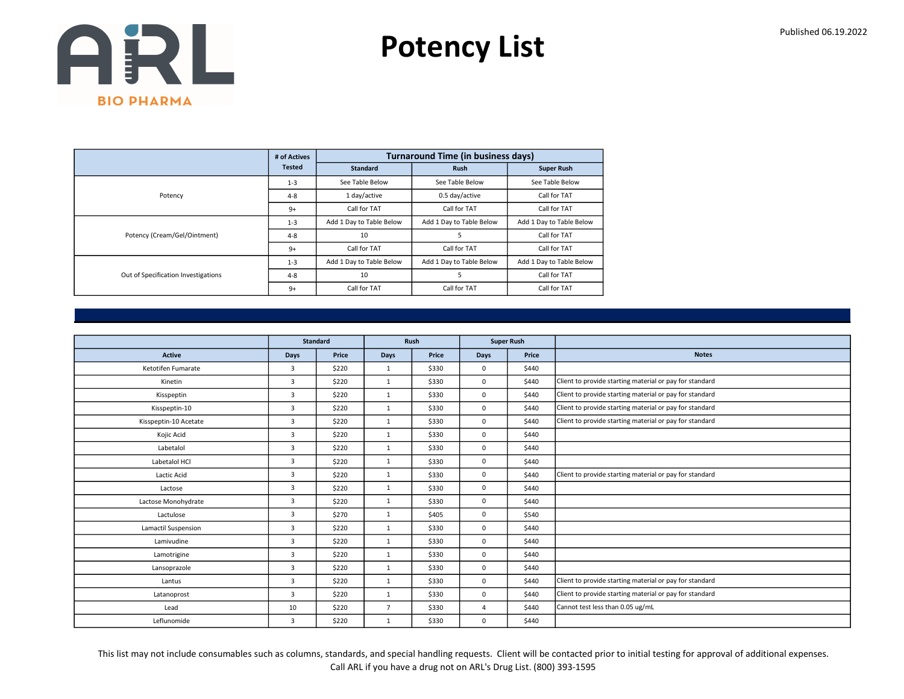Potency List

|                                     | # of Actives  |                          | <b>Turnaround Time (in business days)</b> |                          |
|-------------------------------------|---------------|--------------------------|-------------------------------------------|--------------------------|
|                                     | <b>Tested</b> | <b>Standard</b>          | <b>Rush</b>                               | <b>Super Rush</b>        |
|                                     | $1 - 3$       | See Table Below          | See Table Below                           | See Table Below          |
| Potency                             | $4 - 8$       | 1 day/active             | 0.5 day/active                            | Call for TAT             |
|                                     | $9+$          | Call for TAT             | Call for TAT                              | Call for TAT             |
|                                     | $1 - 3$       | Add 1 Day to Table Below | Add 1 Day to Table Below                  | Add 1 Day to Table Below |
| Potency (Cream/Gel/Ointment)        | $4 - 8$       | 10                       | 5                                         | Call for TAT             |
|                                     | $9+$          | Call for TAT             | Call for TAT                              | Call for TAT             |
|                                     | $1 - 3$       | Add 1 Day to Table Below | Add 1 Day to Table Below                  | Add 1 Day to Table Below |
| Out of Specification Investigations | $4 - 8$       | 10                       | 5                                         | Call for TAT             |
|                                     | $9+$          | Call for TAT             | Call for TAT                              | Call for TAT             |

|                       | Standard       |       |                | Rush  | <b>Super Rush</b> |       |                                                         |
|-----------------------|----------------|-------|----------------|-------|-------------------|-------|---------------------------------------------------------|
| Active                | Days           | Price | Days           | Price | <b>Days</b>       | Price | <b>Notes</b>                                            |
| Ketotifen Fumarate    | 3              | \$220 | $\mathbf{1}$   | \$330 | $\mathbf 0$       | \$440 |                                                         |
| Kinetin               | 3              | \$220 | $\mathbf{1}$   | \$330 | $\mathbf 0$       | \$440 | Client to provide starting material or pay for standard |
| Kisspeptin            | 3              | \$220 | $\mathbf{1}$   | \$330 | $\mathbf 0$       | \$440 | Client to provide starting material or pay for standard |
| Kisspeptin-10         | 3              | \$220 | $\mathbf{1}$   | \$330 | $\mathbf 0$       | \$440 | Client to provide starting material or pay for standard |
| Kisspeptin-10 Acetate | $\overline{3}$ | \$220 | $\mathbf{1}$   | \$330 | $\mathbf 0$       | \$440 | Client to provide starting material or pay for standard |
| Kojic Acid            | 3              | \$220 | $\mathbf{1}$   | \$330 | $\mathbf 0$       | \$440 |                                                         |
| Labetalol             | $\overline{3}$ | \$220 | $\mathbf{1}$   | \$330 | $\Omega$          | \$440 |                                                         |
| Labetalol HCl         | $\overline{3}$ | \$220 | $\mathbf{1}$   | \$330 | $\mathbf 0$       | \$440 |                                                         |
| Lactic Acid           | 3              | \$220 | $\mathbf{1}$   | \$330 | $\mathbf 0$       | \$440 | Client to provide starting material or pay for standard |
| Lactose               | 3              | \$220 | $\mathbf{1}$   | \$330 | $\mathbf 0$       | \$440 |                                                         |
| Lactose Monohydrate   | $\overline{3}$ | \$220 | $\mathbf{1}$   | \$330 | $\mathbf 0$       | \$440 |                                                         |
| Lactulose             | 3              | \$270 | $\mathbf{1}$   | \$405 | $\mathbf 0$       | \$540 |                                                         |
| Lamactil Suspension   | 3              | \$220 | $\mathbf{1}$   | \$330 | $\mathbf 0$       | \$440 |                                                         |
| Lamivudine            | 3              | \$220 | $\mathbf{1}$   | \$330 | $\mathbf 0$       | \$440 |                                                         |
| Lamotrigine           | 3              | \$220 | $\mathbf{1}$   | \$330 | $\mathbf 0$       | \$440 |                                                         |
| Lansoprazole          | 3              | \$220 | $\mathbf{1}$   | \$330 | $\mathbf 0$       | \$440 |                                                         |
| Lantus                | 3              | \$220 | 1              | \$330 | $\mathbf 0$       | \$440 | Client to provide starting material or pay for standard |
| Latanoprost           | $\overline{3}$ | \$220 | $\mathbf{1}$   | \$330 | $\mathbf 0$       | \$440 | Client to provide starting material or pay for standard |
| Lead                  | 10             | \$220 | $\overline{7}$ | \$330 | $\overline{4}$    | \$440 | Cannot test less than 0.05 ug/mL                        |
| Leflunomide           | $\overline{3}$ | \$220 | $\mathbf{1}$   | \$330 | $\mathbf 0$       | \$440 |                                                         |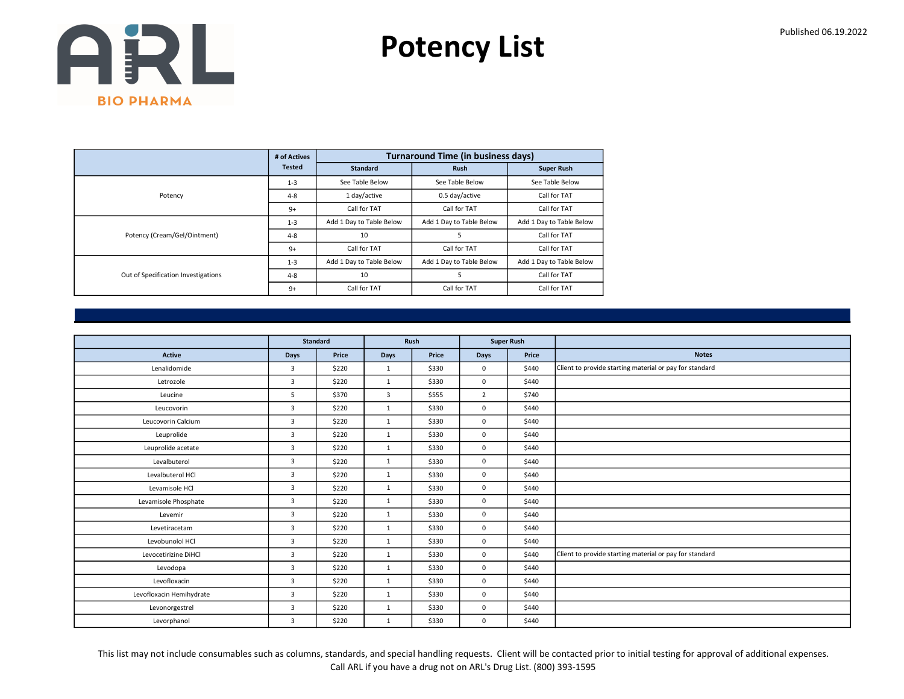Potency List

|                                     | # of Actives  |                          | <b>Turnaround Time (in business days)</b> |                          |
|-------------------------------------|---------------|--------------------------|-------------------------------------------|--------------------------|
|                                     | <b>Tested</b> | <b>Standard</b>          | <b>Rush</b>                               | <b>Super Rush</b>        |
|                                     | $1 - 3$       | See Table Below          | See Table Below                           | See Table Below          |
| Potency                             | $4 - 8$       | 1 day/active             | 0.5 day/active                            | Call for TAT             |
|                                     | $9+$          | Call for TAT             | Call for TAT                              | Call for TAT             |
|                                     | $1 - 3$       | Add 1 Day to Table Below | Add 1 Day to Table Below                  | Add 1 Day to Table Below |
| Potency (Cream/Gel/Ointment)        | $4 - 8$       | 10                       | 5                                         | Call for TAT             |
|                                     | $9+$          | Call for TAT             | Call for TAT                              | Call for TAT             |
|                                     | $1 - 3$       | Add 1 Day to Table Below | Add 1 Day to Table Below                  | Add 1 Day to Table Below |
| Out of Specification Investigations | $4 - 8$       | 10                       | 5                                         | Call for TAT             |
|                                     | $9+$          | Call for TAT             | Call for TAT                              | Call for TAT             |

|                          |                | <b>Standard</b> |              | <b>Rush</b> |                | <b>Super Rush</b> |                                                         |
|--------------------------|----------------|-----------------|--------------|-------------|----------------|-------------------|---------------------------------------------------------|
| <b>Active</b>            | Days           | Price           | Days         | Price       | <b>Days</b>    | Price             | <b>Notes</b>                                            |
| Lenalidomide             | 3              | \$220           | $\mathbf{1}$ | \$330       | $\mathbf 0$    | \$440             | Client to provide starting material or pay for standard |
| Letrozole                | 3              | \$220           | $\mathbf{1}$ | \$330       | $\mathbf 0$    | \$440             |                                                         |
| Leucine                  | 5              | \$370           | 3            | \$555       | $\overline{2}$ | \$740             |                                                         |
| Leucovorin               | $\overline{3}$ | \$220           | 1            | \$330       | $\mathbf 0$    | \$440             |                                                         |
| Leucovorin Calcium       | 3              | \$220           | $\mathbf{1}$ | \$330       | $\mathbf 0$    | \$440             |                                                         |
| Leuprolide               | $\overline{3}$ | \$220           | $\mathbf{1}$ | \$330       | $\mathbf 0$    | \$440             |                                                         |
| Leuprolide acetate       | $\overline{3}$ | \$220           | 1            | \$330       | $\mathbf 0$    | \$440             |                                                         |
| Levalbuterol             | $\overline{3}$ | \$220           | $\mathbf{1}$ | \$330       | $\mathbf 0$    | \$440             |                                                         |
| Levalbuterol HCl         | 3              | \$220           | $\mathbf{1}$ | \$330       | $\mathbf 0$    | \$440             |                                                         |
| Levamisole HCl           | 3              | \$220           | $\mathbf{1}$ | \$330       | $\mathbf 0$    | \$440             |                                                         |
| Levamisole Phosphate     | $\overline{3}$ | \$220           | 1            | \$330       | $\mathbf 0$    | \$440             |                                                         |
| Levemir                  | 3              | \$220           | $\mathbf{1}$ | \$330       | $\mathbf 0$    | \$440             |                                                         |
| Levetiracetam            | 3              | \$220           | $\mathbf{1}$ | \$330       | $\mathbf 0$    | \$440             |                                                         |
| Levobunolol HCl          | $\overline{3}$ | \$220           | $\mathbf{1}$ | \$330       | $\mathbf 0$    | \$440             |                                                         |
| Levocetirizine DiHCl     | 3              | \$220           | $\mathbf{1}$ | \$330       | $\mathbf 0$    | \$440             | Client to provide starting material or pay for standard |
| Levodopa                 | $\overline{3}$ | \$220           | $\mathbf{1}$ | \$330       | $\mathbf 0$    | \$440             |                                                         |
| Levofloxacin             | 3              | \$220           | $\mathbf{1}$ | \$330       | $\mathbf 0$    | \$440             |                                                         |
| Levofloxacin Hemihydrate | $\overline{3}$ | \$220           | 1            | \$330       | $\mathbf 0$    | \$440             |                                                         |
| Levonorgestrel           | 3              | \$220           | $\mathbf{1}$ | \$330       | $\mathbf 0$    | \$440             |                                                         |
| Levorphanol              | 3              | \$220           | $\mathbf{1}$ | \$330       | $\mathbf 0$    | \$440             |                                                         |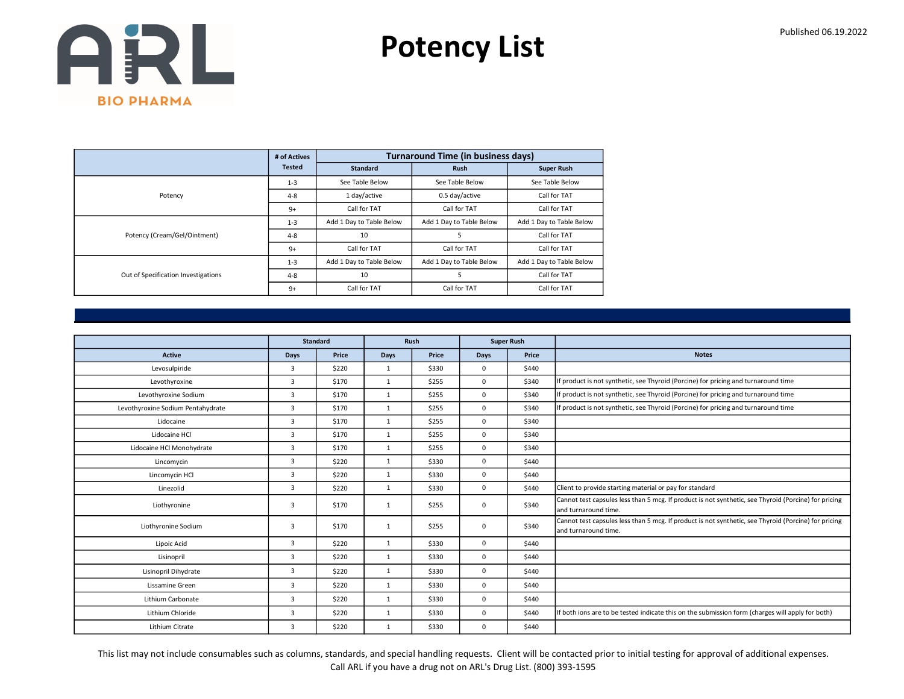Potency List

|                                     | # of Actives  |                          | <b>Turnaround Time (in business days)</b> |                          |
|-------------------------------------|---------------|--------------------------|-------------------------------------------|--------------------------|
|                                     | <b>Tested</b> | <b>Standard</b>          | <b>Rush</b>                               | <b>Super Rush</b>        |
|                                     | $1 - 3$       | See Table Below          | See Table Below                           | See Table Below          |
| Potency                             | $4 - 8$       | 1 day/active             | 0.5 day/active                            | Call for TAT             |
|                                     | $9+$          | Call for TAT             | Call for TAT                              | Call for TAT             |
|                                     | $1 - 3$       | Add 1 Day to Table Below | Add 1 Day to Table Below                  | Add 1 Day to Table Below |
| Potency (Cream/Gel/Ointment)        | $4 - 8$       | 10                       | 5                                         | Call for TAT             |
|                                     | $9+$          | Call for TAT             | Call for TAT                              | Call for TAT             |
|                                     | $1 - 3$       | Add 1 Day to Table Below | Add 1 Day to Table Below                  | Add 1 Day to Table Below |
| Out of Specification Investigations | $4 - 8$       | 10                       | 5                                         | Call for TAT             |
|                                     | $9+$          | Call for TAT             | Call for TAT                              | Call for TAT             |

|                                   |                         | <b>Standard</b> |              | <b>Rush</b> |             | <b>Super Rush</b> |                                                                                                                               |
|-----------------------------------|-------------------------|-----------------|--------------|-------------|-------------|-------------------|-------------------------------------------------------------------------------------------------------------------------------|
| <b>Active</b>                     | <b>Days</b>             | Price           | <b>Days</b>  | Price       | Days        | Price             | <b>Notes</b>                                                                                                                  |
| Levosulpiride                     | 3                       | \$220           | $\mathbf{1}$ | \$330       | $\mathbf 0$ | \$440             |                                                                                                                               |
| Levothyroxine                     | $\overline{3}$          | \$170           | $\mathbf{1}$ | \$255       | $\mathbf 0$ | \$340             | If product is not synthetic, see Thyroid (Porcine) for pricing and turnaround time                                            |
| Levothyroxine Sodium              | 3                       | \$170           | $\mathbf{1}$ | \$255       | $\mathbf 0$ | \$340             | If product is not synthetic, see Thyroid (Porcine) for pricing and turnaround time                                            |
| Levothyroxine Sodium Pentahydrate | 3                       | \$170           | $\mathbf{1}$ | \$255       | $\mathbf 0$ | \$340             | If product is not synthetic, see Thyroid (Porcine) for pricing and turnaround time                                            |
| Lidocaine                         | 3                       | \$170           | $\mathbf{1}$ | \$255       | $\mathbf 0$ | \$340             |                                                                                                                               |
| Lidocaine HCl                     | 3                       | \$170           | $\mathbf{1}$ | \$255       | $\mathbf 0$ | \$340             |                                                                                                                               |
| Lidocaine HCl Monohydrate         | 3                       | \$170           | $\mathbf{1}$ | \$255       | $\mathbf 0$ | \$340             |                                                                                                                               |
| Lincomycin                        | 3                       | \$220           | $\mathbf{1}$ | \$330       | $\mathbf 0$ | \$440             |                                                                                                                               |
| Lincomycin HCl                    | 3                       | \$220           | $\mathbf{1}$ | \$330       | $\mathbf 0$ | \$440             |                                                                                                                               |
| Linezolid                         | 3                       | \$220           | $\mathbf{1}$ | \$330       | $\mathbf 0$ | \$440             | Client to provide starting material or pay for standard                                                                       |
| Liothyronine                      | $\overline{\mathbf{3}}$ | \$170           | 1            | \$255       | $\mathbf 0$ | \$340             | Cannot test capsules less than 5 mcg. If product is not synthetic, see Thyroid (Porcine) for pricing<br>land turnaround time. |
| Liothyronine Sodium               | 3                       | \$170           | $\mathbf{1}$ | \$255       | $\mathbf 0$ | \$340             | Cannot test capsules less than 5 mcg. If product is not synthetic, see Thyroid (Porcine) for pricing<br>land turnaround time. |
| Lipoic Acid                       | $\overline{3}$          | \$220           | $\mathbf{1}$ | \$330       | $\mathbf 0$ | \$440             |                                                                                                                               |
| Lisinopril                        | $\overline{3}$          | \$220           | $\mathbf{1}$ | \$330       | $\mathbf 0$ | \$440             |                                                                                                                               |
| Lisinopril Dihydrate              | 3                       | \$220           | $\mathbf{1}$ | \$330       | $\mathbf 0$ | \$440             |                                                                                                                               |
| Lissamine Green                   | 3                       | \$220           | $\mathbf{1}$ | \$330       | $\mathbf 0$ | \$440             |                                                                                                                               |
| Lithium Carbonate                 | 3                       | \$220           | $\mathbf{1}$ | \$330       | $\mathbf 0$ | \$440             |                                                                                                                               |
| Lithium Chloride                  | $\overline{3}$          | \$220           | $\mathbf{1}$ | \$330       | $\mathbf 0$ | \$440             | If both ions are to be tested indicate this on the submission form (charges will apply for both)                              |
| Lithium Citrate                   | 3                       | \$220           | $\mathbf{1}$ | \$330       | $\mathbf 0$ | \$440             |                                                                                                                               |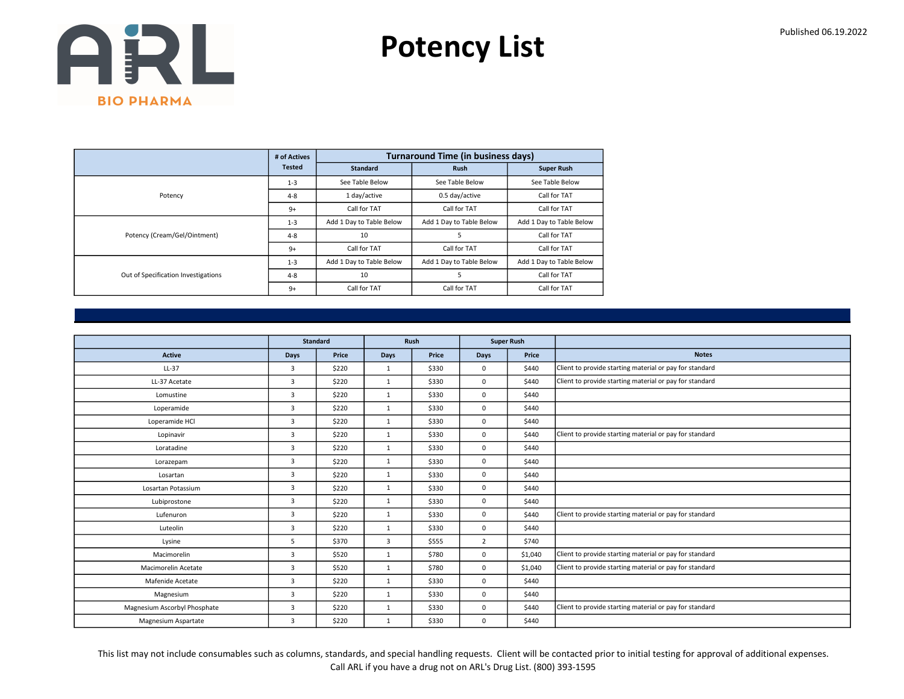Potency List

|                                     | # of Actives  |                          | <b>Turnaround Time (in business days)</b> |                          |
|-------------------------------------|---------------|--------------------------|-------------------------------------------|--------------------------|
|                                     | <b>Tested</b> | <b>Standard</b>          | <b>Rush</b>                               | <b>Super Rush</b>        |
|                                     | $1 - 3$       | See Table Below          | See Table Below                           | See Table Below          |
| Potency                             | $4 - 8$       | 1 day/active             | 0.5 day/active                            | Call for TAT             |
|                                     | $9+$          | Call for TAT             | Call for TAT                              | Call for TAT             |
|                                     | $1 - 3$       | Add 1 Day to Table Below | Add 1 Day to Table Below                  | Add 1 Day to Table Below |
| Potency (Cream/Gel/Ointment)        | $4 - 8$       | 10                       | 5                                         | Call for TAT             |
|                                     | $9+$          | Call for TAT             | Call for TAT                              | Call for TAT             |
|                                     | $1 - 3$       | Add 1 Day to Table Below | Add 1 Day to Table Below                  | Add 1 Day to Table Below |
| Out of Specification Investigations | $4 - 8$       | 10                       | 5                                         | Call for TAT             |
|                                     | $9+$          | Call for TAT             | Call for TAT                              | Call for TAT             |

|                              |                         | <b>Standard</b> |              | Rush  |                | <b>Super Rush</b> |                                                         |
|------------------------------|-------------------------|-----------------|--------------|-------|----------------|-------------------|---------------------------------------------------------|
| <b>Active</b>                | <b>Days</b>             | Price           | <b>Days</b>  | Price | Days           | Price             | <b>Notes</b>                                            |
| LL-37                        | $\overline{3}$          | \$220           | $\mathbf{1}$ | \$330 | 0              | \$440             | Client to provide starting material or pay for standard |
| LL-37 Acetate                | $\overline{3}$          | \$220           | $\mathbf{1}$ | \$330 | 0              | \$440             | Client to provide starting material or pay for standard |
| Lomustine                    | $\overline{3}$          | \$220           | $\mathbf{1}$ | \$330 | 0              | \$440             |                                                         |
| Loperamide                   | $\overline{3}$          | \$220           | $\mathbf{1}$ | \$330 | 0              | \$440             |                                                         |
| Loperamide HCl               | 3                       | \$220           | $\mathbf{1}$ | \$330 | 0              | \$440             |                                                         |
| Lopinavir                    | $\overline{3}$          | \$220           | $\mathbf{1}$ | \$330 | 0              | \$440             | Client to provide starting material or pay for standard |
| Loratadine                   | $\overline{3}$          | \$220           | $\mathbf{1}$ | \$330 | 0              | \$440             |                                                         |
| Lorazepam                    | $\overline{3}$          | \$220           | $\mathbf{1}$ | \$330 | 0              | \$440             |                                                         |
| Losartan                     | $\overline{3}$          | \$220           | $\mathbf{1}$ | \$330 | 0              | \$440             |                                                         |
| Losartan Potassium           | $\overline{3}$          | \$220           | $\mathbf{1}$ | \$330 | 0              | \$440             |                                                         |
| Lubiprostone                 | $\overline{3}$          | \$220           | $\mathbf{1}$ | \$330 | 0              | \$440             |                                                         |
| Lufenuron                    | 3                       | \$220           | $\mathbf{1}$ | \$330 | 0              | \$440             | Client to provide starting material or pay for standard |
| Luteolin                     | $\overline{3}$          | \$220           | 1            | \$330 | 0              | \$440             |                                                         |
| Lysine                       | 5                       | \$370           | 3            | \$555 | $\overline{2}$ | \$740             |                                                         |
| Macimorelin                  | 3                       | \$520           | $\mathbf{1}$ | \$780 | 0              | \$1,040           | Client to provide starting material or pay for standard |
| Macimorelin Acetate          | $\overline{3}$          | \$520           | 1            | \$780 | 0              | \$1,040           | Client to provide starting material or pay for standard |
| Mafenide Acetate             | $\overline{\mathbf{3}}$ | \$220           | $\mathbf{1}$ | \$330 | 0              | \$440             |                                                         |
| Magnesium                    | $\overline{3}$          | \$220           | $\mathbf{1}$ | \$330 | 0              | \$440             |                                                         |
| Magnesium Ascorbyl Phosphate | $\overline{3}$          | \$220           | $\mathbf{1}$ | \$330 | 0              | \$440             | Client to provide starting material or pay for standard |
| Magnesium Aspartate          | 3                       | \$220           | $\mathbf{1}$ | \$330 | 0              | \$440             |                                                         |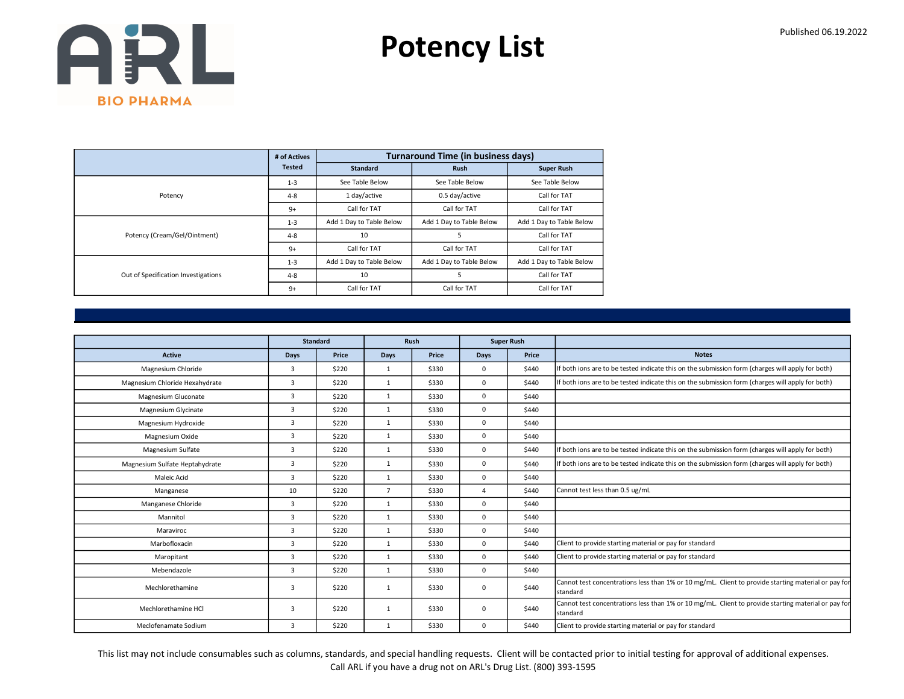Potency List

|                                     | # of Actives  |                          | <b>Turnaround Time (in business days)</b> |                          |
|-------------------------------------|---------------|--------------------------|-------------------------------------------|--------------------------|
|                                     | <b>Tested</b> | <b>Standard</b>          | <b>Rush</b>                               | <b>Super Rush</b>        |
|                                     | $1 - 3$       | See Table Below          | See Table Below                           | See Table Below          |
| Potency                             | $4 - 8$       | 1 day/active             | 0.5 day/active                            | Call for TAT             |
|                                     | $9+$          | Call for TAT             | Call for TAT                              | Call for TAT             |
|                                     | $1 - 3$       | Add 1 Day to Table Below | Add 1 Day to Table Below                  | Add 1 Day to Table Below |
| Potency (Cream/Gel/Ointment)        | $4 - 8$       | 10                       | 5                                         | Call for TAT             |
|                                     | $9+$          | Call for TAT             | Call for TAT                              | Call for TAT             |
|                                     | $1 - 3$       | Add 1 Day to Table Below | Add 1 Day to Table Below                  | Add 1 Day to Table Below |
| Out of Specification Investigations | $4 - 8$       | 10                       | 5                                         | Call for TAT             |
|                                     | $9+$          | Call for TAT             | Call for TAT                              | Call for TAT             |

|                                |      | <b>Standard</b> |                | <b>Rush</b> |             | <b>Super Rush</b> |                                                                                                                 |
|--------------------------------|------|-----------------|----------------|-------------|-------------|-------------------|-----------------------------------------------------------------------------------------------------------------|
| <b>Active</b>                  | Days | Price           | Days           | Price       | <b>Days</b> | Price             | <b>Notes</b>                                                                                                    |
| Magnesium Chloride             | 3    | \$220           | $\mathbf{1}$   | \$330       | $^{\circ}$  | \$440             | If both ions are to be tested indicate this on the submission form (charges will apply for both)                |
| Magnesium Chloride Hexahydrate | 3    | \$220           | $\mathbf{1}$   | \$330       | $\mathbf 0$ | \$440             | If both ions are to be tested indicate this on the submission form (charges will apply for both)                |
| Magnesium Gluconate            | 3    | \$220           | $\mathbf{1}$   | \$330       | $\mathbf 0$ | \$440             |                                                                                                                 |
| Magnesium Glycinate            | 3    | \$220           | $\mathbf{1}$   | \$330       | $\mathbf 0$ | \$440             |                                                                                                                 |
| Magnesium Hydroxide            | 3    | \$220           | $\mathbf{1}$   | \$330       | $\mathbf 0$ | \$440             |                                                                                                                 |
| Magnesium Oxide                | 3    | \$220           | 1              | \$330       | $\mathbf 0$ | \$440             |                                                                                                                 |
| Magnesium Sulfate              | 3    | \$220           | $\mathbf{1}$   | \$330       | $\mathbf 0$ | \$440             | If both ions are to be tested indicate this on the submission form (charges will apply for both)                |
| Magnesium Sulfate Heptahydrate | 3    | \$220           | $\mathbf{1}$   | \$330       | $\Omega$    | \$440             | If both ions are to be tested indicate this on the submission form (charges will apply for both)                |
| Maleic Acid                    | 3    | \$220           | $\mathbf{1}$   | \$330       | $\mathbf 0$ | \$440             |                                                                                                                 |
| Manganese                      | 10   | \$220           | $\overline{7}$ | \$330       | 4           | \$440             | Cannot test less than 0.5 ug/mL                                                                                 |
| Manganese Chloride             | 3    | \$220           | 1              | \$330       | $\mathbf 0$ | \$440             |                                                                                                                 |
| Mannitol                       | 3    | \$220           | 1              | \$330       | $\mathbf 0$ | \$440             |                                                                                                                 |
| Maraviroc                      | 3    | \$220           | $\mathbf{1}$   | \$330       | $\mathbf 0$ | \$440             |                                                                                                                 |
| Marbofloxacin                  | 3    | \$220           | $\mathbf{1}$   | \$330       | $\mathbf 0$ | \$440             | Client to provide starting material or pay for standard                                                         |
| Maropitant                     | 3    | \$220           | $\mathbf{1}$   | \$330       | $\mathbf 0$ | \$440             | Client to provide starting material or pay for standard                                                         |
| Mebendazole                    | 3    | \$220           | $\mathbf{1}$   | \$330       | $\mathbf 0$ | \$440             |                                                                                                                 |
| Mechlorethamine                | 3    | \$220           | $\mathbf{1}$   | \$330       | $\mathbf 0$ | \$440             | Cannot test concentrations less than 1% or 10 mg/mL. Client to provide starting material or pay for<br>standard |
| Mechlorethamine HCl            | 3    | \$220           | 1              | \$330       | $\Omega$    | \$440             | Cannot test concentrations less than 1% or 10 mg/mL. Client to provide starting material or pay for<br>standard |
| Meclofenamate Sodium           | 3    | \$220           | $\mathbf{1}$   | \$330       | $\mathbf 0$ | \$440             | Client to provide starting material or pay for standard                                                         |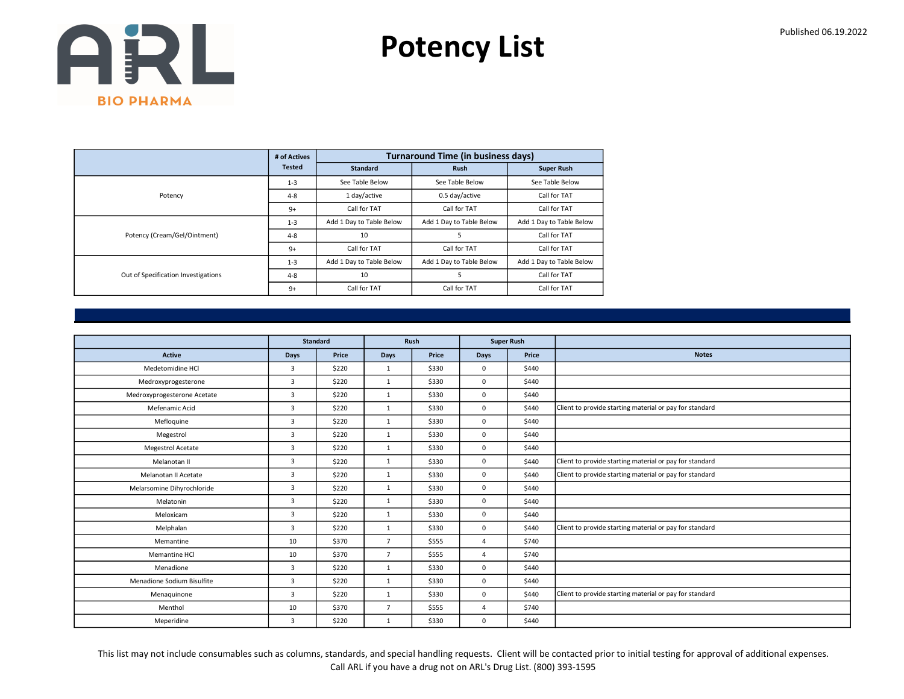Potency List

|                                     | # of Actives  |                          | <b>Turnaround Time (in business days)</b> |                          |
|-------------------------------------|---------------|--------------------------|-------------------------------------------|--------------------------|
|                                     | <b>Tested</b> | <b>Standard</b>          | <b>Rush</b>                               | <b>Super Rush</b>        |
|                                     | $1 - 3$       | See Table Below          | See Table Below                           | See Table Below          |
| Potency                             | $4 - 8$       | 1 day/active             | 0.5 day/active                            | Call for TAT             |
|                                     | $9+$          | Call for TAT             | Call for TAT                              | Call for TAT             |
|                                     | $1 - 3$       | Add 1 Day to Table Below | Add 1 Day to Table Below                  | Add 1 Day to Table Below |
| Potency (Cream/Gel/Ointment)        | $4 - 8$       | 10                       | 5                                         | Call for TAT             |
|                                     | $9+$          | Call for TAT             | Call for TAT                              | Call for TAT             |
|                                     | $1 - 3$       | Add 1 Day to Table Below | Add 1 Day to Table Below                  | Add 1 Day to Table Below |
| Out of Specification Investigations | $4 - 8$       | 10                       | 5                                         | Call for TAT             |
|                                     | $9+$          | Call for TAT             | Call for TAT                              | Call for TAT             |

|                             | <b>Standard</b> |       |                | <b>Rush</b> |                | <b>Super Rush</b> |                                                         |
|-----------------------------|-----------------|-------|----------------|-------------|----------------|-------------------|---------------------------------------------------------|
| <b>Active</b>               | Days            | Price | <b>Days</b>    | Price       | <b>Days</b>    | Price             | <b>Notes</b>                                            |
| Medetomidine HCl            | $\overline{3}$  | \$220 | $\mathbf{1}$   | \$330       | $\mathbf 0$    | \$440             |                                                         |
| Medroxyprogesterone         | $\overline{3}$  | \$220 | $\mathbf{1}$   | \$330       | $\mathbf 0$    | \$440             |                                                         |
| Medroxyprogesterone Acetate | $\overline{3}$  | \$220 | $\mathbf{1}$   | \$330       | $\mathbf 0$    | \$440             |                                                         |
| Mefenamic Acid              | $\overline{3}$  | \$220 | 1              | \$330       | $\Omega$       | \$440             | Client to provide starting material or pay for standard |
| Mefloquine                  | 3               | \$220 | $\mathbf{1}$   | \$330       | $\mathbf 0$    | \$440             |                                                         |
| Megestrol                   | $\overline{3}$  | \$220 | $\mathbf{1}$   | \$330       | $\mathbf 0$    | \$440             |                                                         |
| <b>Megestrol Acetate</b>    | $\overline{3}$  | \$220 | 1              | \$330       | $\mathbf 0$    | \$440             |                                                         |
| Melanotan II                | $\overline{3}$  | \$220 | $\mathbf{1}$   | \$330       | $\mathbf 0$    | \$440             | Client to provide starting material or pay for standard |
| Melanotan II Acetate        | $\overline{3}$  | \$220 | $\mathbf{1}$   | \$330       | $\mathbf 0$    | \$440             | Client to provide starting material or pay for standard |
| Melarsomine Dihyrochloride  | 3               | \$220 | $\mathbf{1}$   | \$330       | $\mathbf 0$    | \$440             |                                                         |
| Melatonin                   | $\overline{3}$  | \$220 | 1              | \$330       | $\mathbf 0$    | \$440             |                                                         |
| Meloxicam                   | 3               | \$220 | $\mathbf{1}$   | \$330       | $\mathbf 0$    | \$440             |                                                         |
| Melphalan                   | $\overline{3}$  | \$220 | $\mathbf{1}$   | \$330       | $\mathbf 0$    | \$440             | Client to provide starting material or pay for standard |
| Memantine                   | 10              | \$370 | $\overline{7}$ | \$555       | $\overline{4}$ | \$740             |                                                         |
| Memantine HCl               | 10              | \$370 | $\overline{7}$ | \$555       | 4              | \$740             |                                                         |
| Menadione                   | $\overline{3}$  | \$220 | 1              | \$330       | $\mathbf 0$    | \$440             |                                                         |
| Menadione Sodium Bisulfite  | 3               | \$220 | $\mathbf{1}$   | \$330       | $\mathbf 0$    | \$440             |                                                         |
| Menaguinone                 | 3               | \$220 | 1              | \$330       | $\mathbf 0$    | \$440             | Client to provide starting material or pay for standard |
| Menthol                     | 10              | \$370 | $\overline{7}$ | \$555       | 4              | \$740             |                                                         |
| Meperidine                  | 3               | \$220 | $\mathbf{1}$   | \$330       | $\mathbf 0$    | \$440             |                                                         |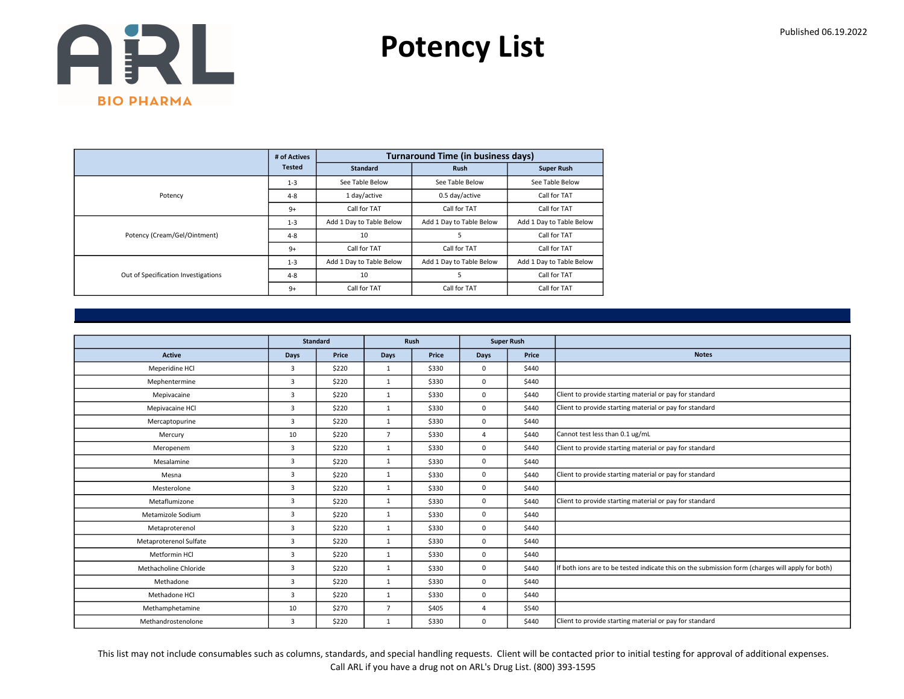Potency List

|                                     | # of Actives  |                          | <b>Turnaround Time (in business days)</b> |                          |
|-------------------------------------|---------------|--------------------------|-------------------------------------------|--------------------------|
|                                     | <b>Tested</b> | <b>Standard</b>          | <b>Rush</b>                               | <b>Super Rush</b>        |
|                                     | $1 - 3$       | See Table Below          | See Table Below                           | See Table Below          |
| Potency                             | $4 - 8$       | 1 day/active             | 0.5 day/active                            | Call for TAT             |
|                                     | $9+$          | Call for TAT             | Call for TAT                              | Call for TAT             |
|                                     | $1 - 3$       | Add 1 Day to Table Below | Add 1 Day to Table Below                  | Add 1 Day to Table Below |
| Potency (Cream/Gel/Ointment)        | $4 - 8$       | 10                       | 5                                         | Call for TAT             |
|                                     | $9+$          | Call for TAT             | Call for TAT                              | Call for TAT             |
|                                     | $1 - 3$       | Add 1 Day to Table Below | Add 1 Day to Table Below                  | Add 1 Day to Table Below |
| Out of Specification Investigations | $4 - 8$       | 10                       | 5                                         | Call for TAT             |
|                                     | $9+$          | Call for TAT             | Call for TAT                              | Call for TAT             |

|                        |                | <b>Standard</b> |                | Rush<br><b>Super Rush</b> |              |       |                                                                                                  |
|------------------------|----------------|-----------------|----------------|---------------------------|--------------|-------|--------------------------------------------------------------------------------------------------|
| <b>Active</b>          | <b>Days</b>    | Price           | <b>Days</b>    | Price                     | Days         | Price | <b>Notes</b>                                                                                     |
| Meperidine HCl         | 3              | \$220           | 1              | \$330                     | $\mathbf 0$  | \$440 |                                                                                                  |
| Mephentermine          | 3              | \$220           | $\mathbf{1}$   | \$330                     | $\mathbf 0$  | \$440 |                                                                                                  |
| Mepivacaine            | 3              | \$220           | $\mathbf{1}$   | \$330                     | $\mathbf 0$  | \$440 | Client to provide starting material or pay for standard                                          |
| Mepivacaine HCl        | $\overline{3}$ | \$220           | 1              | \$330                     | $\mathbf 0$  | \$440 | Client to provide starting material or pay for standard                                          |
| Mercaptopurine         | 3              | \$220           | $\mathbf{1}$   | \$330                     | $\mathbf 0$  | \$440 |                                                                                                  |
| Mercury                | 10             | \$220           | $\overline{7}$ | \$330                     | 4            | \$440 | Cannot test less than 0.1 ug/mL                                                                  |
| Meropenem              | 3              | \$220           | 1              | \$330                     | $\mathbf 0$  | \$440 | Client to provide starting material or pay for standard                                          |
| Mesalamine             | 3              | \$220           | $\mathbf{1}$   | \$330                     | $\mathbf 0$  | \$440 |                                                                                                  |
| Mesna                  | 3              | \$220           | $\mathbf{1}$   | \$330                     | $\mathbf 0$  | \$440 | Client to provide starting material or pay for standard                                          |
| Mesterolone            | 3              | \$220           | $\mathbf{1}$   | \$330                     | $\mathbf 0$  | \$440 |                                                                                                  |
| Metaflumizone          | 3              | \$220           | $\mathbf{1}$   | \$330                     | $\mathbf 0$  | \$440 | Client to provide starting material or pay for standard                                          |
| Metamizole Sodium      | 3              | \$220           | $\mathbf{1}$   | \$330                     | $\mathbf 0$  | \$440 |                                                                                                  |
| Metaproterenol         | $\overline{3}$ | \$220           | $\mathbf{1}$   | \$330                     | $\mathbf 0$  | \$440 |                                                                                                  |
| Metaproterenol Sulfate | 3              | \$220           | 1              | \$330                     | $\mathbf{0}$ | \$440 |                                                                                                  |
| Metformin HCl          | 3              | \$220           | $\mathbf{1}$   | \$330                     | $\mathbf 0$  | \$440 |                                                                                                  |
| Methacholine Chloride  | 3              | \$220           | $\mathbf{1}$   | \$330                     | $\mathbf 0$  | \$440 | If both ions are to be tested indicate this on the submission form (charges will apply for both) |
| Methadone              | 3              | \$220           | $\mathbf{1}$   | \$330                     | $\mathbf 0$  | \$440 |                                                                                                  |
| Methadone HCI          | $\overline{3}$ | \$220           | 1              | \$330                     | $\mathbf 0$  | \$440 |                                                                                                  |
| Methamphetamine        | 10             | \$270           | $\overline{7}$ | \$405                     | 4            | \$540 |                                                                                                  |
| Methandrostenolone     | 3              | \$220           | $\mathbf{1}$   | \$330                     | 0            | \$440 | Client to provide starting material or pay for standard                                          |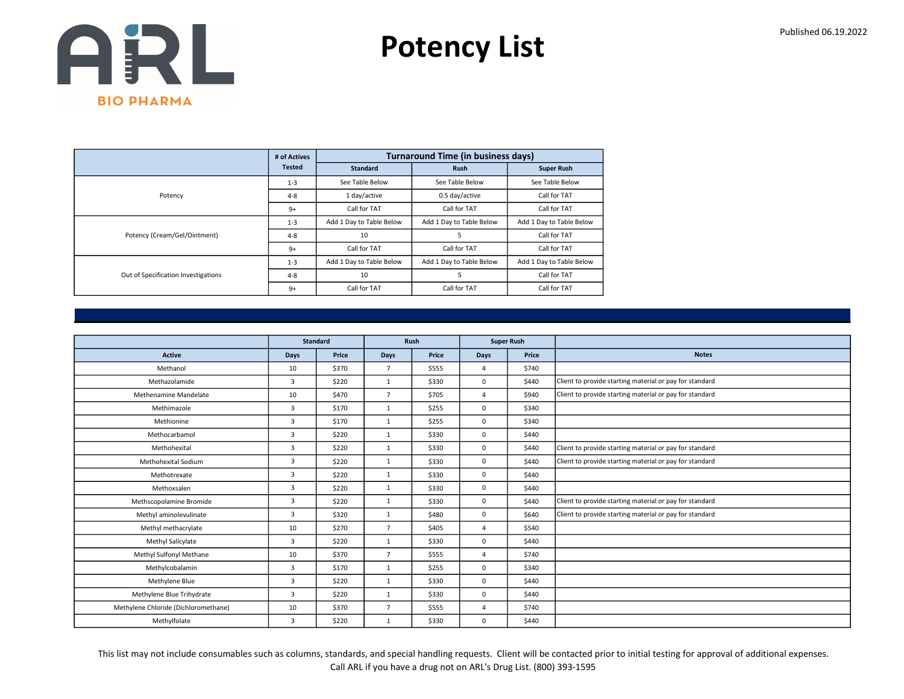Potency List

|                                     | # of Actives  |                          | <b>Turnaround Time (in business days)</b> |                          |
|-------------------------------------|---------------|--------------------------|-------------------------------------------|--------------------------|
|                                     | <b>Tested</b> | <b>Standard</b>          | <b>Rush</b>                               | <b>Super Rush</b>        |
|                                     | $1 - 3$       | See Table Below          | See Table Below                           | See Table Below          |
| Potency                             | $4 - 8$       | 1 day/active             | 0.5 day/active                            | Call for TAT             |
|                                     | $9+$          | Call for TAT             | Call for TAT                              | Call for TAT             |
|                                     | $1 - 3$       | Add 1 Day to Table Below | Add 1 Day to Table Below                  | Add 1 Day to Table Below |
| Potency (Cream/Gel/Ointment)        | $4 - 8$       | 10                       | 5                                         | Call for TAT             |
|                                     | $9+$          | Call for TAT             | Call for TAT                              | Call for TAT             |
|                                     | $1 - 3$       | Add 1 Day to Table Below | Add 1 Day to Table Below                  | Add 1 Day to Table Below |
| Out of Specification Investigations | $4 - 8$       | 10                       | 5                                         | Call for TAT             |
|                                     | $9+$          | Call for TAT             | Call for TAT                              | Call for TAT             |

|                                      | Standard       |       |                | Rush  |                | <b>Super Rush</b> |                                                         |
|--------------------------------------|----------------|-------|----------------|-------|----------------|-------------------|---------------------------------------------------------|
| Active                               | Days           | Price | <b>Days</b>    | Price | <b>Days</b>    | Price             | <b>Notes</b>                                            |
| Methanol                             | 10             | \$370 | $\overline{7}$ | \$555 | $\overline{4}$ | \$740             |                                                         |
| Methazolamide                        | $\overline{3}$ | \$220 | 1              | \$330 | $\mathbf 0$    | \$440             | Client to provide starting material or pay for standard |
| Methenamine Mandelate                | 10             | \$470 | $\overline{7}$ | \$705 | $\overline{4}$ | \$940             | Client to provide starting material or pay for standard |
| Methimazole                          | 3              | \$170 | $\mathbf{1}$   | \$255 | $\mathbf 0$    | \$340             |                                                         |
| Methionine                           | 3              | \$170 | 1              | \$255 | $\mathbf 0$    | \$340             |                                                         |
| Methocarbamol                        | 3              | \$220 | $\mathbf{1}$   | \$330 | $\mathbf 0$    | \$440             |                                                         |
| Methohexital                         | $\overline{3}$ | \$220 | $\mathbf{1}$   | \$330 | $\mathbf 0$    | \$440             | Client to provide starting material or pay for standard |
| Methohexital Sodium                  | 3              | \$220 | $\mathbf{1}$   | \$330 | $\mathbf 0$    | \$440             | Client to provide starting material or pay for standard |
| Methotrexate                         | $\overline{3}$ | \$220 | $\mathbf{1}$   | \$330 | $\mathbf 0$    | \$440             |                                                         |
| Methoxsalen                          | $\overline{3}$ | \$220 | 1              | \$330 | $\mathbf 0$    | \$440             |                                                         |
| Methscopolamine Bromide              | 3              | \$220 | 1              | \$330 | $\mathbf 0$    | \$440             | Client to provide starting material or pay for standard |
| Methyl aminolevulinate               | 3              | \$320 | 1              | \$480 | $\mathbf 0$    | \$640             | Client to provide starting material or pay for standard |
| Methyl methacrylate                  | 10             | \$270 | $\overline{7}$ | \$405 | 4              | \$540             |                                                         |
| Methyl Salicylate                    | $\overline{3}$ | \$220 | $\mathbf{1}$   | \$330 | $\mathbf 0$    | \$440             |                                                         |
| Methyl Sulfonyl Methane              | 10             | \$370 | $\overline{7}$ | \$555 | $\overline{4}$ | \$740             |                                                         |
| Methylcobalamin                      | 3              | \$170 | $\mathbf{1}$   | \$255 | $\mathbf 0$    | \$340             |                                                         |
| Methylene Blue                       | 3              | \$220 | $\mathbf{1}$   | \$330 | $\mathbf 0$    | \$440             |                                                         |
| Methylene Blue Trihydrate            | 3              | \$220 | $\mathbf{1}$   | \$330 | $\mathbf 0$    | \$440             |                                                         |
| Methylene Chloride (Dichloromethane) | 10             | \$370 | $\overline{7}$ | \$555 | 4              | \$740             |                                                         |
| Methylfolate                         | 3              | \$220 | $\mathbf{1}$   | \$330 | $\mathbf 0$    | \$440             |                                                         |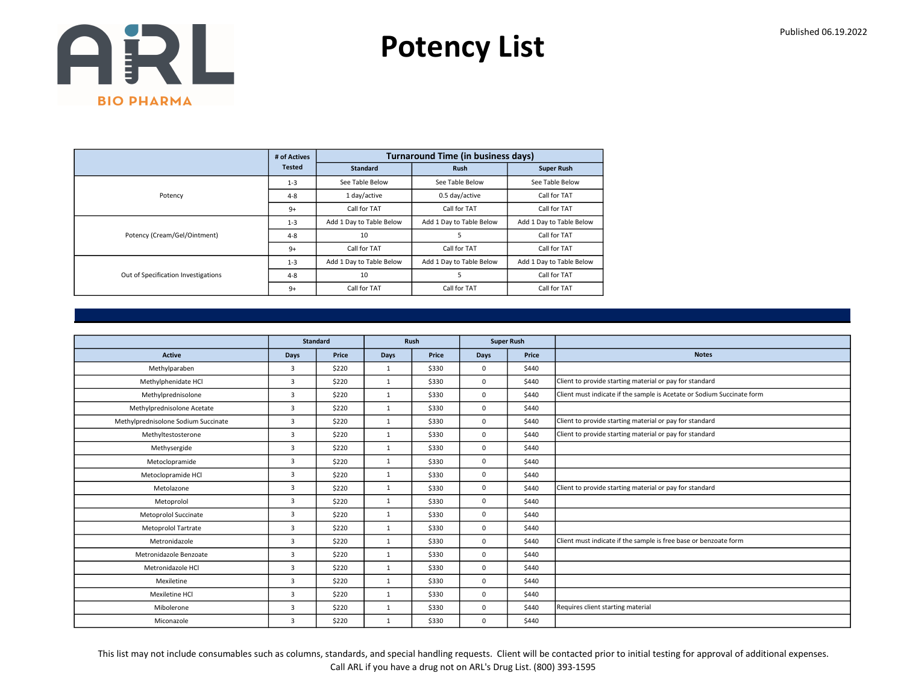Potency List

|                                     | # of Actives  |                          | <b>Turnaround Time (in business days)</b> |                          |
|-------------------------------------|---------------|--------------------------|-------------------------------------------|--------------------------|
|                                     | <b>Tested</b> | <b>Standard</b>          | <b>Rush</b>                               | <b>Super Rush</b>        |
|                                     | $1 - 3$       | See Table Below          | See Table Below                           | See Table Below          |
| Potency                             | $4 - 8$       | 1 day/active             | 0.5 day/active                            | Call for TAT             |
|                                     | $9+$          | Call for TAT             | Call for TAT                              | Call for TAT             |
|                                     | $1 - 3$       | Add 1 Day to Table Below | Add 1 Day to Table Below                  | Add 1 Day to Table Below |
| Potency (Cream/Gel/Ointment)        | $4 - 8$       | 10                       | 5                                         | Call for TAT             |
|                                     | $9+$          | Call for TAT             | Call for TAT                              | Call for TAT             |
|                                     | $1 - 3$       | Add 1 Day to Table Below | Add 1 Day to Table Below                  | Add 1 Day to Table Below |
| Out of Specification Investigations | $4 - 8$       | 10                       | 5                                         | Call for TAT             |
|                                     | $9+$          | Call for TAT             | Call for TAT                              | Call for TAT             |

|                                     |                | <b>Standard</b> |              | Rush  |             | <b>Super Rush</b> |                                                                        |
|-------------------------------------|----------------|-----------------|--------------|-------|-------------|-------------------|------------------------------------------------------------------------|
| <b>Active</b>                       | <b>Days</b>    | Price           | <b>Days</b>  | Price | Days        | Price             | <b>Notes</b>                                                           |
| Methylparaben                       | 3              | \$220           | 1            | \$330 | 0           | \$440             |                                                                        |
| Methylphenidate HCl                 | 3              | \$220           | $\mathbf{1}$ | \$330 | $\mathbf 0$ | \$440             | Client to provide starting material or pay for standard                |
| Methylprednisolone                  | 3              | \$220           | $\mathbf{1}$ | \$330 | 0           | \$440             | Client must indicate if the sample is Acetate or Sodium Succinate form |
| Methylprednisolone Acetate          | $\overline{3}$ | \$220           | 1            | \$330 | 0           | \$440             |                                                                        |
| Methylprednisolone Sodium Succinate | 3              | \$220           | $\mathbf{1}$ | \$330 | 0           | \$440             | Client to provide starting material or pay for standard                |
| Methyltestosterone                  | 3              | \$220           | $\mathbf{1}$ | \$330 | 0           | \$440             | Client to provide starting material or pay for standard                |
| Methysergide                        | $\overline{3}$ | \$220           | 1            | \$330 | 0           | \$440             |                                                                        |
| Metoclopramide                      | 3              | \$220           | $\mathbf{1}$ | \$330 | 0           | \$440             |                                                                        |
| Metoclopramide HCl                  | 3              | \$220           | $\mathbf{1}$ | \$330 | 0           | \$440             |                                                                        |
| Metolazone                          | $\overline{3}$ | \$220           | $\mathbf{1}$ | \$330 | 0           | \$440             | Client to provide starting material or pay for standard                |
| Metoprolol                          | 3              | \$220           | 1            | \$330 | 0           | \$440             |                                                                        |
| Metoprolol Succinate                | 3              | \$220           | $\mathbf{1}$ | \$330 | 0           | \$440             |                                                                        |
| <b>Metoprolol Tartrate</b>          | $\overline{3}$ | \$220           | $\mathbf{1}$ | \$330 | 0           | \$440             |                                                                        |
| Metronidazole                       | 3              | \$220           | 1            | \$330 | 0           | \$440             | Client must indicate if the sample is free base or benzoate form       |
| Metronidazole Benzoate              | 3              | \$220           | $\mathbf{1}$ | \$330 | 0           | \$440             |                                                                        |
| Metronidazole HCl                   | $\overline{3}$ | \$220           | $\mathbf{1}$ | \$330 | 0           | \$440             |                                                                        |
| Mexiletine                          | 3              | \$220           | $\mathbf{1}$ | \$330 | 0           | \$440             |                                                                        |
| Mexiletine HCI                      | 3              | \$220           | $\mathbf{1}$ | \$330 | 0           | \$440             |                                                                        |
| Mibolerone                          | 3              | \$220           | $\mathbf{1}$ | \$330 | 0           | \$440             | Requires client starting material                                      |
| Miconazole                          | 3              | \$220           | $\mathbf{1}$ | \$330 | 0           | \$440             |                                                                        |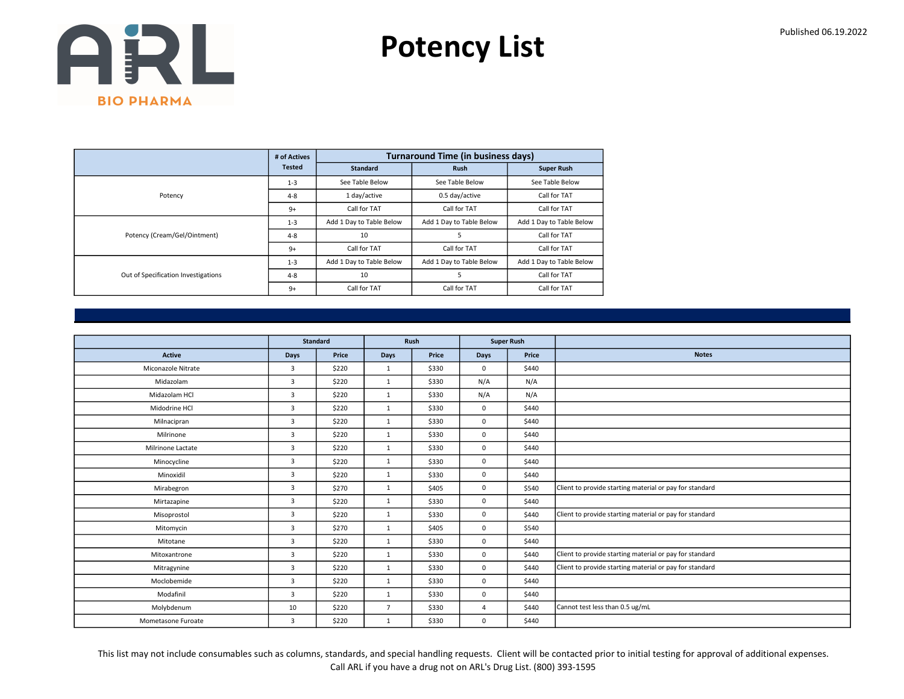Potency List

|                                     | # of Actives  |                          | <b>Turnaround Time (in business days)</b> |                          |
|-------------------------------------|---------------|--------------------------|-------------------------------------------|--------------------------|
|                                     | <b>Tested</b> | <b>Standard</b>          | <b>Rush</b>                               | <b>Super Rush</b>        |
|                                     | $1 - 3$       | See Table Below          | See Table Below                           | See Table Below          |
| Potency                             | $4 - 8$       | 1 day/active             | 0.5 day/active                            | Call for TAT             |
|                                     | $9+$          | Call for TAT             | Call for TAT                              | Call for TAT             |
|                                     | $1 - 3$       | Add 1 Day to Table Below | Add 1 Day to Table Below                  | Add 1 Day to Table Below |
| Potency (Cream/Gel/Ointment)        | $4 - 8$       | 10                       | 5                                         | Call for TAT             |
|                                     | $9+$          | Call for TAT             | Call for TAT                              | Call for TAT             |
|                                     | $1 - 3$       | Add 1 Day to Table Below | Add 1 Day to Table Below                  | Add 1 Day to Table Below |
| Out of Specification Investigations | $4 - 8$       | 10                       | 5                                         | Call for TAT             |
|                                     | $9+$          | Call for TAT             | Call for TAT                              | Call for TAT             |

|                    | Standard       |       |                | Rush  |                | <b>Super Rush</b> |                                                         |
|--------------------|----------------|-------|----------------|-------|----------------|-------------------|---------------------------------------------------------|
| <b>Active</b>      | Days           | Price | Days           | Price | <b>Days</b>    | Price             | <b>Notes</b>                                            |
| Miconazole Nitrate | $\overline{3}$ | \$220 | 1              | \$330 | $\mathbf 0$    | \$440             |                                                         |
| Midazolam          | $\overline{3}$ | \$220 | $\mathbf{1}$   | \$330 | N/A            | N/A               |                                                         |
| Midazolam HCl      | 3              | \$220 | $\mathbf{1}$   | \$330 | N/A            | N/A               |                                                         |
| Midodrine HCl      | $\overline{3}$ | \$220 | $\mathbf{1}$   | \$330 | $\mathbf 0$    | \$440             |                                                         |
| Milnacipran        | $\overline{3}$ | \$220 | $\mathbf{1}$   | \$330 | $\mathbf 0$    | \$440             |                                                         |
| Milrinone          | 3              | \$220 | $\mathbf{1}$   | \$330 | $\mathbf 0$    | \$440             |                                                         |
| Milrinone Lactate  | $\overline{3}$ | \$220 | $\mathbf{1}$   | \$330 | $\mathbf 0$    | \$440             |                                                         |
| Minocycline        | 3              | \$220 | $\mathbf{1}$   | \$330 | $\mathbf 0$    | \$440             |                                                         |
| Minoxidil          | 3              | \$220 | $\mathbf{1}$   | \$330 | $\mathbf 0$    | \$440             |                                                         |
| Mirabegron         | $\overline{3}$ | \$270 | 1              | \$405 | $\mathbf 0$    | \$540             | Client to provide starting material or pay for standard |
| Mirtazapine        | 3              | \$220 | $\mathbf{1}$   | \$330 | $\mathbf 0$    | \$440             |                                                         |
| Misoprostol        | $\overline{3}$ | \$220 | 1              | \$330 | $\mathbf 0$    | \$440             | Client to provide starting material or pay for standard |
| Mitomycin          | $\overline{3}$ | \$270 | $\mathbf{1}$   | \$405 | $\mathbf 0$    | \$540             |                                                         |
| Mitotane           | $\overline{3}$ | \$220 | $\mathbf{1}$   | \$330 | $\mathbf 0$    | \$440             |                                                         |
| Mitoxantrone       | 3              | \$220 | 1              | \$330 | $\mathbf 0$    | \$440             | Client to provide starting material or pay for standard |
| Mitragynine        | 3              | \$220 | $\mathbf{1}$   | \$330 | $\mathbf 0$    | \$440             | Client to provide starting material or pay for standard |
| Moclobemide        | $\overline{3}$ | \$220 | $\mathbf{1}$   | \$330 | $\mathbf 0$    | \$440             |                                                         |
| Modafinil          | 3              | \$220 | $\mathbf{1}$   | \$330 | $\mathbf 0$    | \$440             |                                                         |
| Molybdenum         | 10             | \$220 | $\overline{7}$ | \$330 | $\overline{4}$ | \$440             | Cannot test less than 0.5 ug/mL                         |
| Mometasone Furoate | 3              | \$220 | 1              | \$330 | $\mathbf 0$    | \$440             |                                                         |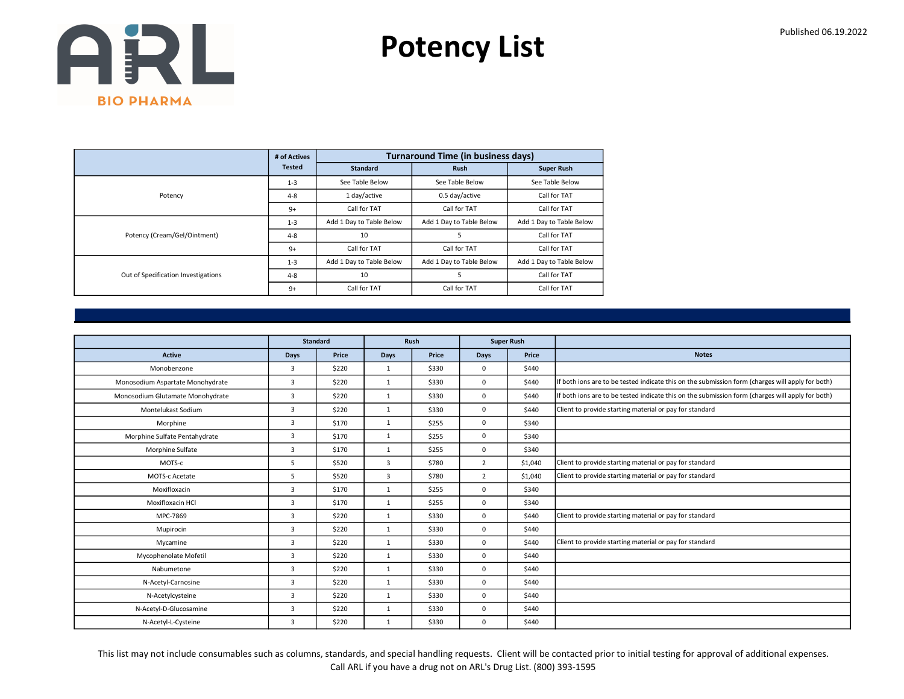Potency List

|                                     | # of Actives  |                          | <b>Turnaround Time (in business days)</b> |                          |
|-------------------------------------|---------------|--------------------------|-------------------------------------------|--------------------------|
|                                     | <b>Tested</b> | <b>Standard</b>          | <b>Rush</b>                               | <b>Super Rush</b>        |
|                                     | $1 - 3$       | See Table Below          | See Table Below                           | See Table Below          |
| Potency                             | $4 - 8$       | 1 day/active             | 0.5 day/active                            | Call for TAT             |
|                                     | $9+$          | Call for TAT             | Call for TAT                              | Call for TAT             |
|                                     | $1 - 3$       | Add 1 Day to Table Below | Add 1 Day to Table Below                  | Add 1 Day to Table Below |
| Potency (Cream/Gel/Ointment)        | $4 - 8$       | 10                       | 5                                         | Call for TAT             |
|                                     | $9+$          | Call for TAT             | Call for TAT                              | Call for TAT             |
|                                     | $1 - 3$       | Add 1 Day to Table Below | Add 1 Day to Table Below                  | Add 1 Day to Table Below |
| Out of Specification Investigations | $4 - 8$       | 10                       | 5                                         | Call for TAT             |
|                                     | $9+$          | Call for TAT             | Call for TAT                              | Call for TAT             |

|                                  |                | <b>Standard</b> |              | Rush<br><b>Super Rush</b> |                |         |                                                                                                  |
|----------------------------------|----------------|-----------------|--------------|---------------------------|----------------|---------|--------------------------------------------------------------------------------------------------|
|                                  |                |                 |              |                           |                |         |                                                                                                  |
| <b>Active</b>                    | Days           | Price           | <b>Days</b>  | Price                     | <b>Days</b>    | Price   | <b>Notes</b>                                                                                     |
| Monobenzone                      | $\overline{3}$ | \$220           | $\mathbf{1}$ | \$330                     | $\Omega$       | \$440   |                                                                                                  |
| Monosodium Aspartate Monohydrate | $\overline{3}$ | \$220           | 1            | \$330                     | 0              | \$440   | If both ions are to be tested indicate this on the submission form (charges will apply for both) |
| Monosodium Glutamate Monohydrate | $\overline{3}$ | \$220           | 1            | \$330                     | 0              | \$440   | If both ions are to be tested indicate this on the submission form (charges will apply for both) |
| Montelukast Sodium               | $\overline{3}$ | \$220           | $\mathbf{1}$ | \$330                     | 0              | \$440   | Client to provide starting material or pay for standard                                          |
| Morphine                         | 3              | \$170           | $\mathbf{1}$ | \$255                     | 0              | \$340   |                                                                                                  |
| Morphine Sulfate Pentahydrate    | 3              | \$170           | 1            | \$255                     | 0              | \$340   |                                                                                                  |
| Morphine Sulfate                 | $\overline{3}$ | \$170           | $\mathbf{1}$ | \$255                     | 0              | \$340   |                                                                                                  |
| MOTS-c                           | 5              | \$520           | 3            | \$780                     | $\overline{2}$ | \$1,040 | Client to provide starting material or pay for standard                                          |
| MOTS-c Acetate                   | 5              | \$520           | 3            | \$780                     | $\overline{2}$ | \$1,040 | Client to provide starting material or pay for standard                                          |
| Moxifloxacin                     | $\overline{3}$ | \$170           | $\mathbf{1}$ | \$255                     | 0              | \$340   |                                                                                                  |
| Moxifloxacin HCl                 | $\overline{3}$ | \$170           | $\mathbf{1}$ | \$255                     | 0              | \$340   |                                                                                                  |
| MPC-7869                         | $\overline{3}$ | \$220           | $\mathbf{1}$ | \$330                     | 0              | \$440   | Client to provide starting material or pay for standard                                          |
| Mupirocin                        | 3              | \$220           | $\mathbf{1}$ | \$330                     | 0              | \$440   |                                                                                                  |
| Mycamine                         | $\overline{3}$ | \$220           | $\mathbf{1}$ | \$330                     | 0              | \$440   | Client to provide starting material or pay for standard                                          |
| Mycophenolate Mofetil            | 3              | \$220           | $\mathbf{1}$ | \$330                     | 0              | \$440   |                                                                                                  |
| Nabumetone                       | $\overline{3}$ | \$220           | $\mathbf{1}$ | \$330                     | 0              | \$440   |                                                                                                  |
| N-Acetyl-Carnosine               | 3              | \$220           | $\mathbf{1}$ | \$330                     | 0              | \$440   |                                                                                                  |
| N-Acetylcysteine                 | 3              | \$220           | $\mathbf{1}$ | \$330                     | 0              | \$440   |                                                                                                  |
| N-Acetyl-D-Glucosamine           | 3              | \$220           | $\mathbf{1}$ | \$330                     | 0              | \$440   |                                                                                                  |
| N-Acetyl-L-Cysteine              | 3              | \$220           | $\mathbf{1}$ | \$330                     | 0              | \$440   |                                                                                                  |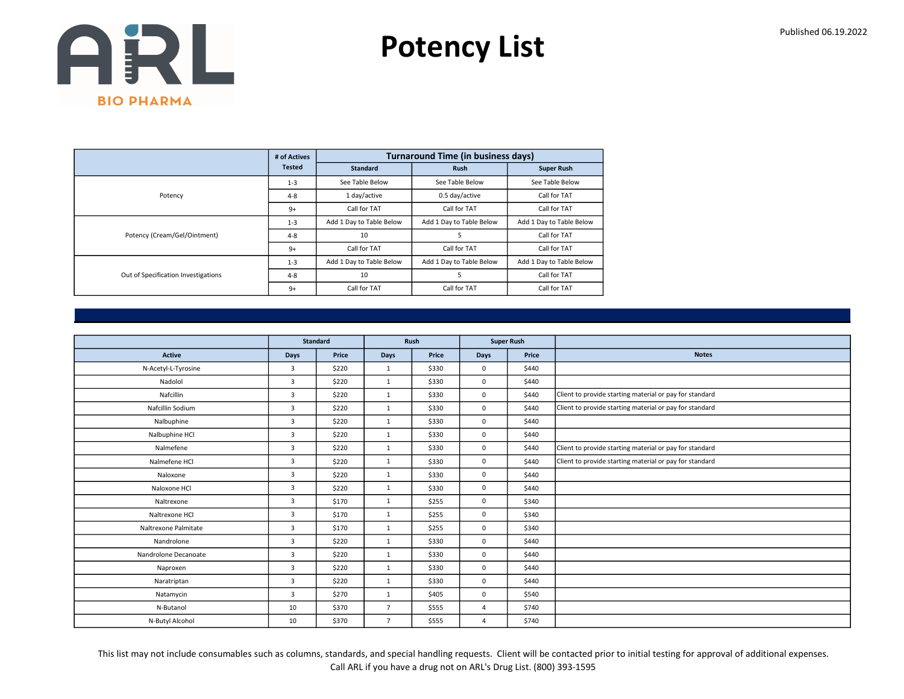Potency List

|                                     | # of Actives  |                          | <b>Turnaround Time (in business days)</b> |                          |
|-------------------------------------|---------------|--------------------------|-------------------------------------------|--------------------------|
|                                     | <b>Tested</b> | <b>Standard</b>          | <b>Rush</b>                               | <b>Super Rush</b>        |
|                                     | $1 - 3$       | See Table Below          | See Table Below                           | See Table Below          |
| Potency                             | $4 - 8$       | 1 day/active             | 0.5 day/active                            | Call for TAT             |
|                                     | $9+$          | Call for TAT             | Call for TAT                              | Call for TAT             |
|                                     | $1 - 3$       | Add 1 Day to Table Below | Add 1 Day to Table Below                  | Add 1 Day to Table Below |
| Potency (Cream/Gel/Ointment)        | $4 - 8$       | 10                       | 5                                         | Call for TAT             |
|                                     | $9+$          | Call for TAT             | Call for TAT                              | Call for TAT             |
|                                     | $1 - 3$       | Add 1 Day to Table Below | Add 1 Day to Table Below                  | Add 1 Day to Table Below |
| Out of Specification Investigations | $4 - 8$       | 10                       | 5                                         | Call for TAT             |
|                                     | $9+$          | Call for TAT             | Call for TAT                              | Call for TAT             |

|                      |                | <b>Standard</b> |                | Rush  |                | <b>Super Rush</b> |                                                         |
|----------------------|----------------|-----------------|----------------|-------|----------------|-------------------|---------------------------------------------------------|
| <b>Active</b>        | Days           | Price           | Days           | Price | <b>Days</b>    | Price             | <b>Notes</b>                                            |
| N-Acetyl-L-Tyrosine  | 3              | \$220           | $\mathbf{1}$   | \$330 | $\mathbf 0$    | \$440             |                                                         |
| Nadolol              | 3              | \$220           | $\mathbf{1}$   | \$330 | $\mathbf 0$    | \$440             |                                                         |
| Nafcillin            | 3              | \$220           | $\mathbf{1}$   | \$330 | $\mathbf 0$    | \$440             | Client to provide starting material or pay for standard |
| Nafcillin Sodium     | $\overline{3}$ | \$220           | 1              | \$330 | $\mathbf 0$    | \$440             | Client to provide starting material or pay for standard |
| Nalbuphine           | 3              | \$220           | $\mathbf{1}$   | \$330 | $\mathbf 0$    | \$440             |                                                         |
| Nalbuphine HCl       | 3              | \$220           | $\mathbf{1}$   | \$330 | $\mathbf 0$    | \$440             |                                                         |
| Nalmefene            | $\overline{3}$ | \$220           | $\mathbf{1}$   | \$330 | $\mathbf 0$    | \$440             | Client to provide starting material or pay for standard |
| Nalmefene HCl        | $\overline{3}$ | \$220           | $\mathbf{1}$   | \$330 | $\mathbf 0$    | \$440             | Client to provide starting material or pay for standard |
| Naloxone             | 3              | \$220           | $\mathbf{1}$   | \$330 | $\mathbf 0$    | \$440             |                                                         |
| Naloxone HCl         | 3              | \$220           | $\mathbf{1}$   | \$330 | $\mathbf 0$    | \$440             |                                                         |
| Naltrexone           | $\overline{3}$ | \$170           | $\mathbf{1}$   | \$255 | $\mathbf 0$    | \$340             |                                                         |
| Naltrexone HCl       | 3              | \$170           | $\mathbf{1}$   | \$255 | $\mathbf 0$    | \$340             |                                                         |
| Naltrexone Palmitate | 3              | \$170           | $\mathbf{1}$   | \$255 | $\mathbf 0$    | \$340             |                                                         |
| Nandrolone           | 3              | \$220           | $\mathbf{1}$   | \$330 | $\mathbf 0$    | \$440             |                                                         |
| Nandrolone Decanoate | $\overline{3}$ | \$220           | $\mathbf{1}$   | \$330 | $\mathbf 0$    | \$440             |                                                         |
| Naproxen             | $\overline{3}$ | \$220           | $\mathbf{1}$   | \$330 | $\mathbf 0$    | \$440             |                                                         |
| Naratriptan          | 3              | \$220           | $\mathbf{1}$   | \$330 | $\mathbf 0$    | \$440             |                                                         |
| Natamycin            | $\overline{3}$ | \$270           | $\mathbf{1}$   | \$405 | $\mathbf 0$    | \$540             |                                                         |
| N-Butanol            | 10             | \$370           | $\overline{7}$ | \$555 | $\overline{4}$ | \$740             |                                                         |
| N-Butyl Alcohol      | 10             | \$370           | $\overline{7}$ | \$555 | 4              | \$740             |                                                         |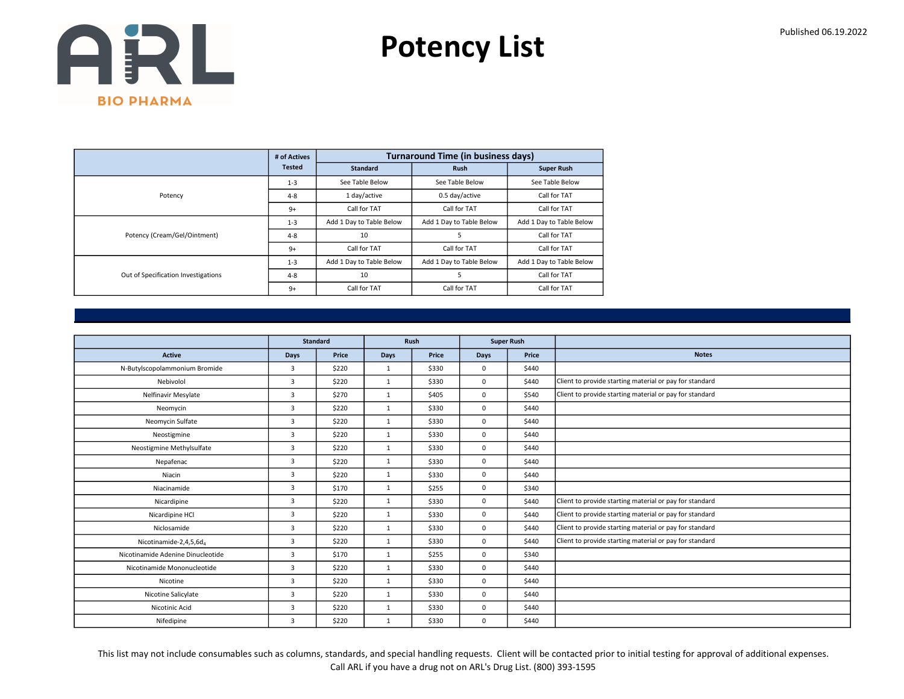Potency List

|                                     | # of Actives  |                          | <b>Turnaround Time (in business days)</b> |                          |
|-------------------------------------|---------------|--------------------------|-------------------------------------------|--------------------------|
|                                     | <b>Tested</b> | <b>Standard</b>          | <b>Rush</b>                               | <b>Super Rush</b>        |
|                                     | $1 - 3$       | See Table Below          | See Table Below                           | See Table Below          |
| Potency                             | $4 - 8$       | 1 day/active             | 0.5 day/active                            | Call for TAT             |
|                                     | $9+$          | Call for TAT             | Call for TAT                              | Call for TAT             |
|                                     | $1 - 3$       | Add 1 Day to Table Below | Add 1 Day to Table Below                  | Add 1 Day to Table Below |
| Potency (Cream/Gel/Ointment)        | $4 - 8$       | 10                       | 5                                         | Call for TAT             |
|                                     | $9+$          | Call for TAT             | Call for TAT                              | Call for TAT             |
|                                     | $1 - 3$       | Add 1 Day to Table Below | Add 1 Day to Table Below                  | Add 1 Day to Table Below |
| Out of Specification Investigations | $4 - 8$       | 10                       | 5                                         | Call for TAT             |
|                                     | $9+$          | Call for TAT             | Call for TAT                              | Call for TAT             |

|                                   |                | Standard |              | Rush  | <b>Super Rush</b> |       |                                                         |
|-----------------------------------|----------------|----------|--------------|-------|-------------------|-------|---------------------------------------------------------|
| <b>Active</b>                     | Days           | Price    | Days         | Price | <b>Days</b>       | Price | <b>Notes</b>                                            |
| N-Butylscopolammonium Bromide     | 3              | \$220    | $\mathbf{1}$ | \$330 | $\mathbf 0$       | \$440 |                                                         |
| Nebivolol                         | $\overline{3}$ | \$220    | 1            | \$330 | $\mathbf 0$       | \$440 | Client to provide starting material or pay for standard |
| Nelfinavir Mesylate               | 3              | \$270    | $\mathbf{1}$ | \$405 | $\mathbf 0$       | \$540 | Client to provide starting material or pay for standard |
| Neomycin                          | $\overline{3}$ | \$220    | $\mathbf{1}$ | \$330 | $\mathbf 0$       | \$440 |                                                         |
| Neomycin Sulfate                  | $\overline{3}$ | \$220    | 1            | \$330 | $\mathbf 0$       | \$440 |                                                         |
| Neostigmine                       | 3              | \$220    | $\mathbf{1}$ | \$330 | $\mathbf 0$       | \$440 |                                                         |
| Neostigmine Methylsulfate         | $\overline{3}$ | \$220    | 1            | \$330 | $\mathbf 0$       | \$440 |                                                         |
| Nepafenac                         | 3              | \$220    | 1            | \$330 | $\mathbf 0$       | \$440 |                                                         |
| Niacin                            | $\overline{3}$ | \$220    | $\mathbf{1}$ | \$330 | $\mathbf 0$       | \$440 |                                                         |
| Niacinamide                       | $\overline{3}$ | \$170    | 1            | \$255 | $\mathbf 0$       | \$340 |                                                         |
| Nicardipine                       | $\overline{3}$ | \$220    | $\mathbf{1}$ | \$330 | $\mathbf 0$       | \$440 | Client to provide starting material or pay for standard |
| Nicardipine HCl                   | 3              | \$220    | 1            | \$330 | $\mathbf 0$       | \$440 | Client to provide starting material or pay for standard |
| Niclosamide                       | 3              | \$220    | $\mathbf{1}$ | \$330 | $\mathbf 0$       | \$440 | Client to provide starting material or pay for standard |
| Nicotinamide-2,4,5,6d,            | 3              | \$220    | $\mathbf{1}$ | \$330 | $\mathbf 0$       | \$440 | Client to provide starting material or pay for standard |
| Nicotinamide Adenine Dinucleotide | 3              | \$170    | $\mathbf{1}$ | \$255 | $\mathbf 0$       | \$340 |                                                         |
| Nicotinamide Mononucleotide       | $\overline{3}$ | \$220    | 1            | \$330 | $\mathbf 0$       | \$440 |                                                         |
| Nicotine                          | 3              | \$220    | $\mathbf{1}$ | \$330 | $\mathbf 0$       | \$440 |                                                         |
| Nicotine Salicylate               | 3              | \$220    | 1            | \$330 | $\mathbf 0$       | \$440 |                                                         |
| Nicotinic Acid                    | 3              | \$220    | $\mathbf{1}$ | \$330 | $\mathbf 0$       | \$440 |                                                         |
| Nifedipine                        | $\overline{3}$ | \$220    | $\mathbf{1}$ | \$330 | $\mathbf 0$       | \$440 |                                                         |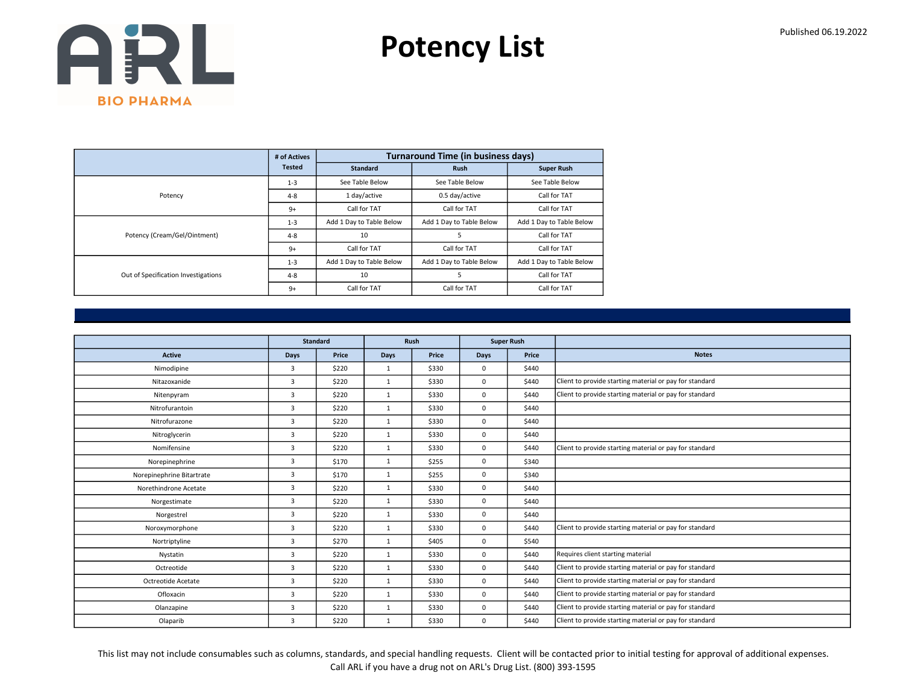Potency List

|                                     | # of Actives  |                          | <b>Turnaround Time (in business days)</b> |                          |
|-------------------------------------|---------------|--------------------------|-------------------------------------------|--------------------------|
|                                     | <b>Tested</b> | <b>Standard</b>          | <b>Rush</b>                               | <b>Super Rush</b>        |
|                                     | $1 - 3$       | See Table Below          | See Table Below                           | See Table Below          |
| Potency                             | $4 - 8$       | 1 day/active             | 0.5 day/active                            | Call for TAT             |
|                                     | $9+$          | Call for TAT             | Call for TAT                              | Call for TAT             |
|                                     | $1 - 3$       | Add 1 Day to Table Below | Add 1 Day to Table Below                  | Add 1 Day to Table Below |
| Potency (Cream/Gel/Ointment)        | $4 - 8$       | 10                       | 5                                         | Call for TAT             |
|                                     | $9+$          | Call for TAT             | Call for TAT                              | Call for TAT             |
|                                     | $1 - 3$       | Add 1 Day to Table Below | Add 1 Day to Table Below                  | Add 1 Day to Table Below |
| Out of Specification Investigations | $4 - 8$       | 10                       | 5                                         | Call for TAT             |
|                                     | $9+$          | Call for TAT             | Call for TAT                              | Call for TAT             |

|                           | <b>Standard</b> |       |              | <b>Rush</b> |             | <b>Super Rush</b> |                                                         |
|---------------------------|-----------------|-------|--------------|-------------|-------------|-------------------|---------------------------------------------------------|
| <b>Active</b>             | Days            | Price | <b>Days</b>  | Price       | Days        | Price             | <b>Notes</b>                                            |
| Nimodipine                | 3               | \$220 | 1            | \$330       | $\mathbf 0$ | \$440             |                                                         |
| Nitazoxanide              | 3               | \$220 | $\mathbf{1}$ | \$330       | $\mathbf 0$ | \$440             | Client to provide starting material or pay for standard |
| Nitenpyram                | 3               | \$220 | $\mathbf{1}$ | \$330       | $\mathbf 0$ | \$440             | Client to provide starting material or pay for standard |
| Nitrofurantoin            | $\overline{3}$  | \$220 | 1            | \$330       | $\mathbf 0$ | \$440             |                                                         |
| Nitrofurazone             | $\overline{3}$  | \$220 | $\mathbf{1}$ | \$330       | $\mathbf 0$ | \$440             |                                                         |
| Nitroglycerin             | 3               | \$220 | $\mathbf{1}$ | \$330       | $\mathbf 0$ | \$440             |                                                         |
| Nomifensine               | $\overline{3}$  | \$220 | 1            | \$330       | $\mathbf 0$ | \$440             | Client to provide starting material or pay for standard |
| Norepinephrine            | $\overline{3}$  | \$170 | $\mathbf{1}$ | \$255       | $\mathbf 0$ | \$340             |                                                         |
| Norepinephrine Bitartrate | 3               | \$170 | $\mathbf{1}$ | \$255       | $\mathbf 0$ | \$340             |                                                         |
| Norethindrone Acetate     | $\overline{3}$  | \$220 | 1            | \$330       | $\mathbf 0$ | \$440             |                                                         |
| Norgestimate              | $\overline{3}$  | \$220 | $\mathbf{1}$ | \$330       | $\mathbf 0$ | \$440             |                                                         |
| Norgestrel                | 3               | \$220 | $\mathbf{1}$ | \$330       | $\mathbf 0$ | \$440             |                                                         |
| Noroxymorphone            | 3               | \$220 | $\mathbf{1}$ | \$330       | $\mathbf 0$ | \$440             | Client to provide starting material or pay for standard |
| Nortriptyline             | 3               | \$270 | $\mathbf{1}$ | \$405       | $\mathbf 0$ | \$540             |                                                         |
| Nystatin                  | 3               | \$220 | $\mathbf{1}$ | \$330       | $\mathbf 0$ | \$440             | Requires client starting material                       |
| Octreotide                | 3               | \$220 | $\mathbf{1}$ | \$330       | $\mathbf 0$ | \$440             | Client to provide starting material or pay for standard |
| Octreotide Acetate        | 3               | \$220 | $\mathbf{1}$ | \$330       | $\mathbf 0$ | \$440             | Client to provide starting material or pay for standard |
| Ofloxacin                 | 3               | \$220 | 1            | \$330       | $\mathbf 0$ | \$440             | Client to provide starting material or pay for standard |
| Olanzapine                | 3               | \$220 | $\mathbf{1}$ | \$330       | $\mathbf 0$ | \$440             | Client to provide starting material or pay for standard |
| Olaparib                  | 3               | \$220 | $\mathbf{1}$ | \$330       | $\mathbf 0$ | \$440             | Client to provide starting material or pay for standard |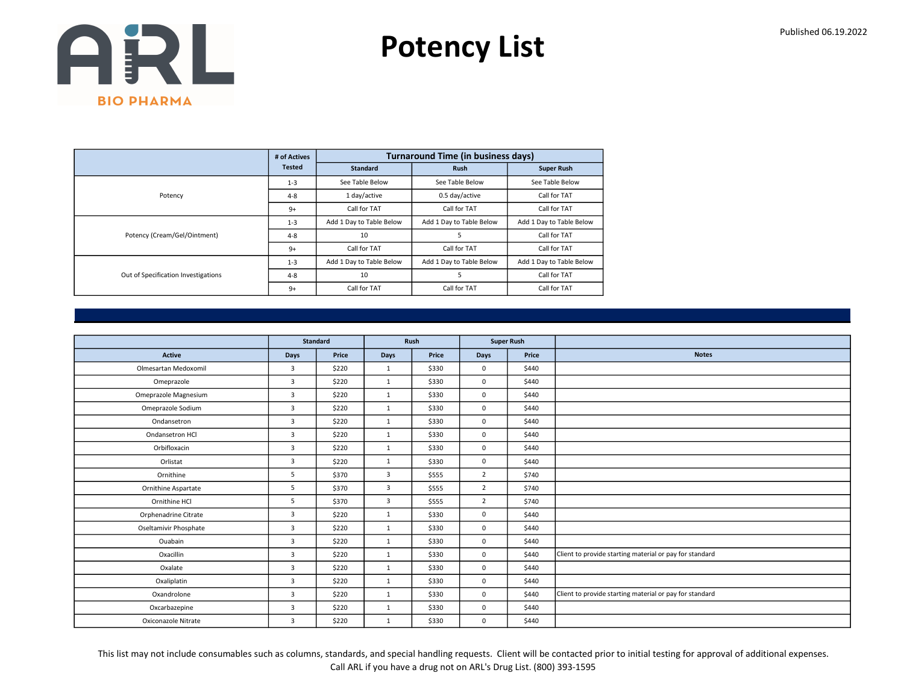Potency List

|                                     | # of Actives  |                          | <b>Turnaround Time (in business days)</b> |                          |
|-------------------------------------|---------------|--------------------------|-------------------------------------------|--------------------------|
|                                     | <b>Tested</b> | <b>Standard</b>          | <b>Rush</b>                               | <b>Super Rush</b>        |
|                                     | $1 - 3$       | See Table Below          | See Table Below                           | See Table Below          |
| Potency                             | $4 - 8$       | 1 day/active             | 0.5 day/active                            | Call for TAT             |
|                                     | $9+$          | Call for TAT             | Call for TAT                              | Call for TAT             |
|                                     | $1 - 3$       | Add 1 Day to Table Below | Add 1 Day to Table Below                  | Add 1 Day to Table Below |
| Potency (Cream/Gel/Ointment)        | $4 - 8$       | 10                       | 5                                         | Call for TAT             |
|                                     | $9+$          | Call for TAT             | Call for TAT                              | Call for TAT             |
|                                     | $1 - 3$       | Add 1 Day to Table Below | Add 1 Day to Table Below                  | Add 1 Day to Table Below |
| Out of Specification Investigations | $4 - 8$       | 10                       | 5                                         | Call for TAT             |
|                                     | $9+$          | Call for TAT             | Call for TAT                              | Call for TAT             |

|                            | Standard       |       | Rush                    |       |                | <b>Super Rush</b> |                                                         |
|----------------------------|----------------|-------|-------------------------|-------|----------------|-------------------|---------------------------------------------------------|
|                            |                |       |                         |       |                |                   |                                                         |
| <b>Active</b>              | Days           | Price | Days                    | Price | Days           | Price             | <b>Notes</b>                                            |
| Olmesartan Medoxomil       | $\overline{3}$ | \$220 | 1                       | \$330 | $\mathbf{0}$   | \$440             |                                                         |
| Omeprazole                 | 3              | \$220 | 1                       | \$330 | $\mathbf 0$    | \$440             |                                                         |
| Omeprazole Magnesium       | 3              | \$220 | $\mathbf{1}$            | \$330 | $\mathbf 0$    | \$440             |                                                         |
| Omeprazole Sodium          | $\overline{3}$ | \$220 | 1                       | \$330 | $\mathbf{0}$   | \$440             |                                                         |
| Ondansetron                | 3              | \$220 | 1                       | \$330 | $\mathbf 0$    | \$440             |                                                         |
| Ondansetron HCl            | 3              | \$220 | 1                       | \$330 | $\mathbf 0$    | \$440             |                                                         |
| Orbifloxacin               | 3              | \$220 | $\mathbf{1}$            | \$330 | $\mathbf 0$    | \$440             |                                                         |
| Orlistat                   | 3              | \$220 | 1                       | \$330 | $\mathbf 0$    | \$440             |                                                         |
| Ornithine                  | 5              | \$370 | $\overline{\mathbf{3}}$ | \$555 | 2              | \$740             |                                                         |
| <b>Ornithine Aspartate</b> | 5              | \$370 | 3                       | \$555 | $\overline{2}$ | \$740             |                                                         |
| Ornithine HCl              | 5              | \$370 | $\overline{3}$          | \$555 | $\overline{2}$ | \$740             |                                                         |
| Orphenadrine Citrate       | 3              | \$220 | $\mathbf{1}$            | \$330 | $\mathbf 0$    | \$440             |                                                         |
| Oseltamivir Phosphate      | 3              | \$220 | $\mathbf{1}$            | \$330 | $\mathbf 0$    | \$440             |                                                         |
| Ouabain                    | 3              | \$220 | 1                       | \$330 | $\mathbf 0$    | \$440             |                                                         |
| Oxacillin                  | $\overline{3}$ | \$220 | $\mathbf{1}$            | \$330 | $\mathbf 0$    | \$440             | Client to provide starting material or pay for standard |
| Oxalate                    | 3              | \$220 | 1                       | \$330 | $\mathbf 0$    | \$440             |                                                         |
| Oxaliplatin                | 3              | \$220 | $\mathbf{1}$            | \$330 | $\mathbf 0$    | \$440             |                                                         |
| Oxandrolone                | $\overline{3}$ | \$220 | 1                       | \$330 | $\mathbf 0$    | \$440             | Client to provide starting material or pay for standard |
| Oxcarbazepine              | 3              | \$220 | 1                       | \$330 | $\mathbf 0$    | \$440             |                                                         |
| Oxiconazole Nitrate        | 3              | \$220 | $\mathbf{1}$            | \$330 | $\mathbf 0$    | \$440             |                                                         |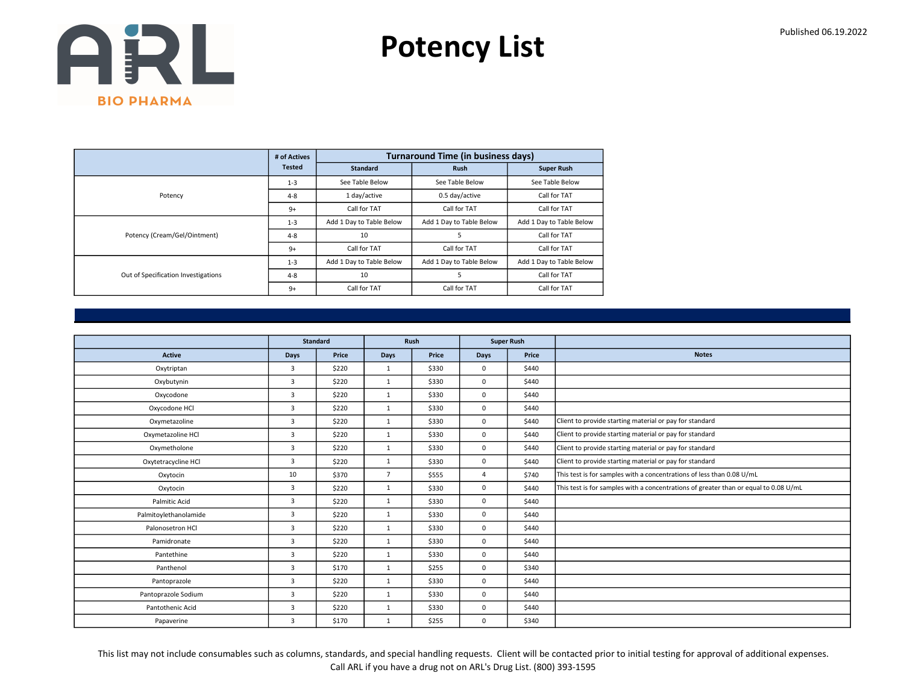Potency List

|                                     | # of Actives  |                          | <b>Turnaround Time (in business days)</b> |                          |
|-------------------------------------|---------------|--------------------------|-------------------------------------------|--------------------------|
|                                     | <b>Tested</b> | <b>Standard</b>          | <b>Rush</b>                               | <b>Super Rush</b>        |
|                                     | $1 - 3$       | See Table Below          | See Table Below                           | See Table Below          |
| Potency                             | $4 - 8$       | 1 day/active             | 0.5 day/active                            | Call for TAT             |
|                                     | $9+$          | Call for TAT             | Call for TAT                              | Call for TAT             |
|                                     | $1 - 3$       | Add 1 Day to Table Below | Add 1 Day to Table Below                  | Add 1 Day to Table Below |
| Potency (Cream/Gel/Ointment)        | $4 - 8$       | 10                       | 5                                         | Call for TAT             |
|                                     | $9+$          | Call for TAT             | Call for TAT                              | Call for TAT             |
|                                     | $1 - 3$       | Add 1 Day to Table Below | Add 1 Day to Table Below                  | Add 1 Day to Table Below |
| Out of Specification Investigations | $4 - 8$       | 10                       | 5                                         | Call for TAT             |
|                                     | $9+$          | Call for TAT             | Call for TAT                              | Call for TAT             |

|                       |                | <b>Standard</b> |                | Rush  |                | <b>Super Rush</b> |                                                                                      |
|-----------------------|----------------|-----------------|----------------|-------|----------------|-------------------|--------------------------------------------------------------------------------------|
| <b>Active</b>         | Days           | Price           | <b>Days</b>    | Price | Days           | Price             | <b>Notes</b>                                                                         |
| Oxytriptan            | 3              | \$220           | $\mathbf{1}$   | \$330 | $\mathbf 0$    | \$440             |                                                                                      |
| Oxybutynin            | 3              | \$220           | $\mathbf{1}$   | \$330 | $\mathbf 0$    | \$440             |                                                                                      |
| Oxycodone             | 3              | \$220           | $\mathbf{1}$   | \$330 | $\mathbf 0$    | \$440             |                                                                                      |
| Oxycodone HCl         | $\overline{3}$ | \$220           | $\mathbf{1}$   | \$330 | $\mathbf 0$    | \$440             |                                                                                      |
| Oxymetazoline         | 3              | \$220           | $\mathbf{1}$   | \$330 | $\mathbf 0$    | \$440             | Client to provide starting material or pay for standard                              |
| Oxymetazoline HCl     | 3              | \$220           | $\mathbf{1}$   | \$330 | $\mathbf 0$    | \$440             | Client to provide starting material or pay for standard                              |
| Oxymetholone          | $\overline{3}$ | \$220           | 1              | \$330 | $\mathbf 0$    | \$440             | Client to provide starting material or pay for standard                              |
| Oxytetracycline HCl   | $\overline{3}$ | \$220           | $\mathbf{1}$   | \$330 | $\mathbf 0$    | \$440             | Client to provide starting material or pay for standard                              |
| Oxytocin              | 10             | \$370           | $\overline{7}$ | \$555 | $\overline{4}$ | \$740             | This test is for samples with a concentrations of less than 0.08 U/mL                |
| Oxytocin              | 3              | \$220           | $\mathbf{1}$   | \$330 | $\mathbf 0$    | \$440             | This test is for samples with a concentrations of greater than or equal to 0.08 U/mL |
| <b>Palmitic Acid</b>  | $\overline{3}$ | \$220           | $\mathbf{1}$   | \$330 | $\mathbf 0$    | \$440             |                                                                                      |
| Palmitoylethanolamide | 3              | \$220           | $\mathbf{1}$   | \$330 | $\mathbf 0$    | \$440             |                                                                                      |
| Palonosetron HCl      | 3              | \$220           | $\mathbf{1}$   | \$330 | $\mathbf 0$    | \$440             |                                                                                      |
| Pamidronate           | 3              | \$220           | $\mathbf{1}$   | \$330 | $\mathbf 0$    | \$440             |                                                                                      |
| Pantethine            | 3              | \$220           | $\mathbf{1}$   | \$330 | $\mathbf 0$    | \$440             |                                                                                      |
| Panthenol             | $\overline{3}$ | \$170           | $\mathbf{1}$   | \$255 | $\mathbf 0$    | \$340             |                                                                                      |
| Pantoprazole          | 3              | \$220           | $\mathbf{1}$   | \$330 | $\mathbf 0$    | \$440             |                                                                                      |
| Pantoprazole Sodium   | $\overline{3}$ | \$220           | $\mathbf{1}$   | \$330 | $\mathbf 0$    | \$440             |                                                                                      |
| Pantothenic Acid      | 3              | \$220           | $\mathbf{1}$   | \$330 | $\mathbf 0$    | \$440             |                                                                                      |
| Papaverine            | 3              | \$170           | $\mathbf{1}$   | \$255 | $\mathbf{0}$   | \$340             |                                                                                      |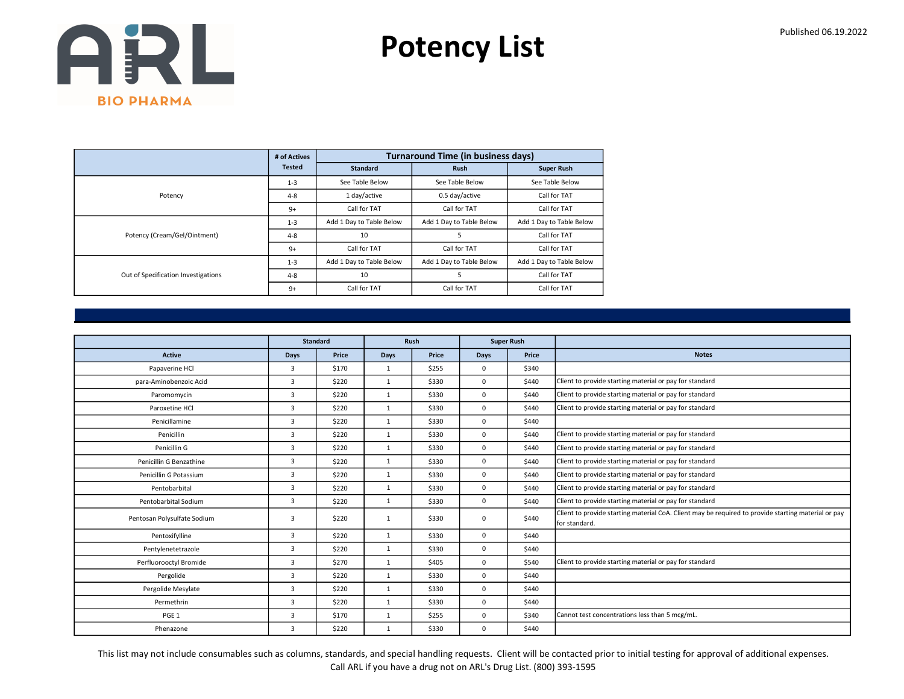Potency List

|                                     | # of Actives  |                          | <b>Turnaround Time (in business days)</b> |                          |
|-------------------------------------|---------------|--------------------------|-------------------------------------------|--------------------------|
|                                     | <b>Tested</b> | <b>Standard</b>          | <b>Rush</b>                               | <b>Super Rush</b>        |
|                                     | $1 - 3$       | See Table Below          | See Table Below                           | See Table Below          |
| Potency                             | $4 - 8$       | 1 day/active             | 0.5 day/active                            | Call for TAT             |
|                                     | $9+$          | Call for TAT             | Call for TAT                              | Call for TAT             |
|                                     | $1 - 3$       | Add 1 Day to Table Below | Add 1 Day to Table Below                  | Add 1 Day to Table Below |
| Potency (Cream/Gel/Ointment)        | $4 - 8$       | 10                       | 5                                         | Call for TAT             |
|                                     | $9+$          | Call for TAT             | Call for TAT                              | Call for TAT             |
|                                     | $1 - 3$       | Add 1 Day to Table Below | Add 1 Day to Table Below                  | Add 1 Day to Table Below |
| Out of Specification Investigations | $4 - 8$       | 10                       | 5                                         | Call for TAT             |
|                                     | $9+$          | Call for TAT             | Call for TAT                              | Call for TAT             |

|                             |                | <b>Standard</b> |              | Rush  |             | <b>Super Rush</b> |                                                                                                                       |
|-----------------------------|----------------|-----------------|--------------|-------|-------------|-------------------|-----------------------------------------------------------------------------------------------------------------------|
| <b>Active</b>               | Days           | Price           | Days         | Price | <b>Days</b> | Price             | <b>Notes</b>                                                                                                          |
| Papaverine HCl              | 3              | \$170           | 1            | \$255 | 0           | \$340             |                                                                                                                       |
| para-Aminobenzoic Acid      | 3              | \$220           | 1            | \$330 | $\Omega$    | \$440             | Client to provide starting material or pay for standard                                                               |
| Paromomycin                 | 3              | \$220           | $\mathbf{1}$ | \$330 | 0           | \$440             | Client to provide starting material or pay for standard                                                               |
| Paroxetine HCI              | $\overline{3}$ | \$220           | 1            | \$330 | 0           | \$440             | Client to provide starting material or pay for standard                                                               |
| Penicillamine               | $\overline{3}$ | \$220           | $\mathbf{1}$ | \$330 | 0           | \$440             |                                                                                                                       |
| Penicillin                  | $\overline{3}$ | \$220           | $\mathbf{1}$ | \$330 | 0           | \$440             | Client to provide starting material or pay for standard                                                               |
| Penicillin G                | $\overline{3}$ | \$220           | $\mathbf{1}$ | \$330 | 0           | \$440             | Client to provide starting material or pay for standard                                                               |
| Penicillin G Benzathine     | 3              | \$220           | $\mathbf{1}$ | \$330 | 0           | \$440             | Client to provide starting material or pay for standard                                                               |
| Penicillin G Potassium      | $\overline{3}$ | \$220           | $\mathbf{1}$ | \$330 | 0           | \$440             | Client to provide starting material or pay for standard                                                               |
| Pentobarbital               | $\overline{3}$ | \$220           | $\mathbf{1}$ | \$330 | 0           | \$440             | Client to provide starting material or pay for standard                                                               |
| Pentobarbital Sodium        | $\overline{3}$ | \$220           | $\mathbf{1}$ | \$330 | 0           | \$440             | Client to provide starting material or pay for standard                                                               |
| Pentosan Polysulfate Sodium | 3              | \$220           | $\mathbf{1}$ | \$330 | 0           | \$440             | Client to provide starting material CoA. Client may be required to provide starting material or pay<br>Ifor standard. |
| Pentoxifylline              | 3              | \$220           | $\mathbf{1}$ | \$330 | 0           | \$440             |                                                                                                                       |
| Pentylenetetrazole          | $\overline{3}$ | \$220           | $\mathbf{1}$ | \$330 | 0           | \$440             |                                                                                                                       |
| Perfluorooctyl Bromide      | $\overline{3}$ | \$270           | $\mathbf{1}$ | \$405 | 0           | \$540             | Client to provide starting material or pay for standard                                                               |
| Pergolide                   | 3              | \$220           | $\mathbf{1}$ | \$330 | 0           | \$440             |                                                                                                                       |
| Pergolide Mesylate          | 3              | \$220           | $\mathbf{1}$ | \$330 | 0           | \$440             |                                                                                                                       |
| Permethrin                  | 3              | \$220           | $\mathbf{1}$ | \$330 | 0           | \$440             |                                                                                                                       |
| PGE <sub>1</sub>            | 3              | \$170           | $\mathbf{1}$ | \$255 | 0           | \$340             | Cannot test concentrations less than 5 mcg/mL.                                                                        |
| Phenazone                   | 3              | \$220           | $\mathbf{1}$ | \$330 | 0           | \$440             |                                                                                                                       |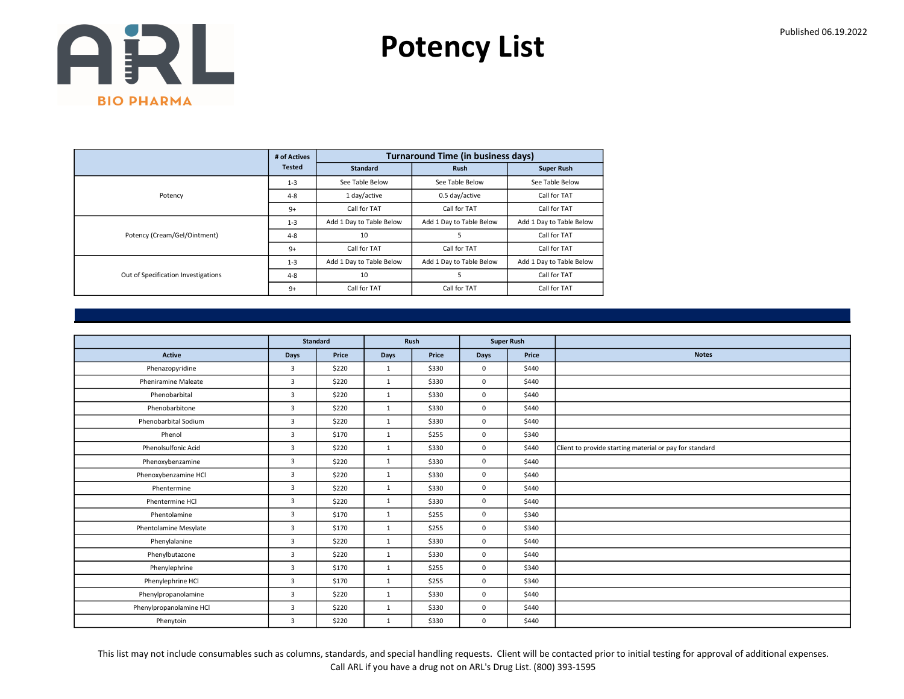Potency List

|                                     | # of Actives  |                          | <b>Turnaround Time (in business days)</b> |                          |
|-------------------------------------|---------------|--------------------------|-------------------------------------------|--------------------------|
|                                     | <b>Tested</b> | <b>Standard</b>          | <b>Rush</b>                               | <b>Super Rush</b>        |
|                                     | $1 - 3$       | See Table Below          | See Table Below                           | See Table Below          |
| Potency                             | $4 - 8$       | 1 day/active             | 0.5 day/active                            | Call for TAT             |
|                                     | $9+$          | Call for TAT             | Call for TAT                              | Call for TAT             |
|                                     | $1 - 3$       | Add 1 Day to Table Below | Add 1 Day to Table Below                  | Add 1 Day to Table Below |
| Potency (Cream/Gel/Ointment)        | $4 - 8$       | 10                       | 5                                         | Call for TAT             |
|                                     | $9+$          | Call for TAT             | Call for TAT                              | Call for TAT             |
|                                     | $1 - 3$       | Add 1 Day to Table Below | Add 1 Day to Table Below                  | Add 1 Day to Table Below |
| Out of Specification Investigations | $4 - 8$       | 10                       | 5                                         | Call for TAT             |
|                                     | $9+$          | Call for TAT             | Call for TAT                              | Call for TAT             |

|                            | <b>Standard</b> |       | Rush         |       | <b>Super Rush</b> |       |                                                         |
|----------------------------|-----------------|-------|--------------|-------|-------------------|-------|---------------------------------------------------------|
| <b>Active</b>              | Days            | Price | Days         | Price | <b>Days</b>       | Price | <b>Notes</b>                                            |
| Phenazopyridine            | $\overline{3}$  | \$220 | 1            | \$330 | $\mathbf{0}$      | \$440 |                                                         |
| <b>Pheniramine Maleate</b> | 3               | \$220 | $\mathbf{1}$ | \$330 | $\mathsf 0$       | \$440 |                                                         |
| Phenobarbital              | 3               | \$220 | 1            | \$330 | $\mathbf 0$       | \$440 |                                                         |
| Phenobarbitone             | $\overline{3}$  | \$220 | 1            | \$330 | $\mathbf{0}$      | \$440 |                                                         |
| Phenobarbital Sodium       | 3               | \$220 | 1            | \$330 | $\mathbf 0$       | \$440 |                                                         |
| Phenol                     | $\overline{3}$  | \$170 | 1            | \$255 | $\mathbf 0$       | \$340 |                                                         |
| Phenolsulfonic Acid        | 3               | \$220 | $\mathbf{1}$ | \$330 | $\mathbf 0$       | \$440 | Client to provide starting material or pay for standard |
| Phenoxybenzamine           | $\overline{3}$  | \$220 | 1            | \$330 | $\mathbf{0}$      | \$440 |                                                         |
| Phenoxybenzamine HCl       | 3               | \$220 | $\mathbf{1}$ | \$330 | $\mathbf 0$       | \$440 |                                                         |
| Phentermine                | $\overline{3}$  | \$220 | 1            | \$330 | $\mathbf 0$       | \$440 |                                                         |
| Phentermine HCl            | $\overline{3}$  | \$220 | 1            | \$330 | $\mathbf 0$       | \$440 |                                                         |
| Phentolamine               | 3               | \$170 | $\mathbf{1}$ | \$255 | $\mathbf{0}$      | \$340 |                                                         |
| Phentolamine Mesylate      | 3               | \$170 | 1            | \$255 | $\mathbf{0}$      | \$340 |                                                         |
| Phenylalanine              | 3               | \$220 | 1            | \$330 | $\mathbf{0}$      | \$440 |                                                         |
| Phenylbutazone             | 3               | \$220 | $\mathbf{1}$ | \$330 | $\mathbf 0$       | \$440 |                                                         |
| Phenylephrine              | $\overline{3}$  | \$170 | $\mathbf{1}$ | \$255 | $\mathbf{0}$      | \$340 |                                                         |
| Phenylephrine HCl          | $\overline{3}$  | \$170 | 1            | \$255 | $\mathbf 0$       | \$340 |                                                         |
| Phenylpropanolamine        | 3               | \$220 | 1            | \$330 | $\mathbf 0$       | \$440 |                                                         |
| Phenylpropanolamine HCl    | 3               | \$220 | 1            | \$330 | $\mathbf 0$       | \$440 |                                                         |
| Phenytoin                  | 3               | \$220 | $\mathbf{1}$ | \$330 | $\mathbf 0$       | \$440 |                                                         |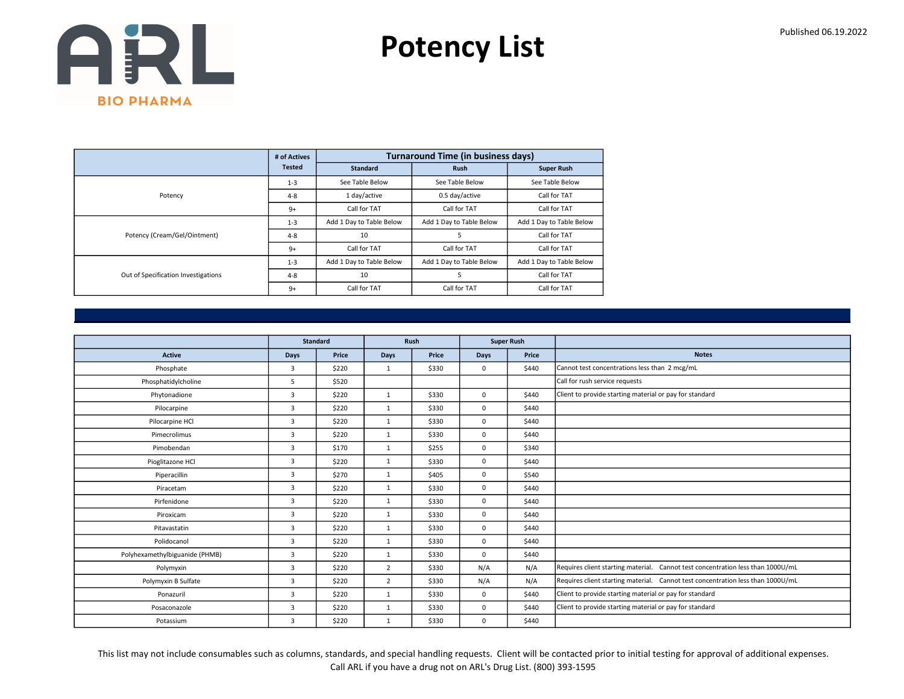Potency List

|                                     | # of Actives  |                          | <b>Turnaround Time (in business days)</b> |                          |
|-------------------------------------|---------------|--------------------------|-------------------------------------------|--------------------------|
|                                     | <b>Tested</b> | <b>Standard</b>          | <b>Rush</b>                               | <b>Super Rush</b>        |
|                                     | $1 - 3$       | See Table Below          | See Table Below                           | See Table Below          |
| Potency                             | $4 - 8$       | 1 day/active             | 0.5 day/active                            | Call for TAT             |
|                                     | $9+$          | Call for TAT             | Call for TAT                              | Call for TAT             |
|                                     | $1 - 3$       | Add 1 Day to Table Below | Add 1 Day to Table Below                  | Add 1 Day to Table Below |
| Potency (Cream/Gel/Ointment)        | $4 - 8$       | 10                       | 5                                         | Call for TAT             |
|                                     | $9+$          | Call for TAT             | Call for TAT                              | Call for TAT             |
|                                     | $1 - 3$       | Add 1 Day to Table Below | Add 1 Day to Table Below                  | Add 1 Day to Table Below |
| Out of Specification Investigations | $4 - 8$       | 10                       | 5                                         | Call for TAT             |
|                                     | $9+$          | Call for TAT             | Call for TAT                              | Call for TAT             |

|                                |                | <b>Standard</b> |                | Rush  |             | <b>Super Rush</b> |                                                                                 |
|--------------------------------|----------------|-----------------|----------------|-------|-------------|-------------------|---------------------------------------------------------------------------------|
| <b>Active</b>                  | <b>Days</b>    | Price           | <b>Days</b>    | Price | <b>Days</b> | Price             | <b>Notes</b>                                                                    |
| Phosphate                      | 3              | \$220           | $\mathbf{1}$   | \$330 | $\mathbf 0$ | \$440             | Cannot test concentrations less than 2 mcg/mL                                   |
| Phosphatidylcholine            | 5              | \$520           |                |       |             |                   | Call for rush service requests                                                  |
| Phytonadione                   | 3              | \$220           | $\mathbf{1}$   | \$330 | $\mathbf 0$ | \$440             | Client to provide starting material or pay for standard                         |
| Pilocarpine                    | 3              | \$220           | 1              | \$330 | $\mathbf 0$ | \$440             |                                                                                 |
| Pilocarpine HCl                | 3              | \$220           | $\mathbf{1}$   | \$330 | $\Omega$    | \$440             |                                                                                 |
| Pimecrolimus                   | 3              | \$220           | $\mathbf{1}$   | \$330 | $\mathbf 0$ | \$440             |                                                                                 |
| Pimobendan                     | $\overline{3}$ | \$170           | 1              | \$255 | $\mathbf 0$ | \$340             |                                                                                 |
| Pioglitazone HCl               | 3              | \$220           | $\mathbf{1}$   | \$330 | $\mathbf 0$ | \$440             |                                                                                 |
| Piperacillin                   | 3              | \$270           | $\mathbf{1}$   | \$405 | $\mathbf 0$ | \$540             |                                                                                 |
| Piracetam                      | $\overline{3}$ | \$220           | 1              | \$330 | $\mathbf 0$ | \$440             |                                                                                 |
| Pirfenidone                    | 3              | \$220           | $\mathbf{1}$   | \$330 | $\mathbf 0$ | \$440             |                                                                                 |
| Piroxicam                      | 3              | \$220           | $\mathbf{1}$   | \$330 | $\mathbf 0$ | \$440             |                                                                                 |
| Pitavastatin                   | 3              | \$220           | 1              | \$330 | $\Omega$    | \$440             |                                                                                 |
| Polidocanol                    | $\overline{3}$ | \$220           | 1              | \$330 | $\mathbf 0$ | \$440             |                                                                                 |
| Polyhexamethylbiguanide (PHMB) | $\overline{3}$ | \$220           | $\mathbf{1}$   | \$330 | $\mathbf 0$ | \$440             |                                                                                 |
| Polymyxin                      | 3              | \$220           | $\overline{2}$ | \$330 | N/A         | N/A               | Requires client starting material. Cannot test concentration less than 1000U/mL |
| Polymyxin B Sulfate            | 3              | \$220           | $\overline{2}$ | \$330 | N/A         | N/A               | Requires client starting material. Cannot test concentration less than 1000U/mL |
| Ponazuril                      | 3              | \$220           | $\mathbf{1}$   | \$330 | $\mathbf 0$ | \$440             | Client to provide starting material or pay for standard                         |
| Posaconazole                   | $\overline{3}$ | \$220           | $\mathbf{1}$   | \$330 | $\mathbf 0$ | \$440             | Client to provide starting material or pay for standard                         |
| Potassium                      | 3              | \$220           | $\mathbf{1}$   | \$330 | 0           | \$440             |                                                                                 |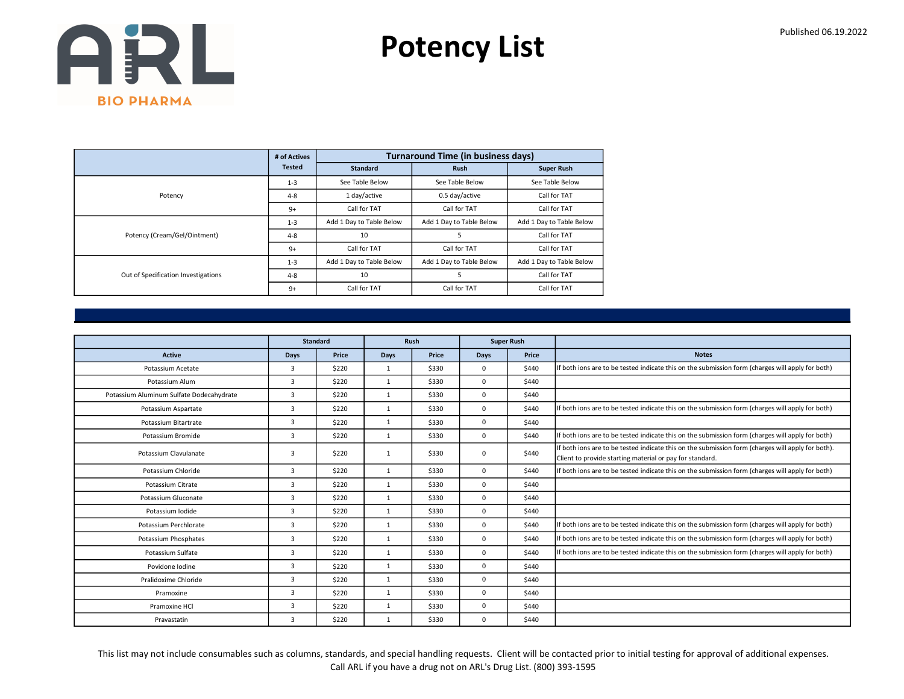Potency List

|                                     | # of Actives  |                          | <b>Turnaround Time (in business days)</b> |                          |
|-------------------------------------|---------------|--------------------------|-------------------------------------------|--------------------------|
|                                     | <b>Tested</b> | <b>Standard</b>          | <b>Rush</b>                               | <b>Super Rush</b>        |
|                                     | $1 - 3$       | See Table Below          | See Table Below                           | See Table Below          |
| Potency                             | $4 - 8$       | 1 day/active             | 0.5 day/active                            | Call for TAT             |
|                                     | $9+$          | Call for TAT             | Call for TAT                              | Call for TAT             |
|                                     | $1 - 3$       | Add 1 Day to Table Below | Add 1 Day to Table Below                  | Add 1 Day to Table Below |
| Potency (Cream/Gel/Ointment)        | $4 - 8$       | 10                       | 5                                         | Call for TAT             |
|                                     | $9+$          | Call for TAT             | Call for TAT                              | Call for TAT             |
|                                     | $1 - 3$       | Add 1 Day to Table Below | Add 1 Day to Table Below                  | Add 1 Day to Table Below |
| Out of Specification Investigations | $4 - 8$       | 10                       | 5                                         | Call for TAT             |
|                                     | $9+$          | Call for TAT             | Call for TAT                              | Call for TAT             |

|                                          |             | <b>Standard</b> |              | <b>Rush</b> | <b>Super Rush</b> |       |                                                                                                                                                               |
|------------------------------------------|-------------|-----------------|--------------|-------------|-------------------|-------|---------------------------------------------------------------------------------------------------------------------------------------------------------------|
| <b>Active</b>                            | <b>Days</b> | Price           | Days         | Price       | Days              | Price | <b>Notes</b>                                                                                                                                                  |
| Potassium Acetate                        | 3           | \$220           | $\mathbf{1}$ | \$330       | $\Omega$          | \$440 | If both ions are to be tested indicate this on the submission form (charges will apply for both)                                                              |
| Potassium Alum                           | 3           | \$220           | $\mathbf{1}$ | \$330       | $\Omega$          | \$440 |                                                                                                                                                               |
| Potassium Aluminum Sulfate Dodecahydrate | 3           | \$220           | $\mathbf{1}$ | \$330       | $\mathbf 0$       | \$440 |                                                                                                                                                               |
| Potassium Aspartate                      | 3           | \$220           | $\mathbf{1}$ | \$330       | $\mathbf 0$       | \$440 | If both ions are to be tested indicate this on the submission form (charges will apply for both)                                                              |
| Potassium Bitartrate                     | 3           | \$220           | 1            | \$330       | $\mathbf 0$       | \$440 |                                                                                                                                                               |
| Potassium Bromide                        | 3           | \$220           | $\mathbf{1}$ | \$330       | $^{\circ}$        | \$440 | If both ions are to be tested indicate this on the submission form (charges will apply for both)                                                              |
| Potassium Clavulanate                    | 3           | \$220           | $\mathbf{1}$ | \$330       | $\mathbf 0$       | \$440 | If both ions are to be tested indicate this on the submission form (charges will apply for both).<br>Client to provide starting material or pay for standard. |
| Potassium Chloride                       | 3           | \$220           | $\mathbf{1}$ | \$330       | $\Omega$          | \$440 | If both ions are to be tested indicate this on the submission form (charges will apply for both)                                                              |
| Potassium Citrate                        | 3           | \$220           | $\mathbf{1}$ | \$330       | $^{\circ}$        | \$440 |                                                                                                                                                               |
| Potassium Gluconate                      | 3           | \$220           | $\mathbf{1}$ | \$330       | $\mathbf 0$       | \$440 |                                                                                                                                                               |
| Potassium Iodide                         | 3           | \$220           | 1            | \$330       | $\Omega$          | \$440 |                                                                                                                                                               |
| Potassium Perchlorate                    | 3           | \$220           | $\mathbf{1}$ | \$330       | $\Omega$          | \$440 | If both ions are to be tested indicate this on the submission form (charges will apply for both)                                                              |
| Potassium Phosphates                     | 3           | \$220           | $\mathbf{1}$ | \$330       | $\Omega$          | \$440 | If both ions are to be tested indicate this on the submission form (charges will apply for both)                                                              |
| Potassium Sulfate                        | 3           | \$220           | $\mathbf{1}$ | \$330       | $\mathbf 0$       | \$440 | If both ions are to be tested indicate this on the submission form (charges will apply for both)                                                              |
| Povidone Iodine                          | 3           | \$220           | 1            | \$330       | $\mathbf 0$       | \$440 |                                                                                                                                                               |
| Pralidoxime Chloride                     | 3           | \$220           | $\mathbf{1}$ | \$330       | $\mathbf 0$       | \$440 |                                                                                                                                                               |
| Pramoxine                                | 3           | \$220           | $\mathbf{1}$ | \$330       | $\mathbf 0$       | \$440 |                                                                                                                                                               |
| Pramoxine HCI                            | 3           | \$220           | $\mathbf{1}$ | \$330       | $\mathbf 0$       | \$440 |                                                                                                                                                               |
| Pravastatin                              | 3           | \$220           | $\mathbf{1}$ | \$330       | $\mathbf 0$       | \$440 |                                                                                                                                                               |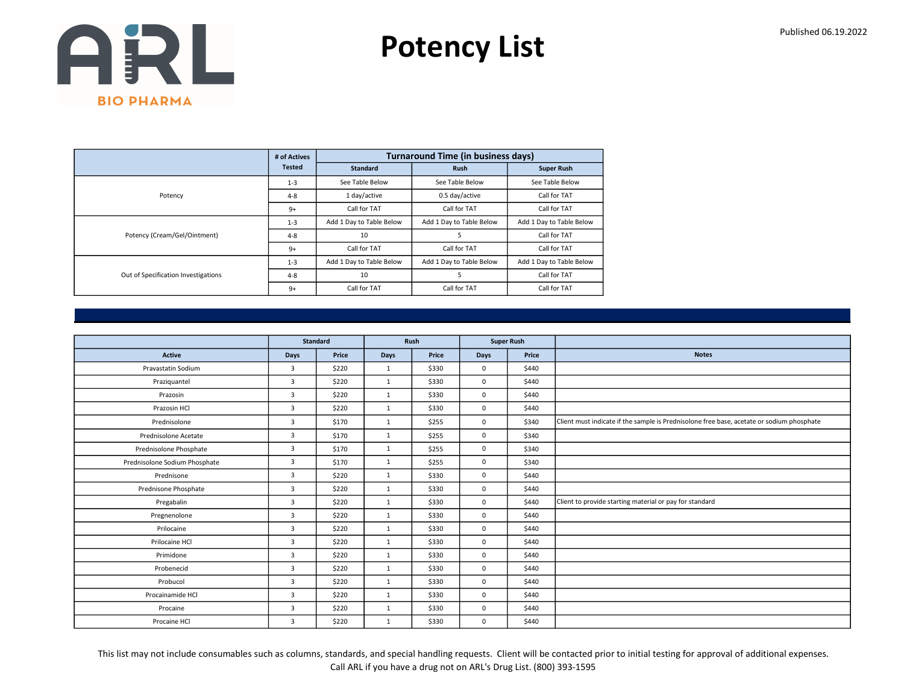Potency List

|                                     | # of Actives  |                          | <b>Turnaround Time (in business days)</b> |                          |
|-------------------------------------|---------------|--------------------------|-------------------------------------------|--------------------------|
|                                     | <b>Tested</b> | <b>Standard</b>          | <b>Rush</b>                               | <b>Super Rush</b>        |
|                                     | $1 - 3$       | See Table Below          | See Table Below                           | See Table Below          |
| Potency                             | $4 - 8$       | 1 day/active             | 0.5 day/active                            | Call for TAT             |
|                                     | $9+$          | Call for TAT             | Call for TAT                              | Call for TAT             |
|                                     | $1 - 3$       | Add 1 Day to Table Below | Add 1 Day to Table Below                  | Add 1 Day to Table Below |
| Potency (Cream/Gel/Ointment)        | $4 - 8$       | 10                       | 5                                         | Call for TAT             |
|                                     | $9+$          | Call for TAT             | Call for TAT                              | Call for TAT             |
|                                     | $1 - 3$       | Add 1 Day to Table Below | Add 1 Day to Table Below                  | Add 1 Day to Table Below |
| Out of Specification Investigations | $4 - 8$       | 10                       | 5                                         | Call for TAT             |
|                                     | $9+$          | Call for TAT             | Call for TAT                              | Call for TAT             |

|                               |                | <b>Standard</b> |              | Rush  |             | <b>Super Rush</b> |                                                                                           |
|-------------------------------|----------------|-----------------|--------------|-------|-------------|-------------------|-------------------------------------------------------------------------------------------|
| <b>Active</b>                 | Days           | Price           | Days         | Price | <b>Days</b> | Price             | <b>Notes</b>                                                                              |
| Pravastatin Sodium            | $\overline{3}$ | \$220           | $\mathbf{1}$ | \$330 | $\mathbf 0$ | \$440             |                                                                                           |
| Praziquantel                  | $\overline{3}$ | \$220           | $\mathbf{1}$ | \$330 | $\mathbf 0$ | \$440             |                                                                                           |
| Prazosin                      | 3              | \$220           | $\mathbf{1}$ | \$330 | $\mathbf 0$ | \$440             |                                                                                           |
| Prazosin HCl                  | $\overline{3}$ | \$220           | 1            | \$330 | $\mathbf 0$ | \$440             |                                                                                           |
| Prednisolone                  | $\overline{3}$ | \$170           | $\mathbf{1}$ | \$255 | $\mathbf 0$ | \$340             | Client must indicate if the sample is Prednisolone free base, acetate or sodium phosphate |
| Prednisolone Acetate          | 3              | \$170           | $\mathbf{1}$ | \$255 | $\mathbf 0$ | \$340             |                                                                                           |
| Prednisolone Phosphate        | 3              | \$170           | $\mathbf{1}$ | \$255 | $\mathbf 0$ | \$340             |                                                                                           |
| Prednisolone Sodium Phosphate | $\overline{3}$ | \$170           | 1            | \$255 | $\mathbf 0$ | \$340             |                                                                                           |
| Prednisone                    | 3              | \$220           | $\mathbf{1}$ | \$330 | $\mathbf 0$ | \$440             |                                                                                           |
| Prednisone Phosphate          | 3              | \$220           | $\mathbf{1}$ | \$330 | $\mathbf 0$ | \$440             |                                                                                           |
| Pregabalin                    | $\overline{3}$ | \$220           | $\mathbf{1}$ | \$330 | $\mathbf 0$ | \$440             | Client to provide starting material or pay for standard                                   |
| Pregnenolone                  | $\overline{3}$ | \$220           | $\mathbf{1}$ | \$330 | $\mathbf 0$ | \$440             |                                                                                           |
| Prilocaine                    | 3              | \$220           | $\mathbf{1}$ | \$330 | $\mathbf 0$ | \$440             |                                                                                           |
| Prilocaine HCl                | $\overline{3}$ | \$220           | $\mathbf{1}$ | \$330 | $\mathbf 0$ | \$440             |                                                                                           |
| Primidone                     | $\overline{3}$ | \$220           | $\mathbf{1}$ | \$330 | $\mathbf 0$ | \$440             |                                                                                           |
| Probenecid                    | $\overline{3}$ | \$220           | $\mathbf{1}$ | \$330 | $\mathbf 0$ | \$440             |                                                                                           |
| Probucol                      | $\overline{3}$ | \$220           | $\mathbf{1}$ | \$330 | $\mathbf 0$ | \$440             |                                                                                           |
| Procainamide HCl              | $\overline{3}$ | \$220           | $\mathbf{1}$ | \$330 | $\mathbf 0$ | \$440             |                                                                                           |
| Procaine                      | 3              | \$220           | $\mathbf{1}$ | \$330 | $\mathbf 0$ | \$440             |                                                                                           |
| Procaine HCl                  | 3              | \$220           | $\mathbf{1}$ | \$330 | $\mathbf 0$ | \$440             |                                                                                           |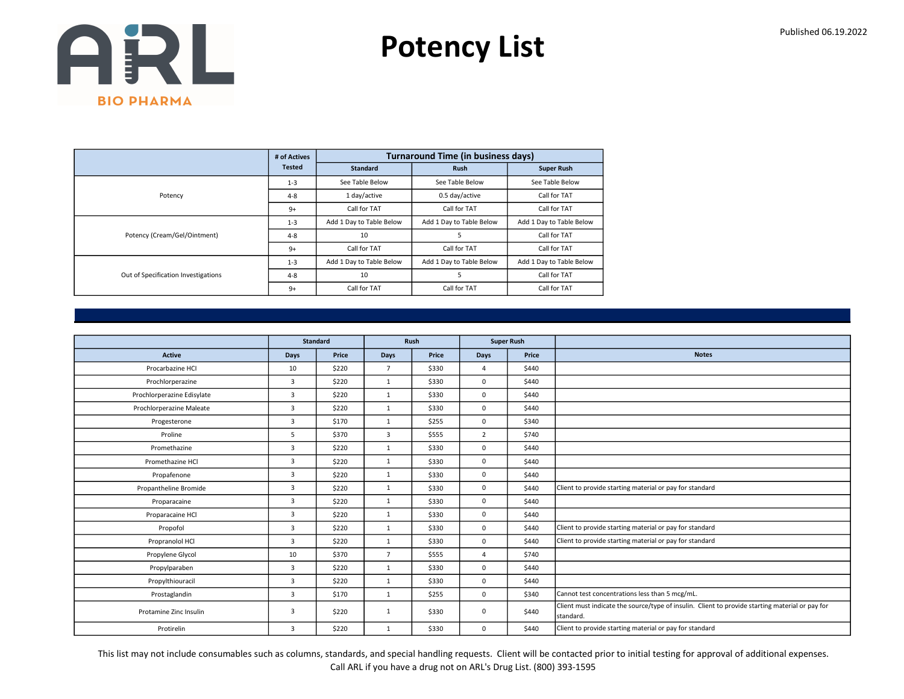Potency List

|                                     | # of Actives  |                          | <b>Turnaround Time (in business days)</b> |                          |
|-------------------------------------|---------------|--------------------------|-------------------------------------------|--------------------------|
|                                     | <b>Tested</b> | <b>Standard</b>          | <b>Rush</b>                               | <b>Super Rush</b>        |
|                                     | $1 - 3$       | See Table Below          | See Table Below                           | See Table Below          |
| Potency                             | $4 - 8$       | 1 day/active             | 0.5 day/active                            | Call for TAT             |
|                                     | $9+$          | Call for TAT             | Call for TAT                              | Call for TAT             |
|                                     | $1 - 3$       | Add 1 Day to Table Below | Add 1 Day to Table Below                  | Add 1 Day to Table Below |
| Potency (Cream/Gel/Ointment)        | $4 - 8$       | 10                       | 5                                         | Call for TAT             |
|                                     | $9+$          | Call for TAT             | Call for TAT                              | Call for TAT             |
|                                     | $1 - 3$       | Add 1 Day to Table Below | Add 1 Day to Table Below                  | Add 1 Day to Table Below |
| Out of Specification Investigations | $4 - 8$       | 10                       | 5                                         | Call for TAT             |
|                                     | $9+$          | Call for TAT             | Call for TAT                              | Call for TAT             |

|                            | <b>Standard</b> |       | Rush           |       |                | <b>Super Rush</b> |                                                                                                              |
|----------------------------|-----------------|-------|----------------|-------|----------------|-------------------|--------------------------------------------------------------------------------------------------------------|
| Active                     | Days            | Price | Days           | Price | Days           | Price             | <b>Notes</b>                                                                                                 |
| Procarbazine HCI           | 10              | \$220 | $\overline{7}$ | \$330 | $\overline{4}$ | \$440             |                                                                                                              |
| Prochlorperazine           | $\overline{3}$  | \$220 | 1              | \$330 | $\mathbf 0$    | \$440             |                                                                                                              |
| Prochlorperazine Edisylate | 3               | \$220 | $\mathbf{1}$   | \$330 | $\mathbf 0$    | \$440             |                                                                                                              |
| Prochlorperazine Maleate   | $\overline{3}$  | \$220 | $\mathbf{1}$   | \$330 | $\mathbf 0$    | \$440             |                                                                                                              |
| Progesterone               | 3               | \$170 | 1              | \$255 | $\mathbf 0$    | \$340             |                                                                                                              |
| Proline                    | 5               | \$370 | 3              | \$555 | $\overline{2}$ | \$740             |                                                                                                              |
| Promethazine               | 3               | \$220 | $\mathbf{1}$   | \$330 | $\mathbf 0$    | \$440             |                                                                                                              |
| Promethazine HCl           | 3               | \$220 | $\mathbf{1}$   | \$330 | $\mathbf 0$    | \$440             |                                                                                                              |
| Propafenone                | 3               | \$220 | $\mathbf{1}$   | \$330 | $\mathbf 0$    | \$440             |                                                                                                              |
| Propantheline Bromide      | 3               | \$220 | $\mathbf{1}$   | \$330 | $\mathbf 0$    | \$440             | Client to provide starting material or pay for standard                                                      |
| Proparacaine               | $\overline{3}$  | \$220 | 1              | \$330 | $\mathbf 0$    | \$440             |                                                                                                              |
| Proparacaine HCl           | $\overline{3}$  | \$220 | $\mathbf{1}$   | \$330 | $\mathbf 0$    | \$440             |                                                                                                              |
| Propofol                   | $\overline{3}$  | \$220 | 1              | \$330 | $\mathbf 0$    | \$440             | Client to provide starting material or pay for standard                                                      |
| Propranolol HCl            | $\overline{3}$  | \$220 | $\mathbf{1}$   | \$330 | $\mathbf 0$    | \$440             | Client to provide starting material or pay for standard                                                      |
| Propylene Glycol           | 10              | \$370 | $\overline{7}$ | \$555 | 4              | \$740             |                                                                                                              |
| Propylparaben              | 3               | \$220 | $\mathbf{1}$   | \$330 | $\mathbf 0$    | \$440             |                                                                                                              |
| Propylthiouracil           | 3               | \$220 | $\mathbf{1}$   | \$330 | $\mathbf 0$    | \$440             |                                                                                                              |
| Prostaglandin              | 3               | \$170 | $\mathbf{1}$   | \$255 | $\mathbf 0$    | \$340             | Cannot test concentrations less than 5 mcg/mL.                                                               |
| Protamine Zinc Insulin     | 3               | \$220 | 1              | \$330 | $\mathbf 0$    | \$440             | Client must indicate the source/type of insulin. Client to provide starting material or pay for<br>standard. |
| Protirelin                 | 3               | \$220 | $\mathbf{1}$   | \$330 | $\mathbf 0$    | \$440             | Client to provide starting material or pay for standard                                                      |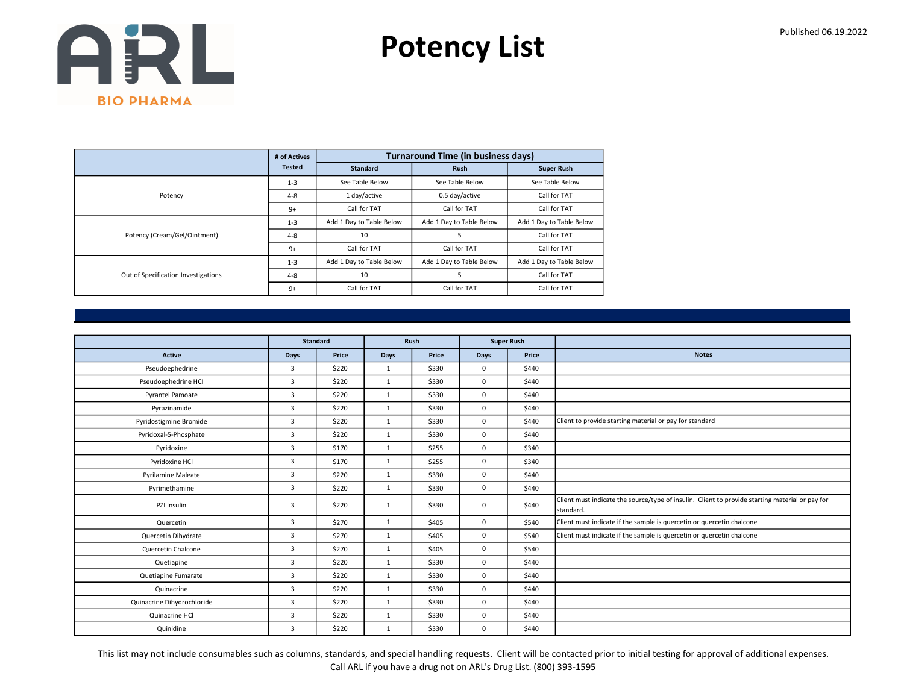Potency List

|                                     | # of Actives  |                          | <b>Turnaround Time (in business days)</b> |                          |
|-------------------------------------|---------------|--------------------------|-------------------------------------------|--------------------------|
|                                     | <b>Tested</b> | <b>Standard</b>          | <b>Rush</b>                               | <b>Super Rush</b>        |
|                                     | $1 - 3$       | See Table Below          | See Table Below                           | See Table Below          |
| Potency                             | $4 - 8$       | 1 day/active             | 0.5 day/active                            | Call for TAT             |
|                                     | $9+$          | Call for TAT             | Call for TAT                              | Call for TAT             |
|                                     | $1 - 3$       | Add 1 Day to Table Below | Add 1 Day to Table Below                  | Add 1 Day to Table Below |
| Potency (Cream/Gel/Ointment)        | $4 - 8$       | 10                       | 5                                         | Call for TAT             |
|                                     | $9+$          | Call for TAT             | Call for TAT                              | Call for TAT             |
|                                     | $1 - 3$       | Add 1 Day to Table Below | Add 1 Day to Table Below                  | Add 1 Day to Table Below |
| Out of Specification Investigations | $4 - 8$       | 10                       | 5                                         | Call for TAT             |
|                                     | $9+$          | Call for TAT             | Call for TAT                              | Call for TAT             |

|                            | <b>Standard</b> |       |              | Rush  | <b>Super Rush</b> |       |                                                                                                              |
|----------------------------|-----------------|-------|--------------|-------|-------------------|-------|--------------------------------------------------------------------------------------------------------------|
| <b>Active</b>              | Days            | Price | Days         | Price | Days              | Price | <b>Notes</b>                                                                                                 |
| Pseudoephedrine            | 3               | \$220 | $\mathbf{1}$ | \$330 | $\mathbf 0$       | \$440 |                                                                                                              |
| Pseudoephedrine HCI        | 3               | \$220 | 1            | \$330 | $\mathbf 0$       | \$440 |                                                                                                              |
| <b>Pyrantel Pamoate</b>    | 3               | \$220 | $\mathbf{1}$ | \$330 | $\mathbf 0$       | \$440 |                                                                                                              |
| Pyrazinamide               | $\overline{3}$  | \$220 | 1            | \$330 | $\mathbf 0$       | \$440 |                                                                                                              |
| Pyridostigmine Bromide     | $\overline{3}$  | \$220 | 1            | \$330 | $\mathbf 0$       | \$440 | Client to provide starting material or pay for standard                                                      |
| Pyridoxal-5-Phosphate      | $\overline{3}$  | \$220 | $\mathbf{1}$ | \$330 | $\mathbf 0$       | \$440 |                                                                                                              |
| Pyridoxine                 | $\overline{3}$  | \$170 | 1            | \$255 | $\mathbf 0$       | \$340 |                                                                                                              |
| Pyridoxine HCl             | 3               | \$170 | 1            | \$255 | 0                 | \$340 |                                                                                                              |
| <b>Pyrilamine Maleate</b>  | $\overline{3}$  | \$220 | $\mathbf{1}$ | \$330 | $\mathbf 0$       | \$440 |                                                                                                              |
| Pyrimethamine              | $\overline{3}$  | \$220 | $\mathbf{1}$ | \$330 | $\mathbf 0$       | \$440 |                                                                                                              |
| PZI Insulin                | 3               | \$220 | 1            | \$330 | 0                 | \$440 | Client must indicate the source/type of insulin. Client to provide starting material or pay for<br>standard. |
| Quercetin                  | $\overline{3}$  | \$270 | 1            | \$405 | 0                 | \$540 | Client must indicate if the sample is quercetin or quercetin chalcone                                        |
| Quercetin Dihydrate        | 3               | \$270 | $\mathbf{1}$ | \$405 | 0                 | \$540 | Client must indicate if the sample is quercetin or quercetin chalcone                                        |
| Quercetin Chalcone         | $\overline{3}$  | \$270 | $\mathbf{1}$ | \$405 | $\mathbf 0$       | \$540 |                                                                                                              |
| Quetiapine                 | $\overline{3}$  | \$220 | 1            | \$330 | $\mathbf 0$       | \$440 |                                                                                                              |
| Quetiapine Fumarate        | 3               | \$220 | $\mathbf{1}$ | \$330 | 0                 | \$440 |                                                                                                              |
| Quinacrine                 | $\overline{3}$  | \$220 | $\mathbf{1}$ | \$330 | $\mathbf 0$       | \$440 |                                                                                                              |
| Quinacrine Dihydrochloride | 3               | \$220 | $\mathbf{1}$ | \$330 | 0                 | \$440 |                                                                                                              |
| Quinacrine HCl             | 3               | \$220 | 1            | \$330 | $\mathbf 0$       | \$440 |                                                                                                              |
| Quinidine                  | 3               | \$220 | $\mathbf{1}$ | \$330 | $\mathbf 0$       | \$440 |                                                                                                              |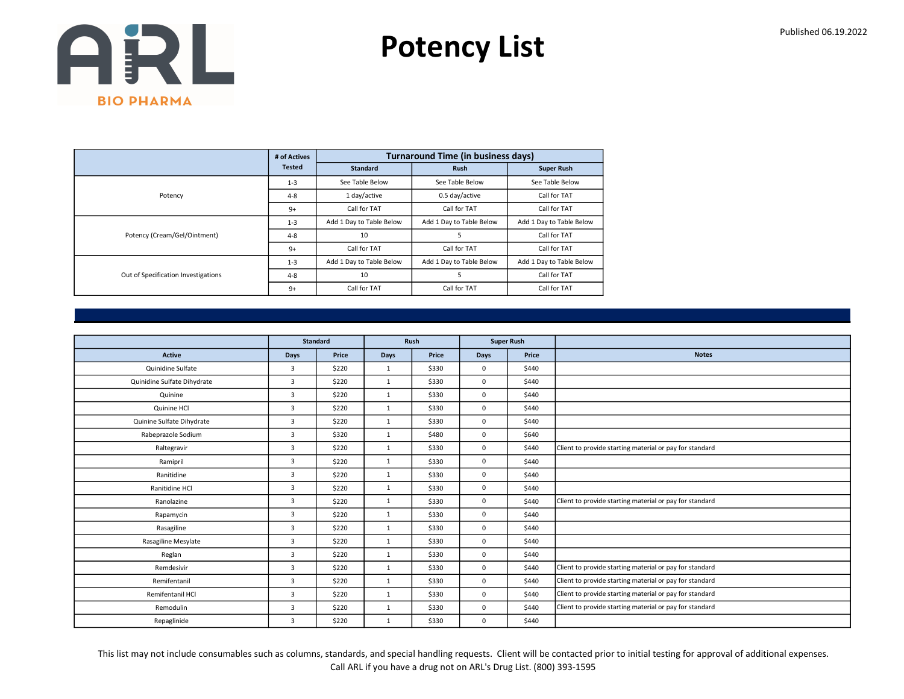Potency List

|                                     | # of Actives  |                          | <b>Turnaround Time (in business days)</b> |                          |
|-------------------------------------|---------------|--------------------------|-------------------------------------------|--------------------------|
|                                     | <b>Tested</b> | <b>Standard</b>          | <b>Rush</b>                               | <b>Super Rush</b>        |
|                                     | $1 - 3$       | See Table Below          | See Table Below                           | See Table Below          |
| Potency                             | $4 - 8$       | 1 day/active             | 0.5 day/active                            | Call for TAT             |
|                                     | $9+$          | Call for TAT             | Call for TAT                              | Call for TAT             |
|                                     | $1 - 3$       | Add 1 Day to Table Below | Add 1 Day to Table Below                  | Add 1 Day to Table Below |
| Potency (Cream/Gel/Ointment)        | $4 - 8$       | 10                       | 5                                         | Call for TAT             |
|                                     | $9+$          | Call for TAT             | Call for TAT                              | Call for TAT             |
|                                     | $1 - 3$       | Add 1 Day to Table Below | Add 1 Day to Table Below                  | Add 1 Day to Table Below |
| Out of Specification Investigations | $4 - 8$       | 10                       | 5                                         | Call for TAT             |
|                                     | $9+$          | Call for TAT             | Call for TAT                              | Call for TAT             |

|                             |                | <b>Standard</b> |              | Rush  |             | <b>Super Rush</b> |                                                         |
|-----------------------------|----------------|-----------------|--------------|-------|-------------|-------------------|---------------------------------------------------------|
| <b>Active</b>               | Days           | Price           | Days         | Price | <b>Days</b> | Price             | <b>Notes</b>                                            |
| Quinidine Sulfate           | $\overline{3}$ | \$220           | 1            | \$330 | $\mathbf 0$ | \$440             |                                                         |
| Quinidine Sulfate Dihydrate | $\overline{3}$ | \$220           | $\mathbf{1}$ | \$330 | $\mathbf 0$ | \$440             |                                                         |
| Quinine                     | 3              | \$220           | $\mathbf{1}$ | \$330 | $\mathbf 0$ | \$440             |                                                         |
| Quinine HCl                 | 3              | \$220           | $\mathbf{1}$ | \$330 | $\mathbf 0$ | \$440             |                                                         |
| Quinine Sulfate Dihydrate   | $\overline{3}$ | \$220           | $\mathbf{1}$ | \$330 | $\mathbf 0$ | \$440             |                                                         |
| Rabeprazole Sodium          | 3              | \$320           | $\mathbf{1}$ | \$480 | $\mathbf 0$ | \$640             |                                                         |
| Raltegravir                 | $\overline{3}$ | \$220           | 1            | \$330 | $\mathbf 0$ | \$440             | Client to provide starting material or pay for standard |
| Ramipril                    | 3              | \$220           | $\mathbf{1}$ | \$330 | $\mathbf 0$ | \$440             |                                                         |
| Ranitidine                  | 3              | \$220           | $\mathbf{1}$ | \$330 | $\mathbf 0$ | \$440             |                                                         |
| Ranitidine HCl              | $\overline{3}$ | \$220           | 1            | \$330 | $\mathbf 0$ | \$440             |                                                         |
| Ranolazine                  | 3              | \$220           | $\mathbf{1}$ | \$330 | $\mathbf 0$ | \$440             | Client to provide starting material or pay for standard |
| Rapamycin                   | 3              | \$220           | 1            | \$330 | $\mathbf 0$ | \$440             |                                                         |
| Rasagiline                  | 3              | \$220           | $\mathbf{1}$ | \$330 | $\mathbf 0$ | \$440             |                                                         |
| Rasagiline Mesylate         | $\overline{3}$ | \$220           | $\mathbf{1}$ | \$330 | $\mathbf 0$ | \$440             |                                                         |
| Reglan                      | 3              | \$220           | 1            | \$330 | $\mathbf 0$ | \$440             |                                                         |
| Remdesivir                  | 3              | \$220           | $\mathbf{1}$ | \$330 | $\mathbf 0$ | \$440             | Client to provide starting material or pay for standard |
| Remifentanil                | $\overline{3}$ | \$220           | $\mathbf{1}$ | \$330 | $\mathbf 0$ | \$440             | Client to provide starting material or pay for standard |
| Remifentanil HCl            | 3              | \$220           | $\mathbf{1}$ | \$330 | $\mathbf 0$ | \$440             | Client to provide starting material or pay for standard |
| Remodulin                   | $\overline{3}$ | \$220           | $\mathbf{1}$ | \$330 | $\mathbf 0$ | \$440             | Client to provide starting material or pay for standard |
| Repaglinide                 | 3              | \$220           | 1            | \$330 | $\mathbf 0$ | \$440             |                                                         |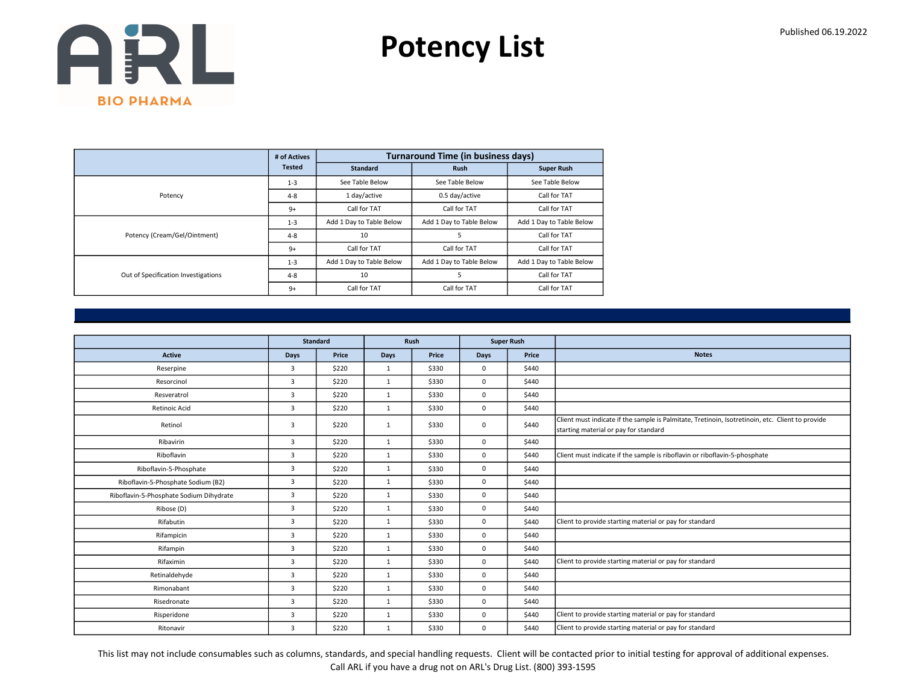Potency List

|                                     | # of Actives  |                          | <b>Turnaround Time (in business days)</b> |                          |
|-------------------------------------|---------------|--------------------------|-------------------------------------------|--------------------------|
|                                     | <b>Tested</b> | <b>Standard</b>          | <b>Rush</b>                               | <b>Super Rush</b>        |
|                                     | $1 - 3$       | See Table Below          | See Table Below                           | See Table Below          |
| Potency                             | $4 - 8$       | 1 day/active             | 0.5 day/active                            | Call for TAT             |
|                                     | $9+$          | Call for TAT             | Call for TAT                              | Call for TAT             |
|                                     | $1 - 3$       | Add 1 Day to Table Below | Add 1 Day to Table Below                  | Add 1 Day to Table Below |
| Potency (Cream/Gel/Ointment)        | $4 - 8$       | 10                       | 5                                         | Call for TAT             |
|                                     | $9+$          | Call for TAT             | Call for TAT                              | Call for TAT             |
|                                     | $1 - 3$       | Add 1 Day to Table Below | Add 1 Day to Table Below                  | Add 1 Day to Table Below |
| Out of Specification Investigations | $4 - 8$       | 10                       | 5                                         | Call for TAT             |
|                                     | $9+$          | Call for TAT             | Call for TAT                              | Call for TAT             |

|                                         |                | <b>Standard</b> |              | Rush  |             | <b>Super Rush</b> |                                                                                                                                           |
|-----------------------------------------|----------------|-----------------|--------------|-------|-------------|-------------------|-------------------------------------------------------------------------------------------------------------------------------------------|
| <b>Active</b>                           | Days           | Price           | <b>Days</b>  | Price | Days        | Price             | <b>Notes</b>                                                                                                                              |
| Reserpine                               | $\overline{3}$ | \$220           | $\mathbf{1}$ | \$330 | $\mathbf 0$ | \$440             |                                                                                                                                           |
| Resorcinol                              | 3              | \$220           | $\mathbf{1}$ | \$330 | $\mathbf 0$ | \$440             |                                                                                                                                           |
| Resveratrol                             | 3              | \$220           | $\mathbf{1}$ | \$330 | $\mathbf 0$ | \$440             |                                                                                                                                           |
| Retinoic Acid                           | $\overline{3}$ | \$220           | $\mathbf{1}$ | \$330 | $\mathbf 0$ | \$440             |                                                                                                                                           |
| Retinol                                 | 3              | \$220           | $\mathbf{1}$ | \$330 | $\mathbf 0$ | \$440             | Client must indicate if the sample is Palmitate, Tretinoin, Isotretinoin, etc. Client to provide<br>starting material or pay for standard |
| Ribavirin                               | 3              | \$220           | $\mathbf{1}$ | \$330 | $\mathbf 0$ | \$440             |                                                                                                                                           |
| Riboflavin                              | 3              | \$220           | $\mathbf{1}$ | \$330 | $\mathbf 0$ | \$440             | Client must indicate if the sample is riboflavin or riboflavin-5-phosphate                                                                |
| Riboflavin-5-Phosphate                  | $\overline{3}$ | \$220           | $\mathbf{1}$ | \$330 | $\mathbf 0$ | \$440             |                                                                                                                                           |
| Riboflavin-5-Phosphate Sodium (B2)      | 3              | \$220           | $\mathbf{1}$ | \$330 | $\mathbf 0$ | \$440             |                                                                                                                                           |
| Riboflavin-5-Phosphate Sodium Dihydrate | 3              | \$220           | $\mathbf{1}$ | \$330 | $\mathbf 0$ | \$440             |                                                                                                                                           |
| Ribose (D)                              | $\overline{3}$ | \$220           | 1            | \$330 | $\mathbf 0$ | \$440             |                                                                                                                                           |
| Rifabutin                               | $\overline{3}$ | \$220           | $\mathbf{1}$ | \$330 | $\mathbf 0$ | \$440             | Client to provide starting material or pay for standard                                                                                   |
| Rifampicin                              | 3              | \$220           | $\mathbf{1}$ | \$330 | $\mathbf 0$ | \$440             |                                                                                                                                           |
| Rifampin                                | $\overline{3}$ | \$220           | 1            | \$330 | $\mathbf 0$ | \$440             |                                                                                                                                           |
| Rifaximin                               | $\overline{3}$ | \$220           | $\mathbf{1}$ | \$330 | $\mathbf 0$ | \$440             | Client to provide starting material or pay for standard                                                                                   |
| Retinaldehyde                           | 3              | \$220           | $\mathbf{1}$ | \$330 | $\mathbf 0$ | \$440             |                                                                                                                                           |
| Rimonabant                              | $\overline{3}$ | \$220           | $\mathbf{1}$ | \$330 | $\mathbf 0$ | \$440             |                                                                                                                                           |
| Risedronate                             | $\overline{3}$ | \$220           | $\mathbf{1}$ | \$330 | $\mathbf 0$ | \$440             |                                                                                                                                           |
| Risperidone                             | 3              | \$220           | $\mathbf{1}$ | \$330 | $\mathbf 0$ | \$440             | Client to provide starting material or pay for standard                                                                                   |
| Ritonavir                               | 3              | \$220           | $\mathbf{1}$ | \$330 | $\mathbf 0$ | \$440             | Client to provide starting material or pay for standard                                                                                   |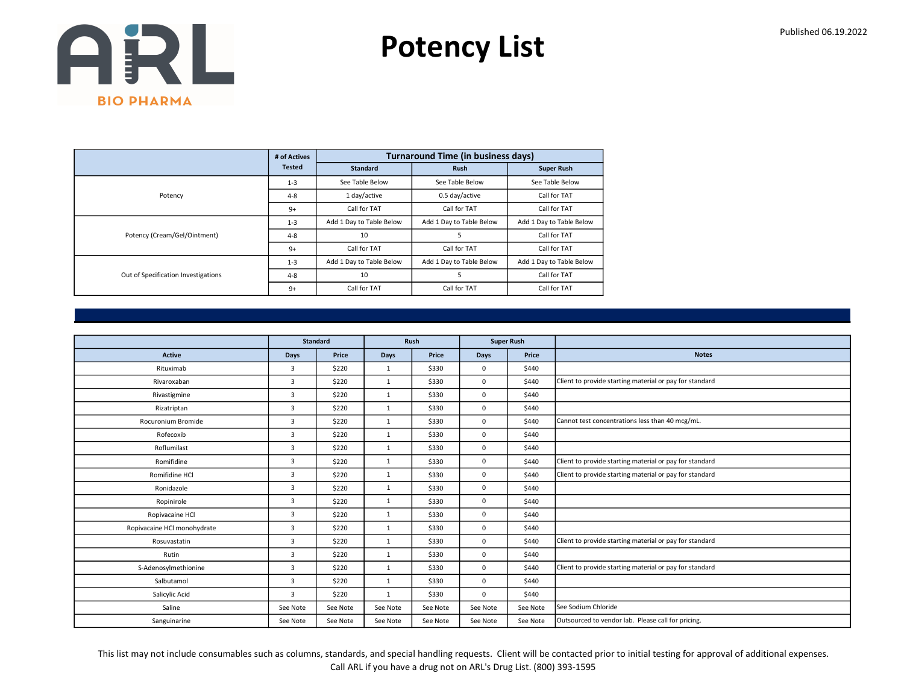Potency List

|                                     | # of Actives  |                          | <b>Turnaround Time (in business days)</b> |                          |
|-------------------------------------|---------------|--------------------------|-------------------------------------------|--------------------------|
|                                     | <b>Tested</b> | <b>Standard</b>          | <b>Rush</b>                               | <b>Super Rush</b>        |
|                                     | $1 - 3$       | See Table Below          | See Table Below                           | See Table Below          |
| Potency                             | $4 - 8$       | 1 day/active             | 0.5 day/active                            | Call for TAT             |
|                                     | $9+$          | Call for TAT             | Call for TAT                              | Call for TAT             |
|                                     | $1 - 3$       | Add 1 Day to Table Below | Add 1 Day to Table Below                  | Add 1 Day to Table Below |
| Potency (Cream/Gel/Ointment)        | $4 - 8$       | 10                       | 5                                         | Call for TAT             |
|                                     | $9+$          | Call for TAT             | Call for TAT                              | Call for TAT             |
|                                     | $1 - 3$       | Add 1 Day to Table Below | Add 1 Day to Table Below                  | Add 1 Day to Table Below |
| Out of Specification Investigations | $4 - 8$       | 10                       | 5                                         | Call for TAT             |
|                                     | $9+$          | Call for TAT             | Call for TAT                              | Call for TAT             |

|                             | <b>Standard</b> |          |              | Rush     |             | <b>Super Rush</b> |                                                         |
|-----------------------------|-----------------|----------|--------------|----------|-------------|-------------------|---------------------------------------------------------|
| Active                      | Days            | Price    | Days         | Price    | Days        | Price             | <b>Notes</b>                                            |
| Rituximab                   | 3               | \$220    | $\mathbf{1}$ | \$330    | $\mathbf 0$ | \$440             |                                                         |
| Rivaroxaban                 | 3               | \$220    | $\mathbf{1}$ | \$330    | $\mathbf 0$ | \$440             | Client to provide starting material or pay for standard |
| Rivastigmine                | 3               | \$220    | 1            | \$330    | $\mathbf 0$ | \$440             |                                                         |
| Rizatriptan                 | 3               | \$220    | $\mathbf{1}$ | \$330    | $\mathbf 0$ | \$440             |                                                         |
| Rocuronium Bromide          | 3               | \$220    | 1            | \$330    | $\mathbf 0$ | \$440             | Cannot test concentrations less than 40 mcg/mL.         |
| Rofecoxib                   | 3               | \$220    | $\mathbf{1}$ | \$330    | $\mathbf 0$ | \$440             |                                                         |
| Roflumilast                 | 3               | \$220    | 1            | \$330    | $\mathbf 0$ | \$440             |                                                         |
| Romifidine                  | 3               | \$220    | 1            | \$330    | $\mathbf 0$ | \$440             | Client to provide starting material or pay for standard |
| Romifidine HCl              | 3               | \$220    | $\mathbf{1}$ | \$330    | $\mathbf 0$ | \$440             | Client to provide starting material or pay for standard |
| Ronidazole                  | 3               | \$220    | 1            | \$330    | $\mathbf 0$ | \$440             |                                                         |
| Ropinirole                  | 3               | \$220    | $\mathbf{1}$ | \$330    | $\mathbf 0$ | \$440             |                                                         |
| Ropivacaine HCl             | 3               | \$220    | 1            | \$330    | $^{\circ}$  | \$440             |                                                         |
| Ropivacaine HCl monohydrate | 3               | \$220    | $\mathbf{1}$ | \$330    | $\mathbf 0$ | \$440             |                                                         |
| Rosuvastatin                | 3               | \$220    | $\mathbf{1}$ | \$330    | $\mathbf 0$ | \$440             | Client to provide starting material or pay for standard |
| Rutin                       | 3               | \$220    | $\mathbf{1}$ | \$330    | $\mathbf 0$ | \$440             |                                                         |
| S-Adenosylmethionine        | 3               | \$220    | 1            | \$330    | $\mathbf 0$ | \$440             | Client to provide starting material or pay for standard |
| Salbutamol                  | 3               | \$220    | $\mathbf{1}$ | \$330    | $^{\circ}$  | \$440             |                                                         |
| Salicylic Acid              | 3               | \$220    | 1            | \$330    | $\mathbf 0$ | \$440             |                                                         |
| Saline                      | See Note        | See Note | See Note     | See Note | See Note    | See Note          | See Sodium Chloride                                     |
| Sanguinarine                | See Note        | See Note | See Note     | See Note | See Note    | See Note          | Outsourced to vendor lab. Please call for pricing.      |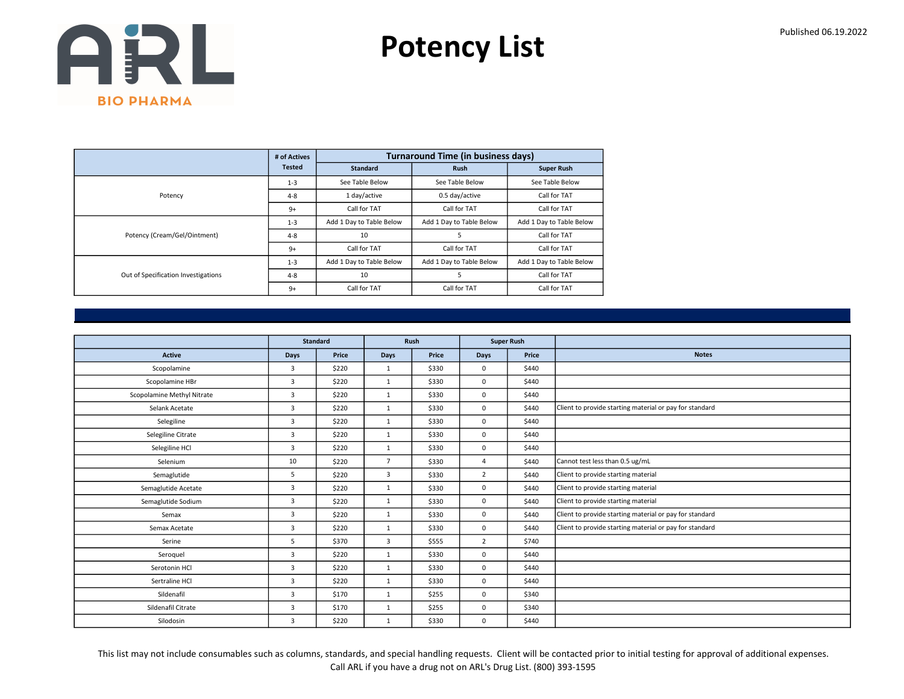Potency List

|                                     | # of Actives  |                          | <b>Turnaround Time (in business days)</b> |                          |
|-------------------------------------|---------------|--------------------------|-------------------------------------------|--------------------------|
|                                     | <b>Tested</b> | <b>Standard</b>          | <b>Rush</b>                               | <b>Super Rush</b>        |
|                                     | $1 - 3$       | See Table Below          | See Table Below                           | See Table Below          |
| Potency                             | $4 - 8$       | 1 day/active             | 0.5 day/active                            | Call for TAT             |
|                                     | $9+$          | Call for TAT             | Call for TAT                              | Call for TAT             |
|                                     | $1 - 3$       | Add 1 Day to Table Below | Add 1 Day to Table Below                  | Add 1 Day to Table Below |
| Potency (Cream/Gel/Ointment)        | $4 - 8$       | 10                       | 5                                         | Call for TAT             |
|                                     | $9+$          | Call for TAT             | Call for TAT                              | Call for TAT             |
|                                     | $1 - 3$       | Add 1 Day to Table Below | Add 1 Day to Table Below                  | Add 1 Day to Table Below |
| Out of Specification Investigations | $4 - 8$       | 10                       | 5                                         | Call for TAT             |
|                                     | $9+$          | Call for TAT             | Call for TAT                              | Call for TAT             |

|                            |                | <b>Standard</b> |                | Rush  |                | <b>Super Rush</b> |                                                         |
|----------------------------|----------------|-----------------|----------------|-------|----------------|-------------------|---------------------------------------------------------|
| <b>Active</b>              | Days           | Price           | Days           | Price | Days           | Price             | <b>Notes</b>                                            |
| Scopolamine                | 3              | \$220           | $\mathbf{1}$   | \$330 | $\mathbf 0$    | \$440             |                                                         |
| Scopolamine HBr            | 3              | \$220           | $\mathbf{1}$   | \$330 | $\mathbf 0$    | \$440             |                                                         |
| Scopolamine Methyl Nitrate | 3              | \$220           | $\mathbf{1}$   | \$330 | $\mathbf 0$    | \$440             |                                                         |
| Selank Acetate             | $\overline{3}$ | \$220           | 1              | \$330 | $\mathbf 0$    | \$440             | Client to provide starting material or pay for standard |
| Selegiline                 | 3              | \$220           | $\mathbf{1}$   | \$330 | $\mathbf 0$    | \$440             |                                                         |
| Selegiline Citrate         | 3              | \$220           | $\mathbf{1}$   | \$330 | $\mathbf 0$    | \$440             |                                                         |
| Selegiline HCl             | $\overline{3}$ | \$220           | 1              | \$330 | $\mathbf 0$    | \$440             |                                                         |
| Selenium                   | 10             | \$220           | $\overline{7}$ | \$330 | $\overline{4}$ | \$440             | Cannot test less than 0.5 ug/mL                         |
| Semaglutide                | 5              | \$220           | 3              | \$330 | $\overline{2}$ | \$440             | Client to provide starting material                     |
| Semaglutide Acetate        | 3              | \$220           | $\mathbf{1}$   | \$330 | $\mathbf 0$    | \$440             | Client to provide starting material                     |
| Semaglutide Sodium         | $\overline{3}$ | \$220           | $\mathbf{1}$   | \$330 | $\mathbf 0$    | \$440             | Client to provide starting material                     |
| Semax                      | 3              | \$220           | $\mathbf{1}$   | \$330 | $\mathbf 0$    | \$440             | Client to provide starting material or pay for standard |
| Semax Acetate              | 3              | \$220           | $\mathbf{1}$   | \$330 | $\mathbf 0$    | \$440             | Client to provide starting material or pay for standard |
| Serine                     | 5              | \$370           | 3              | \$555 | 2              | \$740             |                                                         |
| Seroquel                   | 3              | \$220           | $\mathbf{1}$   | \$330 | $\mathbf 0$    | \$440             |                                                         |
| Serotonin HCl              | $\overline{3}$ | \$220           | $\mathbf{1}$   | \$330 | $\mathbf 0$    | \$440             |                                                         |
| Sertraline HCl             | 3              | \$220           | $\mathbf{1}$   | \$330 | $\mathbf 0$    | \$440             |                                                         |
| Sildenafil                 | 3              | \$170           | $\mathbf{1}$   | \$255 | $\mathbf 0$    | \$340             |                                                         |
| Sildenafil Citrate         | 3              | \$170           | $\mathbf{1}$   | \$255 | $\mathbf 0$    | \$340             |                                                         |
| Silodosin                  | 3              | \$220           | $\mathbf{1}$   | \$330 | $\mathbf{0}$   | \$440             |                                                         |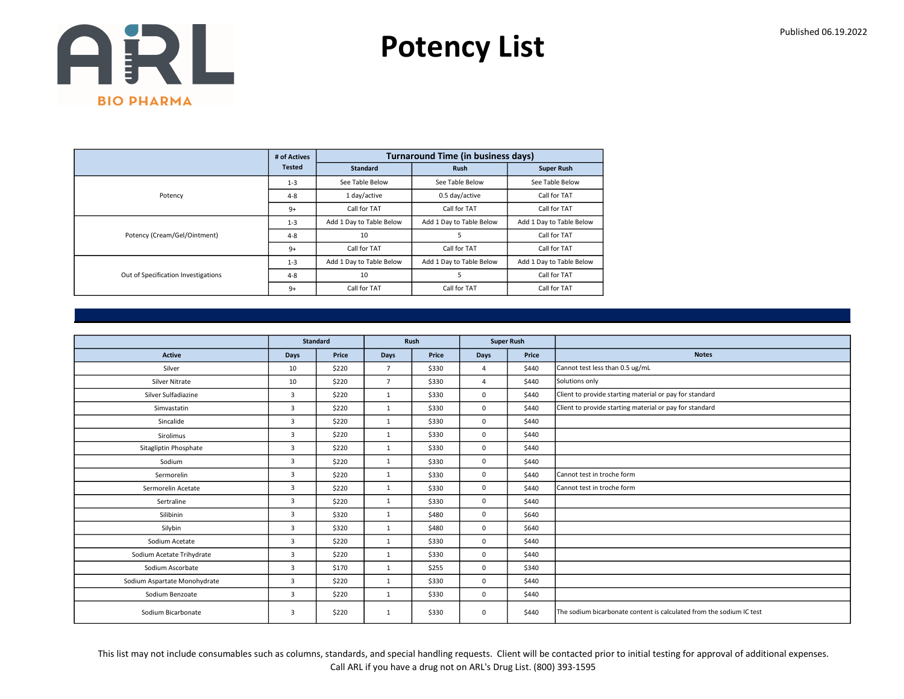Potency List

|                                     | # of Actives  |                          | <b>Turnaround Time (in business days)</b> |                          |
|-------------------------------------|---------------|--------------------------|-------------------------------------------|--------------------------|
|                                     | <b>Tested</b> | <b>Standard</b>          | <b>Rush</b>                               | <b>Super Rush</b>        |
|                                     | $1 - 3$       | See Table Below          | See Table Below                           | See Table Below          |
| Potency                             | $4 - 8$       | 1 day/active             | 0.5 day/active                            | Call for TAT             |
|                                     | $9+$          | Call for TAT             | Call for TAT                              | Call for TAT             |
|                                     | $1 - 3$       | Add 1 Day to Table Below | Add 1 Day to Table Below                  | Add 1 Day to Table Below |
| Potency (Cream/Gel/Ointment)        | $4 - 8$       | 10                       | 5                                         | Call for TAT             |
|                                     | $9+$          | Call for TAT             | Call for TAT                              | Call for TAT             |
|                                     | $1 - 3$       | Add 1 Day to Table Below | Add 1 Day to Table Below                  | Add 1 Day to Table Below |
| Out of Specification Investigations | $4 - 8$       | 10                       | 5                                         | Call for TAT             |
|                                     | $9+$          | Call for TAT             | Call for TAT                              | Call for TAT             |

|                              |                | <b>Standard</b> |                | Rush  |                | <b>Super Rush</b> |                                                                      |
|------------------------------|----------------|-----------------|----------------|-------|----------------|-------------------|----------------------------------------------------------------------|
| <b>Active</b>                | <b>Days</b>    | Price           | <b>Days</b>    | Price | <b>Days</b>    | Price             | <b>Notes</b>                                                         |
| Silver                       | 10             | \$220           | $\overline{7}$ | \$330 | $\overline{4}$ | \$440             | Cannot test less than 0.5 ug/mL                                      |
| Silver Nitrate               | 10             | \$220           | $\overline{7}$ | \$330 | $\overline{4}$ | \$440             | Solutions only                                                       |
| Silver Sulfadiazine          | $\overline{3}$ | \$220           | $\mathbf{1}$   | \$330 | $\mathbf 0$    | \$440             | Client to provide starting material or pay for standard              |
| Simvastatin                  | 3              | \$220           | $\mathbf{1}$   | \$330 | $\mathbf 0$    | \$440             | Client to provide starting material or pay for standard              |
| Sincalide                    | 3              | \$220           | $\mathbf{1}$   | \$330 | $\mathbf 0$    | \$440             |                                                                      |
| Sirolimus                    | 3              | \$220           | $\mathbf{1}$   | \$330 | $\mathbf 0$    | \$440             |                                                                      |
| Sitagliptin Phosphate        | 3              | \$220           | $\mathbf{1}$   | \$330 | $\mathbf 0$    | \$440             |                                                                      |
| Sodium                       | 3              | \$220           | $\mathbf{1}$   | \$330 | $\mathbf 0$    | \$440             |                                                                      |
| Sermorelin                   | 3              | \$220           | $\mathbf{1}$   | \$330 | $\mathbf 0$    | \$440             | Cannot test in troche form                                           |
| Sermorelin Acetate           | 3              | \$220           | $\mathbf{1}$   | \$330 | $\mathbf 0$    | \$440             | Cannot test in troche form                                           |
| Sertraline                   | $\overline{3}$ | \$220           | $\mathbf{1}$   | \$330 | $\mathbf 0$    | \$440             |                                                                      |
| Silibinin                    | 3              | \$320           | $\mathbf{1}$   | \$480 | $\mathbf 0$    | \$640             |                                                                      |
| Silybin                      | 3              | \$320           | $\mathbf{1}$   | \$480 | $\mathbf 0$    | \$640             |                                                                      |
| Sodium Acetate               | $\overline{3}$ | \$220           | $\mathbf{1}$   | \$330 | $\mathbf 0$    | \$440             |                                                                      |
| Sodium Acetate Trihydrate    | 3              | \$220           | $\mathbf{1}$   | \$330 | $\mathbf 0$    | \$440             |                                                                      |
| Sodium Ascorbate             | $\overline{3}$ | \$170           | $\mathbf{1}$   | \$255 | $\mathbf 0$    | \$340             |                                                                      |
| Sodium Aspartate Monohydrate | 3              | \$220           | $\mathbf{1}$   | \$330 | $\mathbf 0$    | \$440             |                                                                      |
| Sodium Benzoate              | 3              | \$220           | $\mathbf{1}$   | \$330 | $\mathbf 0$    | \$440             |                                                                      |
| Sodium Bicarbonate           | 3              | \$220           | 1              | \$330 | 0              | \$440             | The sodium bicarbonate content is calculated from the sodium IC test |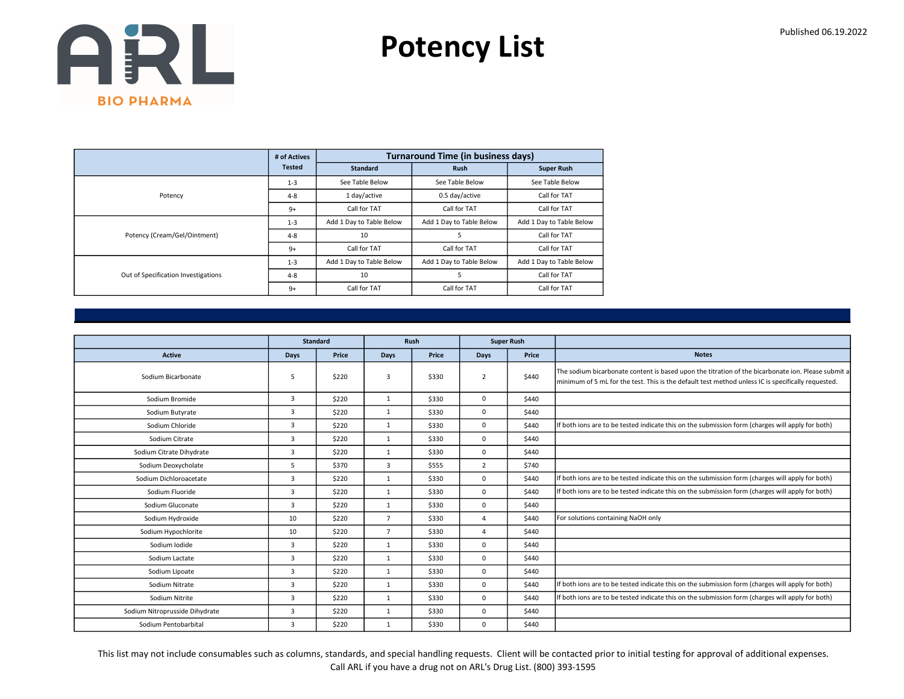Potency List

|                                     | # of Actives  |                          | <b>Turnaround Time (in business days)</b> |                          |
|-------------------------------------|---------------|--------------------------|-------------------------------------------|--------------------------|
|                                     | <b>Tested</b> | <b>Standard</b>          | <b>Rush</b>                               | <b>Super Rush</b>        |
|                                     | $1 - 3$       | See Table Below          | See Table Below                           | See Table Below          |
| Potency                             | $4 - 8$       | 1 day/active             | 0.5 day/active                            | Call for TAT             |
|                                     | $9+$          | Call for TAT             | Call for TAT                              | Call for TAT             |
|                                     | $1 - 3$       | Add 1 Day to Table Below | Add 1 Day to Table Below                  | Add 1 Day to Table Below |
| Potency (Cream/Gel/Ointment)        | $4 - 8$       | 10                       | 5                                         | Call for TAT             |
|                                     | $9+$          | Call for TAT             | Call for TAT                              | Call for TAT             |
|                                     | $1 - 3$       | Add 1 Day to Table Below | Add 1 Day to Table Below                  | Add 1 Day to Table Below |
| Out of Specification Investigations | $4 - 8$       | 10                       | 5                                         | Call for TAT             |
|                                     | $9+$          | Call for TAT             | Call for TAT                              | Call for TAT             |

|                                |      | <b>Standard</b> |                | <b>Rush</b> |                | <b>Super Rush</b> |                                                                                                                                                                                                          |
|--------------------------------|------|-----------------|----------------|-------------|----------------|-------------------|----------------------------------------------------------------------------------------------------------------------------------------------------------------------------------------------------------|
| <b>Active</b>                  | Days | Price           | Days           | Price       | <b>Days</b>    | Price             | <b>Notes</b>                                                                                                                                                                                             |
| Sodium Bicarbonate             | 5    | \$220           | 3              | \$330       | $\overline{2}$ | \$440             | The sodium bicarbonate content is based upon the titration of the bicarbonate ion. Please submit a<br>minimum of 5 mL for the test. This is the default test method unless IC is specifically requested. |
| Sodium Bromide                 | 3    | \$220           | $\mathbf{1}$   | \$330       | $\mathbf 0$    | \$440             |                                                                                                                                                                                                          |
| Sodium Butyrate                | 3    | \$220           | 1              | \$330       | $\mathbf 0$    | \$440             |                                                                                                                                                                                                          |
| Sodium Chloride                | 3    | \$220           | $\mathbf{1}$   | \$330       | $\mathbf 0$    | \$440             | If both ions are to be tested indicate this on the submission form (charges will apply for both)                                                                                                         |
| Sodium Citrate                 | 3    | \$220           | $\mathbf{1}$   | \$330       | $\mathbf 0$    | \$440             |                                                                                                                                                                                                          |
| Sodium Citrate Dihydrate       | 3    | \$220           | $\mathbf{1}$   | \$330       | $\mathbf 0$    | \$440             |                                                                                                                                                                                                          |
| Sodium Deoxycholate            | 5    | \$370           | $\overline{3}$ | \$555       | $\overline{2}$ | \$740             |                                                                                                                                                                                                          |
| Sodium Dichloroacetate         | 3    | \$220           | $\mathbf{1}$   | \$330       | $\Omega$       | \$440             | If both ions are to be tested indicate this on the submission form (charges will apply for both)                                                                                                         |
| Sodium Fluoride                | 3    | \$220           | $\mathbf{1}$   | \$330       | $\mathbf 0$    | \$440             | If both ions are to be tested indicate this on the submission form (charges will apply for both)                                                                                                         |
| Sodium Gluconate               | 3    | \$220           | $\mathbf{1}$   | \$330       | $\mathbf 0$    | \$440             |                                                                                                                                                                                                          |
| Sodium Hydroxide               | 10   | \$220           | $\overline{7}$ | \$330       | 4              | \$440             | For solutions containing NaOH only                                                                                                                                                                       |
| Sodium Hypochlorite            | 10   | \$220           | $\overline{7}$ | \$330       | 4              | \$440             |                                                                                                                                                                                                          |
| Sodium Iodide                  | 3    | \$220           | $\mathbf{1}$   | \$330       | $\Omega$       | \$440             |                                                                                                                                                                                                          |
| Sodium Lactate                 | 3    | \$220           | $\mathbf{1}$   | \$330       | $\mathbf 0$    | \$440             |                                                                                                                                                                                                          |
| Sodium Lipoate                 | 3    | \$220           | $\mathbf{1}$   | \$330       | $\mathbf 0$    | \$440             |                                                                                                                                                                                                          |
| Sodium Nitrate                 | 3    | \$220           | $\mathbf{1}$   | \$330       | $\mathbf 0$    | \$440             | If both ions are to be tested indicate this on the submission form (charges will apply for both)                                                                                                         |
| Sodium Nitrite                 | 3    | \$220           | 1              | \$330       | $\mathbf 0$    | \$440             | If both ions are to be tested indicate this on the submission form (charges will apply for both)                                                                                                         |
| Sodium Nitroprusside Dihydrate | 3    | \$220           | $\mathbf{1}$   | \$330       | $\mathbf 0$    | \$440             |                                                                                                                                                                                                          |
| Sodium Pentobarbital           | 3    | \$220           | $\mathbf{1}$   | \$330       | $\mathbf 0$    | \$440             |                                                                                                                                                                                                          |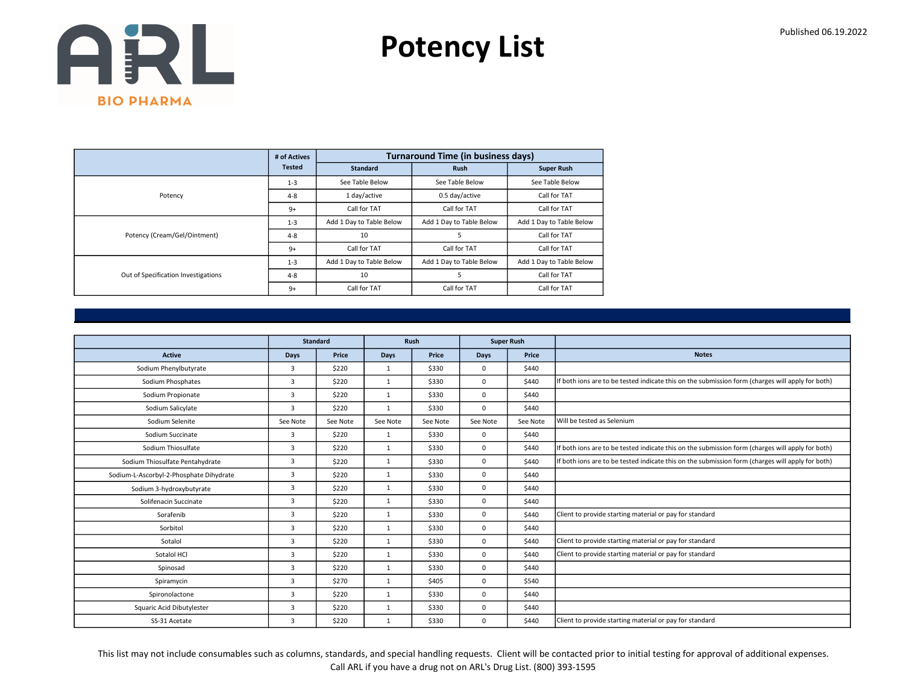Potency List

|                                     | # of Actives  |                          | <b>Turnaround Time (in business days)</b> |                          |
|-------------------------------------|---------------|--------------------------|-------------------------------------------|--------------------------|
|                                     | <b>Tested</b> | <b>Standard</b>          | <b>Rush</b>                               | <b>Super Rush</b>        |
|                                     | $1 - 3$       | See Table Below          | See Table Below                           | See Table Below          |
| Potency                             | $4 - 8$       | 1 day/active             | 0.5 day/active                            | Call for TAT             |
|                                     | $9+$          | Call for TAT             | Call for TAT                              | Call for TAT             |
|                                     | $1 - 3$       | Add 1 Day to Table Below | Add 1 Day to Table Below                  | Add 1 Day to Table Below |
| Potency (Cream/Gel/Ointment)        | $4 - 8$       | 10                       | 5                                         | Call for TAT             |
|                                     | $9+$          | Call for TAT             | Call for TAT                              | Call for TAT             |
|                                     | $1 - 3$       | Add 1 Day to Table Below | Add 1 Day to Table Below                  | Add 1 Day to Table Below |
| Out of Specification Investigations | $4 - 8$       | 10                       | 5                                         | Call for TAT             |
|                                     | $9+$          | Call for TAT             | Call for TAT                              | Call for TAT             |

|                                         | <b>Standard</b> |          | <b>Rush</b>  |          | <b>Super Rush</b> |          |                                                                                                  |
|-----------------------------------------|-----------------|----------|--------------|----------|-------------------|----------|--------------------------------------------------------------------------------------------------|
| <b>Active</b>                           | Days            | Price    | <b>Days</b>  | Price    | <b>Days</b>       | Price    | <b>Notes</b>                                                                                     |
| Sodium Phenylbutyrate                   | 3               | \$220    | $\mathbf{1}$ | \$330    | $\mathbf 0$       | \$440    |                                                                                                  |
| Sodium Phosphates                       | 3               | \$220    | $\mathbf{1}$ | \$330    | $\mathbf 0$       | \$440    | If both ions are to be tested indicate this on the submission form (charges will apply for both) |
| Sodium Propionate                       | $\overline{3}$  | \$220    | 1            | \$330    | $\mathbf 0$       | \$440    |                                                                                                  |
| Sodium Salicylate                       | 3               | \$220    | 1            | \$330    | $\Omega$          | \$440    |                                                                                                  |
| Sodium Selenite                         | See Note        | See Note | See Note     | See Note | See Note          | See Note | Will be tested as Selenium                                                                       |
| Sodium Succinate                        | 3               | \$220    | $\mathbf{1}$ | \$330    | $\mathbf 0$       | \$440    |                                                                                                  |
| Sodium Thiosulfate                      | 3               | \$220    | 1            | \$330    | $\Omega$          | \$440    | If both ions are to be tested indicate this on the submission form (charges will apply for both) |
| Sodium Thiosulfate Pentahydrate         | 3               | \$220    | 1            | \$330    | 0                 | \$440    | If both ions are to be tested indicate this on the submission form (charges will apply for both) |
| Sodium-L-Ascorbyl-2-Phosphate Dihydrate | 3               | \$220    | 1            | \$330    | $\mathbf 0$       | \$440    |                                                                                                  |
| Sodium 3-hydroxybutyrate                | 3               | \$220    | $\mathbf{1}$ | \$330    | $\Omega$          | \$440    |                                                                                                  |
| Solifenacin Succinate                   | 3               | \$220    | 1            | \$330    | 0                 | \$440    |                                                                                                  |
| Sorafenib                               | 3               | \$220    | 1            | \$330    | $\mathbf 0$       | \$440    | Client to provide starting material or pay for standard                                          |
| Sorbitol                                | 3               | \$220    | $\mathbf{1}$ | \$330    | $\mathbf 0$       | \$440    |                                                                                                  |
| Sotalol                                 | 3               | \$220    | $\mathbf{1}$ | \$330    | $\mathbf 0$       | \$440    | Client to provide starting material or pay for standard                                          |
| Sotalol HCl                             | 3               | \$220    | $\mathbf{1}$ | \$330    | $\Omega$          | \$440    | Client to provide starting material or pay for standard                                          |
| Spinosad                                | 3               | \$220    | $\mathbf{1}$ | \$330    | $\mathbf 0$       | \$440    |                                                                                                  |
| Spiramycin                              | 3               | \$270    | $\mathbf{1}$ | \$405    | $\mathbf 0$       | \$540    |                                                                                                  |
| Spironolactone                          | 3               | \$220    | 1            | \$330    | $\mathbf 0$       | \$440    |                                                                                                  |
| Squaric Acid Dibutylester               | 3               | \$220    | 1            | \$330    | 0                 | \$440    |                                                                                                  |
| SS-31 Acetate                           | 3               | \$220    | $\mathbf{1}$ | \$330    | 0                 | \$440    | Client to provide starting material or pay for standard                                          |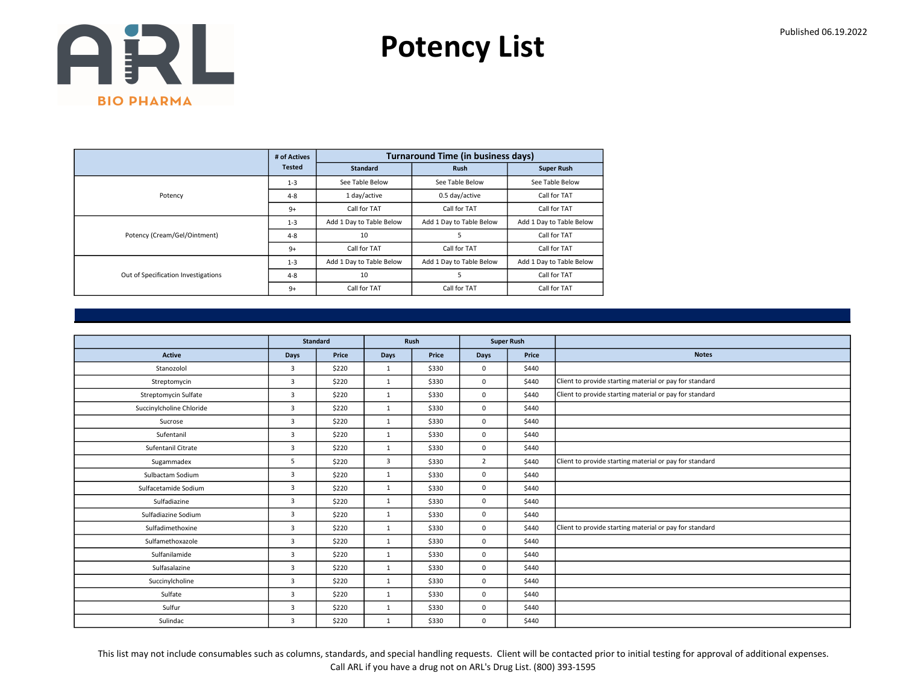Potency List

|                                     | # of Actives  |                          | <b>Turnaround Time (in business days)</b> |                          |
|-------------------------------------|---------------|--------------------------|-------------------------------------------|--------------------------|
|                                     | <b>Tested</b> | <b>Standard</b>          | <b>Rush</b>                               | <b>Super Rush</b>        |
|                                     | $1 - 3$       | See Table Below          | See Table Below                           | See Table Below          |
| Potency                             | $4 - 8$       | 1 day/active             | 0.5 day/active                            | Call for TAT             |
|                                     | $9+$          | Call for TAT             | Call for TAT                              | Call for TAT             |
|                                     | $1 - 3$       | Add 1 Day to Table Below | Add 1 Day to Table Below                  | Add 1 Day to Table Below |
| Potency (Cream/Gel/Ointment)        | $4 - 8$       | 10                       | 5                                         | Call for TAT             |
|                                     | $9+$          | Call for TAT             | Call for TAT                              | Call for TAT             |
|                                     | $1 - 3$       | Add 1 Day to Table Below | Add 1 Day to Table Below                  | Add 1 Day to Table Below |
| Out of Specification Investigations | $4 - 8$       | 10                       | 5                                         | Call for TAT             |
|                                     | $9+$          | Call for TAT             | Call for TAT                              | Call for TAT             |

|                          |                |                 | Rush<br><b>Super Rush</b> |       |                |       |                                                         |
|--------------------------|----------------|-----------------|---------------------------|-------|----------------|-------|---------------------------------------------------------|
|                          |                | <b>Standard</b> |                           |       |                |       |                                                         |
| <b>Active</b>            | <b>Days</b>    | Price           | Days                      | Price | Days           | Price | <b>Notes</b>                                            |
| Stanozolol               | 3              | \$220           | 1                         | \$330 | $\mathbf 0$    | \$440 |                                                         |
| Streptomycin             | $\overline{3}$ | \$220           | $\mathbf{1}$              | \$330 | 0              | \$440 | Client to provide starting material or pay for standard |
| Streptomycin Sulfate     | 3              | \$220           | $\mathbf{1}$              | \$330 | 0              | \$440 | Client to provide starting material or pay for standard |
| Succinylcholine Chloride | $\overline{3}$ | \$220           | 1                         | \$330 | $\mathbf 0$    | \$440 |                                                         |
| Sucrose                  | 3              | \$220           | $\mathbf{1}$              | \$330 | 0              | \$440 |                                                         |
| Sufentanil               | 3              | \$220           | 1                         | \$330 | 0              | \$440 |                                                         |
| Sufentanil Citrate       | 3              | \$220           | $\mathbf{1}$              | \$330 | $\mathbf 0$    | \$440 |                                                         |
| Sugammadex               | 5              | \$220           | $\overline{3}$            | \$330 | $\overline{2}$ | \$440 | Client to provide starting material or pay for standard |
| Sulbactam Sodium         | $\overline{3}$ | \$220           | $\mathbf{1}$              | \$330 | 0              | \$440 |                                                         |
| Sulfacetamide Sodium     | 3              | \$220           | $\mathbf{1}$              | \$330 | $\mathbf 0$    | \$440 |                                                         |
| Sulfadiazine             | $\overline{3}$ | \$220           | $\mathbf{1}$              | \$330 | 0              | \$440 |                                                         |
| Sulfadiazine Sodium      | 3              | \$220           | $\mathbf{1}$              | \$330 | 0              | \$440 |                                                         |
| Sulfadimethoxine         | $\overline{3}$ | \$220           | 1                         | \$330 | $\mathbf 0$    | \$440 | Client to provide starting material or pay for standard |
| Sulfamethoxazole         | $\overline{3}$ | \$220           | $\mathbf{1}$              | \$330 | 0              | \$440 |                                                         |
| Sulfanilamide            | 3              | \$220           | $\mathbf{1}$              | \$330 | 0              | \$440 |                                                         |
| Sulfasalazine            | $\overline{3}$ | \$220           | $\mathbf{1}$              | \$330 | 0              | \$440 |                                                         |
| Succinylcholine          | 3              | \$220           | $\mathbf{1}$              | \$330 | 0              | \$440 |                                                         |
| Sulfate                  | $\overline{3}$ | \$220           | 1                         | \$330 | 0              | \$440 |                                                         |
| Sulfur                   | $\overline{3}$ | \$220           | $\mathbf{1}$              | \$330 | 0              | \$440 |                                                         |
| Sulindac                 | 3              | \$220           | $\mathbf{1}$              | \$330 | 0              | \$440 |                                                         |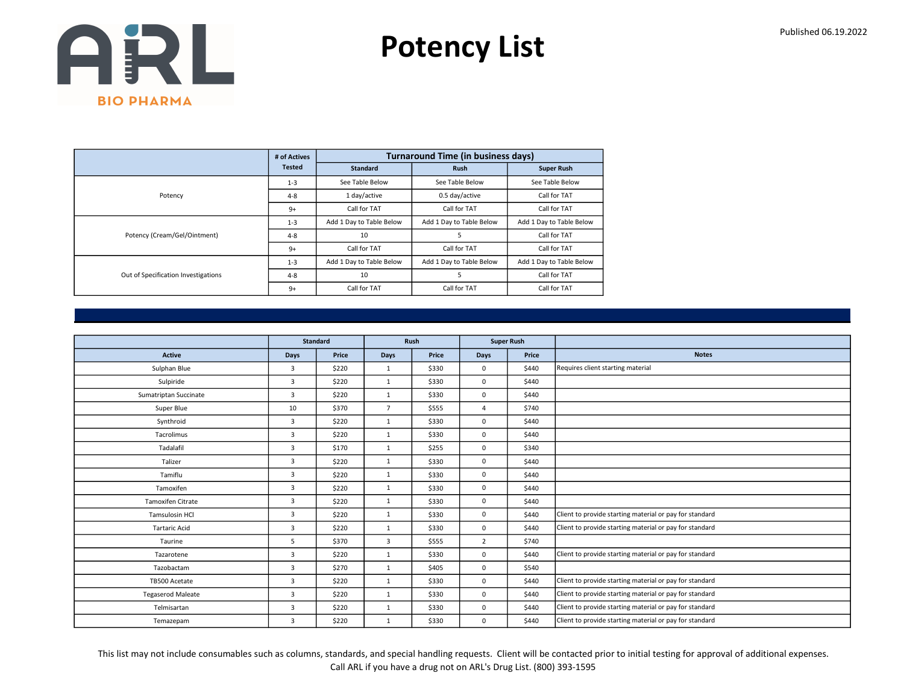Potency List

|                                     | # of Actives  |                          | <b>Turnaround Time (in business days)</b> |                          |
|-------------------------------------|---------------|--------------------------|-------------------------------------------|--------------------------|
|                                     | <b>Tested</b> | <b>Standard</b>          | <b>Rush</b>                               | <b>Super Rush</b>        |
|                                     | $1 - 3$       | See Table Below          | See Table Below                           | See Table Below          |
| Potency                             | $4 - 8$       | 1 day/active             | 0.5 day/active                            | Call for TAT             |
|                                     | $9+$          | Call for TAT             | Call for TAT                              | Call for TAT             |
|                                     | $1 - 3$       | Add 1 Day to Table Below | Add 1 Day to Table Below                  | Add 1 Day to Table Below |
| Potency (Cream/Gel/Ointment)        | $4 - 8$       | 10                       | 5                                         | Call for TAT             |
|                                     | $9+$          | Call for TAT             | Call for TAT                              | Call for TAT             |
|                                     | $1 - 3$       | Add 1 Day to Table Below | Add 1 Day to Table Below                  | Add 1 Day to Table Below |
| Out of Specification Investigations | $4 - 8$       | 10                       | 5                                         | Call for TAT             |
|                                     | $9+$          | Call for TAT             | Call for TAT                              | Call for TAT             |

|                          |                | Standard |                | Rush  |                | <b>Super Rush</b> |                                                         |
|--------------------------|----------------|----------|----------------|-------|----------------|-------------------|---------------------------------------------------------|
| <b>Active</b>            | Days           | Price    | Days           | Price | <b>Days</b>    | Price             | <b>Notes</b>                                            |
| Sulphan Blue             | $\overline{3}$ | \$220    | $\mathbf{1}$   | \$330 | $\mathbf 0$    | \$440             | Requires client starting material                       |
| Sulpiride                | 3              | \$220    | $\mathbf{1}$   | \$330 | $\mathbf 0$    | \$440             |                                                         |
| Sumatriptan Succinate    | 3              | \$220    | $\mathbf{1}$   | \$330 | $\mathbf 0$    | \$440             |                                                         |
| Super Blue               | 10             | \$370    | $\overline{7}$ | \$555 | $\overline{4}$ | \$740             |                                                         |
| Synthroid                | 3              | \$220    | $\mathbf{1}$   | \$330 | $\mathbf 0$    | \$440             |                                                         |
| Tacrolimus               | 3              | \$220    | $\mathbf{1}$   | \$330 | $\mathbf 0$    | \$440             |                                                         |
| Tadalafil                | $\overline{3}$ | \$170    | $\mathbf{1}$   | \$255 | $\mathbf 0$    | \$340             |                                                         |
| Talizer                  | 3              | \$220    | $\mathbf{1}$   | \$330 | $\mathbf 0$    | \$440             |                                                         |
| Tamiflu                  | 3              | \$220    | $\mathbf{1}$   | \$330 | $\mathbf 0$    | \$440             |                                                         |
| Tamoxifen                | $\overline{3}$ | \$220    | 1              | \$330 | $\mathbf 0$    | \$440             |                                                         |
| Tamoxifen Citrate        | 3              | \$220    | $\mathbf{1}$   | \$330 | $\mathbf 0$    | \$440             |                                                         |
| Tamsulosin HCl           | $\overline{3}$ | \$220    | $\mathbf{1}$   | \$330 | $\mathbf 0$    | \$440             | Client to provide starting material or pay for standard |
| <b>Tartaric Acid</b>     | 3              | \$220    | $\mathbf{1}$   | \$330 | $\mathbf 0$    | \$440             | Client to provide starting material or pay for standard |
| Taurine                  | 5              | \$370    | 3              | \$555 | $\overline{2}$ | \$740             |                                                         |
| Tazarotene               | 3              | \$220    | $\mathbf{1}$   | \$330 | $\mathbf 0$    | \$440             | Client to provide starting material or pay for standard |
| Tazobactam               | 3              | \$270    | $\mathbf{1}$   | \$405 | $\mathbf 0$    | \$540             |                                                         |
| TB500 Acetate            | 3              | \$220    | $\mathbf{1}$   | \$330 | $\mathbf 0$    | \$440             | Client to provide starting material or pay for standard |
| <b>Tegaserod Maleate</b> | 3              | \$220    | $\mathbf{1}$   | \$330 | $\mathbf 0$    | \$440             | Client to provide starting material or pay for standard |
| Telmisartan              | 3              | \$220    | $\mathbf{1}$   | \$330 | $\mathbf 0$    | \$440             | Client to provide starting material or pay for standard |
| Temazepam                | 3              | \$220    | $\mathbf{1}$   | \$330 | $\mathbf 0$    | \$440             | Client to provide starting material or pay for standard |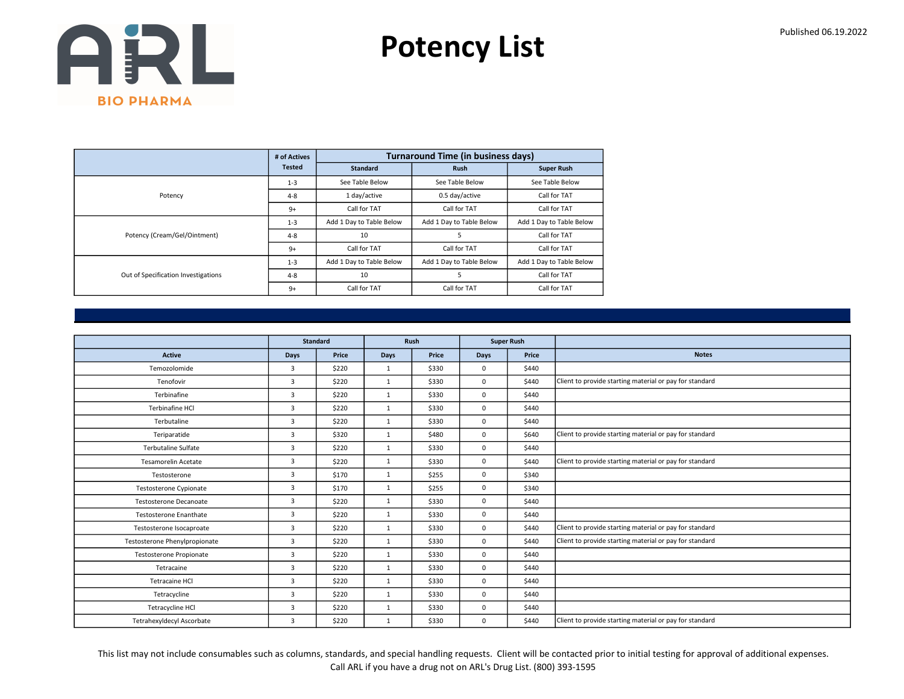Potency List

|                                     | # of Actives  |                          | <b>Turnaround Time (in business days)</b> |                          |
|-------------------------------------|---------------|--------------------------|-------------------------------------------|--------------------------|
|                                     | <b>Tested</b> | <b>Standard</b>          | <b>Rush</b>                               | <b>Super Rush</b>        |
|                                     | $1 - 3$       | See Table Below          | See Table Below                           | See Table Below          |
| Potency                             | $4 - 8$       | 1 day/active             | 0.5 day/active                            | Call for TAT             |
|                                     | $9+$          | Call for TAT             | Call for TAT                              | Call for TAT             |
|                                     | $1 - 3$       | Add 1 Day to Table Below | Add 1 Day to Table Below                  | Add 1 Day to Table Below |
| Potency (Cream/Gel/Ointment)        | $4 - 8$       | 10                       | 5                                         | Call for TAT             |
|                                     | $9+$          | Call for TAT             | Call for TAT                              | Call for TAT             |
|                                     | $1 - 3$       | Add 1 Day to Table Below | Add 1 Day to Table Below                  | Add 1 Day to Table Below |
| Out of Specification Investigations | $4 - 8$       | 10                       | 5                                         | Call for TAT             |
|                                     | $9+$          | Call for TAT             | Call for TAT                              | Call for TAT             |

|                               | <b>Standard</b> |       |              | Rush  |             | <b>Super Rush</b> |                                                         |
|-------------------------------|-----------------|-------|--------------|-------|-------------|-------------------|---------------------------------------------------------|
| Active                        | Days            | Price | <b>Days</b>  | Price | Days        | Price             | <b>Notes</b>                                            |
| Temozolomide                  | 3               | \$220 | 1            | \$330 | $\mathbf 0$ | \$440             |                                                         |
| Tenofovir                     | $\overline{3}$  | \$220 | $\mathbf{1}$ | \$330 | $\mathbf 0$ | \$440             | Client to provide starting material or pay for standard |
| Terbinafine                   | 3               | \$220 | $\mathbf{1}$ | \$330 | $\mathbf 0$ | \$440             |                                                         |
| Terbinafine HCI               | $\overline{3}$  | \$220 | 1            | \$330 | $\mathbf 0$ | \$440             |                                                         |
| Terbutaline                   | $\overline{3}$  | \$220 | $\mathbf{1}$ | \$330 | $\mathbf 0$ | \$440             |                                                         |
| Teriparatide                  | 3               | \$320 | $\mathbf{1}$ | \$480 | $\mathbf 0$ | \$640             | Client to provide starting material or pay for standard |
| <b>Terbutaline Sulfate</b>    | $\overline{3}$  | \$220 | 1            | \$330 | $\mathbf 0$ | \$440             |                                                         |
| <b>Tesamorelin Acetate</b>    | 3               | \$220 | $\mathbf{1}$ | \$330 | $\mathbf 0$ | \$440             | Client to provide starting material or pay for standard |
| Testosterone                  | 3               | \$170 | $\mathbf{1}$ | \$255 | $\mathbf 0$ | \$340             |                                                         |
| Testosterone Cypionate        | $\overline{3}$  | \$170 | $\mathbf{1}$ | \$255 | $\mathbf 0$ | \$340             |                                                         |
| <b>Testosterone Decanoate</b> | $\overline{3}$  | \$220 | $\mathbf{1}$ | \$330 | $\mathbf 0$ | \$440             |                                                         |
| Testosterone Enanthate        | 3               | \$220 | $\mathbf{1}$ | \$330 | $\mathbf 0$ | \$440             |                                                         |
| Testosterone Isocaproate      | 3               | \$220 | $\mathbf{1}$ | \$330 | $\mathbf 0$ | \$440             | Client to provide starting material or pay for standard |
| Testosterone Phenylpropionate | $\overline{3}$  | \$220 | 1            | \$330 | $\mathbf 0$ | \$440             | Client to provide starting material or pay for standard |
| Testosterone Propionate       | 3               | \$220 | $\mathbf{1}$ | \$330 | $\mathbf 0$ | \$440             |                                                         |
| Tetracaine                    | $\overline{3}$  | \$220 | $\mathbf{1}$ | \$330 | $\mathbf 0$ | \$440             |                                                         |
| <b>Tetracaine HCI</b>         | 3               | \$220 | $\mathbf{1}$ | \$330 | $\mathbf 0$ | \$440             |                                                         |
| Tetracycline                  | 3               | \$220 | $\mathbf{1}$ | \$330 | $\mathbf 0$ | \$440             |                                                         |
| Tetracycline HCl              | 3               | \$220 | $\mathbf{1}$ | \$330 | $\mathbf 0$ | \$440             |                                                         |
| Tetrahexyldecyl Ascorbate     | 3               | \$220 | $\mathbf{1}$ | \$330 | $\mathbf 0$ | \$440             | Client to provide starting material or pay for standard |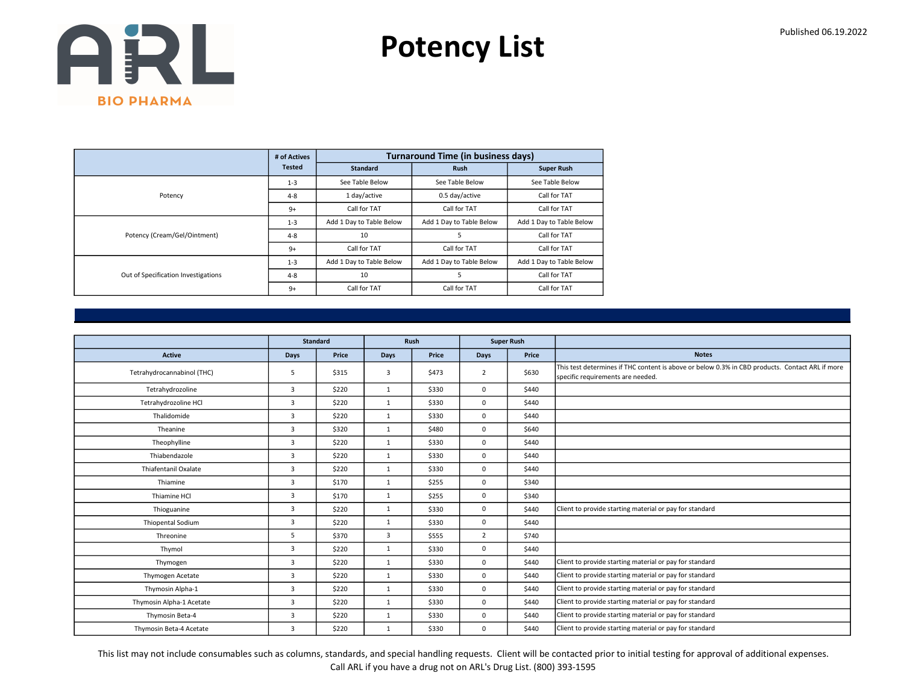Potency List

|                                     | # of Actives  |                          | <b>Turnaround Time (in business days)</b> |                          |
|-------------------------------------|---------------|--------------------------|-------------------------------------------|--------------------------|
|                                     | <b>Tested</b> | <b>Standard</b>          | <b>Rush</b>                               | <b>Super Rush</b>        |
|                                     | $1 - 3$       | See Table Below          | See Table Below                           | See Table Below          |
| Potency                             | $4 - 8$       | 1 day/active             | 0.5 day/active                            | Call for TAT             |
|                                     | $9+$          | Call for TAT             | Call for TAT                              | Call for TAT             |
|                                     | $1 - 3$       | Add 1 Day to Table Below | Add 1 Day to Table Below                  | Add 1 Day to Table Below |
| Potency (Cream/Gel/Ointment)        | $4 - 8$       | 10                       | 5                                         | Call for TAT             |
|                                     | $9+$          | Call for TAT             | Call for TAT                              | Call for TAT             |
|                                     | $1 - 3$       | Add 1 Day to Table Below | Add 1 Day to Table Below                  | Add 1 Day to Table Below |
| Out of Specification Investigations | $4 - 8$       | 10                       | 5                                         | Call for TAT             |
|                                     | $9+$          | Call for TAT             | Call for TAT                              | Call for TAT             |

|                            |                | <b>Standard</b> |                | Rush  | <b>Super Rush</b> |       |                                                                                                                                      |
|----------------------------|----------------|-----------------|----------------|-------|-------------------|-------|--------------------------------------------------------------------------------------------------------------------------------------|
| <b>Active</b>              | Days           | Price           | Days           | Price | Days              | Price | <b>Notes</b>                                                                                                                         |
| Tetrahydrocannabinol (THC) | 5              | \$315           | $\overline{3}$ | \$473 | 2                 | \$630 | This test determines if THC content is above or below 0.3% in CBD products. Contact ARL if more<br>specific requirements are needed. |
| Tetrahydrozoline           | 3              | \$220           | $\mathbf{1}$   | \$330 | $\mathbf 0$       | \$440 |                                                                                                                                      |
| Tetrahydrozoline HCl       | 3              | \$220           | $\mathbf{1}$   | \$330 | $\mathbf 0$       | \$440 |                                                                                                                                      |
| Thalidomide                | 3              | \$220           | 1              | \$330 | $\mathbf 0$       | \$440 |                                                                                                                                      |
| Theanine                   | 3              | \$320           | $\mathbf{1}$   | \$480 | $\mathbf 0$       | \$640 |                                                                                                                                      |
| Theophylline               | 3              | \$220           | 1              | \$330 | $\mathbf 0$       | \$440 |                                                                                                                                      |
| Thiabendazole              | $\overline{3}$ | \$220           | $\mathbf{1}$   | \$330 | $\mathbf 0$       | \$440 |                                                                                                                                      |
| Thiafentanil Oxalate       | $\overline{3}$ | \$220           | $\mathbf{1}$   | \$330 | $\mathbf 0$       | \$440 |                                                                                                                                      |
| Thiamine                   | 3              | \$170           | 1              | \$255 | $\mathbf 0$       | \$340 |                                                                                                                                      |
| Thiamine HCl               | 3              | \$170           | $\mathbf{1}$   | \$255 | $\mathbf 0$       | \$340 |                                                                                                                                      |
| Thioguanine                | 3              | \$220           | $\mathbf{1}$   | \$330 | $\mathbf 0$       | \$440 | Client to provide starting material or pay for standard                                                                              |
| Thiopental Sodium          | 3              | \$220           | $\mathbf{1}$   | \$330 | $\mathbf 0$       | \$440 |                                                                                                                                      |
| Threonine                  | 5              | \$370           | 3              | \$555 | $\overline{2}$    | \$740 |                                                                                                                                      |
| Thymol                     | 3              | \$220           | $\mathbf{1}$   | \$330 | $\mathbf 0$       | \$440 |                                                                                                                                      |
| Thymogen                   | 3              | \$220           | 1              | \$330 | $\mathbf 0$       | \$440 | Client to provide starting material or pay for standard                                                                              |
| Thymogen Acetate           | 3              | \$220           | $\mathbf{1}$   | \$330 | $\mathbf 0$       | \$440 | Client to provide starting material or pay for standard                                                                              |
| Thymosin Alpha-1           | 3              | \$220           | $\mathbf{1}$   | \$330 | $\mathbf 0$       | \$440 | Client to provide starting material or pay for standard                                                                              |
| Thymosin Alpha-1 Acetate   | $\overline{3}$ | \$220           | $\mathbf{1}$   | \$330 | $\mathbf 0$       | \$440 | Client to provide starting material or pay for standard                                                                              |
| Thymosin Beta-4            | 3              | \$220           | $\mathbf{1}$   | \$330 | $\mathbf 0$       | \$440 | Client to provide starting material or pay for standard                                                                              |
| Thymosin Beta-4 Acetate    | 3              | \$220           | $\mathbf{1}$   | \$330 | 0                 | \$440 | Client to provide starting material or pay for standard                                                                              |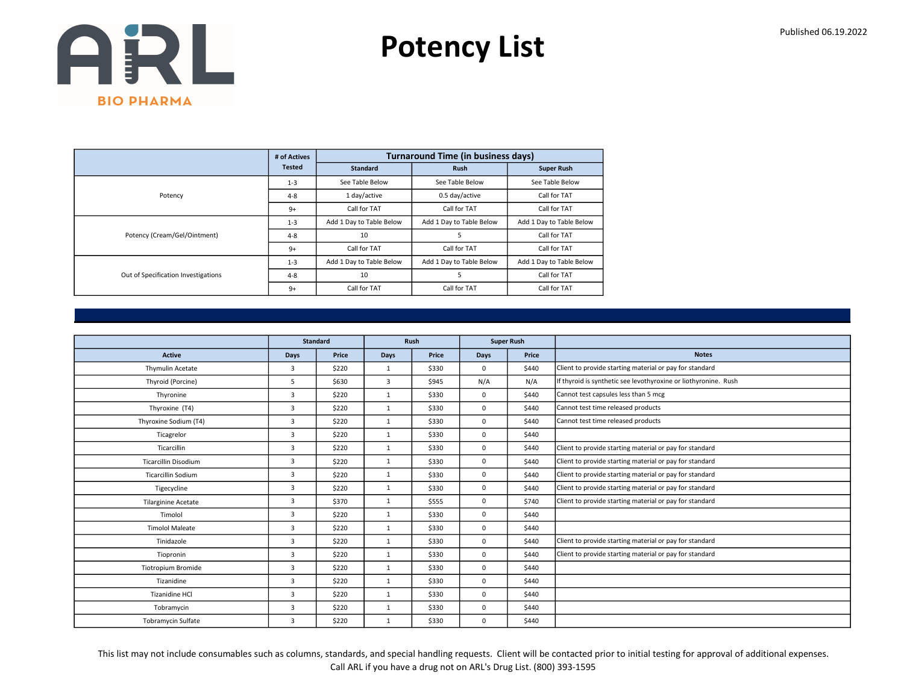Potency List

|                                     | # of Actives  |                          | <b>Turnaround Time (in business days)</b> |                          |
|-------------------------------------|---------------|--------------------------|-------------------------------------------|--------------------------|
|                                     | <b>Tested</b> | <b>Standard</b>          | <b>Rush</b>                               | <b>Super Rush</b>        |
|                                     | $1 - 3$       | See Table Below          | See Table Below                           | See Table Below          |
| Potency                             | $4 - 8$       | 1 day/active             | 0.5 day/active                            | Call for TAT             |
|                                     | $9+$          | Call for TAT             | Call for TAT                              | Call for TAT             |
|                                     | $1 - 3$       | Add 1 Day to Table Below | Add 1 Day to Table Below                  | Add 1 Day to Table Below |
| Potency (Cream/Gel/Ointment)        | $4 - 8$       | 10                       | 5                                         | Call for TAT             |
|                                     | $9+$          | Call for TAT             | Call for TAT                              | Call for TAT             |
|                                     | $1 - 3$       | Add 1 Day to Table Below | Add 1 Day to Table Below                  | Add 1 Day to Table Below |
| Out of Specification Investigations | $4 - 8$       | 10                       | 5                                         | Call for TAT             |
|                                     | $9+$          | Call for TAT             | Call for TAT                              | Call for TAT             |

|                            |                | <b>Standard</b> |              | Rush  |             | <b>Super Rush</b> |                                                                 |
|----------------------------|----------------|-----------------|--------------|-------|-------------|-------------------|-----------------------------------------------------------------|
| <b>Active</b>              | <b>Days</b>    | Price           | <b>Days</b>  | Price | Days        | Price             | <b>Notes</b>                                                    |
| Thymulin Acetate           | 3              | \$220           | $\mathbf{1}$ | \$330 | $\mathbf 0$ | \$440             | Client to provide starting material or pay for standard         |
| Thyroid (Porcine)          | 5              | \$630           | 3            | \$945 | N/A         | N/A               | If thyroid is synthetic see levothyroxine or liothyronine. Rush |
| Thyronine                  | 3              | \$220           | $\mathbf{1}$ | \$330 | $\mathbf 0$ | \$440             | Cannot test capsules less than 5 mcg                            |
| Thyroxine (T4)             | 3              | \$220           | $\mathbf{1}$ | \$330 | 0           | \$440             | Cannot test time released products                              |
| Thyroxine Sodium (T4)      | 3              | \$220           | 1            | \$330 | 0           | \$440             | Cannot test time released products                              |
| Ticagrelor                 | 3              | \$220           | $\mathbf{1}$ | \$330 | 0           | \$440             |                                                                 |
| Ticarcillin                | $\overline{3}$ | \$220           | 1            | \$330 | 0           | \$440             | Client to provide starting material or pay for standard         |
| Ticarcillin Disodium       | 3              | \$220           | $\mathbf{1}$ | \$330 | 0           | \$440             | Client to provide starting material or pay for standard         |
| <b>Ticarcillin Sodium</b>  | 3              | \$220           | $\mathbf{1}$ | \$330 | 0           | \$440             | Client to provide starting material or pay for standard         |
| Tigecycline                | 3              | \$220           | 1            | \$330 | 0           | \$440             | Client to provide starting material or pay for standard         |
| <b>Tilarginine Acetate</b> | 3              | \$370           | $\mathbf{1}$ | \$555 | 0           | \$740             | Client to provide starting material or pay for standard         |
| Timolol                    | 3              | \$220           | $\mathbf{1}$ | \$330 | 0           | \$440             |                                                                 |
| <b>Timolol Maleate</b>     | 3              | \$220           | $\mathbf{1}$ | \$330 | 0           | \$440             |                                                                 |
| Tinidazole                 | 3              | \$220           | $\mathbf{1}$ | \$330 | 0           | \$440             | Client to provide starting material or pay for standard         |
| Tiopronin                  | 3              | \$220           | 1            | \$330 | 0           | \$440             | Client to provide starting material or pay for standard         |
| <b>Tiotropium Bromide</b>  | 3              | \$220           | $\mathbf{1}$ | \$330 | 0           | \$440             |                                                                 |
| Tizanidine                 | 3              | \$220           | $\mathbf{1}$ | \$330 | 0           | \$440             |                                                                 |
| <b>Tizanidine HCI</b>      | 3              | \$220           | $\mathbf{1}$ | \$330 | 0           | \$440             |                                                                 |
| Tobramycin                 | 3              | \$220           | $\mathbf{1}$ | \$330 | 0           | \$440             |                                                                 |
| <b>Tobramycin Sulfate</b>  | 3              | \$220           | $\mathbf{1}$ | \$330 | 0           | \$440             |                                                                 |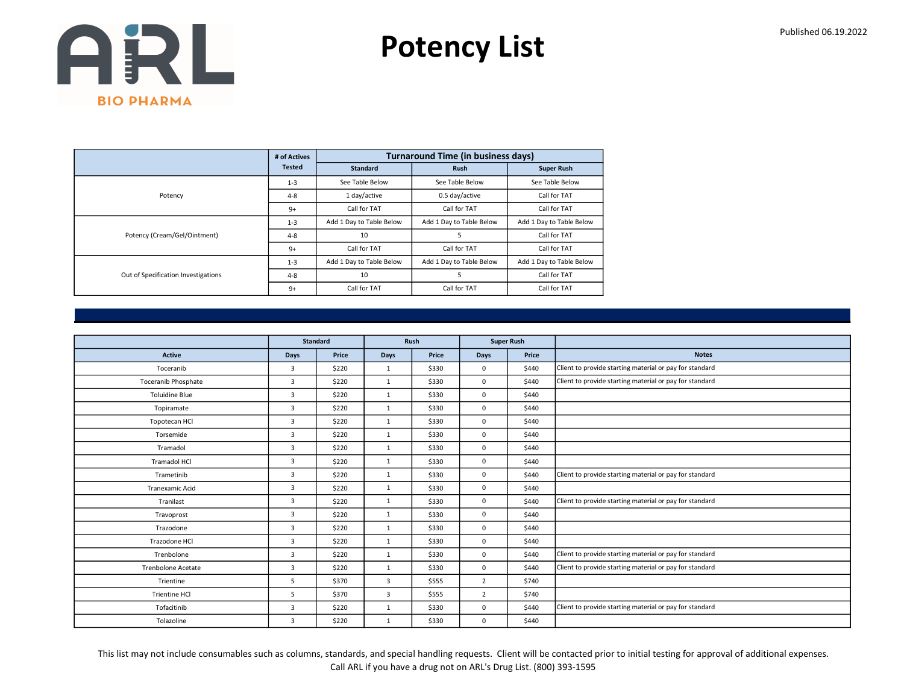Potency List

|                                     | # of Actives  |                          | <b>Turnaround Time (in business days)</b> |                          |
|-------------------------------------|---------------|--------------------------|-------------------------------------------|--------------------------|
|                                     | <b>Tested</b> | <b>Standard</b>          | <b>Rush</b>                               | <b>Super Rush</b>        |
|                                     | $1 - 3$       | See Table Below          | See Table Below                           | See Table Below          |
| Potency                             | $4 - 8$       | 1 day/active             | 0.5 day/active                            | Call for TAT             |
|                                     | $9+$          | Call for TAT             | Call for TAT                              | Call for TAT             |
|                                     | $1 - 3$       | Add 1 Day to Table Below | Add 1 Day to Table Below                  | Add 1 Day to Table Below |
| Potency (Cream/Gel/Ointment)        | $4 - 8$       | 10                       | 5                                         | Call for TAT             |
|                                     | $9+$          | Call for TAT             | Call for TAT                              | Call for TAT             |
|                                     | $1 - 3$       | Add 1 Day to Table Below | Add 1 Day to Table Below                  | Add 1 Day to Table Below |
| Out of Specification Investigations | $4 - 8$       | 10                       | 5                                         | Call for TAT             |
|                                     | $9+$          | Call for TAT             | Call for TAT                              | Call for TAT             |

|                           |                | <b>Standard</b> |              | Rush  |                | <b>Super Rush</b> |                                                         |
|---------------------------|----------------|-----------------|--------------|-------|----------------|-------------------|---------------------------------------------------------|
| <b>Active</b>             | Days           | Price           | <b>Days</b>  | Price | Days           | Price             | <b>Notes</b>                                            |
| Toceranib                 | 3              | \$220           | 1            | \$330 | $\mathbf 0$    | \$440             | Client to provide starting material or pay for standard |
| Toceranib Phosphate       | $\overline{3}$ | \$220           | $\mathbf{1}$ | \$330 | $\mathbf 0$    | \$440             | Client to provide starting material or pay for standard |
| <b>Toluidine Blue</b>     | 3              | \$220           | $\mathbf{1}$ | \$330 | $\mathbf 0$    | \$440             |                                                         |
| Topiramate                | 3              | \$220           | 1            | \$330 | 0              | \$440             |                                                         |
| Topotecan HCl             | $\overline{3}$ | \$220           | $\mathbf{1}$ | \$330 | 0              | \$440             |                                                         |
| Torsemide                 | 3              | \$220           | $\mathbf{1}$ | \$330 | $\mathbf 0$    | \$440             |                                                         |
| Tramadol                  | $\overline{3}$ | \$220           | 1            | \$330 | 0              | \$440             |                                                         |
| Tramadol HCl              | $\overline{3}$ | \$220           | $\mathbf{1}$ | \$330 | 0              | \$440             |                                                         |
| Trametinib                | 3              | \$220           | $\mathbf{1}$ | \$330 | 0              | \$440             | Client to provide starting material or pay for standard |
| Tranexamic Acid           | $\overline{3}$ | \$220           | 1            | \$330 | 0              | \$440             |                                                         |
| Tranilast                 | $\overline{3}$ | \$220           | $\mathbf{1}$ | \$330 | 0              | \$440             | Client to provide starting material or pay for standard |
| Travoprost                | 3              | \$220           | 1            | \$330 | $\mathbf 0$    | \$440             |                                                         |
| Trazodone                 | $\overline{3}$ | \$220           | $\mathbf{1}$ | \$330 | 0              | \$440             |                                                         |
| Trazodone HCl             | $\overline{3}$ | \$220           | $\mathbf{1}$ | \$330 | 0              | \$440             |                                                         |
| Trenbolone                | 3              | \$220           | 1            | \$330 | $\mathbf 0$    | \$440             | Client to provide starting material or pay for standard |
| <b>Trenbolone Acetate</b> | 3              | \$220           | $\mathbf{1}$ | \$330 | 0              | \$440             | Client to provide starting material or pay for standard |
| Trientine                 | 5              | \$370           | 3            | \$555 | $\overline{2}$ | \$740             |                                                         |
| <b>Trientine HCI</b>      | 5              | \$370           | 3            | \$555 | $\overline{2}$ | \$740             |                                                         |
| Tofacitinib               | $\overline{3}$ | \$220           | $\mathbf{1}$ | \$330 | 0              | \$440             | Client to provide starting material or pay for standard |
| Tolazoline                | 3              | \$220           | 1            | \$330 | 0              | \$440             |                                                         |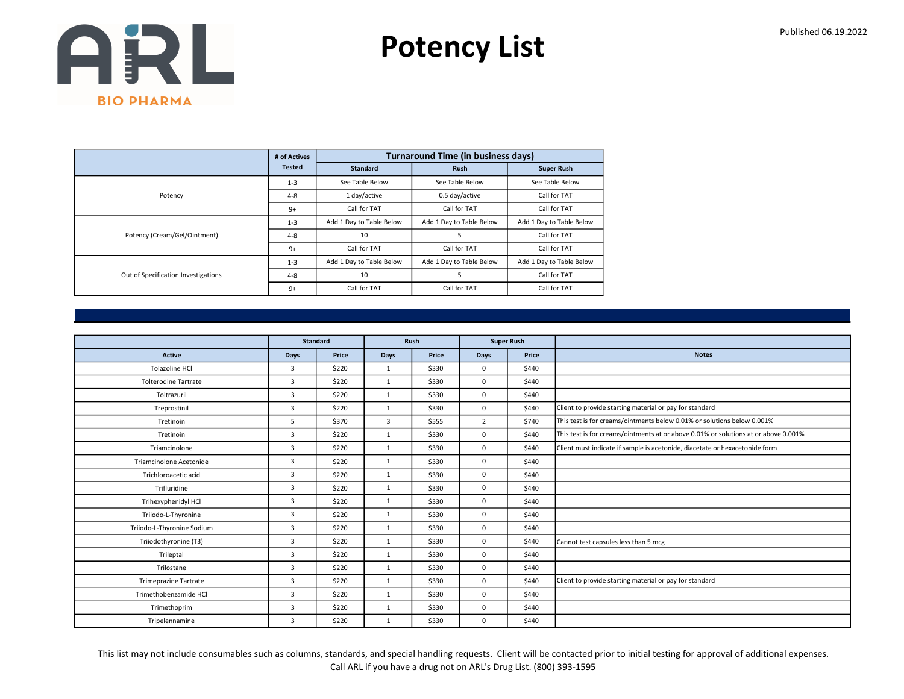Potency List

|                                     | # of Actives  |                          | <b>Turnaround Time (in business days)</b> |                          |
|-------------------------------------|---------------|--------------------------|-------------------------------------------|--------------------------|
|                                     | <b>Tested</b> | <b>Standard</b>          | <b>Rush</b>                               | <b>Super Rush</b>        |
|                                     | $1 - 3$       | See Table Below          | See Table Below                           | See Table Below          |
| Potency                             | $4 - 8$       | 1 day/active             | 0.5 day/active                            | Call for TAT             |
|                                     | $9+$          | Call for TAT             | Call for TAT                              | Call for TAT             |
|                                     | $1 - 3$       | Add 1 Day to Table Below | Add 1 Day to Table Below                  | Add 1 Day to Table Below |
| Potency (Cream/Gel/Ointment)        | $4 - 8$       | 10                       | 5                                         | Call for TAT             |
|                                     | $9+$          | Call for TAT             | Call for TAT                              | Call for TAT             |
|                                     | $1 - 3$       | Add 1 Day to Table Below | Add 1 Day to Table Below                  | Add 1 Day to Table Below |
| Out of Specification Investigations | $4 - 8$       | 10                       | 5                                         | Call for TAT             |
|                                     | $9+$          | Call for TAT             | Call for TAT                              | Call for TAT             |

|                              | <b>Standard</b> |       |              | Rush  | <b>Super Rush</b> |       |                                                                                     |
|------------------------------|-----------------|-------|--------------|-------|-------------------|-------|-------------------------------------------------------------------------------------|
| <b>Active</b>                | Days            | Price | <b>Days</b>  | Price | <b>Days</b>       | Price | <b>Notes</b>                                                                        |
| <b>Tolazoline HCI</b>        | 3               | \$220 | 1            | \$330 | $\mathbf 0$       | \$440 |                                                                                     |
| <b>Tolterodine Tartrate</b>  | $\overline{3}$  | \$220 | $\mathbf{1}$ | \$330 | $\mathbf 0$       | \$440 |                                                                                     |
| Toltrazuril                  | 3               | \$220 | $\mathbf{1}$ | \$330 | $\mathbf 0$       | \$440 |                                                                                     |
| Treprostinil                 | $\overline{3}$  | \$220 | 1            | \$330 | $\mathbf 0$       | \$440 | Client to provide starting material or pay for standard                             |
| Tretinoin                    | 5               | \$370 | 3            | \$555 | $\overline{2}$    | \$740 | This test is for creams/ointments below 0.01% or solutions below 0.001%             |
| Tretinoin                    | $\overline{3}$  | \$220 | $\mathbf{1}$ | \$330 | $\mathbf 0$       | \$440 | This test is for creams/ointments at or above 0.01% or solutions at or above 0.001% |
| Triamcinolone                | $\overline{3}$  | \$220 | 1            | \$330 | $\mathbf 0$       | \$440 | Client must indicate if sample is acetonide, diacetate or hexacetonide form         |
| Triamcinolone Acetonide      | $\overline{3}$  | \$220 | $\mathbf{1}$ | \$330 | $\mathbf 0$       | \$440 |                                                                                     |
| Trichloroacetic acid         | $\overline{3}$  | \$220 | $\mathbf{1}$ | \$330 | $\mathbf 0$       | \$440 |                                                                                     |
| Trifluridine                 | $\overline{3}$  | \$220 | $\mathbf{1}$ | \$330 | $\mathbf 0$       | \$440 |                                                                                     |
| Trihexyphenidyl HCl          | 3               | \$220 | $\mathbf{1}$ | \$330 | $\mathbf 0$       | \$440 |                                                                                     |
| Triiodo-L-Thyronine          | 3               | \$220 | $\mathbf{1}$ | \$330 | $\mathbf 0$       | \$440 |                                                                                     |
| Triiodo-L-Thyronine Sodium   | $\overline{3}$  | \$220 | $\mathbf{1}$ | \$330 | $\mathbf 0$       | \$440 |                                                                                     |
| Triiodothyronine (T3)        | 3               | \$220 | 1            | \$330 | $\mathbf 0$       | \$440 | Cannot test capsules less than 5 mcg                                                |
| Trileptal                    | 3               | \$220 | $\mathbf{1}$ | \$330 | $\mathbf 0$       | \$440 |                                                                                     |
| Trilostane                   | $\overline{3}$  | \$220 | $\mathbf{1}$ | \$330 | $\mathbf 0$       | \$440 |                                                                                     |
| <b>Trimeprazine Tartrate</b> | 3               | \$220 | $\mathbf{1}$ | \$330 | $\mathbf 0$       | \$440 | Client to provide starting material or pay for standard                             |
| Trimethobenzamide HCl        | $\overline{3}$  | \$220 | 1            | \$330 | $\mathbf 0$       | \$440 |                                                                                     |
| Trimethoprim                 | 3               | \$220 | $\mathbf{1}$ | \$330 | $\mathbf 0$       | \$440 |                                                                                     |
| Tripelennamine               | 3               | \$220 | $\mathbf{1}$ | \$330 | $\mathbf 0$       | \$440 |                                                                                     |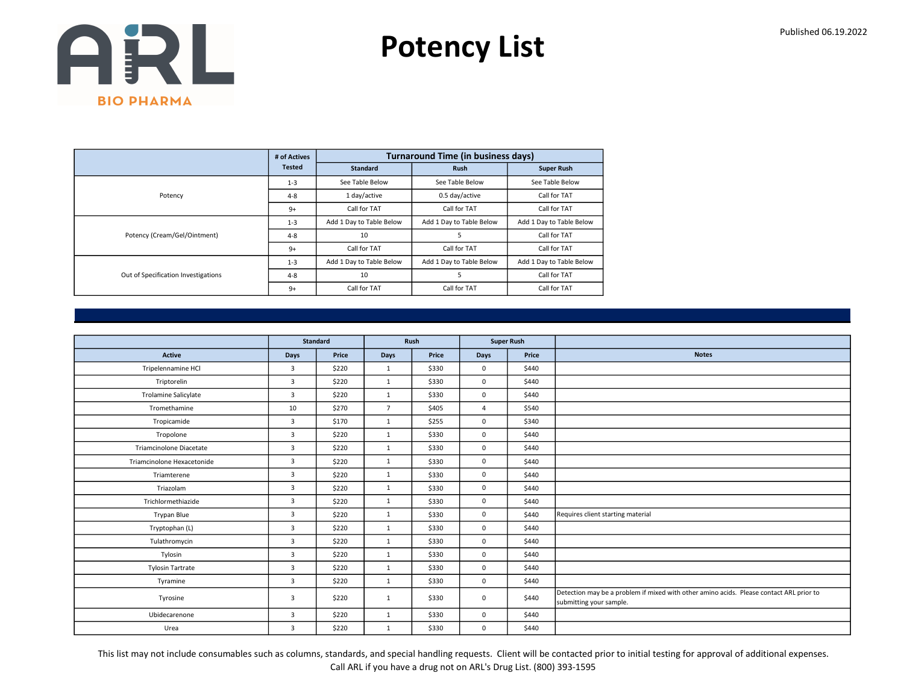Potency List

|                                     | # of Actives  |                          | <b>Turnaround Time (in business days)</b> |                          |
|-------------------------------------|---------------|--------------------------|-------------------------------------------|--------------------------|
|                                     | <b>Tested</b> | <b>Standard</b>          | <b>Rush</b>                               | <b>Super Rush</b>        |
|                                     | $1 - 3$       | See Table Below          | See Table Below                           | See Table Below          |
| Potency                             | $4 - 8$       | 1 day/active             | 0.5 day/active                            | Call for TAT             |
|                                     | $9+$          | Call for TAT             | Call for TAT                              | Call for TAT             |
|                                     | $1 - 3$       | Add 1 Day to Table Below | Add 1 Day to Table Below                  | Add 1 Day to Table Below |
| Potency (Cream/Gel/Ointment)        | $4 - 8$       | 10                       | 5                                         | Call for TAT             |
|                                     | $9+$          | Call for TAT             | Call for TAT                              | Call for TAT             |
|                                     | $1 - 3$       | Add 1 Day to Table Below | Add 1 Day to Table Below                  | Add 1 Day to Table Below |
| Out of Specification Investigations | $4 - 8$       | 10                       | 5                                         | Call for TAT             |
|                                     | $9+$          | Call for TAT             | Call for TAT                              | Call for TAT             |

|                             | <b>Standard</b> |       |                | Rush  |                | <b>Super Rush</b> |                                                                                                                    |
|-----------------------------|-----------------|-------|----------------|-------|----------------|-------------------|--------------------------------------------------------------------------------------------------------------------|
| Active                      | Days            | Price | Days           | Price | <b>Days</b>    | Price             | <b>Notes</b>                                                                                                       |
| Tripelennamine HCl          | 3               | \$220 | $\mathbf{1}$   | \$330 | $\mathbf 0$    | \$440             |                                                                                                                    |
| Triptorelin                 | $\overline{3}$  | \$220 | $\mathbf{1}$   | \$330 | $\mathbf 0$    | \$440             |                                                                                                                    |
| <b>Trolamine Salicylate</b> | 3               | \$220 | $\mathbf{1}$   | \$330 | $\mathbf 0$    | \$440             |                                                                                                                    |
| Tromethamine                | 10              | \$270 | $\overline{7}$ | \$405 | $\overline{4}$ | \$540             |                                                                                                                    |
| Tropicamide                 | 3               | \$170 | $\mathbf{1}$   | \$255 | $\mathbf 0$    | \$340             |                                                                                                                    |
| Tropolone                   | $\overline{3}$  | \$220 | $\mathbf{1}$   | \$330 | $\mathbf 0$    | \$440             |                                                                                                                    |
| Triamcinolone Diacetate     | $\overline{3}$  | \$220 | 1              | \$330 | $\mathbf 0$    | \$440             |                                                                                                                    |
| Triamcinolone Hexacetonide  | 3               | \$220 | $\mathbf{1}$   | \$330 | $\mathbf 0$    | \$440             |                                                                                                                    |
| Triamterene                 | $\overline{3}$  | \$220 | $\mathbf{1}$   | \$330 | $\mathbf 0$    | \$440             |                                                                                                                    |
| Triazolam                   | 3               | \$220 | $\mathbf{1}$   | \$330 | $\mathbf 0$    | \$440             |                                                                                                                    |
| Trichlormethiazide          | 3               | \$220 | $\mathbf{1}$   | \$330 | $\mathbf 0$    | \$440             |                                                                                                                    |
| Trypan Blue                 | $\overline{3}$  | \$220 | 1              | \$330 | $\mathbf 0$    | \$440             | Requires client starting material                                                                                  |
| Tryptophan (L)              | $\overline{3}$  | \$220 | 1              | \$330 | $\mathbf 0$    | \$440             |                                                                                                                    |
| Tulathromycin               | $\overline{3}$  | \$220 | 1              | \$330 | $\mathbf 0$    | \$440             |                                                                                                                    |
| Tylosin                     | $\overline{3}$  | \$220 | $\mathbf{1}$   | \$330 | $\mathbf 0$    | \$440             |                                                                                                                    |
| <b>Tylosin Tartrate</b>     | $\overline{3}$  | \$220 | $\mathbf{1}$   | \$330 | $\mathbf 0$    | \$440             |                                                                                                                    |
| Tyramine                    | $\overline{3}$  | \$220 | 1              | \$330 | $\mathbf 0$    | \$440             |                                                                                                                    |
| Tyrosine                    | 3               | \$220 | $\mathbf{1}$   | \$330 | $\mathbf 0$    | \$440             | Detection may be a problem if mixed with other amino acids. Please contact ARL prior to<br>submitting your sample. |
| Ubidecarenone               | 3               | \$220 | $\mathbf{1}$   | \$330 | $\mathbf 0$    | \$440             |                                                                                                                    |
| Urea                        | $\overline{3}$  | \$220 | 1              | \$330 | $\mathbf 0$    | \$440             |                                                                                                                    |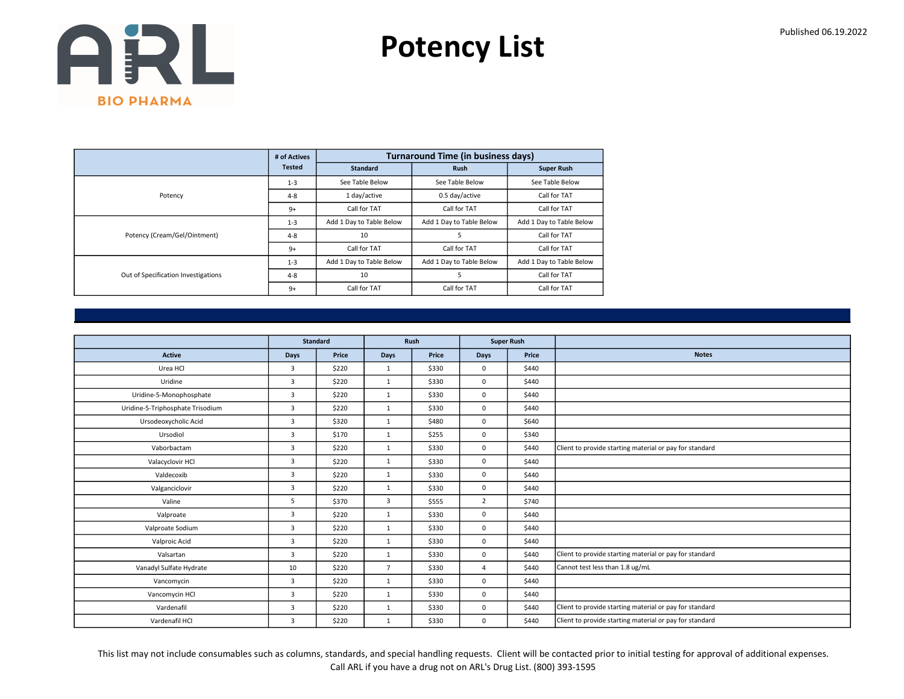Potency List

|                                     | # of Actives  |                          | <b>Turnaround Time (in business days)</b> |                          |
|-------------------------------------|---------------|--------------------------|-------------------------------------------|--------------------------|
|                                     | <b>Tested</b> | <b>Standard</b>          | <b>Rush</b>                               | <b>Super Rush</b>        |
|                                     | $1 - 3$       | See Table Below          | See Table Below                           | See Table Below          |
| Potency                             | $4 - 8$       | 1 day/active             | 0.5 day/active                            | Call for TAT             |
|                                     | $9+$          | Call for TAT             | Call for TAT                              | Call for TAT             |
|                                     | $1 - 3$       | Add 1 Day to Table Below | Add 1 Day to Table Below                  | Add 1 Day to Table Below |
| Potency (Cream/Gel/Ointment)        | $4 - 8$       | 10                       | 5                                         | Call for TAT             |
|                                     | $9+$          | Call for TAT             | Call for TAT                              | Call for TAT             |
|                                     | $1 - 3$       | Add 1 Day to Table Below | Add 1 Day to Table Below                  | Add 1 Day to Table Below |
| Out of Specification Investigations | $4 - 8$       | 10                       | 5                                         | Call for TAT             |
|                                     | $9+$          | Call for TAT             | Call for TAT                              | Call for TAT             |

|                                  | <b>Standard</b> |       |                | Rush  | <b>Super Rush</b> |       |                                                         |
|----------------------------------|-----------------|-------|----------------|-------|-------------------|-------|---------------------------------------------------------|
| <b>Active</b>                    | Days            | Price | Days           | Price | <b>Days</b>       | Price | <b>Notes</b>                                            |
| Urea HCl                         | 3               | \$220 | $\mathbf{1}$   | \$330 | $\mathbf 0$       | \$440 |                                                         |
| Uridine                          | 3               | \$220 | $\mathbf{1}$   | \$330 | $\mathbf{0}$      | \$440 |                                                         |
| Uridine-5-Monophosphate          | $\overline{3}$  | \$220 | 1              | \$330 | $\mathbf 0$       | \$440 |                                                         |
| Uridine-5-Triphosphate Trisodium | $\overline{3}$  | \$220 | 1              | \$330 | $\mathbf 0$       | \$440 |                                                         |
| Ursodeoxycholic Acid             | 3               | \$320 | $\mathbf{1}$   | \$480 | $\mathbf 0$       | \$640 |                                                         |
| Ursodiol                         | 3               | \$170 | 1              | \$255 | 0                 | \$340 |                                                         |
| Vaborbactam                      | $\overline{3}$  | \$220 | $\mathbf{1}$   | \$330 | $\mathbf 0$       | \$440 | Client to provide starting material or pay for standard |
| Valacyclovir HCl                 | 3               | \$220 | $\mathbf{1}$   | \$330 | 0                 | \$440 |                                                         |
| Valdecoxib                       | $\overline{3}$  | \$220 | 1              | \$330 | $\mathbf 0$       | \$440 |                                                         |
| Valganciclovir                   | 3               | \$220 | $\mathbf{1}$   | \$330 | $\mathbf 0$       | \$440 |                                                         |
| Valine                           | 5               | \$370 | 3              | \$555 | $\overline{2}$    | \$740 |                                                         |
| Valproate                        | 3               | \$220 | $\mathbf{1}$   | \$330 | $\mathbf 0$       | \$440 |                                                         |
| Valproate Sodium                 | $\overline{3}$  | \$220 | $\mathbf{1}$   | \$330 | $\mathbf 0$       | \$440 |                                                         |
| Valproic Acid                    | 3               | \$220 | 1              | \$330 | $\mathbf 0$       | \$440 |                                                         |
| Valsartan                        | 3               | \$220 | $\mathbf{1}$   | \$330 | $\mathbf 0$       | \$440 | Client to provide starting material or pay for standard |
| Vanadyl Sulfate Hydrate          | 10              | \$220 | $\overline{7}$ | \$330 | $\overline{4}$    | \$440 | Cannot test less than 1.8 ug/mL                         |
| Vancomycin                       | 3               | \$220 | 1              | \$330 | $\mathbf 0$       | \$440 |                                                         |
| Vancomycin HCl                   | 3               | \$220 | $\mathbf{1}$   | \$330 | 0                 | \$440 |                                                         |
| Vardenafil                       | $\overline{3}$  | \$220 | 1              | \$330 | $\mathbf 0$       | \$440 | Client to provide starting material or pay for standard |
| Vardenafil HCl                   | 3               | \$220 | $\mathbf{1}$   | \$330 | $\mathbf 0$       | \$440 | Client to provide starting material or pay for standard |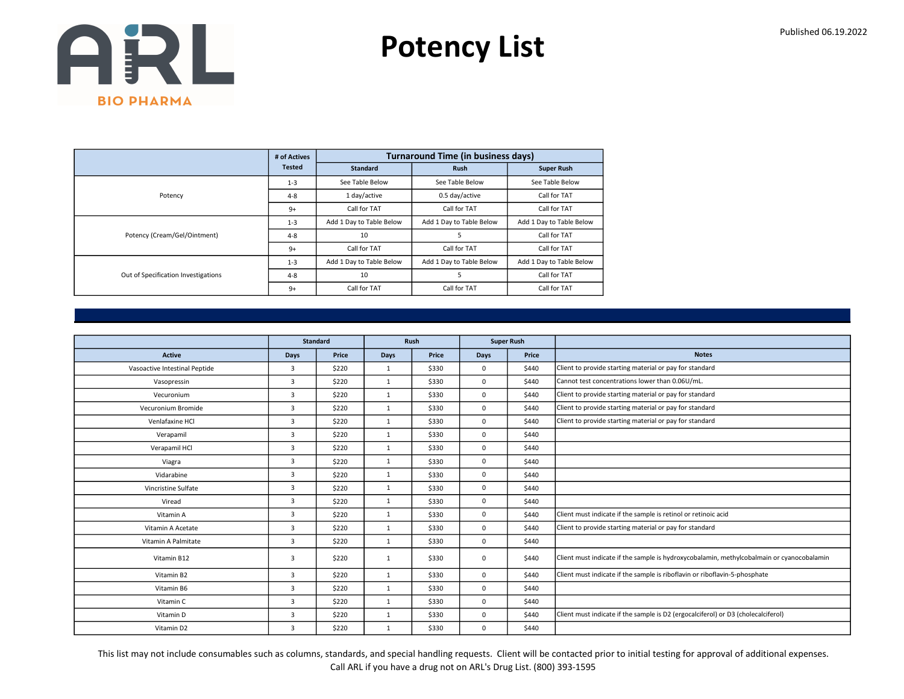Potency List

|                                     | # of Actives  |                          | <b>Turnaround Time (in business days)</b> |                          |
|-------------------------------------|---------------|--------------------------|-------------------------------------------|--------------------------|
|                                     | <b>Tested</b> | <b>Standard</b>          | <b>Rush</b>                               | <b>Super Rush</b>        |
|                                     | $1 - 3$       | See Table Below          | See Table Below                           | See Table Below          |
| Potency                             | $4 - 8$       | 1 day/active             | 0.5 day/active                            | Call for TAT             |
|                                     | $9+$          | Call for TAT             | Call for TAT                              | Call for TAT             |
|                                     | $1 - 3$       | Add 1 Day to Table Below | Add 1 Day to Table Below                  | Add 1 Day to Table Below |
| Potency (Cream/Gel/Ointment)        | $4 - 8$       | 10                       | 5                                         | Call for TAT             |
|                                     | $9+$          | Call for TAT             | Call for TAT                              | Call for TAT             |
|                                     | $1 - 3$       | Add 1 Day to Table Below | Add 1 Day to Table Below                  | Add 1 Day to Table Below |
| Out of Specification Investigations | $4 - 8$       | 10                       | 5                                         | Call for TAT             |
|                                     | $9+$          | Call for TAT             | Call for TAT                              | Call for TAT             |

|                               |                | <b>Standard</b> |              | Rush  |             | <b>Super Rush</b> |                                                                                           |
|-------------------------------|----------------|-----------------|--------------|-------|-------------|-------------------|-------------------------------------------------------------------------------------------|
| <b>Active</b>                 | <b>Days</b>    | Price           | <b>Days</b>  | Price | <b>Days</b> | Price             | <b>Notes</b>                                                                              |
| Vasoactive Intestinal Peptide | 3              | \$220           | $\mathbf{1}$ | \$330 | $\mathbf 0$ | \$440             | Client to provide starting material or pay for standard                                   |
| Vasopressin                   | 3              | \$220           | $\mathbf{1}$ | \$330 | $\mathbf 0$ | \$440             | Cannot test concentrations lower than 0.06U/mL.                                           |
| Vecuronium                    | 3              | \$220           | $\mathbf{1}$ | \$330 | $\mathbf 0$ | \$440             | Client to provide starting material or pay for standard                                   |
| Vecuronium Bromide            | 3              | \$220           | 1            | \$330 | $\mathbf 0$ | \$440             | Client to provide starting material or pay for standard                                   |
| Venlafaxine HCl               | $\overline{3}$ | \$220           | 1            | \$330 | $\mathbf 0$ | \$440             | Client to provide starting material or pay for standard                                   |
| Verapamil                     | $\overline{3}$ | \$220           | 1            | \$330 | $\mathbf 0$ | \$440             |                                                                                           |
| Verapamil HCl                 | 3              | \$220           | $\mathbf{1}$ | \$330 | $\mathbf 0$ | \$440             |                                                                                           |
| Viagra                        | 3              | \$220           | $\mathbf{1}$ | \$330 | $\mathbf 0$ | \$440             |                                                                                           |
| Vidarabine                    | 3              | \$220           | $\mathbf{1}$ | \$330 | $\mathbf 0$ | \$440             |                                                                                           |
| Vincristine Sulfate           | $\overline{3}$ | \$220           | $\mathbf{1}$ | \$330 | $\mathbf 0$ | \$440             |                                                                                           |
| Viread                        | 3              | \$220           | 1            | \$330 | $\mathbf 0$ | \$440             |                                                                                           |
| Vitamin A                     | 3              | \$220           | $\mathbf{1}$ | \$330 | $\mathbf 0$ | \$440             | Client must indicate if the sample is retinol or retinoic acid                            |
| Vitamin A Acetate             | $\overline{3}$ | \$220           | $\mathbf{1}$ | \$330 | $\mathbf 0$ | \$440             | Client to provide starting material or pay for standard                                   |
| Vitamin A Palmitate           | 3              | \$220           | $\mathbf{1}$ | \$330 | $\mathbf 0$ | \$440             |                                                                                           |
| Vitamin B12                   | $\overline{3}$ | \$220           | $\mathbf{1}$ | \$330 | $\mathbf 0$ | \$440             | Client must indicate if the sample is hydroxycobalamin, methylcobalmain or cyanocobalamin |
| Vitamin B2                    | 3              | \$220           | $\mathbf{1}$ | \$330 | $\mathbf 0$ | \$440             | Client must indicate if the sample is riboflavin or riboflavin-5-phosphate                |
| Vitamin B6                    | 3              | \$220           | $\mathbf{1}$ | \$330 | $\mathbf 0$ | \$440             |                                                                                           |
| Vitamin C                     | 3              | \$220           | 1            | \$330 | $\mathbf 0$ | \$440             |                                                                                           |
| Vitamin D                     | 3              | \$220           | $\mathbf{1}$ | \$330 | $\mathbf 0$ | \$440             | Client must indicate if the sample is D2 (ergocalciferol) or D3 (cholecalciferol)         |
| Vitamin D2                    | 3              | \$220           | $\mathbf{1}$ | \$330 | $\mathbf 0$ | \$440             |                                                                                           |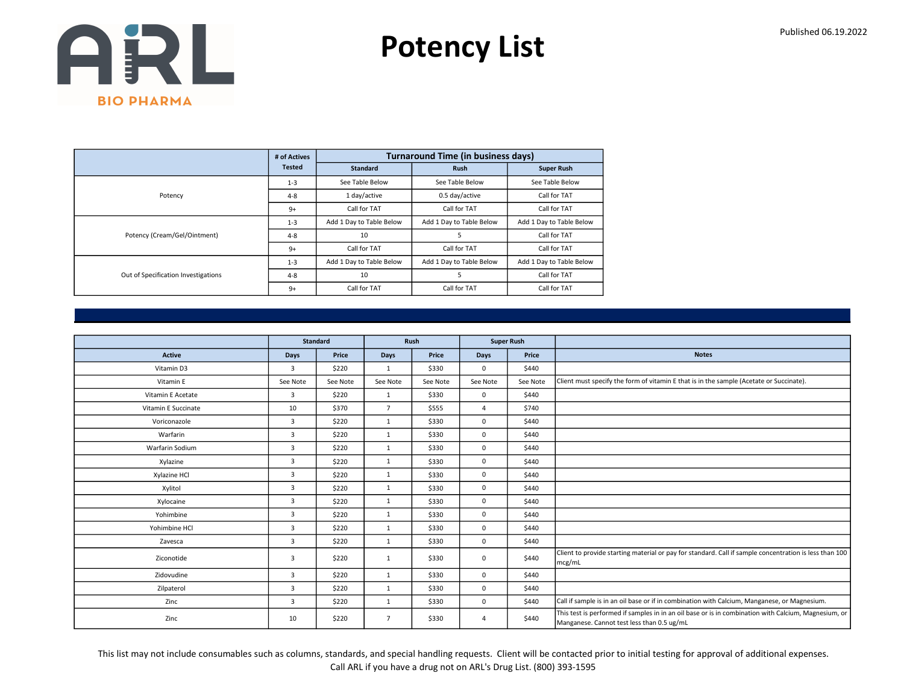Potency List

|                                     | # of Actives  |                          | <b>Turnaround Time (in business days)</b> |                          |
|-------------------------------------|---------------|--------------------------|-------------------------------------------|--------------------------|
|                                     | <b>Tested</b> | <b>Standard</b>          | <b>Rush</b>                               | <b>Super Rush</b>        |
|                                     | $1 - 3$       | See Table Below          | See Table Below                           | See Table Below          |
| Potency                             | $4 - 8$       | 1 day/active             | 0.5 day/active                            | Call for TAT             |
|                                     | $9+$          | Call for TAT             | Call for TAT                              | Call for TAT             |
|                                     | $1 - 3$       | Add 1 Day to Table Below | Add 1 Day to Table Below                  | Add 1 Day to Table Below |
| Potency (Cream/Gel/Ointment)        | $4 - 8$       | 10                       | 5                                         | Call for TAT             |
|                                     | $9+$          | Call for TAT             | Call for TAT                              | Call for TAT             |
|                                     | $1 - 3$       | Add 1 Day to Table Below | Add 1 Day to Table Below                  | Add 1 Day to Table Below |
| Out of Specification Investigations | $4 - 8$       | 10                       | 5                                         | Call for TAT             |
|                                     | $9+$          | Call for TAT             | Call for TAT                              | Call for TAT             |

|                     | Standard       |          |                | Rush     |                | <b>Super Rush</b> |                                                                                                                                                    |
|---------------------|----------------|----------|----------------|----------|----------------|-------------------|----------------------------------------------------------------------------------------------------------------------------------------------------|
| <b>Active</b>       | Days           | Price    | Days           | Price    | Days           | Price             | <b>Notes</b>                                                                                                                                       |
| Vitamin D3          | 3              | \$220    | 1              | \$330    | $\mathbf{0}$   | \$440             |                                                                                                                                                    |
|                     |                |          |                |          |                |                   |                                                                                                                                                    |
| Vitamin E           | See Note       | See Note | See Note       | See Note | See Note       | See Note          | Client must specify the form of vitamin E that is in the sample (Acetate or Succinate).                                                            |
| Vitamin E Acetate   | $\overline{3}$ | \$220    | 1              | \$330    | $\mathbf 0$    | \$440             |                                                                                                                                                    |
| Vitamin E Succinate | 10             | \$370    | $7^{\circ}$    | \$555    | $\overline{4}$ | \$740             |                                                                                                                                                    |
| Voriconazole        | 3              | \$220    | $\mathbf{1}$   | \$330    | $\mathbf 0$    | \$440             |                                                                                                                                                    |
| Warfarin            | $\overline{3}$ | \$220    | 1              | \$330    | $\mathbf 0$    | \$440             |                                                                                                                                                    |
| Warfarin Sodium     | 3              | \$220    | $\mathbf{1}$   | \$330    | $\mathbf 0$    | \$440             |                                                                                                                                                    |
| Xylazine            | 3              | \$220    | 1              | \$330    | $\mathbf 0$    | \$440             |                                                                                                                                                    |
| Xylazine HCl        | 3              | \$220    | 1              | \$330    | $\mathbf 0$    | \$440             |                                                                                                                                                    |
| Xylitol             | 3              | \$220    | $\mathbf{1}$   | \$330    | $\mathbf 0$    | \$440             |                                                                                                                                                    |
| Xylocaine           | $\overline{3}$ | \$220    | $\mathbf{1}$   | \$330    | $\mathbf 0$    | \$440             |                                                                                                                                                    |
| Yohimbine           | 3              | \$220    | 1              | \$330    | $\mathbf 0$    | \$440             |                                                                                                                                                    |
| Yohimbine HCl       | $\overline{3}$ | \$220    | $\mathbf{1}$   | \$330    | $\mathbf 0$    | \$440             |                                                                                                                                                    |
| Zavesca             | $\overline{3}$ | \$220    | $\mathbf{1}$   | \$330    | $\mathbf 0$    | \$440             |                                                                                                                                                    |
| Ziconotide          | 3              | \$220    | $\mathbf{1}$   | \$330    | $\mathbf 0$    | \$440             | Client to provide starting material or pay for standard. Call if sample concentration is less than 100<br>mcg/mL                                   |
| Zidovudine          | $\overline{3}$ | \$220    | $\mathbf{1}$   | \$330    | $\mathbf 0$    | \$440             |                                                                                                                                                    |
| Zilpaterol          | $\overline{3}$ | \$220    | $\mathbf{1}$   | \$330    | $\mathbf 0$    | \$440             |                                                                                                                                                    |
| Zinc                | 3              | \$220    | $\mathbf{1}$   | \$330    | $\mathbf 0$    | \$440             | Call if sample is in an oil base or if in combination with Calcium, Manganese, or Magnesium.                                                       |
| Zinc                | 10             | \$220    | $\overline{7}$ | \$330    | $\overline{4}$ | \$440             | This test is performed if samples in in an oil base or is in combination with Calcium, Magnesium, or<br>Manganese. Cannot test less than 0.5 ug/mL |